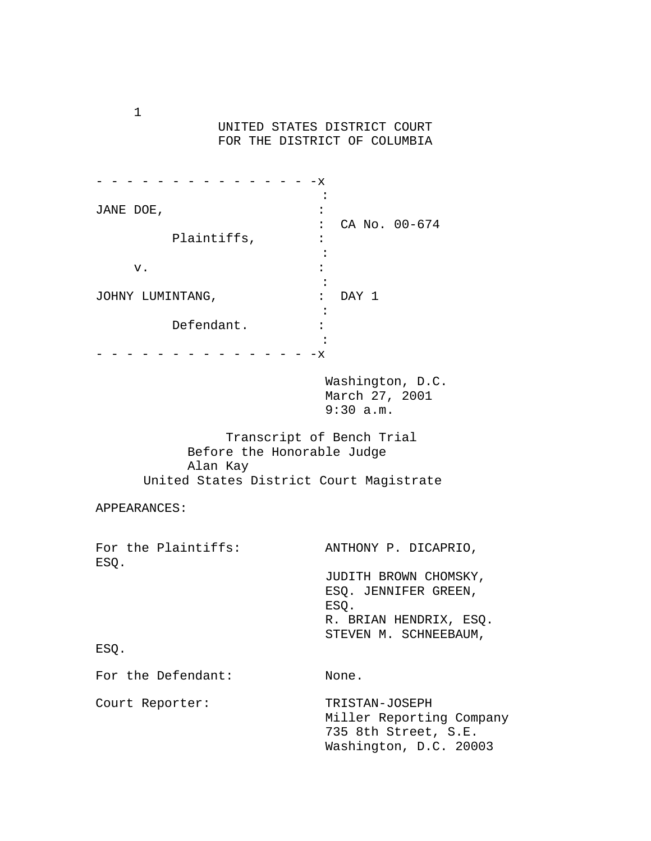UNITED STATES DISTRICT COURT FOR THE DISTRICT OF COLUMBIA

|                  | х |               |  |
|------------------|---|---------------|--|
|                  |   |               |  |
| JANE DOE,        |   |               |  |
|                  |   | CA No. 00-674 |  |
| Plaintiffs,      |   |               |  |
|                  |   |               |  |
| v.               |   |               |  |
|                  |   |               |  |
| JOHNY LUMINTANG, | : | DAY 1         |  |
|                  |   |               |  |
| Defendant.       |   |               |  |
|                  |   |               |  |
|                  | х |               |  |

 Washington, D.C. March 27, 2001 9:30 a.m.

 Transcript of Bench Trial Before the Honorable Judge Alan Kay United States District Court Magistrate

APPEARANCES:

| For the Plaintiffs:<br>ESQ. | ANTHONY P. DICAPRIO,                                                                                     |
|-----------------------------|----------------------------------------------------------------------------------------------------------|
|                             | JUDITH BROWN CHOMSKY,<br>ESO. JENNIFER GREEN,<br>ESO.<br>R. BRIAN HENDRIX, ESQ.<br>STEVEN M. SCHNEEBAUM, |
| ESO.                        |                                                                                                          |
| For the Defendant:          | None.                                                                                                    |
| Court Reporter:             | TRISTAN-JOSEPH<br>Miller Reporting Company<br>735 8th Street, S.E.<br>Washington, D.C. 20003             |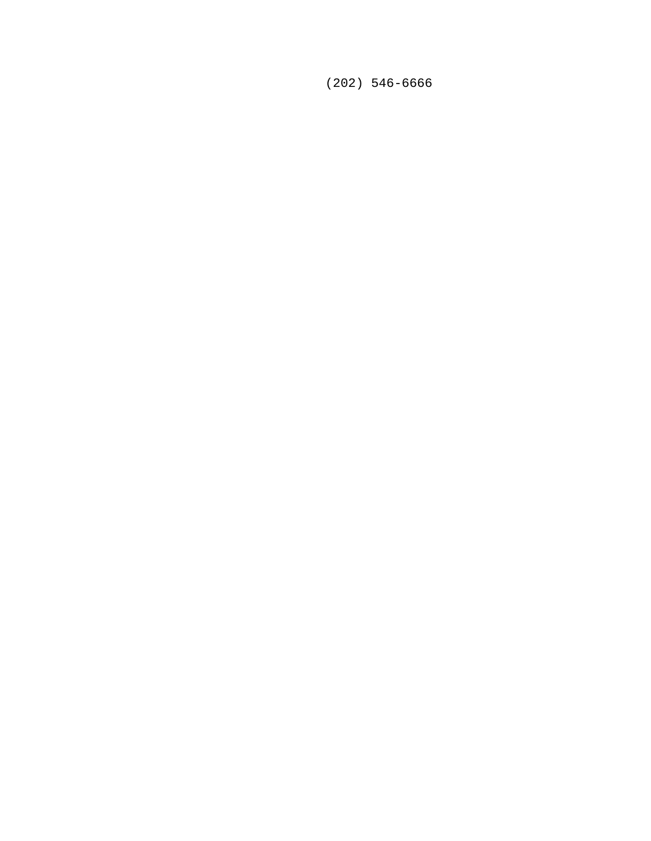(202) 546-6666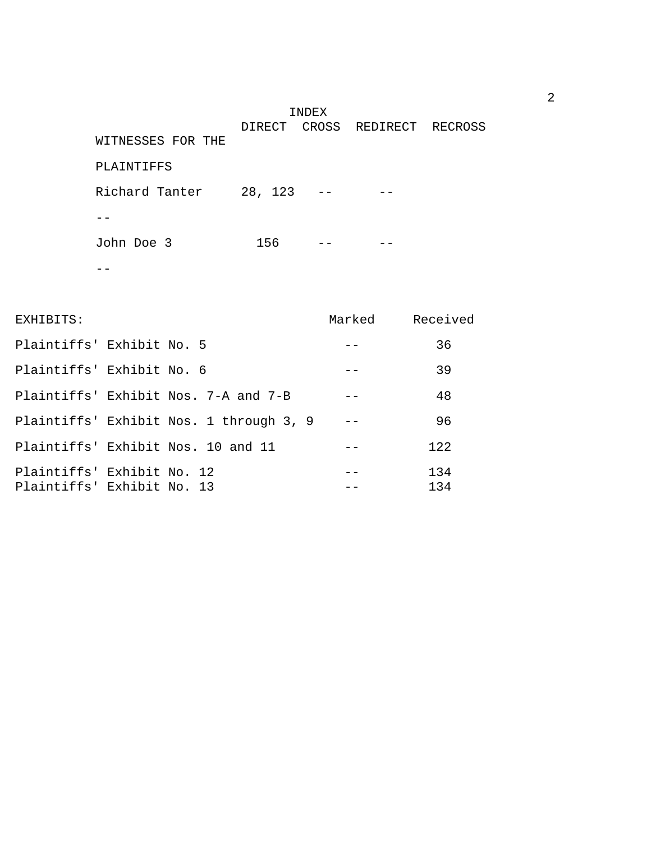INDEX DIRECT CROSS REDIRECT RECROSS WITNESSES FOR THE PLAINTIFFS Richard Tanter 28, 123 -- -- $--$ John Doe 3 156 -- - -- $-\frac{1}{2}$ 

| EXHIBITS:                                                | Marked | Received   |
|----------------------------------------------------------|--------|------------|
| Plaintiffs' Exhibit No. 5                                |        | 36         |
| Plaintiffs' Exhibit No. 6                                |        | 39         |
| Plaintiffs' Exhibit Nos. 7-A and 7-B                     |        | 48         |
| Plaintiffs' Exhibit Nos. 1 through 3, 9                  |        | 96         |
| Plaintiffs' Exhibit Nos. 10 and 11                       |        | 122        |
| Plaintiffs' Exhibit No. 12<br>Plaintiffs' Exhibit No. 13 |        | 134<br>134 |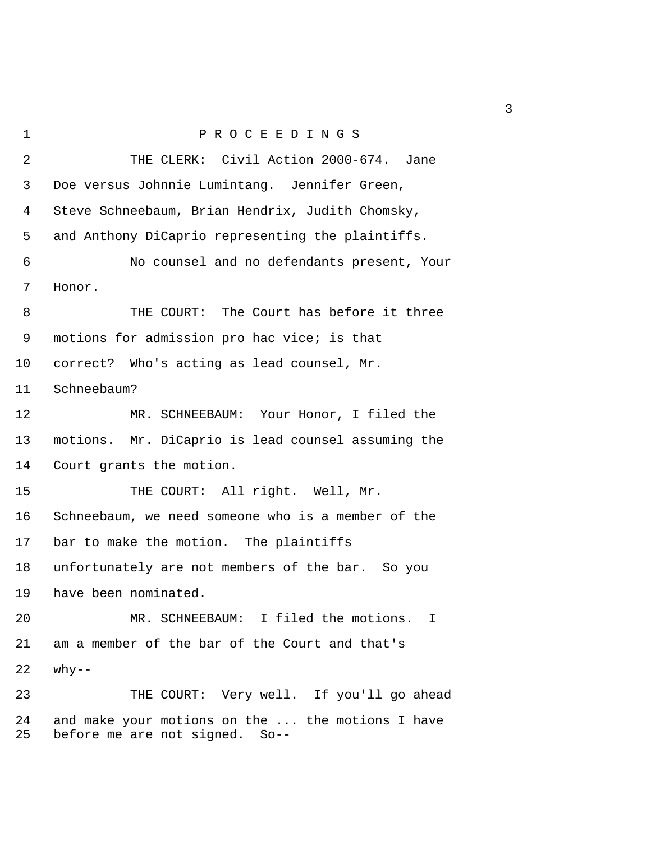1 P R O C E E D I N G S 2 THE CLERK: Civil Action 2000-674. Jane 3 Doe versus Johnnie Lumintang. Jennifer Green, 4 Steve Schneebaum, Brian Hendrix, Judith Chomsky, 5 and Anthony DiCaprio representing the plaintiffs. 6 No counsel and no defendants present, Your 7 Honor. 8 THE COURT: The Court has before it three 9 motions for admission pro hac vice; is that 10 correct? Who's acting as lead counsel, Mr. 11 Schneebaum? 12 MR. SCHNEEBAUM: Your Honor, I filed the 13 motions. Mr. DiCaprio is lead counsel assuming the 14 Court grants the motion. 15 THE COURT: All right. Well, Mr. 16 Schneebaum, we need someone who is a member of the 17 bar to make the motion. The plaintiffs 18 unfortunately are not members of the bar. So you 19 have been nominated. 20 MR. SCHNEEBAUM: I filed the motions. I 21 am a member of the bar of the Court and that's  $22$  why--23 THE COURT: Very well. If you'll go ahead 24 and make your motions on the ... the motions I have 25 before me are not signed. So--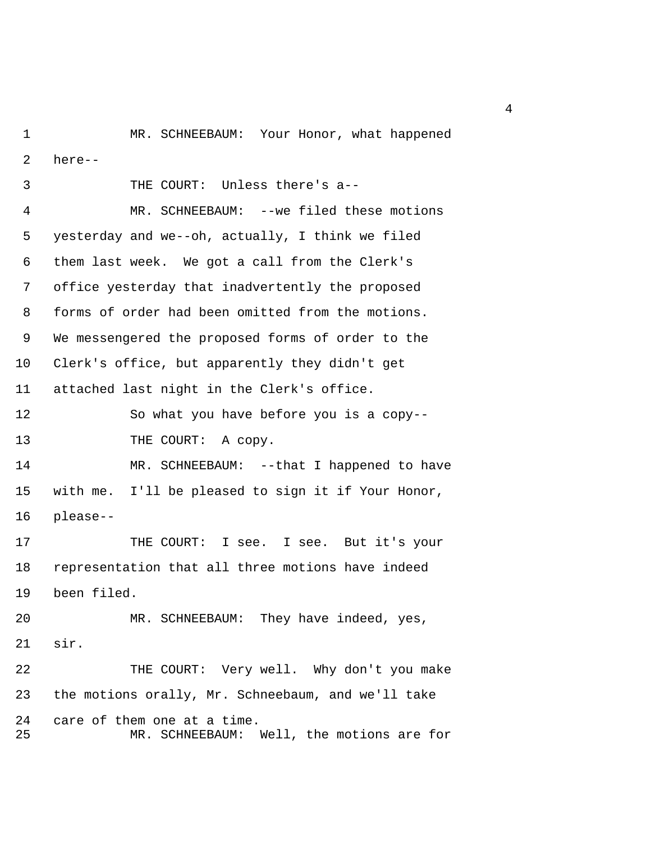1 MR. SCHNEEBAUM: Your Honor, what happened 2 here--

 3 THE COURT: Unless there's a-- 4 MR. SCHNEEBAUM: --we filed these motions 5 yesterday and we--oh, actually, I think we filed 6 them last week. We got a call from the Clerk's 7 office yesterday that inadvertently the proposed 8 forms of order had been omitted from the motions. 9 We messengered the proposed forms of order to the 10 Clerk's office, but apparently they didn't get 11 attached last night in the Clerk's office. 12 So what you have before you is a copy-- 13 THE COURT: A copy. 14 MR. SCHNEEBAUM: --that I happened to have 15 with me. I'll be pleased to sign it if Your Honor, 16 please-- 17 THE COURT: I see. I see. But it's your 18 representation that all three motions have indeed 19 been filed. 20 MR. SCHNEEBAUM: They have indeed, yes, 21 sir. 22 THE COURT: Very well. Why don't you make 23 the motions orally, Mr. Schneebaum, and we'll take 24 care of them one at a time. 25 MR. SCHNEEBAUM: Well, the motions are for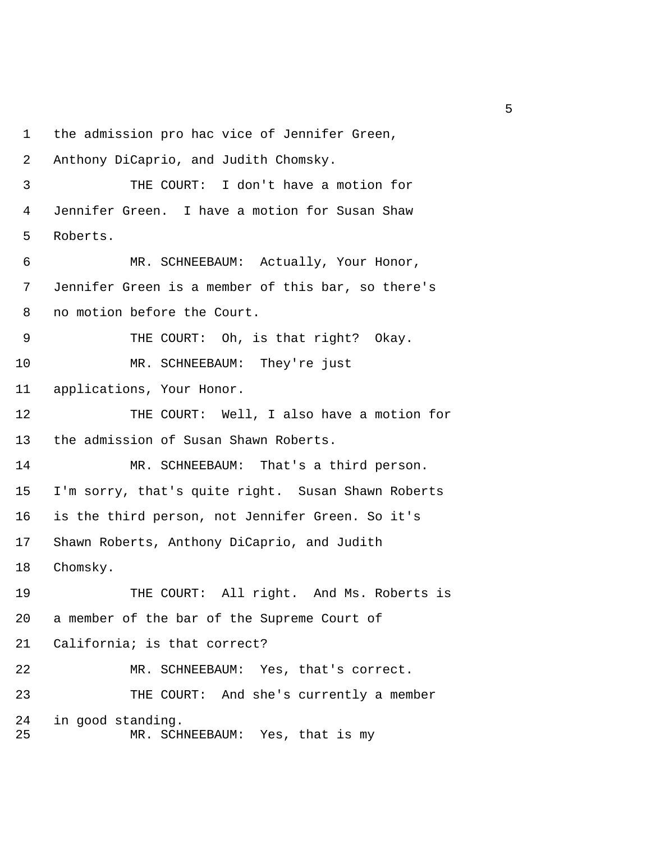1 the admission pro hac vice of Jennifer Green, 2 Anthony DiCaprio, and Judith Chomsky. 3 THE COURT: I don't have a motion for 4 Jennifer Green. I have a motion for Susan Shaw 5 Roberts. 6 MR. SCHNEEBAUM: Actually, Your Honor, 7 Jennifer Green is a member of this bar, so there's 8 no motion before the Court. 9 THE COURT: Oh, is that right? Okay. 10 MR. SCHNEEBAUM: They're just 11 applications, Your Honor. 12 THE COURT: Well, I also have a motion for 13 the admission of Susan Shawn Roberts. 14 MR. SCHNEEBAUM: That's a third person. 15 I'm sorry, that's quite right. Susan Shawn Roberts 16 is the third person, not Jennifer Green. So it's 17 Shawn Roberts, Anthony DiCaprio, and Judith 18 Chomsky. 19 THE COURT: All right. And Ms. Roberts is 20 a member of the bar of the Supreme Court of 21 California; is that correct? 22 MR. SCHNEEBAUM: Yes, that's correct. 23 THE COURT: And she's currently a member 24 in good standing. 25 MR. SCHNEEBAUM: Yes, that is my

 $\sim$  5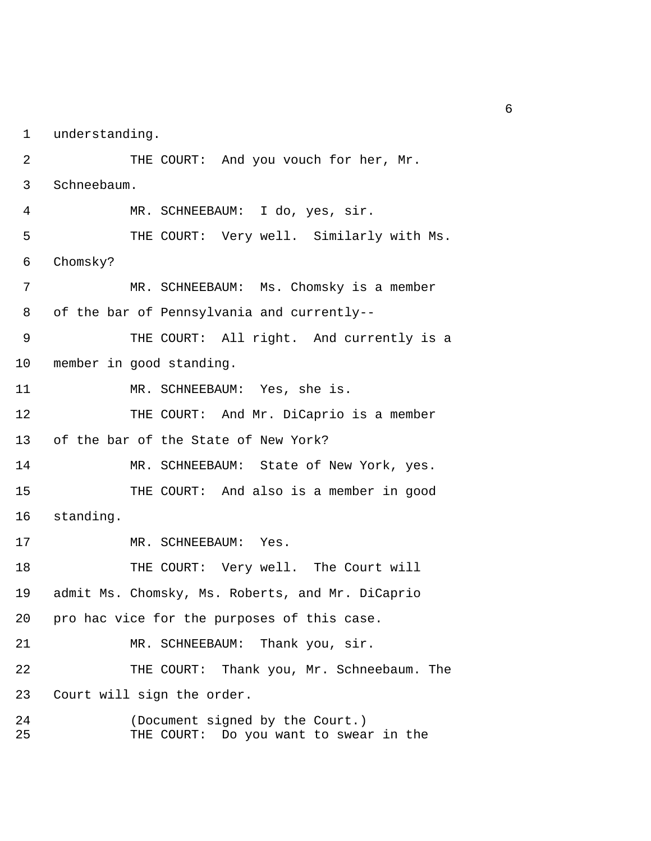1 understanding.

2 THE COURT: And you vouch for her, Mr. 3 Schneebaum. 4 MR. SCHNEEBAUM: I do, yes, sir. 5 THE COURT: Very well. Similarly with Ms. 6 Chomsky? 7 MR. SCHNEEBAUM: Ms. Chomsky is a member 8 of the bar of Pennsylvania and currently-- 9 THE COURT: All right. And currently is a 10 member in good standing. 11 MR. SCHNEEBAUM: Yes, she is. 12 THE COURT: And Mr. DiCaprio is a member 13 of the bar of the State of New York? 14 MR. SCHNEEBAUM: State of New York, yes. 15 THE COURT: And also is a member in good 16 standing. 17 MR. SCHNEEBAUM: Yes. 18 THE COURT: Very well. The Court will 19 admit Ms. Chomsky, Ms. Roberts, and Mr. DiCaprio 20 pro hac vice for the purposes of this case. 21 MR. SCHNEEBAUM: Thank you, sir. 22 THE COURT: Thank you, Mr. Schneebaum. The 23 Court will sign the order. 24 (Document signed by the Court.) 25 THE COURT: Do you want to swear in the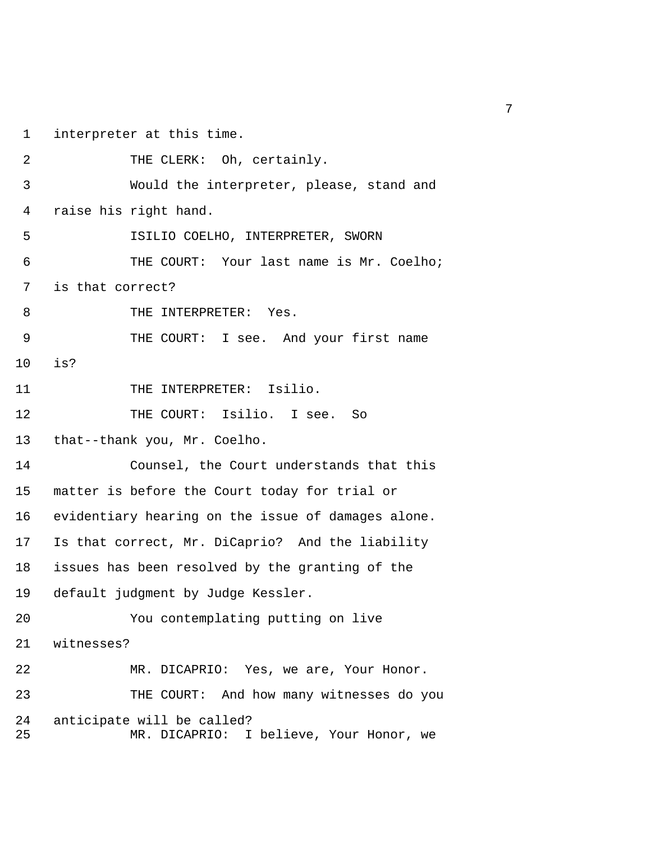1 interpreter at this time.

| $\overline{2}$ | THE CLERK: Oh, certainly.                                             |
|----------------|-----------------------------------------------------------------------|
| 3              | Would the interpreter, please, stand and                              |
| 4              | raise his right hand.                                                 |
| 5              | ISILIO COELHO, INTERPRETER, SWORN                                     |
| 6              | THE COURT: Your last name is Mr. Coelho;                              |
| 7              | is that correct?                                                      |
| 8              | THE INTERPRETER: Yes.                                                 |
| 9              | THE COURT: I see. And your first name                                 |
| 10             | is?                                                                   |
| 11             | THE INTERPRETER: Isilio.                                              |
| 12             | THE COURT: Isilio. I see. So                                          |
| 13             | that--thank you, Mr. Coelho.                                          |
| 14             | Counsel, the Court understands that this                              |
| 15             | matter is before the Court today for trial or                         |
| 16             | evidentiary hearing on the issue of damages alone.                    |
| 17             | Is that correct, Mr. DiCaprio? And the liability                      |
| 18             | issues has been resolved by the granting of the                       |
| 19             | default judgment by Judge Kessler.                                    |
| 20             | You contemplating putting on live                                     |
| 21             | witnesses?                                                            |
| 22             | MR. DICAPRIO: Yes, we are, Your Honor.                                |
| 23             | THE COURT: And how many witnesses do you                              |
| 24<br>25       | anticipate will be called?<br>MR. DICAPRIO: I believe, Your Honor, we |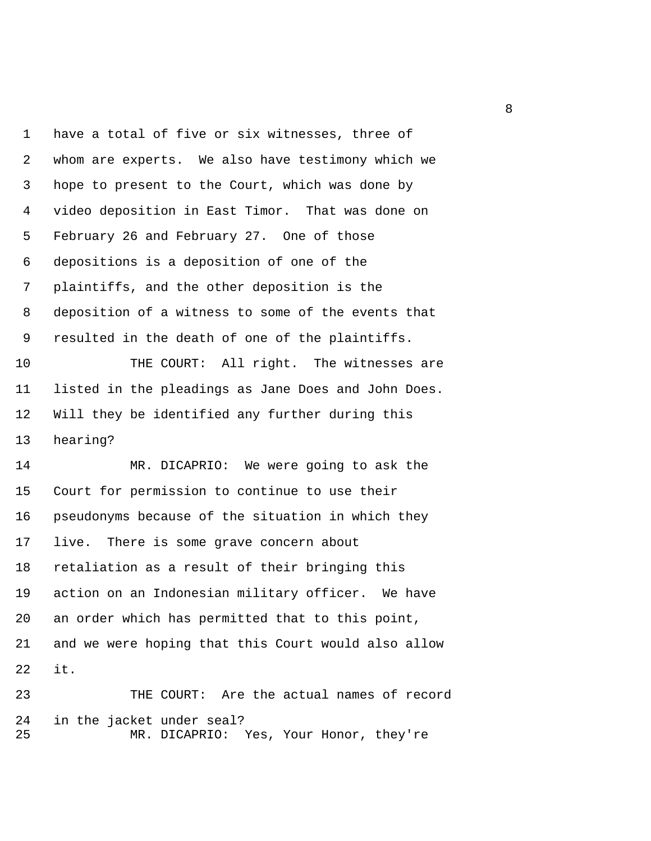1 have a total of five or six witnesses, three of 2 whom are experts. We also have testimony which we 3 hope to present to the Court, which was done by 4 video deposition in East Timor. That was done on 5 February 26 and February 27. One of those 6 depositions is a deposition of one of the 7 plaintiffs, and the other deposition is the 8 deposition of a witness to some of the events that 9 resulted in the death of one of the plaintiffs. 10 THE COURT: All right. The witnesses are 11 listed in the pleadings as Jane Does and John Does. 12 Will they be identified any further during this 13 hearing? 14 MR. DICAPRIO: We were going to ask the

15 Court for permission to continue to use their 16 pseudonyms because of the situation in which they 17 live. There is some grave concern about 18 retaliation as a result of their bringing this 19 action on an Indonesian military officer. We have 20 an order which has permitted that to this point, 21 and we were hoping that this Court would also allow 22 it.

23 THE COURT: Are the actual names of record 24 in the jacket under seal? 25 MR. DICAPRIO: Yes, Your Honor, they're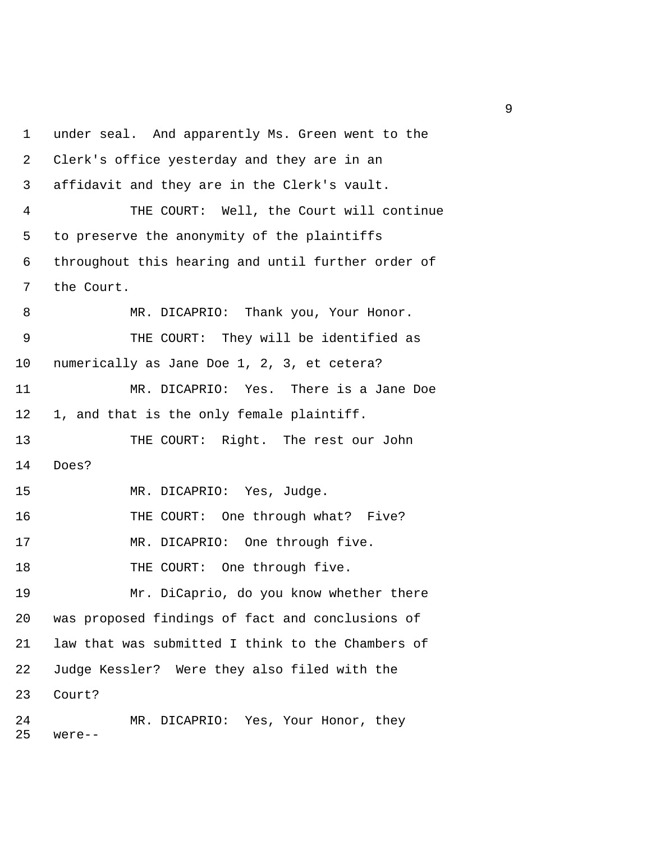1 under seal. And apparently Ms. Green went to the 2 Clerk's office yesterday and they are in an 3 affidavit and they are in the Clerk's vault. 4 THE COURT: Well, the Court will continue 5 to preserve the anonymity of the plaintiffs 6 throughout this hearing and until further order of 7 the Court. 8 MR. DICAPRIO: Thank you, Your Honor. 9 THE COURT: They will be identified as 10 numerically as Jane Doe 1, 2, 3, et cetera? 11 MR. DICAPRIO: Yes. There is a Jane Doe 12 1, and that is the only female plaintiff. 13 THE COURT: Right. The rest our John 14 Does? 15 MR. DICAPRIO: Yes, Judge. 16 THE COURT: One through what? Five? 17 MR. DICAPRIO: One through five. 18 THE COURT: One through five. 19 Mr. DiCaprio, do you know whether there 20 was proposed findings of fact and conclusions of 21 law that was submitted I think to the Chambers of 22 Judge Kessler? Were they also filed with the 23 Court? 24 MR. DICAPRIO: Yes, Your Honor, they 25 were--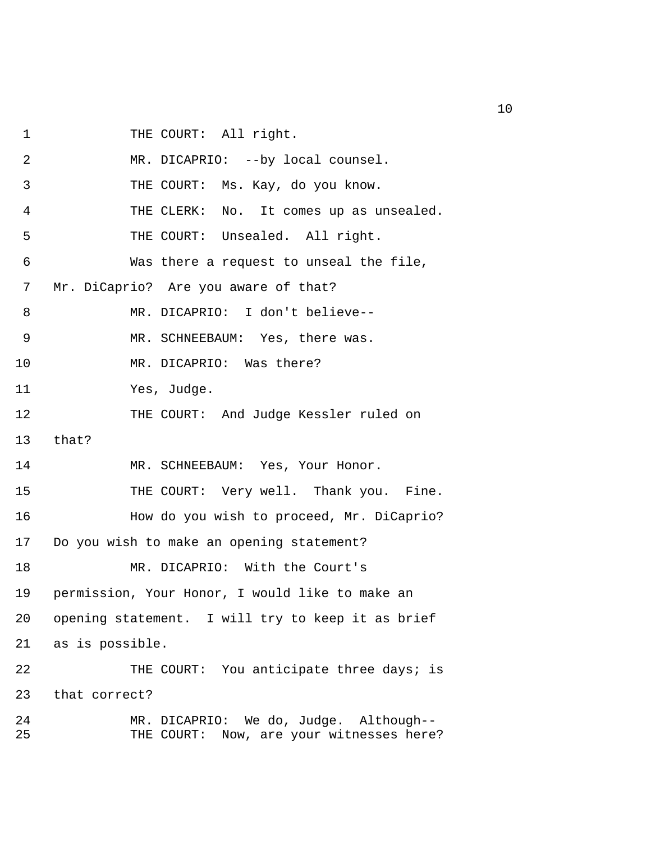1 THE COURT: All right.

| 2        | MR. DICAPRIO: --by local counsel.                                                  |
|----------|------------------------------------------------------------------------------------|
| 3        | THE COURT: Ms. Kay, do you know.                                                   |
| 4        | THE CLERK: No. It comes up as unsealed.                                            |
| 5        | THE COURT: Unsealed. All right.                                                    |
| 6        | Was there a request to unseal the file,                                            |
| 7        | Mr. DiCaprio? Are you aware of that?                                               |
| 8        | MR. DICAPRIO: I don't believe--                                                    |
| 9        | MR. SCHNEEBAUM: Yes, there was.                                                    |
| 10       | MR. DICAPRIO: Was there?                                                           |
| 11       | Yes, Judge.                                                                        |
| 12       | THE COURT: And Judge Kessler ruled on                                              |
| 13       | that?                                                                              |
| 14       | MR. SCHNEEBAUM: Yes, Your Honor.                                                   |
| 15       | THE COURT: Very well. Thank you. Fine.                                             |
| 16       | How do you wish to proceed, Mr. DiCaprio?                                          |
| 17       | Do you wish to make an opening statement?                                          |
| 18       | MR. DICAPRIO: With the Court's                                                     |
| 19       | permission, Your Honor, I would like to make an                                    |
| 20       | opening statement. I will try to keep it as brief                                  |
| 21       | as is possible.                                                                    |
| 22       | THE COURT: You anticipate three days; is                                           |
| 23       | that correct?                                                                      |
| 24<br>25 | MR. DICAPRIO: We do, Judge. Although--<br>THE COURT: Now, are your witnesses here? |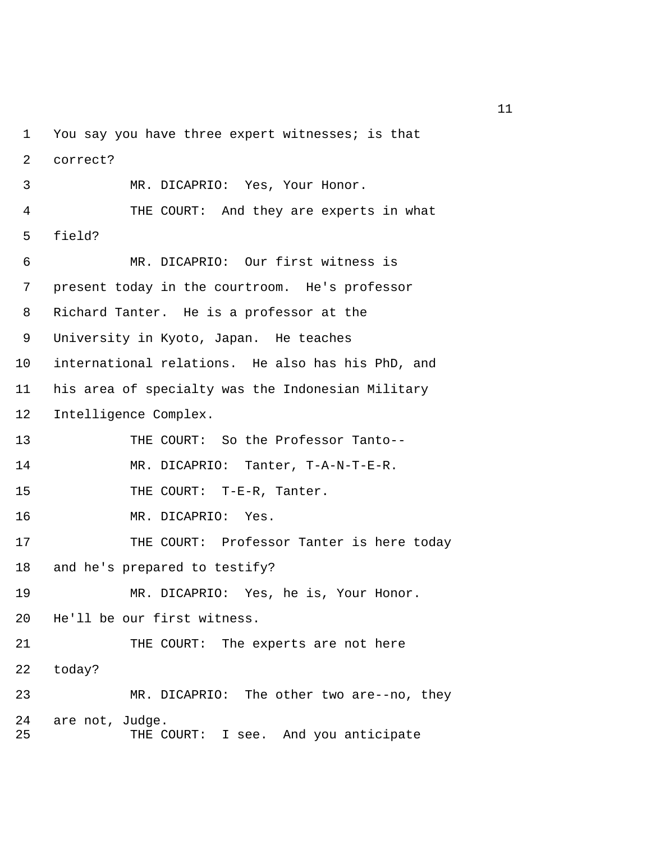1 You say you have three expert witnesses; is that 2 correct? 3 MR. DICAPRIO: Yes, Your Honor. 4 THE COURT: And they are experts in what 5 field? 6 MR. DICAPRIO: Our first witness is 7 present today in the courtroom. He's professor 8 Richard Tanter. He is a professor at the 9 University in Kyoto, Japan. He teaches 10 international relations. He also has his PhD, and 11 his area of specialty was the Indonesian Military 12 Intelligence Complex. 13 THE COURT: So the Professor Tanto-- 14 MR. DICAPRIO: Tanter, T-A-N-T-E-R. 15 THE COURT: T-E-R, Tanter. 16 MR. DICAPRIO: Yes. 17 THE COURT: Professor Tanter is here today 18 and he's prepared to testify? 19 MR. DICAPRIO: Yes, he is, Your Honor. 20 He'll be our first witness. 21 THE COURT: The experts are not here 22 today? 23 MR. DICAPRIO: The other two are--no, they 24 are not, Judge. 25 THE COURT: I see. And you anticipate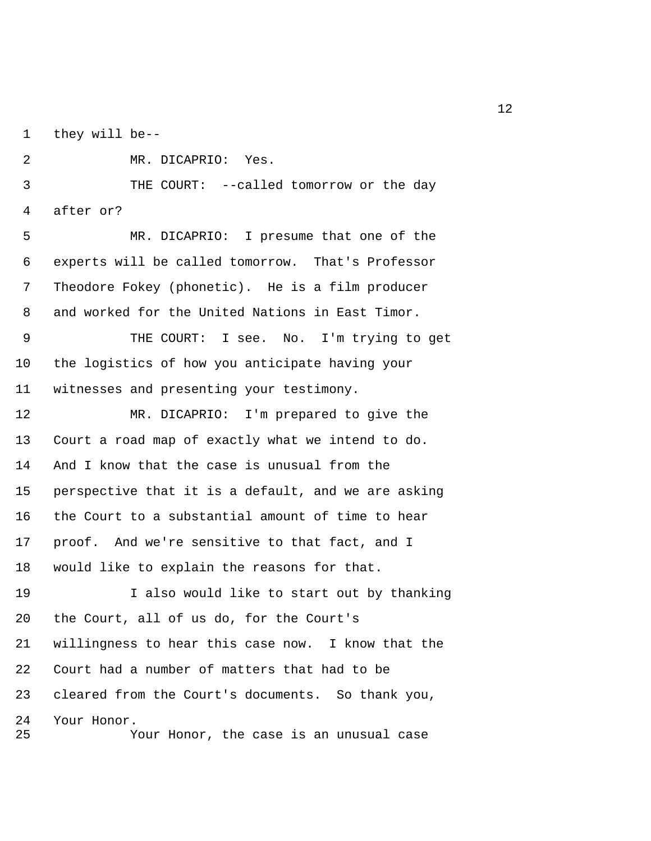1 they will be--

2 MR. DICAPRIO: Yes.

 3 THE COURT: --called tomorrow or the day 4 after or?

 5 MR. DICAPRIO: I presume that one of the 6 experts will be called tomorrow. That's Professor 7 Theodore Fokey (phonetic). He is a film producer 8 and worked for the United Nations in East Timor.

 9 THE COURT: I see. No. I'm trying to get 10 the logistics of how you anticipate having your 11 witnesses and presenting your testimony.

12 MR. DICAPRIO: I'm prepared to give the 13 Court a road map of exactly what we intend to do. 14 And I know that the case is unusual from the 15 perspective that it is a default, and we are asking 16 the Court to a substantial amount of time to hear 17 proof. And we're sensitive to that fact, and I 18 would like to explain the reasons for that.

19 I also would like to start out by thanking 20 the Court, all of us do, for the Court's 21 willingness to hear this case now. I know that the 22 Court had a number of matters that had to be 23 cleared from the Court's documents. So thank you, 24 Your Honor. 25 Your Honor, the case is an unusual case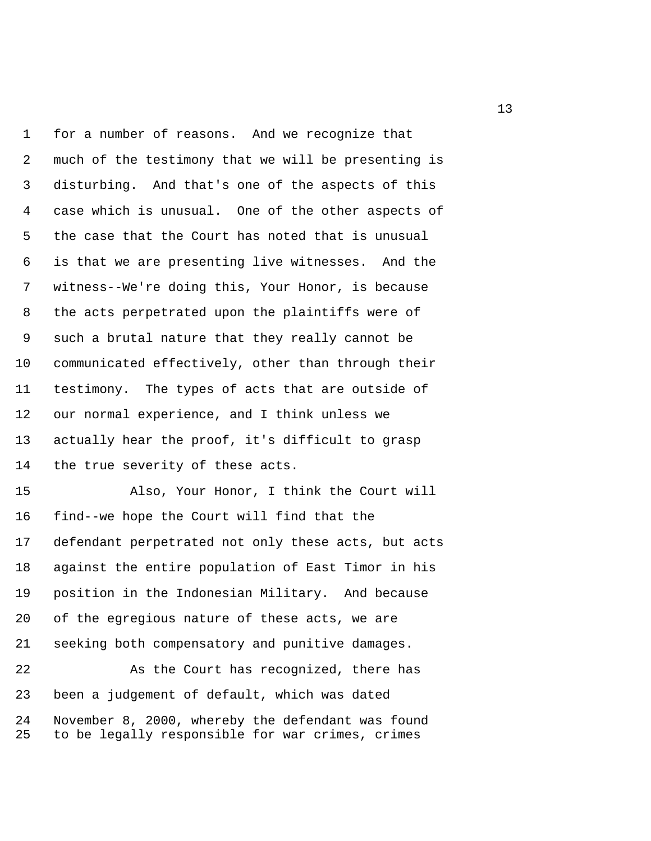1 for a number of reasons. And we recognize that 2 much of the testimony that we will be presenting is 3 disturbing. And that's one of the aspects of this 4 case which is unusual. One of the other aspects of 5 the case that the Court has noted that is unusual 6 is that we are presenting live witnesses. And the 7 witness--We're doing this, Your Honor, is because 8 the acts perpetrated upon the plaintiffs were of 9 such a brutal nature that they really cannot be 10 communicated effectively, other than through their 11 testimony. The types of acts that are outside of 12 our normal experience, and I think unless we 13 actually hear the proof, it's difficult to grasp 14 the true severity of these acts. 15 Also, Your Honor, I think the Court will

16 find--we hope the Court will find that the 17 defendant perpetrated not only these acts, but acts 18 against the entire population of East Timor in his 19 position in the Indonesian Military. And because 20 of the egregious nature of these acts, we are 21 seeking both compensatory and punitive damages.

22 As the Court has recognized, there has 23 been a judgement of default, which was dated 24 November 8, 2000, whereby the defendant was found 25 to be legally responsible for war crimes, crimes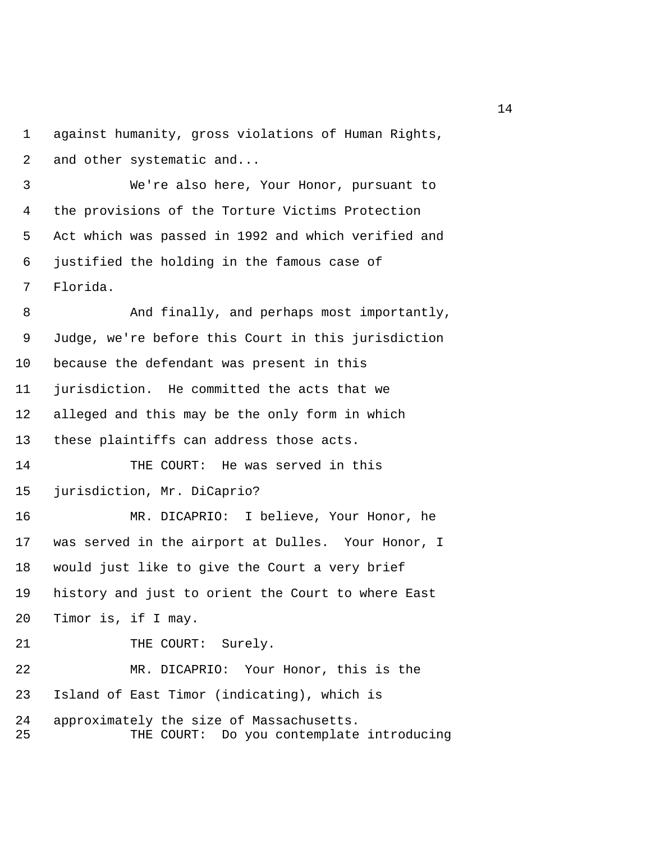1 against humanity, gross violations of Human Rights, 2 and other systematic and...

 3 We're also here, Your Honor, pursuant to 4 the provisions of the Torture Victims Protection 5 Act which was passed in 1992 and which verified and 6 justified the holding in the famous case of 7 Florida.

8 And finally, and perhaps most importantly, 9 Judge, we're before this Court in this jurisdiction 10 because the defendant was present in this 11 jurisdiction. He committed the acts that we 12 alleged and this may be the only form in which 13 these plaintiffs can address those acts. 14 THE COURT: He was served in this 15 jurisdiction, Mr. DiCaprio? 16 MR. DICAPRIO: I believe, Your Honor, he 17 was served in the airport at Dulles. Your Honor, I 18 would just like to give the Court a very brief 19 history and just to orient the Court to where East 20 Timor is, if I may. 21 THE COURT: Surely. 22 MR. DICAPRIO: Your Honor, this is the 23 Island of East Timor (indicating), which is 24 approximately the size of Massachusetts. 25 THE COURT: Do you contemplate introducing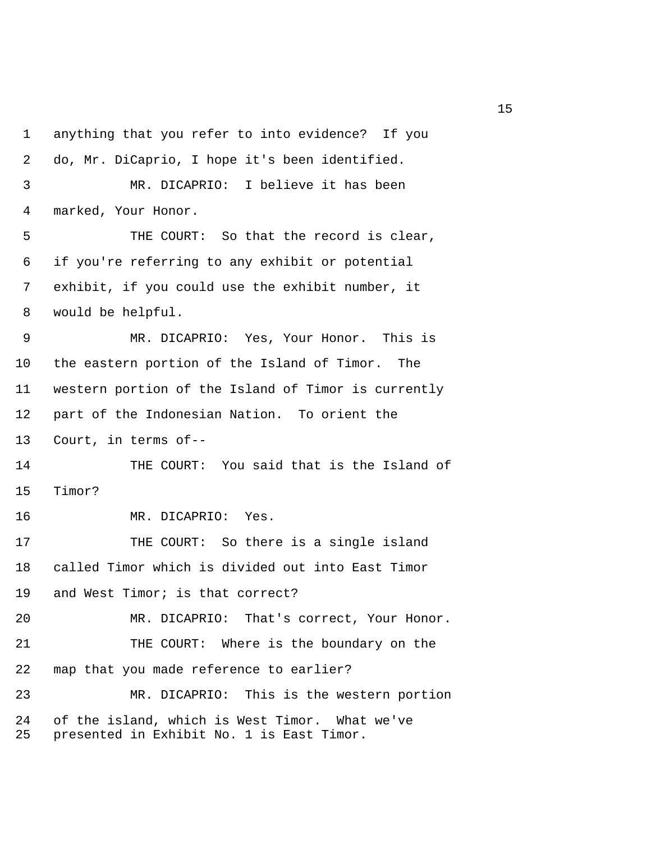1 anything that you refer to into evidence? If you 2 do, Mr. DiCaprio, I hope it's been identified. 3 MR. DICAPRIO: I believe it has been 4 marked, Your Honor. 5 THE COURT: So that the record is clear, 6 if you're referring to any exhibit or potential 7 exhibit, if you could use the exhibit number, it 8 would be helpful. 9 MR. DICAPRIO: Yes, Your Honor. This is 10 the eastern portion of the Island of Timor. The 11 western portion of the Island of Timor is currently 12 part of the Indonesian Nation. To orient the 13 Court, in terms of-- 14 THE COURT: You said that is the Island of 15 Timor? 16 MR. DICAPRIO: Yes. 17 THE COURT: So there is a single island 18 called Timor which is divided out into East Timor 19 and West Timor; is that correct? 20 MR. DICAPRIO: That's correct, Your Honor. 21 THE COURT: Where is the boundary on the 22 map that you made reference to earlier? 23 MR. DICAPRIO: This is the western portion 24 of the island, which is West Timor. What we've 25 presented in Exhibit No. 1 is East Timor.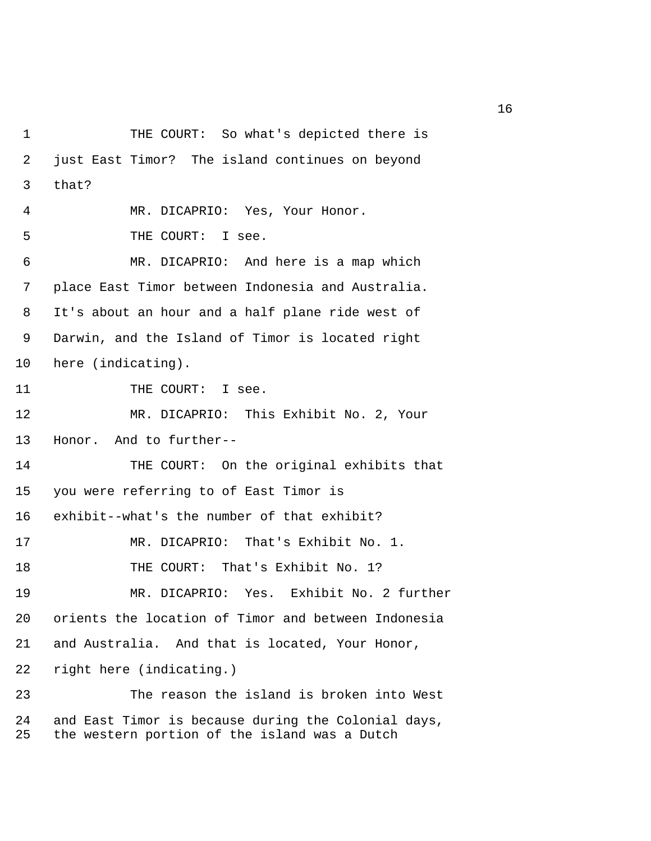1 THE COURT: So what's depicted there is 2 just East Timor? The island continues on beyond 3 that? 4 MR. DICAPRIO: Yes, Your Honor. 5 THE COURT: I see. 6 MR. DICAPRIO: And here is a map which 7 place East Timor between Indonesia and Australia. 8 It's about an hour and a half plane ride west of 9 Darwin, and the Island of Timor is located right 10 here (indicating). 11 THE COURT: I see. 12 MR. DICAPRIO: This Exhibit No. 2, Your 13 Honor. And to further-- 14 THE COURT: On the original exhibits that 15 you were referring to of East Timor is 16 exhibit--what's the number of that exhibit? 17 MR. DICAPRIO: That's Exhibit No. 1. 18 THE COURT: That's Exhibit No. 1? 19 MR. DICAPRIO: Yes. Exhibit No. 2 further 20 orients the location of Timor and between Indonesia 21 and Australia. And that is located, Your Honor, 22 right here (indicating.) 23 The reason the island is broken into West 24 and East Timor is because during the Colonial days, 25 the western portion of the island was a Dutch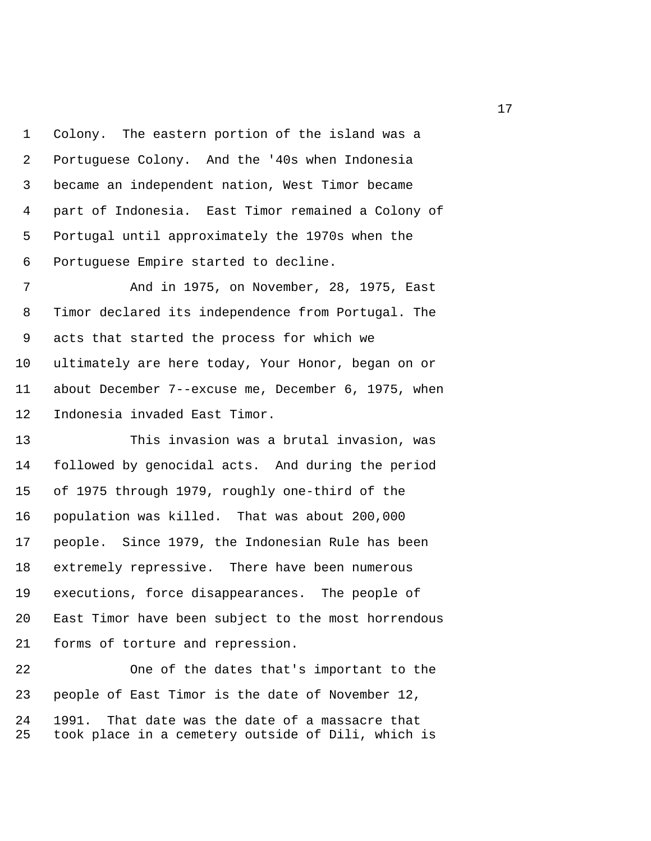1 Colony. The eastern portion of the island was a 2 Portuguese Colony. And the '40s when Indonesia 3 became an independent nation, West Timor became 4 part of Indonesia. East Timor remained a Colony of 5 Portugal until approximately the 1970s when the 6 Portuguese Empire started to decline.

 7 And in 1975, on November, 28, 1975, East 8 Timor declared its independence from Portugal. The 9 acts that started the process for which we 10 ultimately are here today, Your Honor, began on or 11 about December 7--excuse me, December 6, 1975, when 12 Indonesia invaded East Timor.

13 This invasion was a brutal invasion, was 14 followed by genocidal acts. And during the period 15 of 1975 through 1979, roughly one-third of the 16 population was killed. That was about 200,000 17 people. Since 1979, the Indonesian Rule has been 18 extremely repressive. There have been numerous 19 executions, force disappearances. The people of 20 East Timor have been subject to the most horrendous 21 forms of torture and repression.

22 One of the dates that's important to the 23 people of East Timor is the date of November 12, 24 1991. That date was the date of a massacre that 25 took place in a cemetery outside of Dili, which is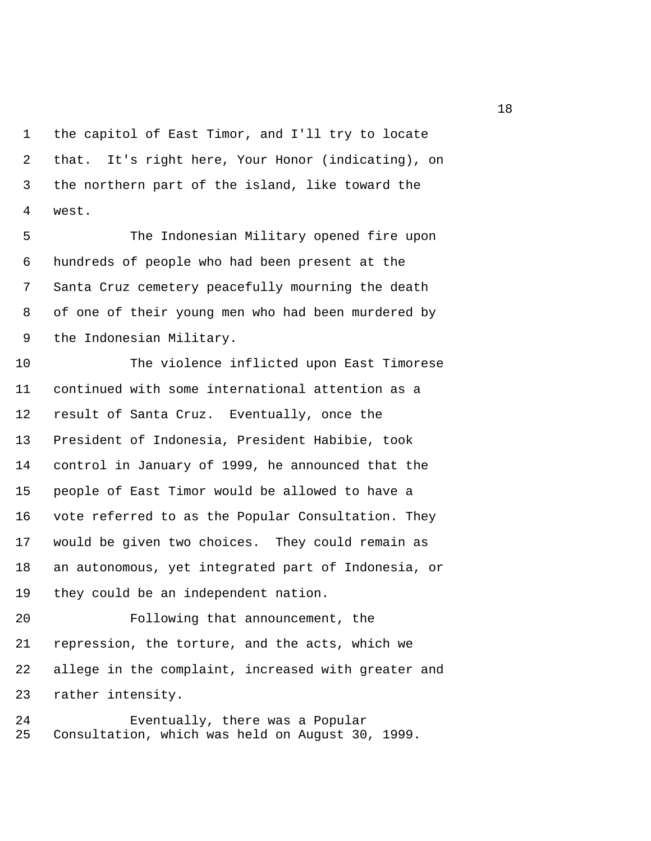1 the capitol of East Timor, and I'll try to locate 2 that. It's right here, Your Honor (indicating), on 3 the northern part of the island, like toward the 4 west.

 5 The Indonesian Military opened fire upon 6 hundreds of people who had been present at the 7 Santa Cruz cemetery peacefully mourning the death 8 of one of their young men who had been murdered by 9 the Indonesian Military.

10 The violence inflicted upon East Timorese 11 continued with some international attention as a 12 result of Santa Cruz. Eventually, once the 13 President of Indonesia, President Habibie, took 14 control in January of 1999, he announced that the 15 people of East Timor would be allowed to have a 16 vote referred to as the Popular Consultation. They 17 would be given two choices. They could remain as 18 an autonomous, yet integrated part of Indonesia, or 19 they could be an independent nation.

20 Following that announcement, the 21 repression, the torture, and the acts, which we 22 allege in the complaint, increased with greater and 23 rather intensity.

24 Eventually, there was a Popular 25 Consultation, which was held on August 30, 1999.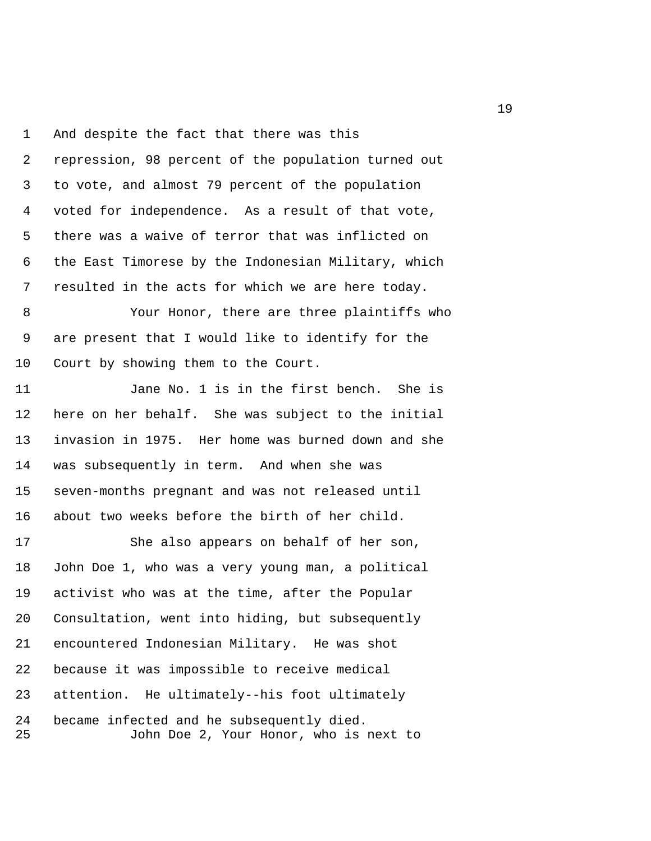1 And despite the fact that there was this 2 repression, 98 percent of the population turned out 3 to vote, and almost 79 percent of the population 4 voted for independence. As a result of that vote, 5 there was a waive of terror that was inflicted on 6 the East Timorese by the Indonesian Military, which 7 resulted in the acts for which we are here today.

 8 Your Honor, there are three plaintiffs who 9 are present that I would like to identify for the 10 Court by showing them to the Court.

11 Jane No. 1 is in the first bench. She is 12 here on her behalf. She was subject to the initial 13 invasion in 1975. Her home was burned down and she 14 was subsequently in term. And when she was 15 seven-months pregnant and was not released until 16 about two weeks before the birth of her child.

17 She also appears on behalf of her son, 18 John Doe 1, who was a very young man, a political 19 activist who was at the time, after the Popular 20 Consultation, went into hiding, but subsequently 21 encountered Indonesian Military. He was shot 22 because it was impossible to receive medical 23 attention. He ultimately--his foot ultimately 24 became infected and he subsequently died. 25 John Doe 2, Your Honor, who is next to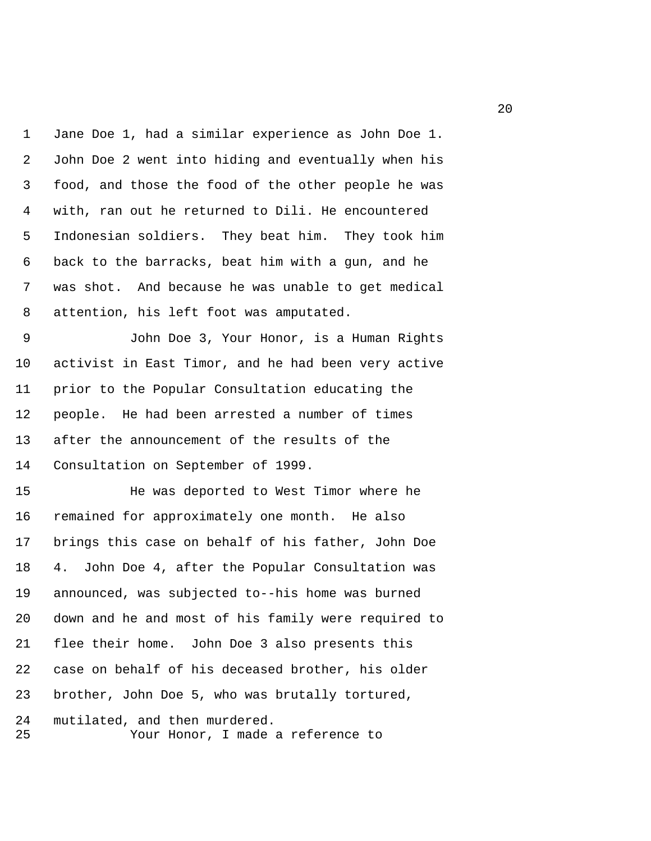1 Jane Doe 1, had a similar experience as John Doe 1. 2 John Doe 2 went into hiding and eventually when his 3 food, and those the food of the other people he was 4 with, ran out he returned to Dili. He encountered 5 Indonesian soldiers. They beat him. They took him 6 back to the barracks, beat him with a gun, and he 7 was shot. And because he was unable to get medical 8 attention, his left foot was amputated.

 9 John Doe 3, Your Honor, is a Human Rights 10 activist in East Timor, and he had been very active 11 prior to the Popular Consultation educating the 12 people. He had been arrested a number of times 13 after the announcement of the results of the 14 Consultation on September of 1999.

15 He was deported to West Timor where he 16 remained for approximately one month. He also 17 brings this case on behalf of his father, John Doe 18 4. John Doe 4, after the Popular Consultation was 19 announced, was subjected to--his home was burned 20 down and he and most of his family were required to 21 flee their home. John Doe 3 also presents this 22 case on behalf of his deceased brother, his older 23 brother, John Doe 5, who was brutally tortured, 24 mutilated, and then murdered.

25 Your Honor, I made a reference to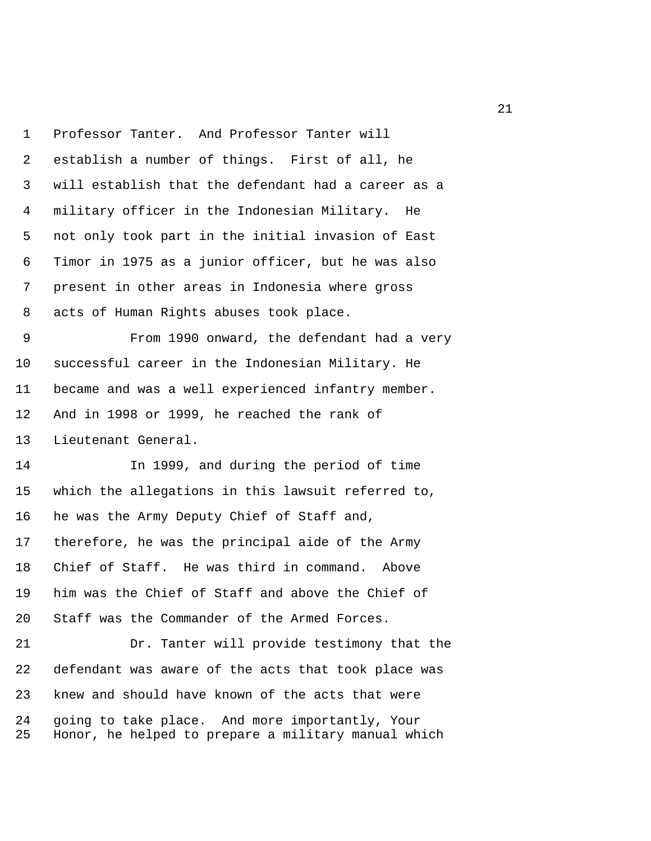1 Professor Tanter. And Professor Tanter will 2 establish a number of things. First of all, he 3 will establish that the defendant had a career as a 4 military officer in the Indonesian Military. He 5 not only took part in the initial invasion of East 6 Timor in 1975 as a junior officer, but he was also 7 present in other areas in Indonesia where gross 8 acts of Human Rights abuses took place. 9 From 1990 onward, the defendant had a very 10 successful career in the Indonesian Military. He 11 became and was a well experienced infantry member. 12 And in 1998 or 1999, he reached the rank of 13 Lieutenant General. 14 In 1999, and during the period of time 15 which the allegations in this lawsuit referred to, 16 he was the Army Deputy Chief of Staff and, 17 therefore, he was the principal aide of the Army 18 Chief of Staff. He was third in command. Above 19 him was the Chief of Staff and above the Chief of 20 Staff was the Commander of the Armed Forces. 21 Dr. Tanter will provide testimony that the 22 defendant was aware of the acts that took place was 23 knew and should have known of the acts that were 24 going to take place. And more importantly, Your 25 Honor, he helped to prepare a military manual which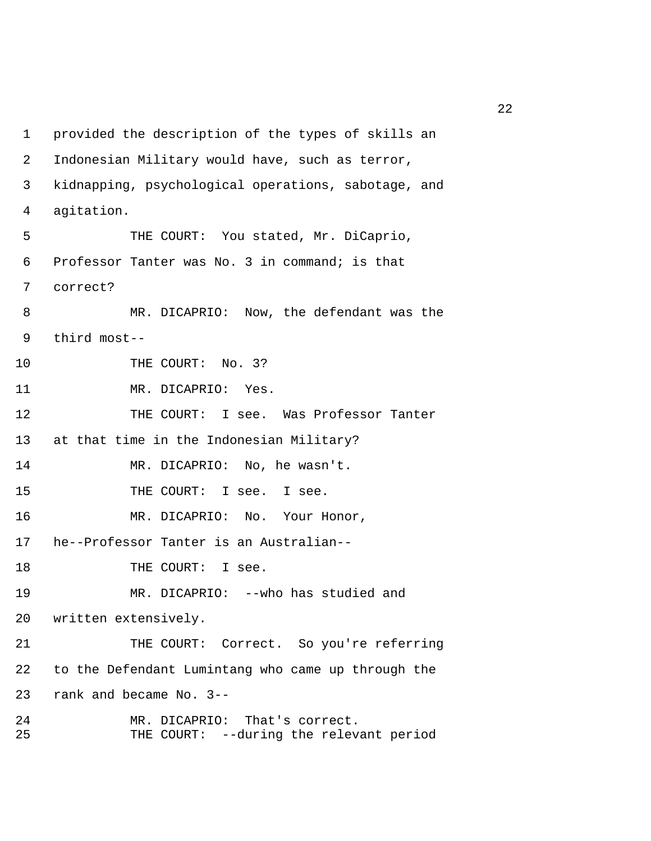1 provided the description of the types of skills an 2 Indonesian Military would have, such as terror, 3 kidnapping, psychological operations, sabotage, and 4 agitation. 5 THE COURT: You stated, Mr. DiCaprio, 6 Professor Tanter was No. 3 in command; is that 7 correct? 8 MR. DICAPRIO: Now, the defendant was the 9 third most-- 10 THE COURT: No. 3? 11 MR. DICAPRIO: Yes. 12 THE COURT: I see. Was Professor Tanter 13 at that time in the Indonesian Military? 14 MR. DICAPRIO: No, he wasn't. 15 THE COURT: I see. I see. 16 MR. DICAPRIO: No. Your Honor, 17 he--Professor Tanter is an Australian-- 18 THE COURT: I see. 19 MR. DICAPRIO: --who has studied and 20 written extensively. 21 THE COURT: Correct. So you're referring 22 to the Defendant Lumintang who came up through the 23 rank and became No. 3-- 24 MR. DICAPRIO: That's correct. 25 THE COURT: --during the relevant period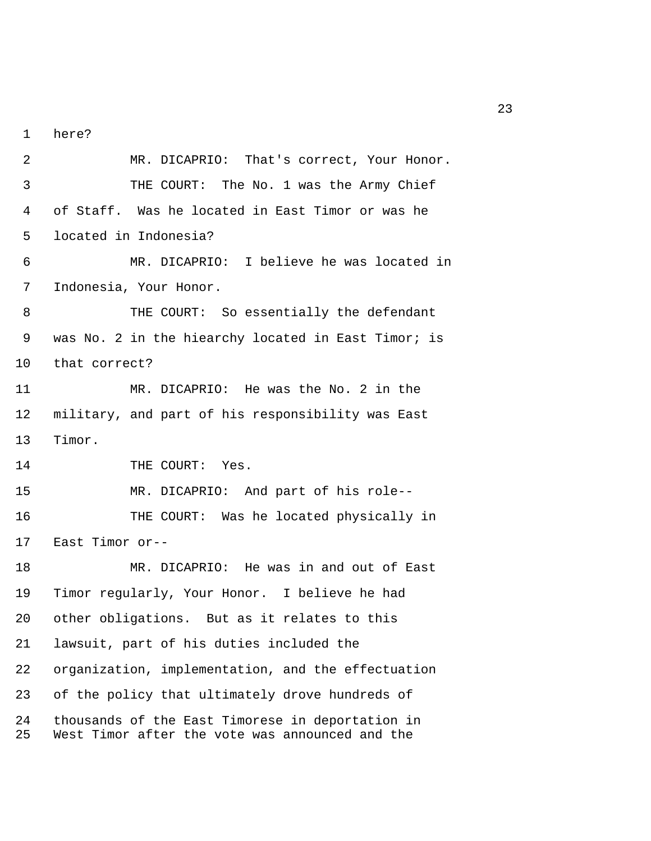1 here?

 2 MR. DICAPRIO: That's correct, Your Honor. 3 THE COURT: The No. 1 was the Army Chief 4 of Staff. Was he located in East Timor or was he 5 located in Indonesia? 6 MR. DICAPRIO: I believe he was located in 7 Indonesia, Your Honor. 8 THE COURT: So essentially the defendant 9 was No. 2 in the hiearchy located in East Timor; is 10 that correct? 11 MR. DICAPRIO: He was the No. 2 in the 12 military, and part of his responsibility was East 13 Timor. 14 THE COURT: Yes. 15 MR. DICAPRIO: And part of his role-- 16 THE COURT: Was he located physically in 17 East Timor or-- 18 MR. DICAPRIO: He was in and out of East 19 Timor regularly, Your Honor. I believe he had 20 other obligations. But as it relates to this 21 lawsuit, part of his duties included the 22 organization, implementation, and the effectuation 23 of the policy that ultimately drove hundreds of 24 thousands of the East Timorese in deportation in 25 West Timor after the vote was announced and the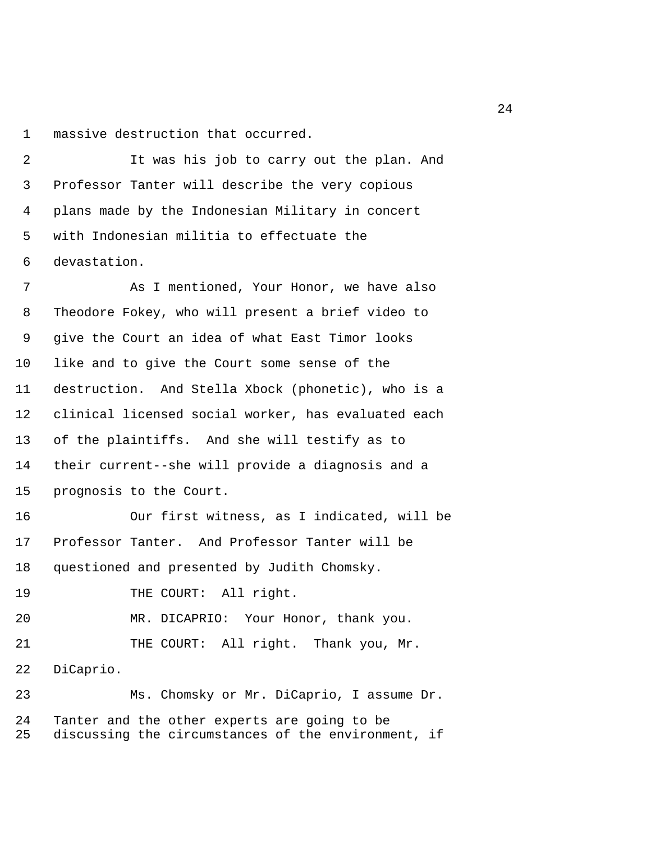1 massive destruction that occurred.

 2 It was his job to carry out the plan. And 3 Professor Tanter will describe the very copious 4 plans made by the Indonesian Military in concert 5 with Indonesian militia to effectuate the 6 devastation.

 7 As I mentioned, Your Honor, we have also 8 Theodore Fokey, who will present a brief video to 9 give the Court an idea of what East Timor looks 10 like and to give the Court some sense of the 11 destruction. And Stella Xbock (phonetic), who is a 12 clinical licensed social worker, has evaluated each 13 of the plaintiffs. And she will testify as to 14 their current--she will provide a diagnosis and a 15 prognosis to the Court.

16 Our first witness, as I indicated, will be 17 Professor Tanter. And Professor Tanter will be 18 questioned and presented by Judith Chomsky.

19 THE COURT: All right.

20 MR. DICAPRIO: Your Honor, thank you.

21 THE COURT: All right. Thank you, Mr.

22 DiCaprio.

23 Ms. Chomsky or Mr. DiCaprio, I assume Dr. 24 Tanter and the other experts are going to be 25 discussing the circumstances of the environment, if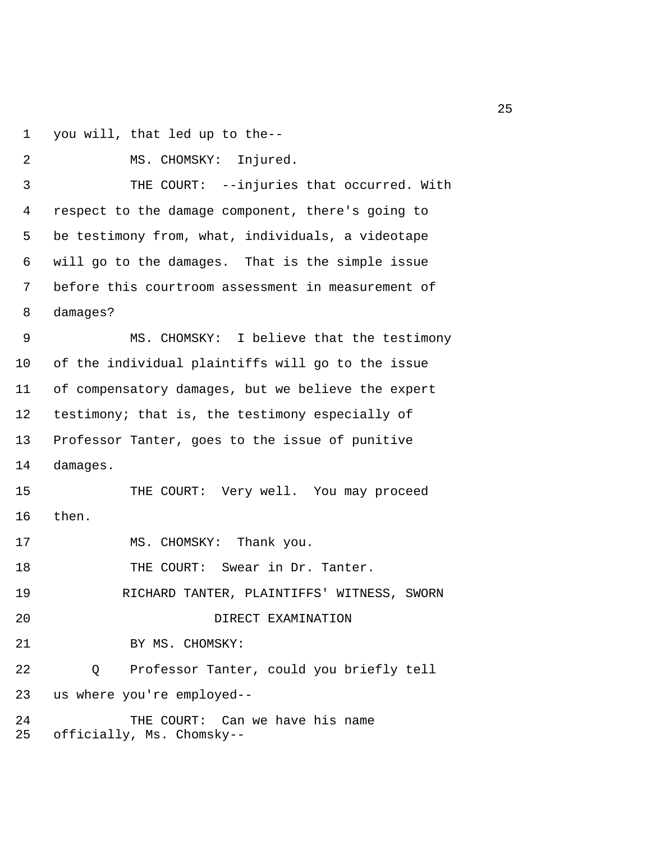1 you will, that led up to the--

```
 2 MS. CHOMSKY: Injured. 
  3 THE COURT: --injuries that occurred. With 
  4 respect to the damage component, there's going to 
  5 be testimony from, what, individuals, a videotape 
  6 will go to the damages. That is the simple issue 
  7 before this courtroom assessment in measurement of 
 8 damages? 
 9 MS. CHOMSKY: I believe that the testimony 
10 of the individual plaintiffs will go to the issue 
11 of compensatory damages, but we believe the expert 
12 testimony; that is, the testimony especially of 
13 Professor Tanter, goes to the issue of punitive 
14 damages. 
15 THE COURT: Very well. You may proceed 
16 then. 
17 MS. CHOMSKY: Thank you.
18 THE COURT: Swear in Dr. Tanter.
19 RICHARD TANTER, PLAINTIFFS' WITNESS, SWORN 
20 DIRECT EXAMINATION 
21 BY MS. CHOMSKY:
22 Q Professor Tanter, could you briefly tell 
23 us where you're employed-- 
24 THE COURT: Can we have his name 
25 officially, Ms. Chomsky--
```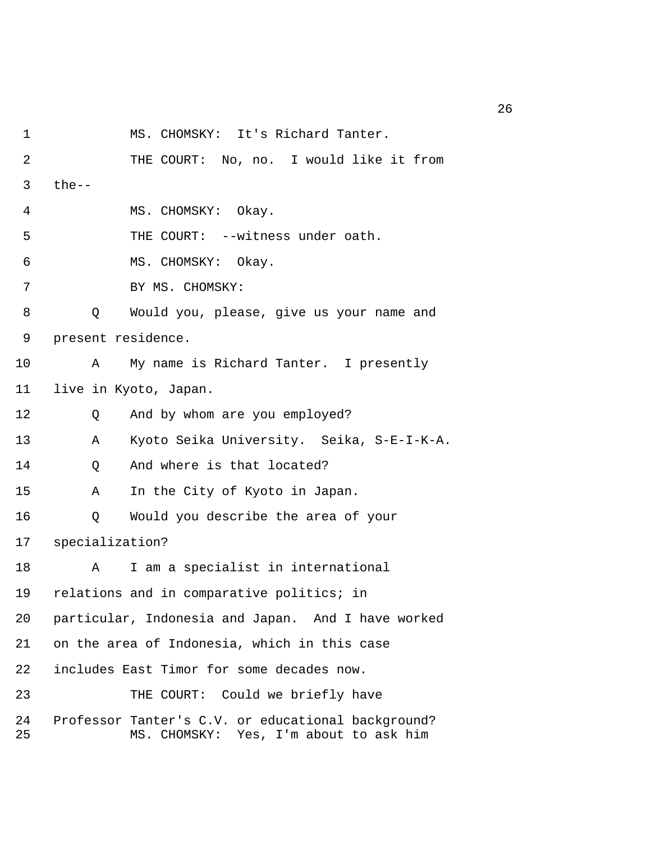1 MS. CHOMSKY: It's Richard Tanter.

 2 THE COURT: No, no. I would like it from  $3$  the-- 4 MS. CHOMSKY: Okay. 5 THE COURT: --witness under oath. 6 MS. CHOMSKY: Okay. 7 BY MS. CHOMSKY: 8 Q Would you, please, give us your name and 9 present residence. 10 A My name is Richard Tanter. I presently 11 live in Kyoto, Japan. 12 Q And by whom are you employed? 13 A Kyoto Seika University. Seika, S-E-I-K-A. 14 0 And where is that located? 15 A In the City of Kyoto in Japan. 16 Q Would you describe the area of your 17 specialization? 18 A I am a specialist in international 19 relations and in comparative politics; in 20 particular, Indonesia and Japan. And I have worked 21 on the area of Indonesia, which in this case 22 includes East Timor for some decades now. 23 THE COURT: Could we briefly have 24 Professor Tanter's C.V. or educational background? 25 MS. CHOMSKY: Yes, I'm about to ask him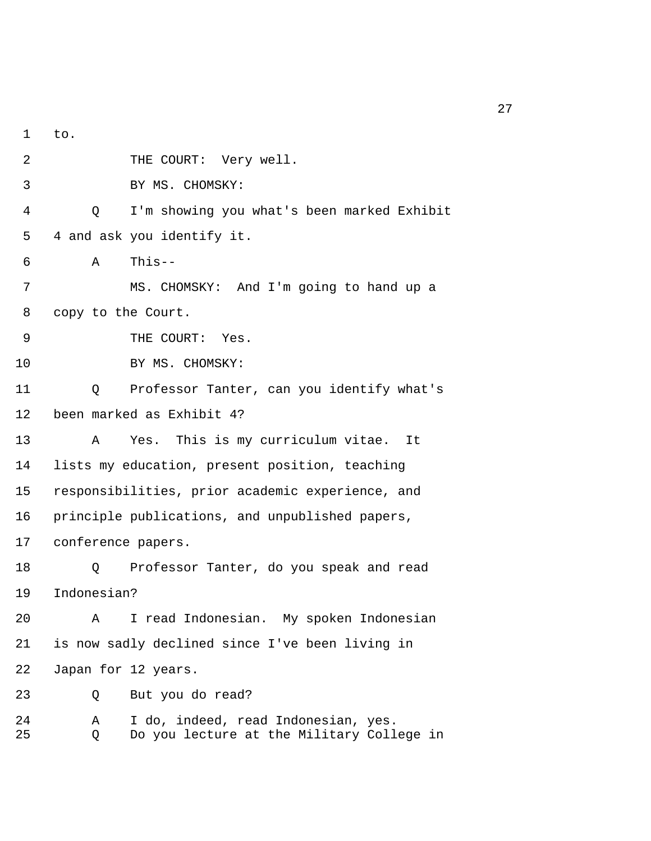1 to. 2 THE COURT: Very well. 3 BY MS. CHOMSKY: 4 Q I'm showing you what's been marked Exhibit 5 4 and ask you identify it. 6 A This-- 7 MS. CHOMSKY: And I'm going to hand up a 8 copy to the Court. 9 THE COURT: Yes. 10 BY MS. CHOMSKY: 11 Q Professor Tanter, can you identify what's 12 been marked as Exhibit 4? 13 A Yes. This is my curriculum vitae. It 14 lists my education, present position, teaching 15 responsibilities, prior academic experience, and 16 principle publications, and unpublished papers, 17 conference papers. 18 Q Professor Tanter, do you speak and read 19 Indonesian? 20 A I read Indonesian. My spoken Indonesian 21 is now sadly declined since I've been living in 22 Japan for 12 years. 23 Q But you do read? 24 A I do, indeed, read Indonesian, yes. 25 Q Do you lecture at the Military College in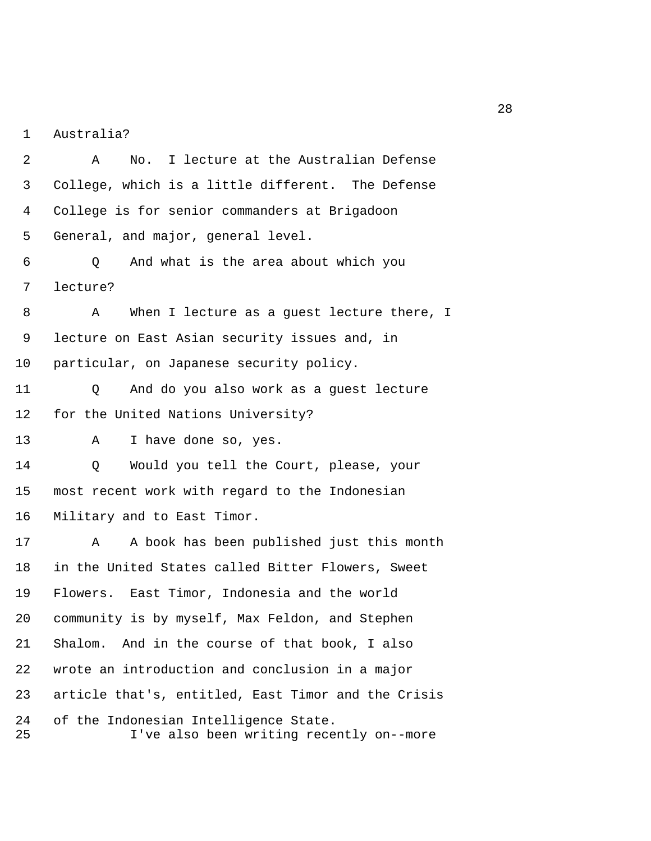1 Australia?

 2 A No. I lecture at the Australian Defense 3 College, which is a little different. The Defense 4 College is for senior commanders at Brigadoon 5 General, and major, general level. 6 Q And what is the area about which you 7 lecture? 8 A When I lecture as a guest lecture there, I 9 lecture on East Asian security issues and, in 10 particular, on Japanese security policy. 11 Q And do you also work as a guest lecture 12 for the United Nations University? 13 A I have done so, yes. 14 Q Would you tell the Court, please, your 15 most recent work with regard to the Indonesian 16 Military and to East Timor. 17 A A book has been published just this month 18 in the United States called Bitter Flowers, Sweet 19 Flowers. East Timor, Indonesia and the world 20 community is by myself, Max Feldon, and Stephen 21 Shalom. And in the course of that book, I also 22 wrote an introduction and conclusion in a major 23 article that's, entitled, East Timor and the Crisis 24 of the Indonesian Intelligence State. 25 I've also been writing recently on--more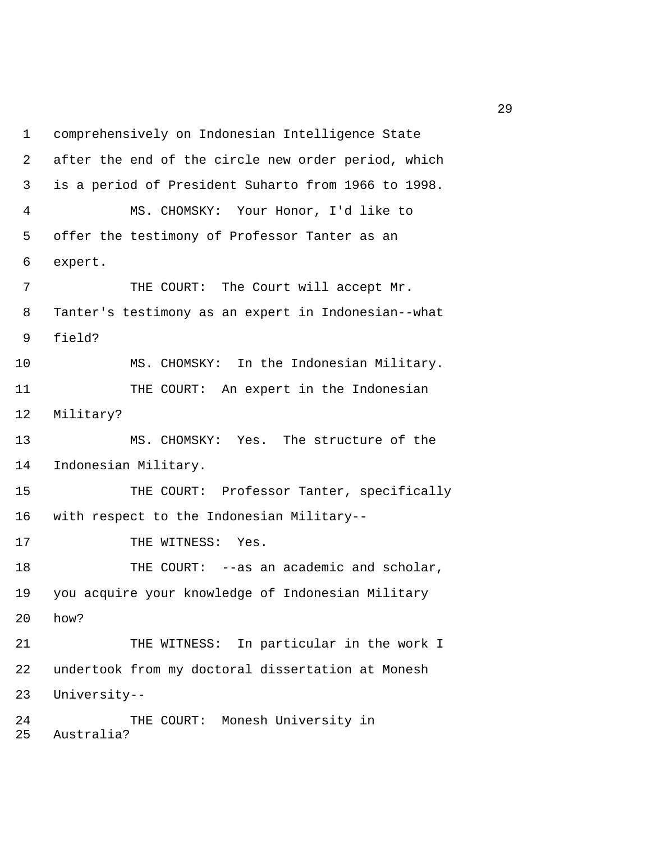1 comprehensively on Indonesian Intelligence State 2 after the end of the circle new order period, which 3 is a period of President Suharto from 1966 to 1998. 4 MS. CHOMSKY: Your Honor, I'd like to 5 offer the testimony of Professor Tanter as an 6 expert. 7 THE COURT: The Court will accept Mr. 8 Tanter's testimony as an expert in Indonesian--what 9 field? 10 MS. CHOMSKY: In the Indonesian Military. 11 THE COURT: An expert in the Indonesian 12 Military? 13 MS. CHOMSKY: Yes. The structure of the 14 Indonesian Military. 15 THE COURT: Professor Tanter, specifically 16 with respect to the Indonesian Military-- 17 THE WITNESS: Yes. 18 THE COURT: --as an academic and scholar, 19 you acquire your knowledge of Indonesian Military 20 how? 21 THE WITNESS: In particular in the work I 22 undertook from my doctoral dissertation at Monesh 23 University-- 24 THE COURT: Monesh University in 25 Australia?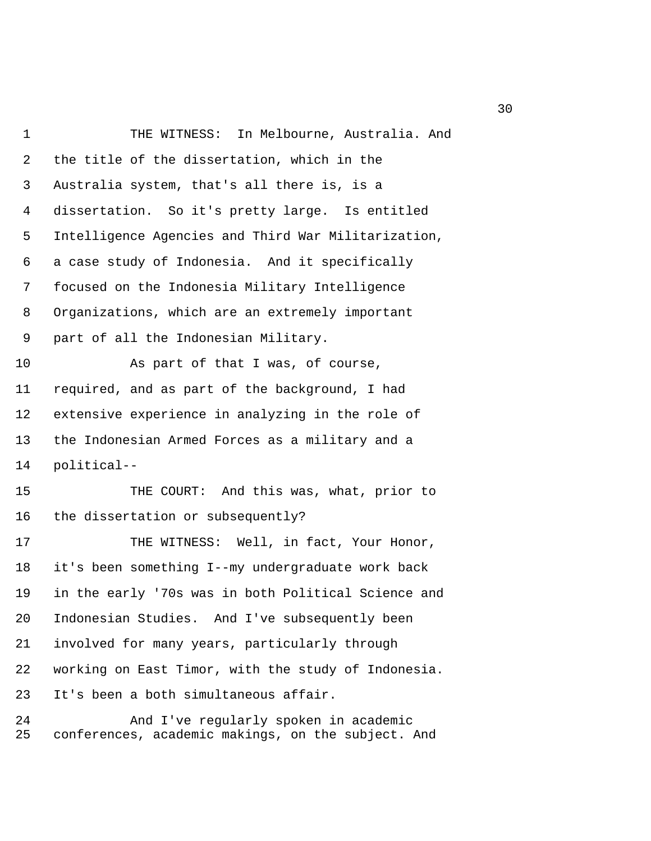1 THE WITNESS: In Melbourne, Australia. And 2 the title of the dissertation, which in the 3 Australia system, that's all there is, is a 4 dissertation. So it's pretty large. Is entitled 5 Intelligence Agencies and Third War Militarization, 6 a case study of Indonesia. And it specifically 7 focused on the Indonesia Military Intelligence 8 Organizations, which are an extremely important 9 part of all the Indonesian Military. 10 As part of that I was, of course, 11 required, and as part of the background, I had 12 extensive experience in analyzing in the role of 13 the Indonesian Armed Forces as a military and a 14 political-- 15 THE COURT: And this was, what, prior to 16 the dissertation or subsequently? 17 THE WITNESS: Well, in fact, Your Honor, 18 it's been something I--my undergraduate work back 19 in the early '70s was in both Political Science and 20 Indonesian Studies. And I've subsequently been 21 involved for many years, particularly through 22 working on East Timor, with the study of Indonesia. 23 It's been a both simultaneous affair. 24 And I've regularly spoken in academic

25 conferences, academic makings, on the subject. And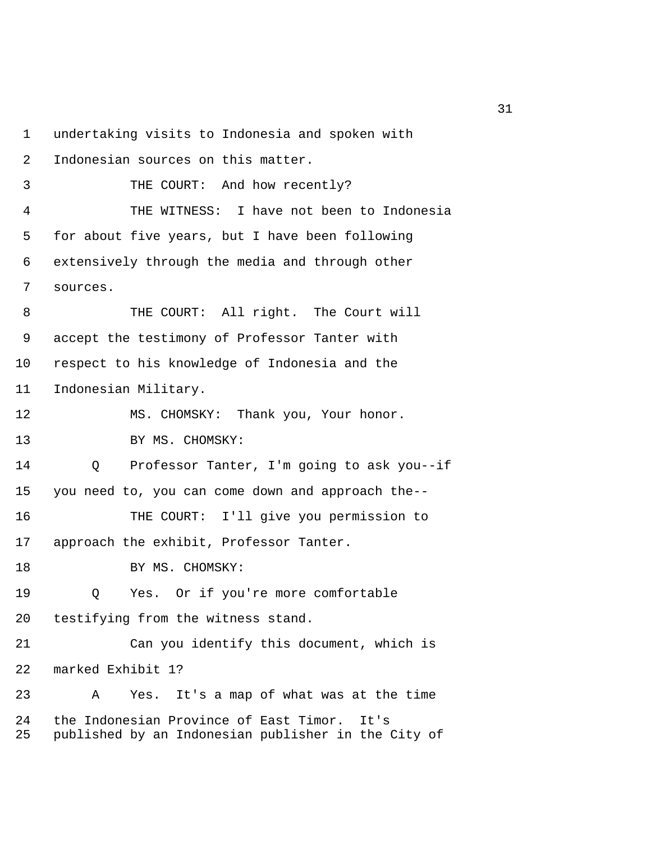1 undertaking visits to Indonesia and spoken with 2 Indonesian sources on this matter. 3 THE COURT: And how recently? 4 THE WITNESS: I have not been to Indonesia 5 for about five years, but I have been following 6 extensively through the media and through other 7 sources. 8 THE COURT: All right. The Court will 9 accept the testimony of Professor Tanter with 10 respect to his knowledge of Indonesia and the 11 Indonesian Military. 12 MS. CHOMSKY: Thank you, Your honor. 13 BY MS. CHOMSKY: 14 Q Professor Tanter, I'm going to ask you--if 15 you need to, you can come down and approach the-- 16 THE COURT: I'll give you permission to 17 approach the exhibit, Professor Tanter. 18 BY MS. CHOMSKY: 19 Q Yes. Or if you're more comfortable 20 testifying from the witness stand. 21 Can you identify this document, which is 22 marked Exhibit 1? 23 A Yes. It's a map of what was at the time 24 the Indonesian Province of East Timor. It's 25 published by an Indonesian publisher in the City of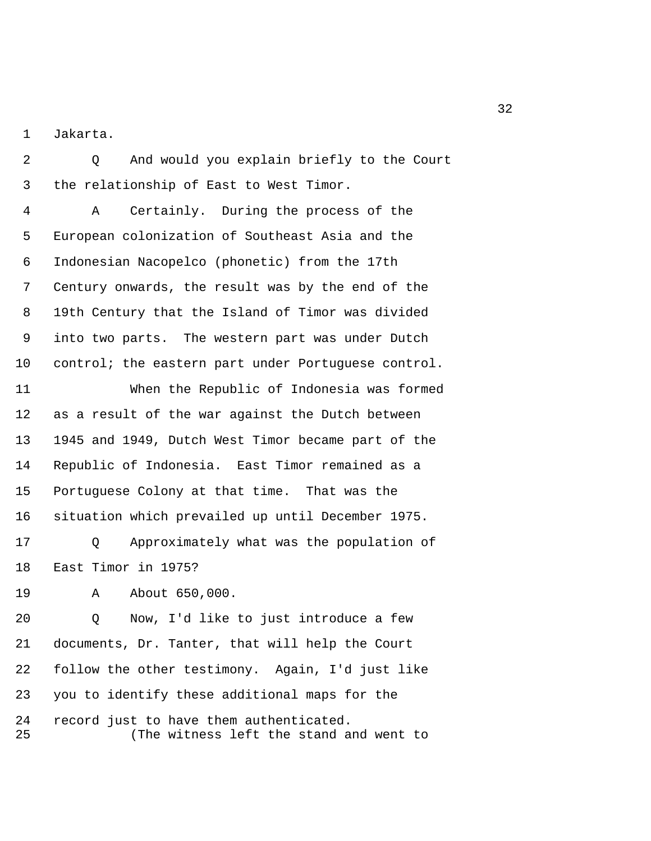1 Jakarta.

 2 Q And would you explain briefly to the Court 3 the relationship of East to West Timor.

 4 A Certainly. During the process of the 5 European colonization of Southeast Asia and the 6 Indonesian Nacopelco (phonetic) from the 17th 7 Century onwards, the result was by the end of the 8 19th Century that the Island of Timor was divided 9 into two parts. The western part was under Dutch 10 control; the eastern part under Portuguese control.

11 When the Republic of Indonesia was formed 12 as a result of the war against the Dutch between 13 1945 and 1949, Dutch West Timor became part of the 14 Republic of Indonesia. East Timor remained as a 15 Portuguese Colony at that time. That was the 16 situation which prevailed up until December 1975.

17 Q Approximately what was the population of 18 East Timor in 1975?

19 A About 650,000.

20 Q Now, I'd like to just introduce a few 21 documents, Dr. Tanter, that will help the Court 22 follow the other testimony. Again, I'd just like 23 you to identify these additional maps for the 24 record just to have them authenticated. 25 (The witness left the stand and went to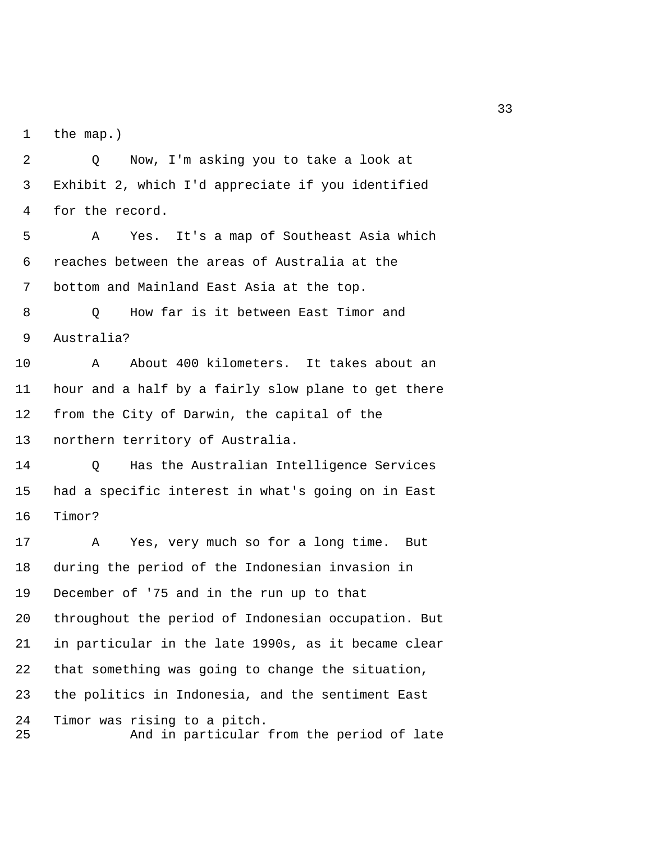1 the map.)

 2 Q Now, I'm asking you to take a look at 3 Exhibit 2, which I'd appreciate if you identified 4 for the record.

 5 A Yes. It's a map of Southeast Asia which 6 reaches between the areas of Australia at the 7 bottom and Mainland East Asia at the top.

 8 Q How far is it between East Timor and 9 Australia?

10 A About 400 kilometers. It takes about an 11 hour and a half by a fairly slow plane to get there 12 from the City of Darwin, the capital of the 13 northern territory of Australia.

14 Q Has the Australian Intelligence Services 15 had a specific interest in what's going on in East 16 Timor?

17 A Yes, very much so for a long time. But 18 during the period of the Indonesian invasion in 19 December of '75 and in the run up to that 20 throughout the period of Indonesian occupation. But 21 in particular in the late 1990s, as it became clear 22 that something was going to change the situation, 23 the politics in Indonesia, and the sentiment East 24 Timor was rising to a pitch. 25 And in particular from the period of late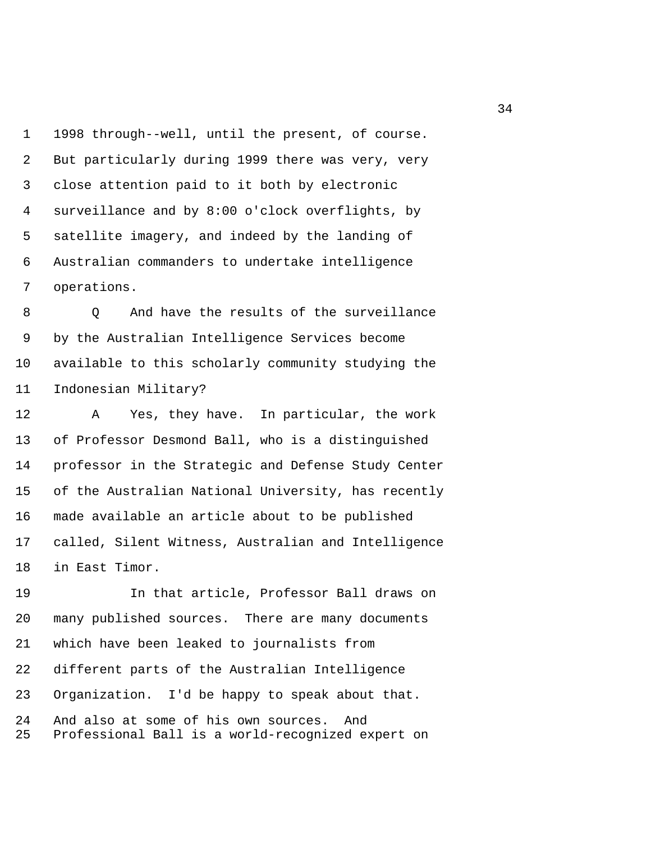1 1998 through--well, until the present, of course. 2 But particularly during 1999 there was very, very 3 close attention paid to it both by electronic 4 surveillance and by 8:00 o'clock overflights, by 5 satellite imagery, and indeed by the landing of 6 Australian commanders to undertake intelligence 7 operations.

8 O And have the results of the surveillance 9 by the Australian Intelligence Services become 10 available to this scholarly community studying the 11 Indonesian Military?

12 A Yes, they have. In particular, the work 13 of Professor Desmond Ball, who is a distinguished 14 professor in the Strategic and Defense Study Center 15 of the Australian National University, has recently 16 made available an article about to be published 17 called, Silent Witness, Australian and Intelligence 18 in East Timor.

19 In that article, Professor Ball draws on 20 many published sources. There are many documents 21 which have been leaked to journalists from 22 different parts of the Australian Intelligence 23 Organization. I'd be happy to speak about that. 24 And also at some of his own sources. And 25 Professional Ball is a world-recognized expert on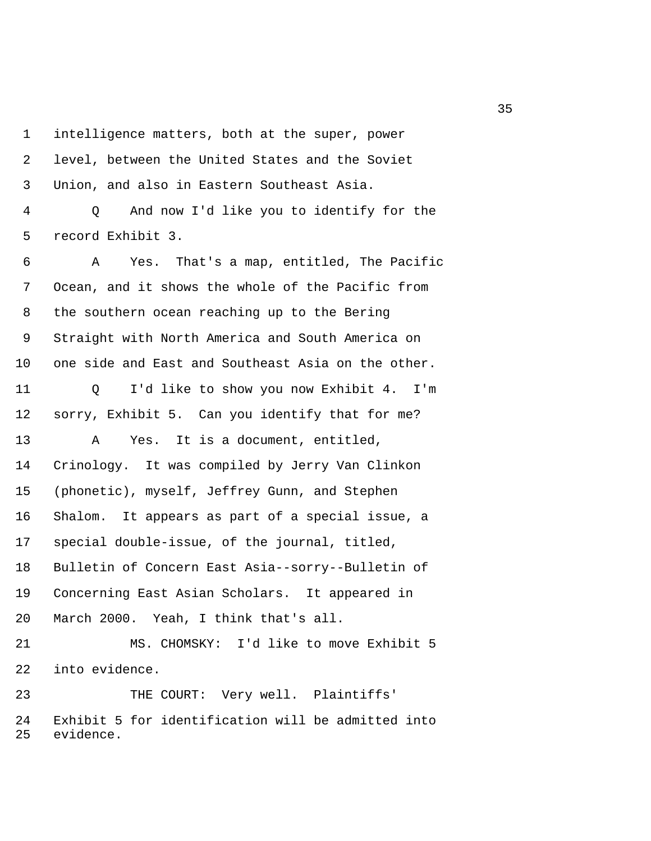1 intelligence matters, both at the super, power 2 level, between the United States and the Soviet 3 Union, and also in Eastern Southeast Asia.

 4 Q And now I'd like you to identify for the 5 record Exhibit 3.

 6 A Yes. That's a map, entitled, The Pacific 7 Ocean, and it shows the whole of the Pacific from 8 the southern ocean reaching up to the Bering 9 Straight with North America and South America on 10 one side and East and Southeast Asia on the other.

11 Q I'd like to show you now Exhibit 4. I'm 12 sorry, Exhibit 5. Can you identify that for me? 13 A Yes. It is a document, entitled, 14 Crinology. It was compiled by Jerry Van Clinkon 15 (phonetic), myself, Jeffrey Gunn, and Stephen 16 Shalom. It appears as part of a special issue, a 17 special double-issue, of the journal, titled, 18 Bulletin of Concern East Asia--sorry--Bulletin of 19 Concerning East Asian Scholars. It appeared in 20 March 2000. Yeah, I think that's all. 21 MS. CHOMSKY: I'd like to move Exhibit 5

22 into evidence.

23 THE COURT: Very well. Plaintiffs' 24 Exhibit 5 for identification will be admitted into 25 evidence.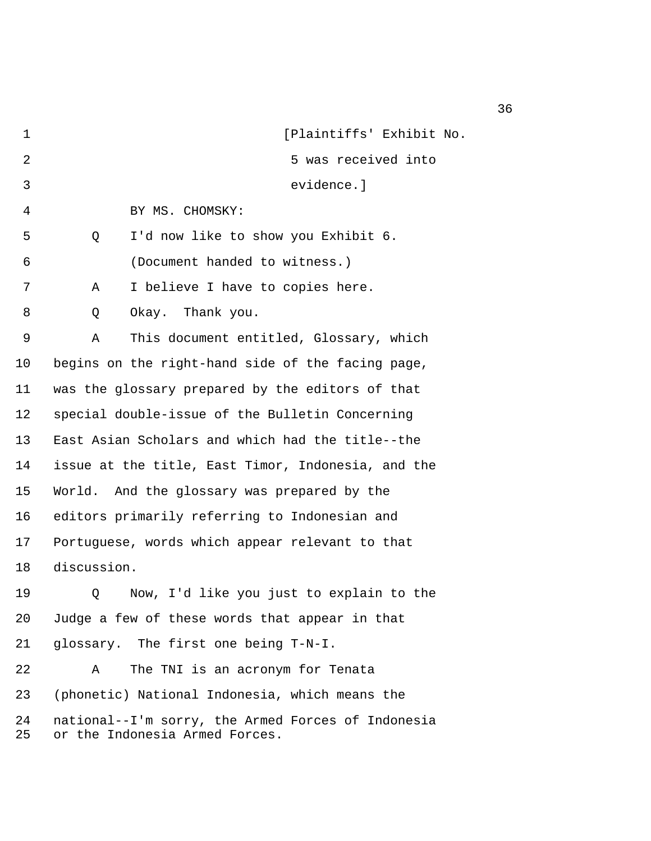| 1        | [Plaintiffs' Exhibit No.                                                             |
|----------|--------------------------------------------------------------------------------------|
| 2        | 5 was received into                                                                  |
| 3        | evidence.]                                                                           |
| 4        | BY MS. CHOMSKY:                                                                      |
| 5        | I'd now like to show you Exhibit 6.<br>Q                                             |
| 6        | (Document handed to witness.)                                                        |
| 7        | I believe I have to copies here.<br>Α                                                |
| 8        | Okay. Thank you.<br>Q                                                                |
| 9        | This document entitled, Glossary, which<br>Α                                         |
| $10 \,$  | begins on the right-hand side of the facing page,                                    |
| 11       | was the glossary prepared by the editors of that                                     |
| 12       | special double-issue of the Bulletin Concerning                                      |
| 13       | East Asian Scholars and which had the title--the                                     |
| 14       | issue at the title, East Timor, Indonesia, and the                                   |
| 15       | World. And the glossary was prepared by the                                          |
| 16       | editors primarily referring to Indonesian and                                        |
| 17       | Portuguese, words which appear relevant to that                                      |
| 18       | discussion.                                                                          |
| 19       | Now, I'd like you just to explain to the<br>Q                                        |
| 20       | Judge a few of these words that appear in that                                       |
| 21       | glossary. The first one being T-N-I.                                                 |
| 22       | The TNI is an acronym for Tenata<br>Α                                                |
| 23       | (phonetic) National Indonesia, which means the                                       |
| 24<br>25 | national--I'm sorry, the Armed Forces of Indonesia<br>or the Indonesia Armed Forces. |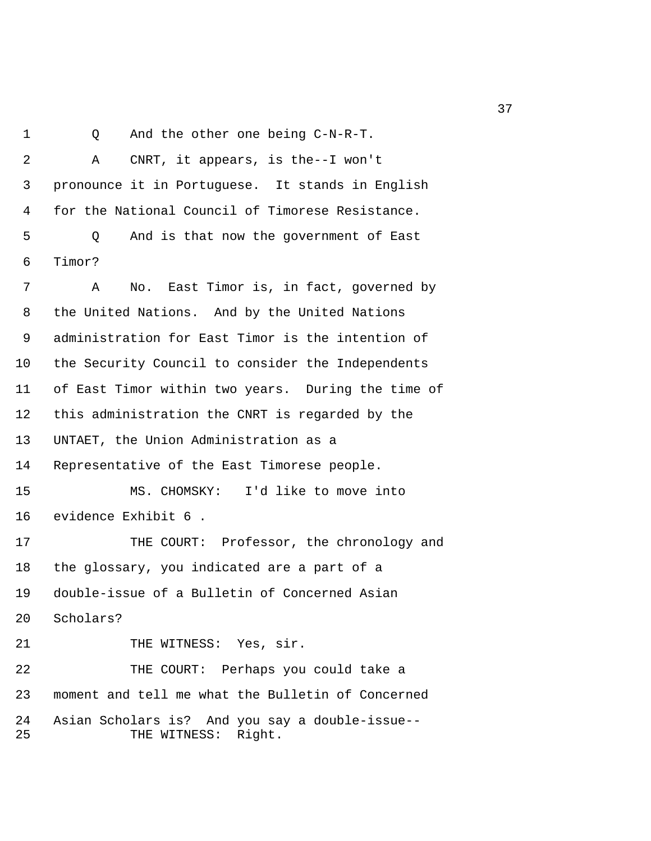1 Q And the other one being C-N-R-T. 2 A CNRT, it appears, is the--I won't 3 pronounce it in Portuguese. It stands in English 4 for the National Council of Timorese Resistance. 5 Q And is that now the government of East 6 Timor? 7 A No. East Timor is, in fact, governed by 8 the United Nations. And by the United Nations 9 administration for East Timor is the intention of 10 the Security Council to consider the Independents 11 of East Timor within two years. During the time of 12 this administration the CNRT is regarded by the 13 UNTAET, the Union Administration as a 14 Representative of the East Timorese people. 15 MS. CHOMSKY: I'd like to move into 16 evidence Exhibit 6 . 17 THE COURT: Professor, the chronology and 18 the glossary, you indicated are a part of a 19 double-issue of a Bulletin of Concerned Asian 20 Scholars? 21 THE WITNESS: Yes, sir. 22 THE COURT: Perhaps you could take a 23 moment and tell me what the Bulletin of Concerned 24 Asian Scholars is? And you say a double-issue-- 25 THE WITNESS: Right.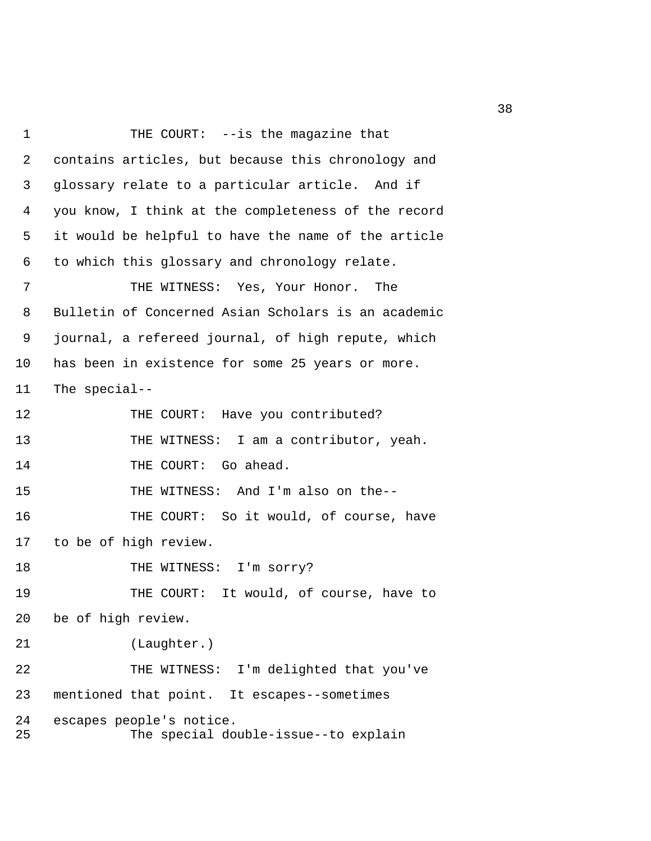1 THE COURT: --is the magazine that 2 contains articles, but because this chronology and 3 glossary relate to a particular article. And if 4 you know, I think at the completeness of the record 5 it would be helpful to have the name of the article 6 to which this glossary and chronology relate. 7 THE WITNESS: Yes, Your Honor. The 8 Bulletin of Concerned Asian Scholars is an academic 9 journal, a refereed journal, of high repute, which 10 has been in existence for some 25 years or more. 11 The special-- 12 THE COURT: Have you contributed? 13 THE WITNESS: I am a contributor, yeah. 14 THE COURT: Go ahead. 15 THE WITNESS: And I'm also on the-- 16 THE COURT: So it would, of course, have 17 to be of high review. 18 THE WITNESS: I'm sorry? 19 THE COURT: It would, of course, have to 20 be of high review. 21 (Laughter.) 22 THE WITNESS: I'm delighted that you've 23 mentioned that point. It escapes--sometimes 24 escapes people's notice. 25 The special double-issue--to explain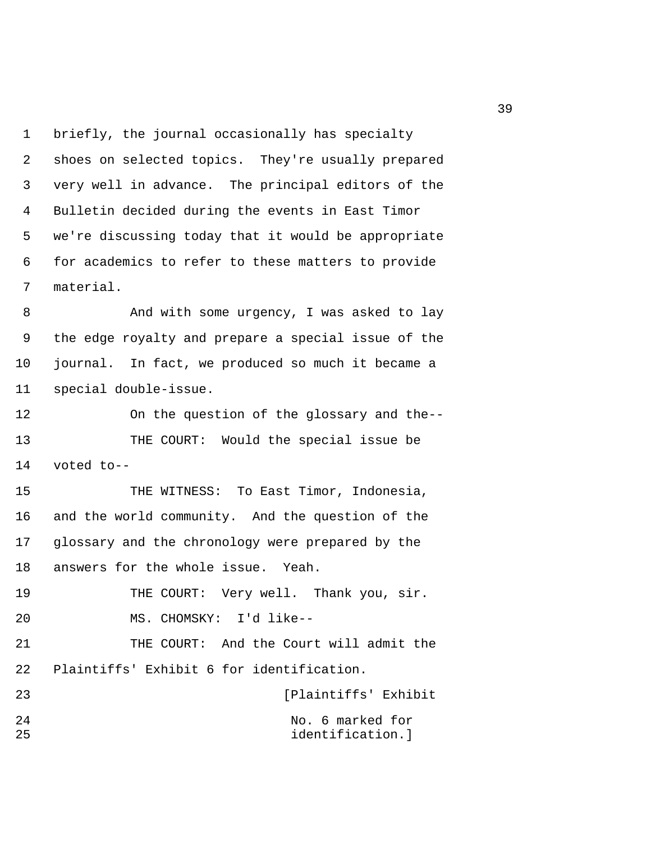1 briefly, the journal occasionally has specialty 2 shoes on selected topics. They're usually prepared 3 very well in advance. The principal editors of the 4 Bulletin decided during the events in East Timor 5 we're discussing today that it would be appropriate 6 for academics to refer to these matters to provide 7 material.

8 And with some urgency, I was asked to lay 9 the edge royalty and prepare a special issue of the 10 journal. In fact, we produced so much it became a 11 special double-issue.

12 On the question of the glossary and the-- 13 THE COURT: Would the special issue be 14 voted to--

15 THE WITNESS: To East Timor, Indonesia, 16 and the world community. And the question of the 17 glossary and the chronology were prepared by the 18 answers for the whole issue. Yeah.

19 THE COURT: Very well. Thank you, sir. 20 MS. CHOMSKY: I'd like--

21 THE COURT: And the Court will admit the 22 Plaintiffs' Exhibit 6 for identification.

23 [Plaintiffs' Exhibit 24 No. 6 marked for 25 identification.]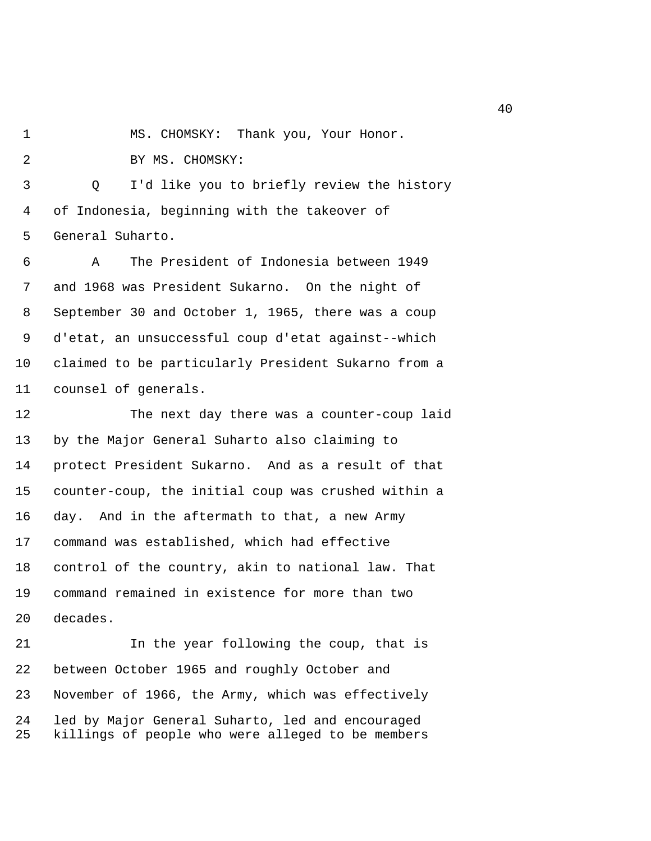1 MS. CHOMSKY: Thank you, Your Honor.

2 BY MS. CHOMSKY:

 3 Q I'd like you to briefly review the history 4 of Indonesia, beginning with the takeover of 5 General Suharto.

 6 A The President of Indonesia between 1949 7 and 1968 was President Sukarno. On the night of 8 September 30 and October 1, 1965, there was a coup 9 d'etat, an unsuccessful coup d'etat against--which 10 claimed to be particularly President Sukarno from a 11 counsel of generals.

12 The next day there was a counter-coup laid 13 by the Major General Suharto also claiming to 14 protect President Sukarno. And as a result of that 15 counter-coup, the initial coup was crushed within a 16 day. And in the aftermath to that, a new Army 17 command was established, which had effective 18 control of the country, akin to national law. That 19 command remained in existence for more than two 20 decades.

21 In the year following the coup, that is 22 between October 1965 and roughly October and 23 November of 1966, the Army, which was effectively 24 led by Major General Suharto, led and encouraged 25 killings of people who were alleged to be members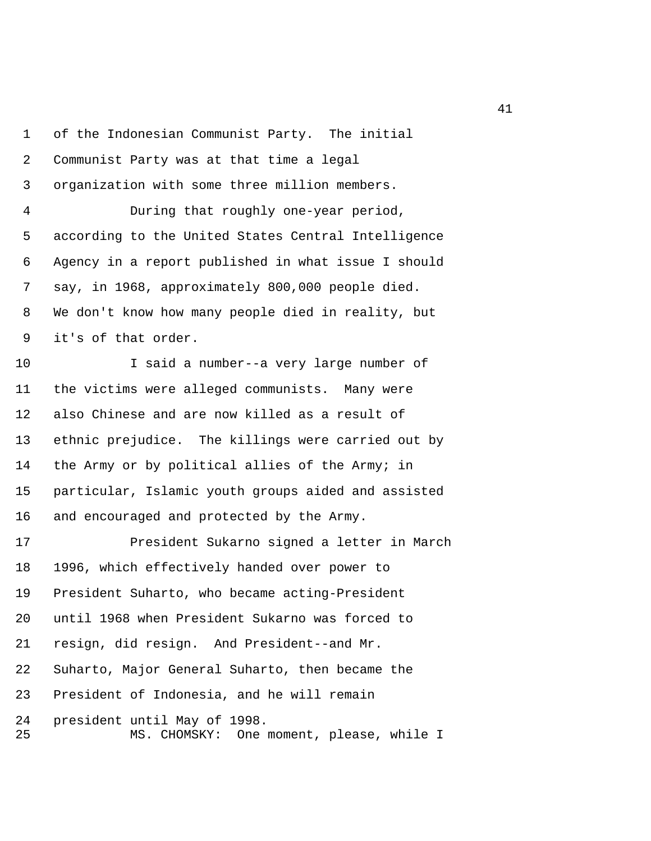1 of the Indonesian Communist Party. The initial 2 Communist Party was at that time a legal 3 organization with some three million members. 4 During that roughly one-year period, 5 according to the United States Central Intelligence 6 Agency in a report published in what issue I should 7 say, in 1968, approximately 800,000 people died. 8 We don't know how many people died in reality, but 9 it's of that order. 10 I said a number--a very large number of 11 the victims were alleged communists. Many were 12 also Chinese and are now killed as a result of 13 ethnic prejudice. The killings were carried out by 14 the Army or by political allies of the Army; in 15 particular, Islamic youth groups aided and assisted 16 and encouraged and protected by the Army. 17 President Sukarno signed a letter in March 18 1996, which effectively handed over power to 19 President Suharto, who became acting-President 20 until 1968 when President Sukarno was forced to 21 resign, did resign. And President--and Mr. 22 Suharto, Major General Suharto, then became the 23 President of Indonesia, and he will remain 24 president until May of 1998. 25 MS. CHOMSKY: One moment, please, while I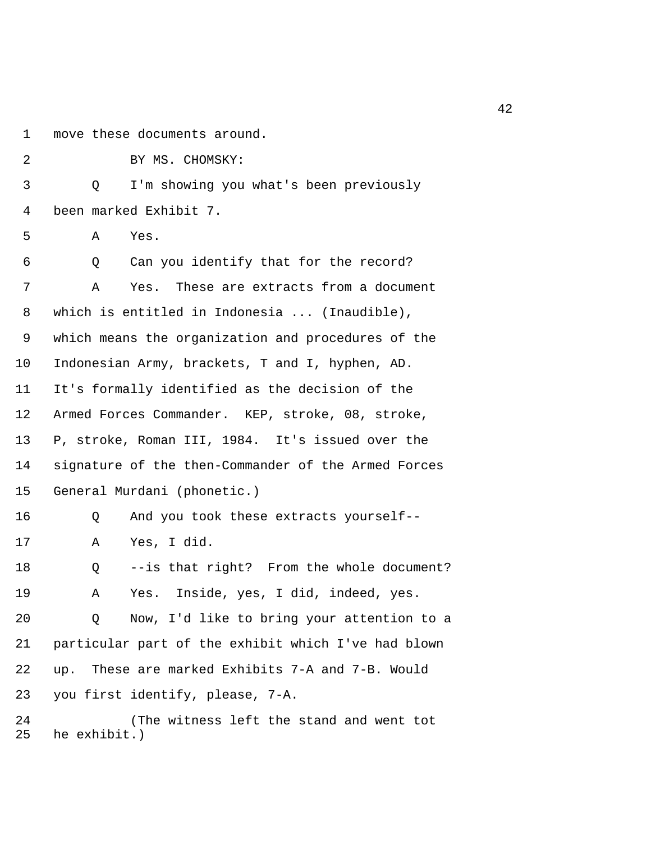1 move these documents around.

 2 BY MS. CHOMSKY: 3 Q I'm showing you what's been previously 4 been marked Exhibit 7. 5 A Yes. 6 Q Can you identify that for the record? 7 A Yes. These are extracts from a document 8 which is entitled in Indonesia ... (Inaudible), 9 which means the organization and procedures of the 10 Indonesian Army, brackets, T and I, hyphen, AD. 11 It's formally identified as the decision of the 12 Armed Forces Commander. KEP, stroke, 08, stroke, 13 P, stroke, Roman III, 1984. It's issued over the 14 signature of the then-Commander of the Armed Forces 15 General Murdani (phonetic.) 16 Q And you took these extracts yourself-- 17 A Yes, I did. 18 Q --is that right? From the whole document? 19 A Yes. Inside, yes, I did, indeed, yes. 20 Q Now, I'd like to bring your attention to a 21 particular part of the exhibit which I've had blown 22 up. These are marked Exhibits 7-A and 7-B. Would 23 you first identify, please, 7-A. 24 (The witness left the stand and went tot 25 he exhibit.)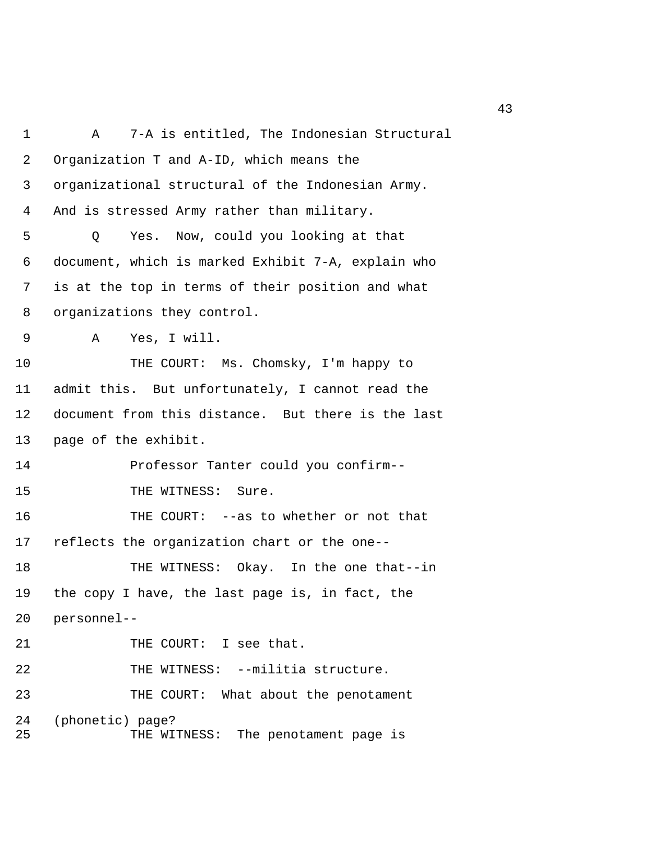1 A 7-A is entitled, The Indonesian Structural 2 Organization T and A-ID, which means the 3 organizational structural of the Indonesian Army. 4 And is stressed Army rather than military. 5 Q Yes. Now, could you looking at that 6 document, which is marked Exhibit 7-A, explain who 7 is at the top in terms of their position and what 8 organizations they control. 9 A Yes, I will. 10 THE COURT: Ms. Chomsky, I'm happy to 11 admit this. But unfortunately, I cannot read the 12 document from this distance. But there is the last 13 page of the exhibit. 14 Professor Tanter could you confirm-- 15 THE WITNESS: Sure. 16 THE COURT: --as to whether or not that 17 reflects the organization chart or the one-- 18 THE WITNESS: Okay. In the one that--in 19 the copy I have, the last page is, in fact, the 20 personnel-- 21 THE COURT: I see that. 22 THE WITNESS: --militia structure. 23 THE COURT: What about the penotament 24 (phonetic) page? 25 THE WITNESS: The penotament page is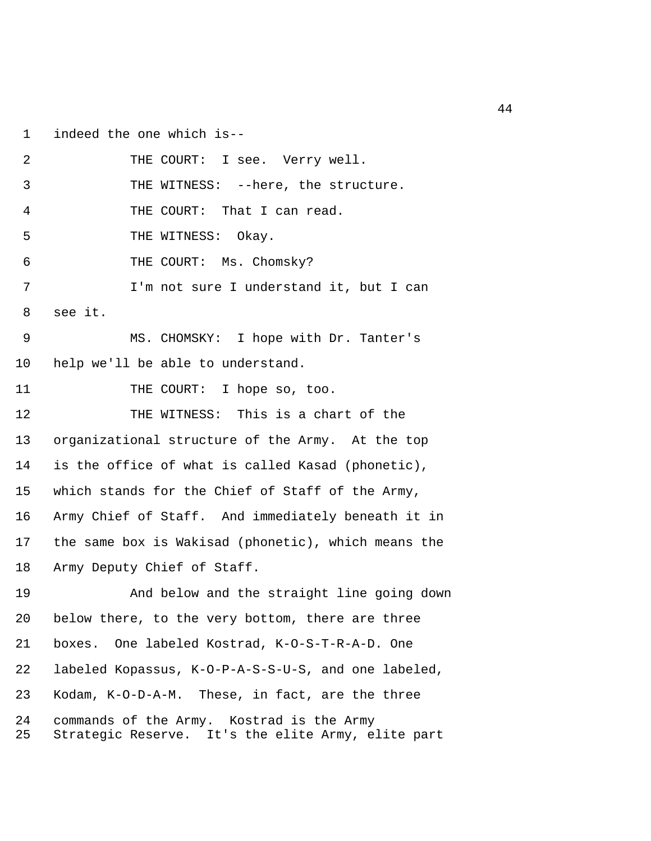1 indeed the one which is--

2 THE COURT: I see. Verry well. 3 THE WITNESS: --here, the structure. 4 THE COURT: That I can read. 5 THE WITNESS: Okay. 6 THE COURT: Ms. Chomsky? 7 I'm not sure I understand it, but I can 8 see it. 9 MS. CHOMSKY: I hope with Dr. Tanter's 10 help we'll be able to understand. 11 THE COURT: I hope so, too. 12 THE WITNESS: This is a chart of the 13 organizational structure of the Army. At the top 14 is the office of what is called Kasad (phonetic), 15 which stands for the Chief of Staff of the Army, 16 Army Chief of Staff. And immediately beneath it in 17 the same box is Wakisad (phonetic), which means the 18 Army Deputy Chief of Staff. 19 And below and the straight line going down 20 below there, to the very bottom, there are three 21 boxes. One labeled Kostrad, K-O-S-T-R-A-D. One 22 labeled Kopassus, K-O-P-A-S-S-U-S, and one labeled, 23 Kodam, K-O-D-A-M. These, in fact, are the three 24 commands of the Army. Kostrad is the Army 25 Strategic Reserve. It's the elite Army, elite part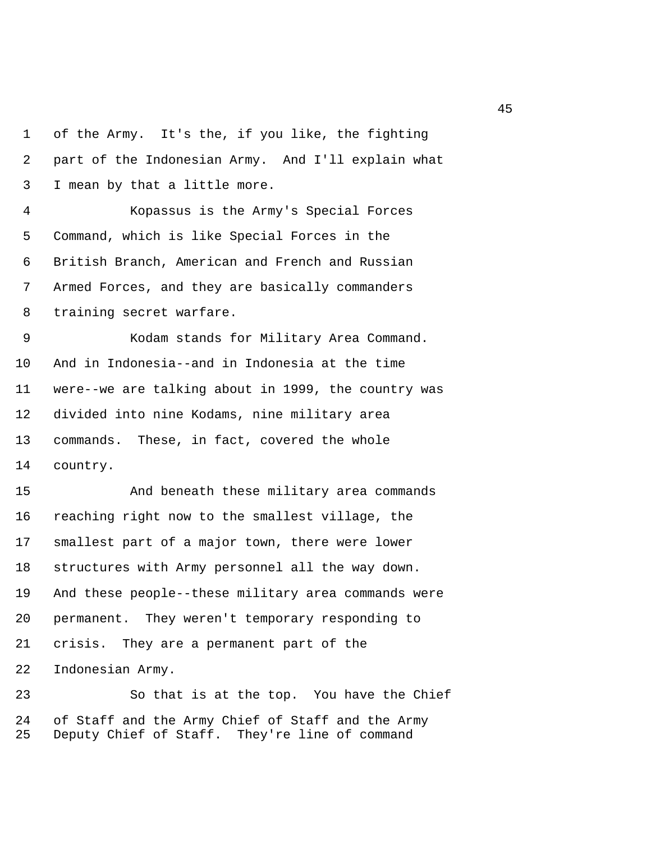1 of the Army. It's the, if you like, the fighting 2 part of the Indonesian Army. And I'll explain what 3 I mean by that a little more. 4 Kopassus is the Army's Special Forces 5 Command, which is like Special Forces in the 6 British Branch, American and French and Russian 7 Armed Forces, and they are basically commanders 8 training secret warfare. 9 Kodam stands for Military Area Command. 10 And in Indonesia--and in Indonesia at the time 11 were--we are talking about in 1999, the country was 12 divided into nine Kodams, nine military area 13 commands. These, in fact, covered the whole 14 country. 15 And beneath these military area commands 16 reaching right now to the smallest village, the 17 smallest part of a major town, there were lower 18 structures with Army personnel all the way down. 19 And these people--these military area commands were 20 permanent. They weren't temporary responding to 21 crisis. They are a permanent part of the 22 Indonesian Army. 23 So that is at the top. You have the Chief

24 of Staff and the Army Chief of Staff and the Army 25 Deputy Chief of Staff. They're line of command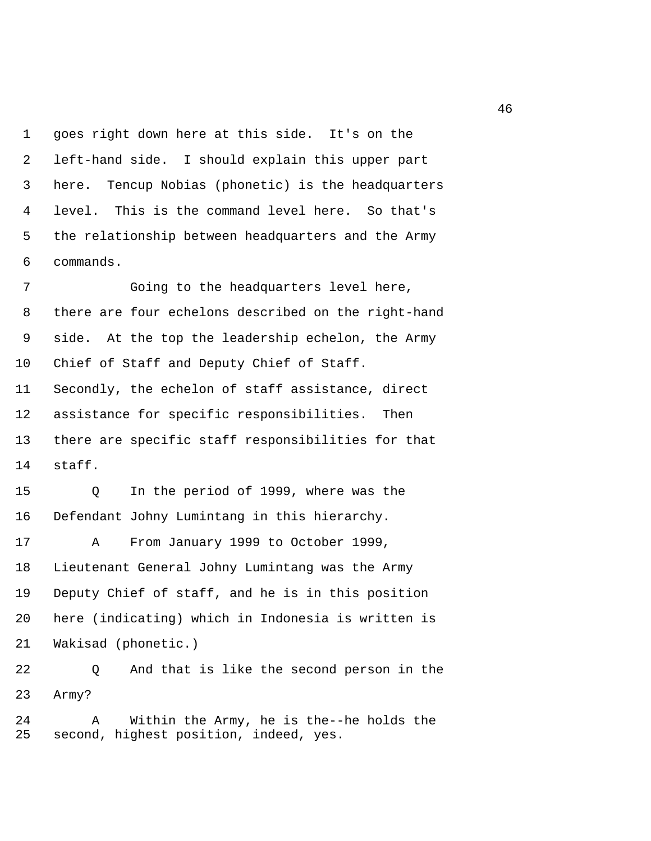1 goes right down here at this side. It's on the 2 left-hand side. I should explain this upper part 3 here. Tencup Nobias (phonetic) is the headquarters 4 level. This is the command level here. So that's 5 the relationship between headquarters and the Army 6 commands.

 7 Going to the headquarters level here, 8 there are four echelons described on the right-hand 9 side. At the top the leadership echelon, the Army 10 Chief of Staff and Deputy Chief of Staff. 11 Secondly, the echelon of staff assistance, direct 12 assistance for specific responsibilities. Then 13 there are specific staff responsibilities for that 14 staff.

15 Q In the period of 1999, where was the 16 Defendant Johny Lumintang in this hierarchy.

17 A From January 1999 to October 1999, 18 Lieutenant General Johny Lumintang was the Army 19 Deputy Chief of staff, and he is in this position 20 here (indicating) which in Indonesia is written is 21 Wakisad (phonetic.)

22 Q And that is like the second person in the 23 Army?

24 A Within the Army, he is the--he holds the 25 second, highest position, indeed, yes.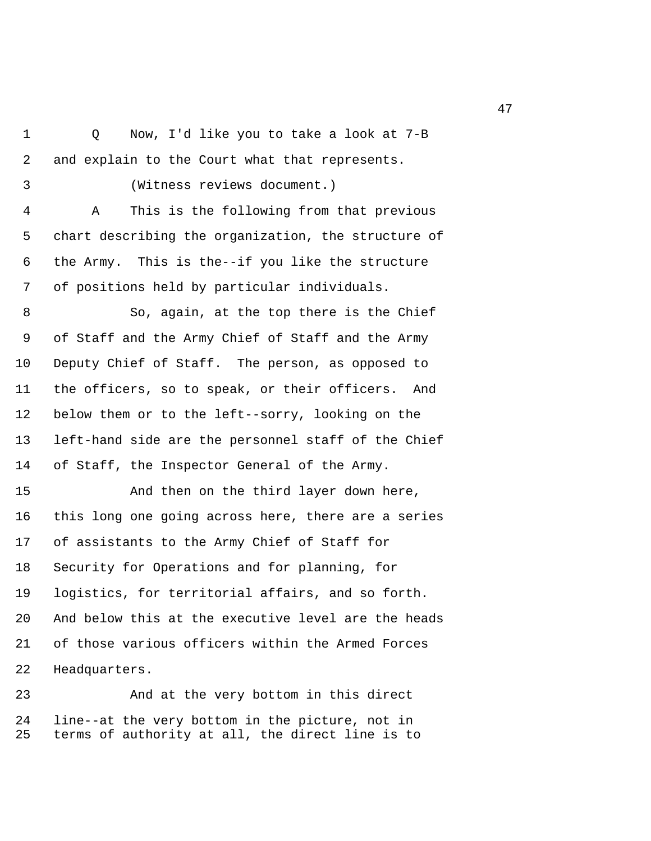- 1 Q Now, I'd like you to take a look at 7-B 2 and explain to the Court what that represents.
- 

3 (Witness reviews document.)

 4 A This is the following from that previous 5 chart describing the organization, the structure of 6 the Army. This is the--if you like the structure 7 of positions held by particular individuals.

 8 So, again, at the top there is the Chief 9 of Staff and the Army Chief of Staff and the Army 10 Deputy Chief of Staff. The person, as opposed to 11 the officers, so to speak, or their officers. And 12 below them or to the left--sorry, looking on the 13 left-hand side are the personnel staff of the Chief 14 of Staff, the Inspector General of the Army.

15 And then on the third layer down here, 16 this long one going across here, there are a series 17 of assistants to the Army Chief of Staff for 18 Security for Operations and for planning, for 19 logistics, for territorial affairs, and so forth. 20 And below this at the executive level are the heads 21 of those various officers within the Armed Forces 22 Headquarters.

23 And at the very bottom in this direct 24 line--at the very bottom in the picture, not in 25 terms of authority at all, the direct line is to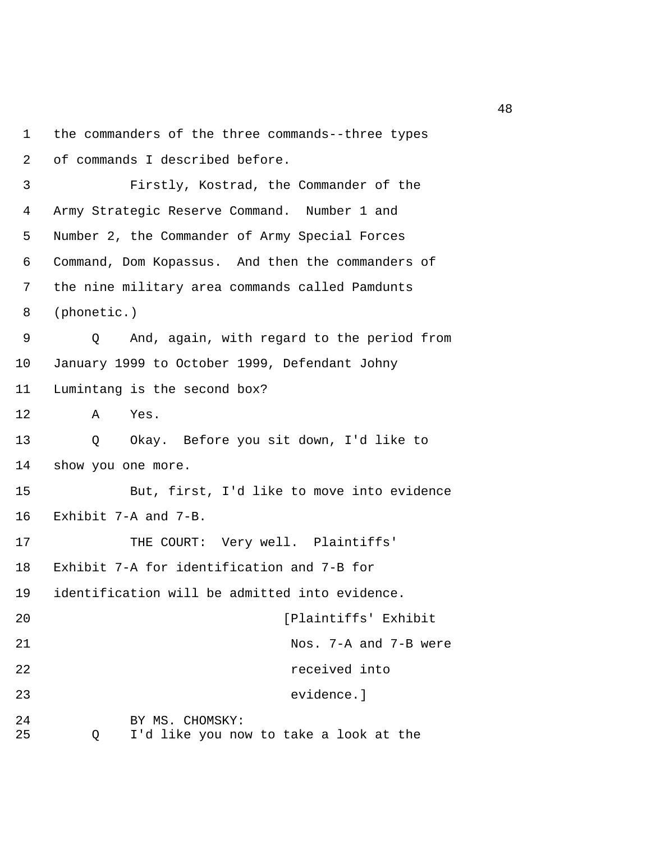```
1 the commanders of the three commands--three types 
 2 of commands I described before. 
 3 Firstly, Kostrad, the Commander of the 
 4 Army Strategic Reserve Command. Number 1 and 
 5 Number 2, the Commander of Army Special Forces 
 6 Command, Dom Kopassus. And then the commanders of 
 7 the nine military area commands called Pamdunts 
 8 (phonetic.) 
 9 Q And, again, with regard to the period from 
10 January 1999 to October 1999, Defendant Johny 
11 Lumintang is the second box? 
12 A Yes. 
13 Q Okay. Before you sit down, I'd like to 
14 show you one more. 
15 But, first, I'd like to move into evidence 
16 Exhibit 7-A and 7-B. 
17 THE COURT: Very well. Plaintiffs'
18 Exhibit 7-A for identification and 7-B for 
19 identification will be admitted into evidence. 
20 [Plaintiffs' Exhibit 
21 Nos. 7-A and 7-B were 
22 received into 
23 evidence.] 
24 BY MS. CHOMSKY: 
25 Q I'd like you now to take a look at the
```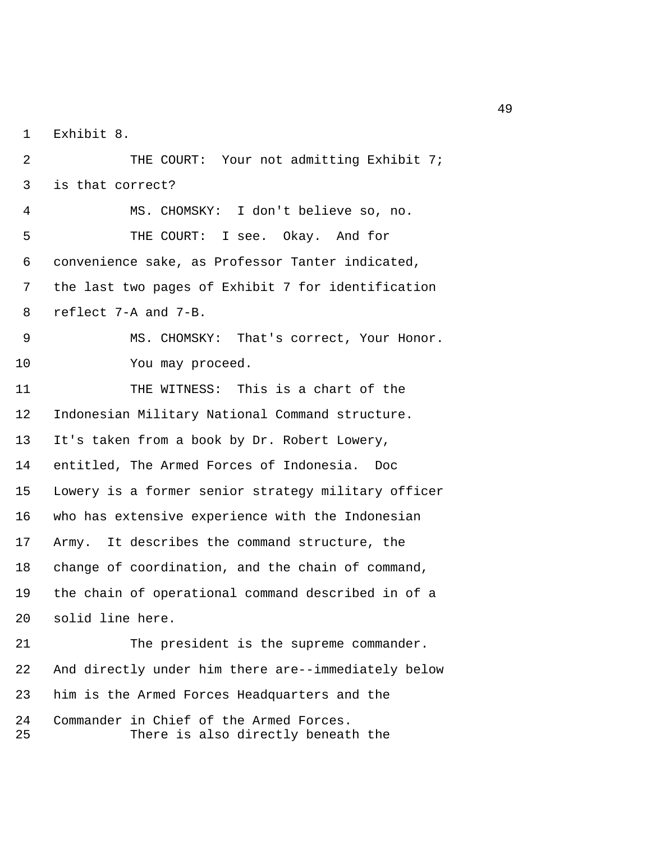1 Exhibit 8.

| 2        | THE COURT: Your not admitting Exhibit 7;                                      |
|----------|-------------------------------------------------------------------------------|
| 3        | is that correct?                                                              |
| 4        | MS. CHOMSKY: I don't believe so, no.                                          |
| 5        | THE COURT: I see. Okay. And for                                               |
| 6        | convenience sake, as Professor Tanter indicated,                              |
| 7        | the last two pages of Exhibit 7 for identification                            |
| 8        | reflect 7-A and 7-B.                                                          |
| 9        | MS. CHOMSKY: That's correct, Your Honor.                                      |
| 10       | You may proceed.                                                              |
| 11       | THE WITNESS: This is a chart of the                                           |
| 12       | Indonesian Military National Command structure.                               |
| 13       | It's taken from a book by Dr. Robert Lowery,                                  |
| 14       | entitled, The Armed Forces of Indonesia. Doc                                  |
| 15       | Lowery is a former senior strategy military officer                           |
| 16       | who has extensive experience with the Indonesian                              |
| 17       | Army. It describes the command structure, the                                 |
| 18       | change of coordination, and the chain of command,                             |
| 19       | the chain of operational command described in of a                            |
| 20       | solid line here.                                                              |
| 21       | The president is the supreme commander.                                       |
| 22       | And directly under him there are--immediately below                           |
| 23       | him is the Armed Forces Headquarters and the                                  |
| 24<br>25 | Commander in Chief of the Armed Forces.<br>There is also directly beneath the |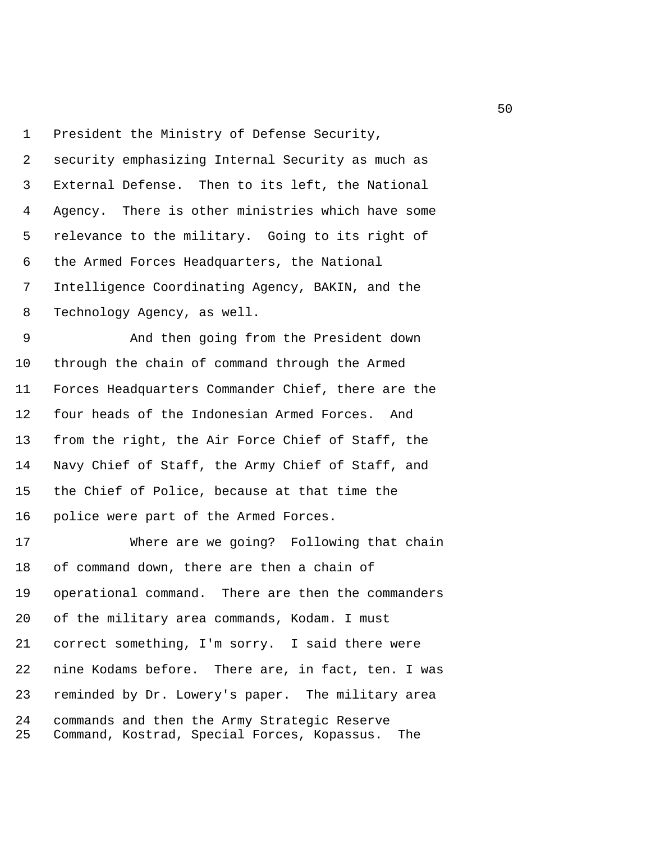1 President the Ministry of Defense Security, 2 security emphasizing Internal Security as much as 3 External Defense. Then to its left, the National 4 Agency. There is other ministries which have some 5 relevance to the military. Going to its right of 6 the Armed Forces Headquarters, the National 7 Intelligence Coordinating Agency, BAKIN, and the 8 Technology Agency, as well. 9 And then going from the President down

10 through the chain of command through the Armed 11 Forces Headquarters Commander Chief, there are the 12 four heads of the Indonesian Armed Forces. And 13 from the right, the Air Force Chief of Staff, the 14 Navy Chief of Staff, the Army Chief of Staff, and 15 the Chief of Police, because at that time the 16 police were part of the Armed Forces.

17 Where are we going? Following that chain 18 of command down, there are then a chain of 19 operational command. There are then the commanders 20 of the military area commands, Kodam. I must 21 correct something, I'm sorry. I said there were 22 nine Kodams before. There are, in fact, ten. I was 23 reminded by Dr. Lowery's paper. The military area 24 commands and then the Army Strategic Reserve 25 Command, Kostrad, Special Forces, Kopassus. The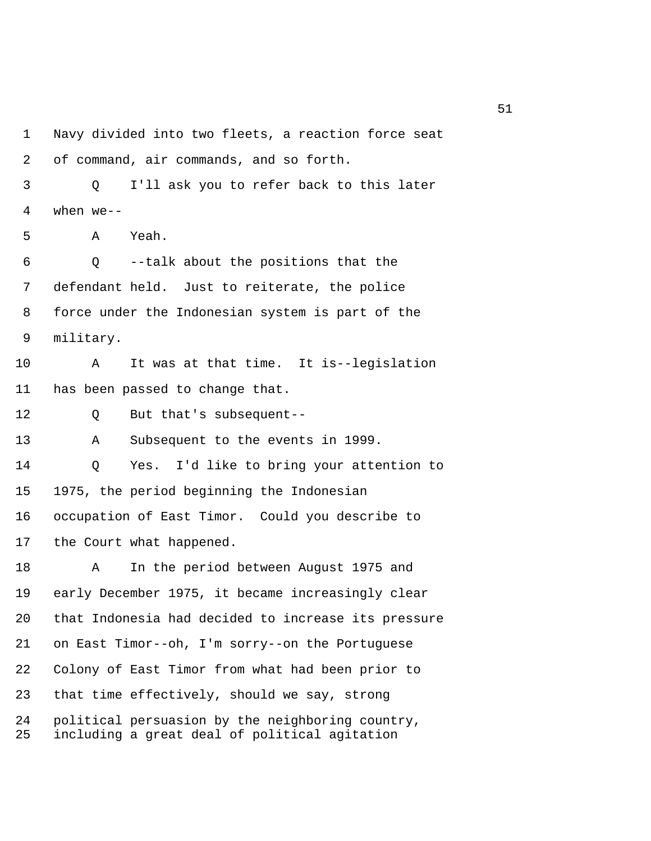1 Navy divided into two fleets, a reaction force seat 2 of command, air commands, and so forth. 3 Q I'll ask you to refer back to this later 4 when we-- 5 A Yeah. 6 Q --talk about the positions that the 7 defendant held. Just to reiterate, the police 8 force under the Indonesian system is part of the 9 military. 10 A It was at that time. It is--legislation 11 has been passed to change that. 12 Q But that's subsequent-- 13 A Subsequent to the events in 1999. 14 Q Yes. I'd like to bring your attention to 15 1975, the period beginning the Indonesian 16 occupation of East Timor. Could you describe to 17 the Court what happened. 18 A In the period between August 1975 and 19 early December 1975, it became increasingly clear 20 that Indonesia had decided to increase its pressure 21 on East Timor--oh, I'm sorry--on the Portuguese 22 Colony of East Timor from what had been prior to 23 that time effectively, should we say, strong 24 political persuasion by the neighboring country, 25 including a great deal of political agitation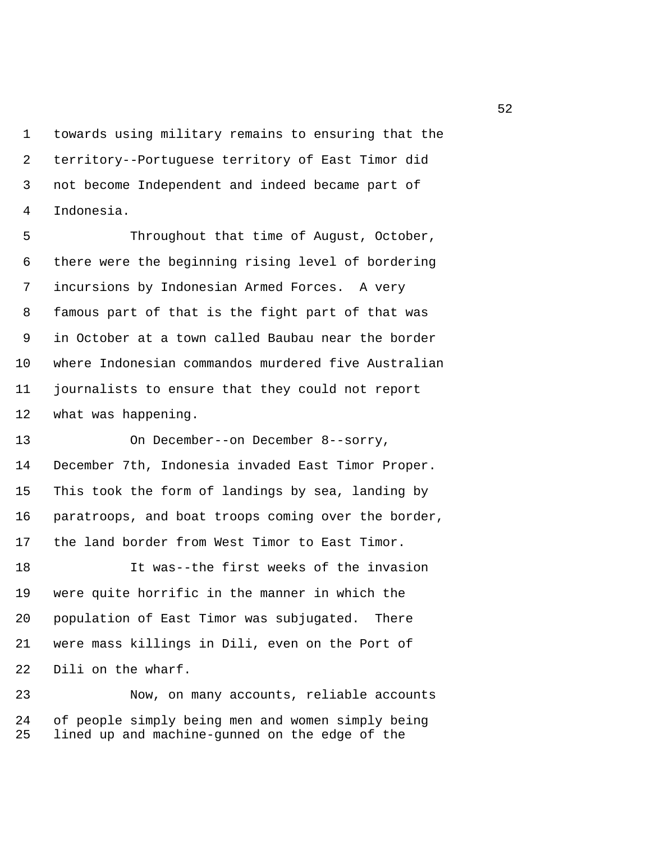1 towards using military remains to ensuring that the 2 territory--Portuguese territory of East Timor did 3 not become Independent and indeed became part of 4 Indonesia.

 5 Throughout that time of August, October, 6 there were the beginning rising level of bordering 7 incursions by Indonesian Armed Forces. A very 8 famous part of that is the fight part of that was 9 in October at a town called Baubau near the border 10 where Indonesian commandos murdered five Australian 11 journalists to ensure that they could not report 12 what was happening.

13 On December--on December 8--sorry, 14 December 7th, Indonesia invaded East Timor Proper. 15 This took the form of landings by sea, landing by 16 paratroops, and boat troops coming over the border, 17 the land border from West Timor to East Timor.

18 It was--the first weeks of the invasion 19 were quite horrific in the manner in which the 20 population of East Timor was subjugated. There 21 were mass killings in Dili, even on the Port of 22 Dili on the wharf.

23 Now, on many accounts, reliable accounts 24 of people simply being men and women simply being 25 lined up and machine-gunned on the edge of the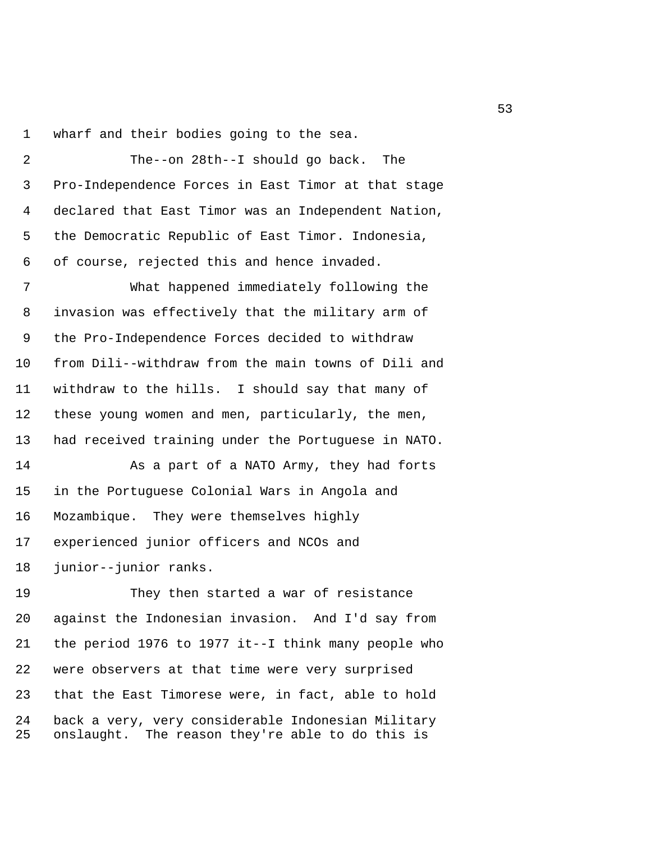1 wharf and their bodies going to the sea.

 2 The--on 28th--I should go back. The 3 Pro-Independence Forces in East Timor at that stage 4 declared that East Timor was an Independent Nation, 5 the Democratic Republic of East Timor. Indonesia, 6 of course, rejected this and hence invaded.

 7 What happened immediately following the 8 invasion was effectively that the military arm of 9 the Pro-Independence Forces decided to withdraw 10 from Dili--withdraw from the main towns of Dili and 11 withdraw to the hills. I should say that many of 12 these young women and men, particularly, the men, 13 had received training under the Portuguese in NATO.

14 As a part of a NATO Army, they had forts 15 in the Portuguese Colonial Wars in Angola and 16 Mozambique. They were themselves highly 17 experienced junior officers and NCOs and 18 junior--junior ranks.

19 They then started a war of resistance 20 against the Indonesian invasion. And I'd say from 21 the period 1976 to 1977 it--I think many people who 22 were observers at that time were very surprised 23 that the East Timorese were, in fact, able to hold 24 back a very, very considerable Indonesian Military 25 onslaught. The reason they're able to do this is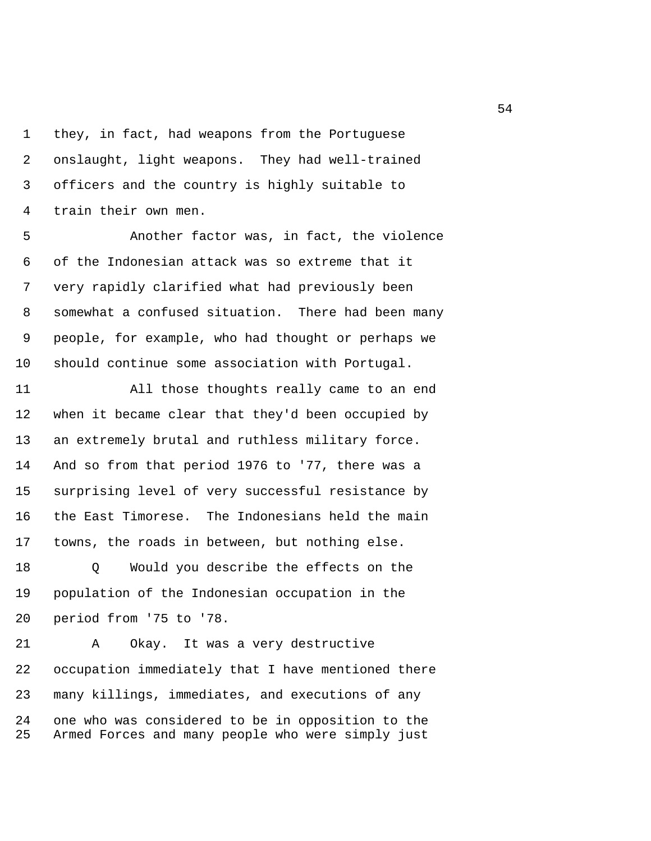1 they, in fact, had weapons from the Portuguese 2 onslaught, light weapons. They had well-trained 3 officers and the country is highly suitable to 4 train their own men.

 5 Another factor was, in fact, the violence 6 of the Indonesian attack was so extreme that it 7 very rapidly clarified what had previously been 8 somewhat a confused situation. There had been many 9 people, for example, who had thought or perhaps we 10 should continue some association with Portugal.

11 All those thoughts really came to an end 12 when it became clear that they'd been occupied by 13 an extremely brutal and ruthless military force. 14 And so from that period 1976 to '77, there was a 15 surprising level of very successful resistance by 16 the East Timorese. The Indonesians held the main 17 towns, the roads in between, but nothing else.

18 Q Would you describe the effects on the 19 population of the Indonesian occupation in the 20 period from '75 to '78.

21 A Okay. It was a very destructive 22 occupation immediately that I have mentioned there 23 many killings, immediates, and executions of any 24 one who was considered to be in opposition to the 25 Armed Forces and many people who were simply just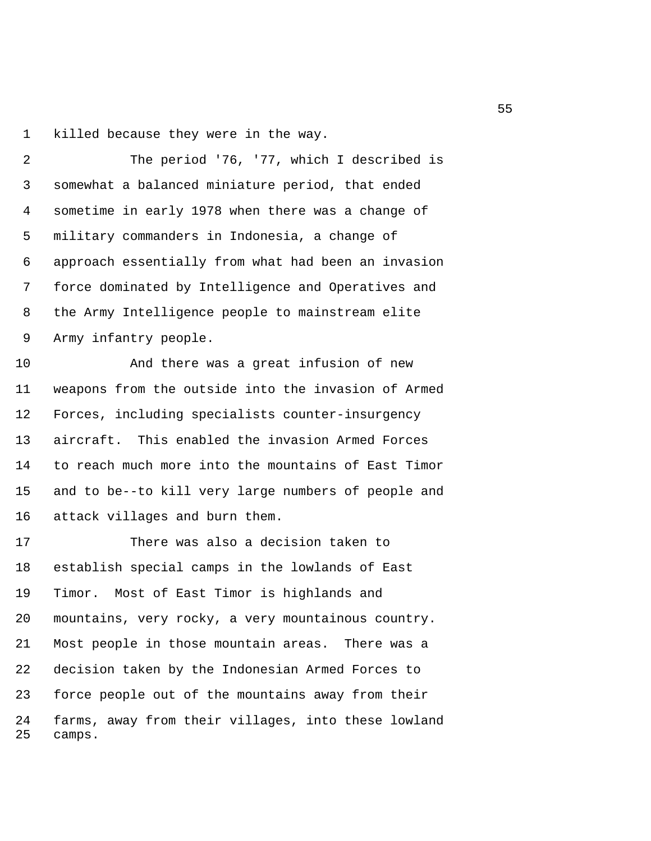1 killed because they were in the way.

 2 The period '76, '77, which I described is 3 somewhat a balanced miniature period, that ended 4 sometime in early 1978 when there was a change of 5 military commanders in Indonesia, a change of 6 approach essentially from what had been an invasion 7 force dominated by Intelligence and Operatives and 8 the Army Intelligence people to mainstream elite 9 Army infantry people.

10 And there was a great infusion of new 11 weapons from the outside into the invasion of Armed 12 Forces, including specialists counter-insurgency 13 aircraft. This enabled the invasion Armed Forces 14 to reach much more into the mountains of East Timor 15 and to be--to kill very large numbers of people and 16 attack villages and burn them.

17 There was also a decision taken to 18 establish special camps in the lowlands of East 19 Timor. Most of East Timor is highlands and 20 mountains, very rocky, a very mountainous country. 21 Most people in those mountain areas. There was a 22 decision taken by the Indonesian Armed Forces to 23 force people out of the mountains away from their 24 farms, away from their villages, into these lowland 25 camps.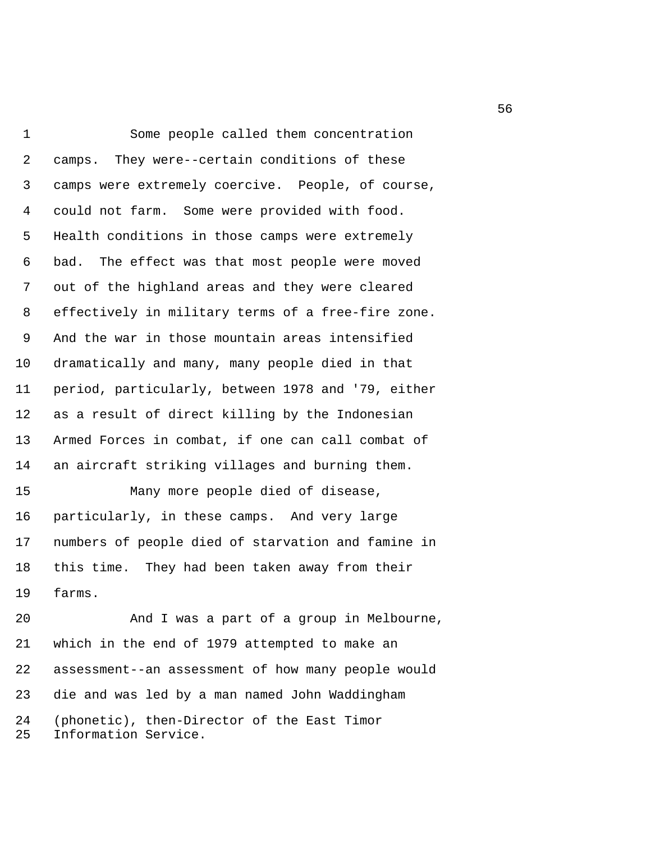1 Some people called them concentration 2 camps. They were--certain conditions of these 3 camps were extremely coercive. People, of course, 4 could not farm. Some were provided with food. 5 Health conditions in those camps were extremely 6 bad. The effect was that most people were moved 7 out of the highland areas and they were cleared 8 effectively in military terms of a free-fire zone. 9 And the war in those mountain areas intensified 10 dramatically and many, many people died in that 11 period, particularly, between 1978 and '79, either 12 as a result of direct killing by the Indonesian 13 Armed Forces in combat, if one can call combat of 14 an aircraft striking villages and burning them. 15 Many more people died of disease, 16 particularly, in these camps. And very large 17 numbers of people died of starvation and famine in 18 this time. They had been taken away from their 19 farms.

20 And I was a part of a group in Melbourne, 21 which in the end of 1979 attempted to make an 22 assessment--an assessment of how many people would 23 die and was led by a man named John Waddingham 24 (phonetic), then-Director of the East Timor 25 Information Service.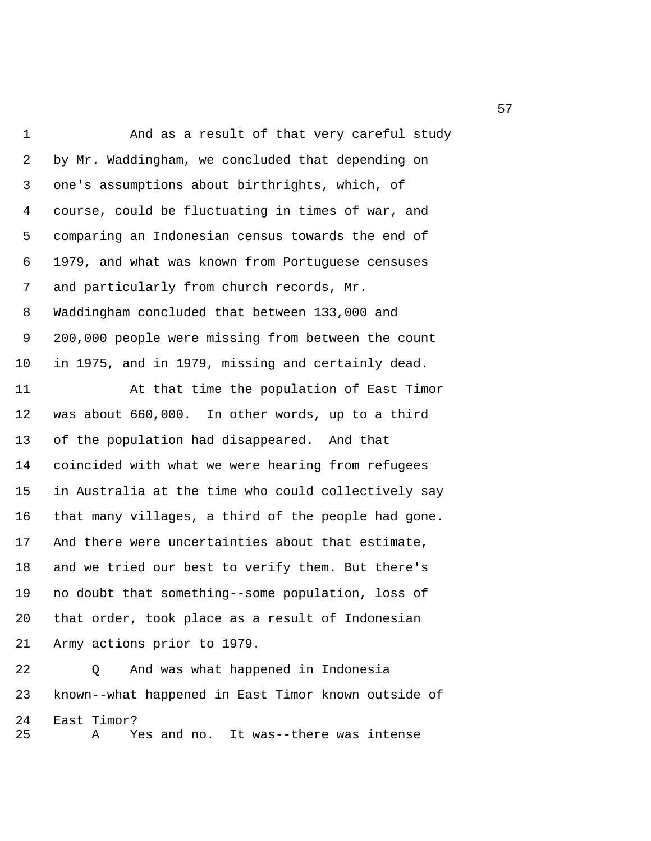1 And as a result of that very careful study 2 by Mr. Waddingham, we concluded that depending on 3 one's assumptions about birthrights, which, of 4 course, could be fluctuating in times of war, and 5 comparing an Indonesian census towards the end of 6 1979, and what was known from Portuguese censuses 7 and particularly from church records, Mr. 8 Waddingham concluded that between 133,000 and 9 200,000 people were missing from between the count 10 in 1975, and in 1979, missing and certainly dead.

11 At that time the population of East Timor 12 was about 660,000. In other words, up to a third 13 of the population had disappeared. And that 14 coincided with what we were hearing from refugees 15 in Australia at the time who could collectively say 16 that many villages, a third of the people had gone. 17 And there were uncertainties about that estimate, 18 and we tried our best to verify them. But there's 19 no doubt that something--some population, loss of 20 that order, took place as a result of Indonesian 21 Army actions prior to 1979.

22 Q And was what happened in Indonesia 23 known--what happened in East Timor known outside of 24 East Timor? 25 A Yes and no. It was--there was intense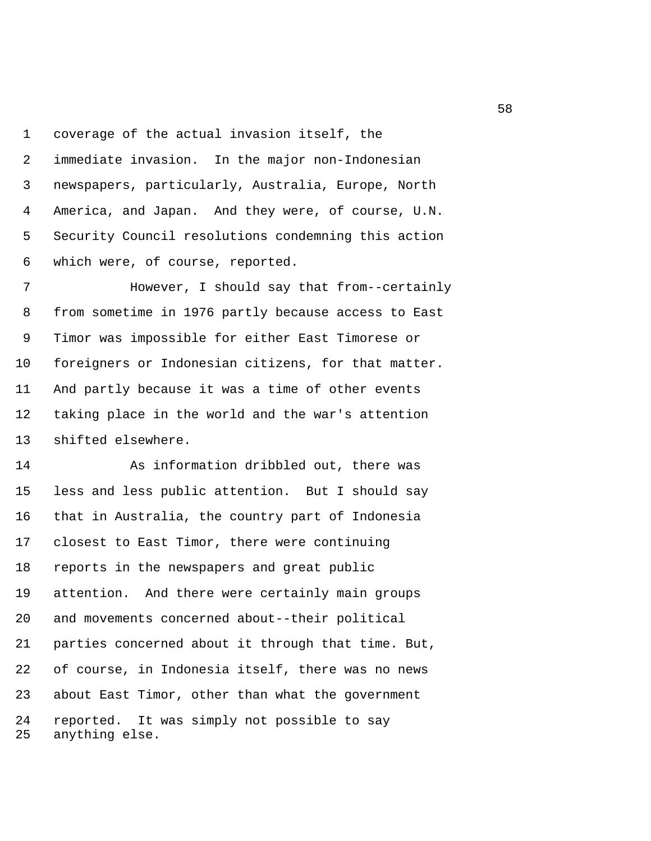1 coverage of the actual invasion itself, the 2 immediate invasion. In the major non-Indonesian 3 newspapers, particularly, Australia, Europe, North 4 America, and Japan. And they were, of course, U.N. 5 Security Council resolutions condemning this action 6 which were, of course, reported.

 7 However, I should say that from--certainly 8 from sometime in 1976 partly because access to East 9 Timor was impossible for either East Timorese or 10 foreigners or Indonesian citizens, for that matter. 11 And partly because it was a time of other events 12 taking place in the world and the war's attention 13 shifted elsewhere.

14 As information dribbled out, there was 15 less and less public attention. But I should say 16 that in Australia, the country part of Indonesia 17 closest to East Timor, there were continuing 18 reports in the newspapers and great public 19 attention. And there were certainly main groups 20 and movements concerned about--their political 21 parties concerned about it through that time. But, 22 of course, in Indonesia itself, there was no news 23 about East Timor, other than what the government 24 reported. It was simply not possible to say 25 anything else.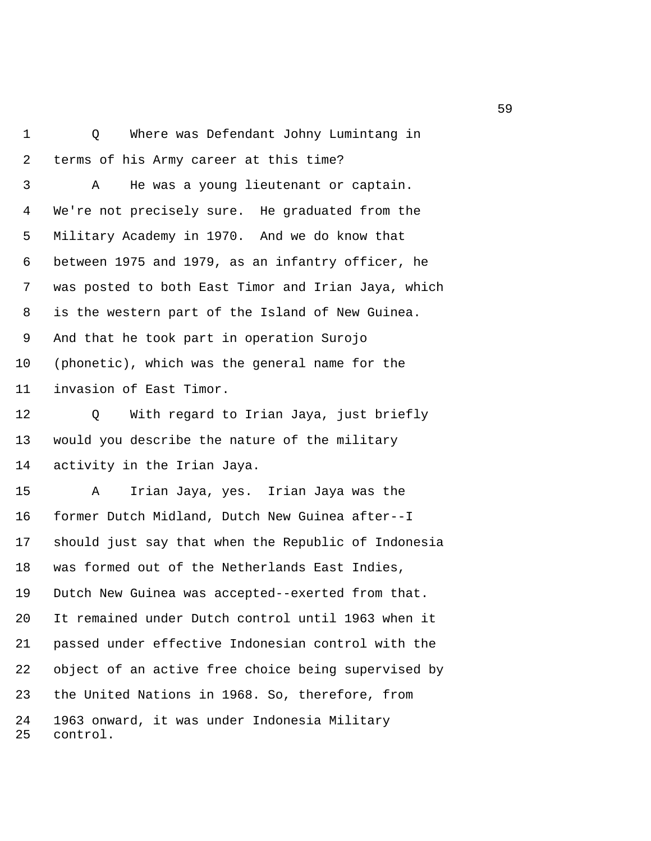1 Q Where was Defendant Johny Lumintang in 2 terms of his Army career at this time? 3 A He was a young lieutenant or captain. 4 We're not precisely sure. He graduated from the 5 Military Academy in 1970. And we do know that 6 between 1975 and 1979, as an infantry officer, he 7 was posted to both East Timor and Irian Jaya, which 8 is the western part of the Island of New Guinea. 9 And that he took part in operation Surojo 10 (phonetic), which was the general name for the 11 invasion of East Timor.

12 Q With regard to Irian Jaya, just briefly 13 would you describe the nature of the military 14 activity in the Irian Jaya.

15 A Irian Jaya, yes. Irian Jaya was the 16 former Dutch Midland, Dutch New Guinea after--I 17 should just say that when the Republic of Indonesia 18 was formed out of the Netherlands East Indies, 19 Dutch New Guinea was accepted--exerted from that. 20 It remained under Dutch control until 1963 when it 21 passed under effective Indonesian control with the 22 object of an active free choice being supervised by 23 the United Nations in 1968. So, therefore, from 24 1963 onward, it was under Indonesia Military 25 control.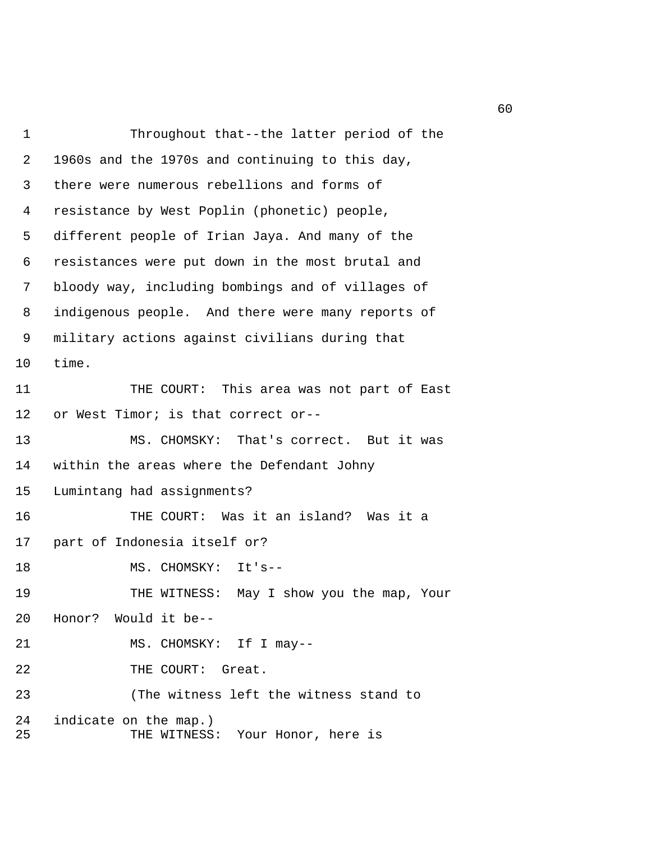1 Throughout that--the latter period of the 2 1960s and the 1970s and continuing to this day, 3 there were numerous rebellions and forms of 4 resistance by West Poplin (phonetic) people, 5 different people of Irian Jaya. And many of the 6 resistances were put down in the most brutal and 7 bloody way, including bombings and of villages of 8 indigenous people. And there were many reports of 9 military actions against civilians during that 10 time. 11 THE COURT: This area was not part of East 12 or West Timor; is that correct or-- 13 MS. CHOMSKY: That's correct. But it was 14 within the areas where the Defendant Johny 15 Lumintang had assignments? 16 THE COURT: Was it an island? Was it a 17 part of Indonesia itself or? 18 MS. CHOMSKY: It's--19 THE WITNESS: May I show you the map, Your 20 Honor? Would it be-- 21 MS. CHOMSKY: If I may--22 THE COURT: Great. 23 (The witness left the witness stand to 24 indicate on the map.) 25 THE WITNESS: Your Honor, here is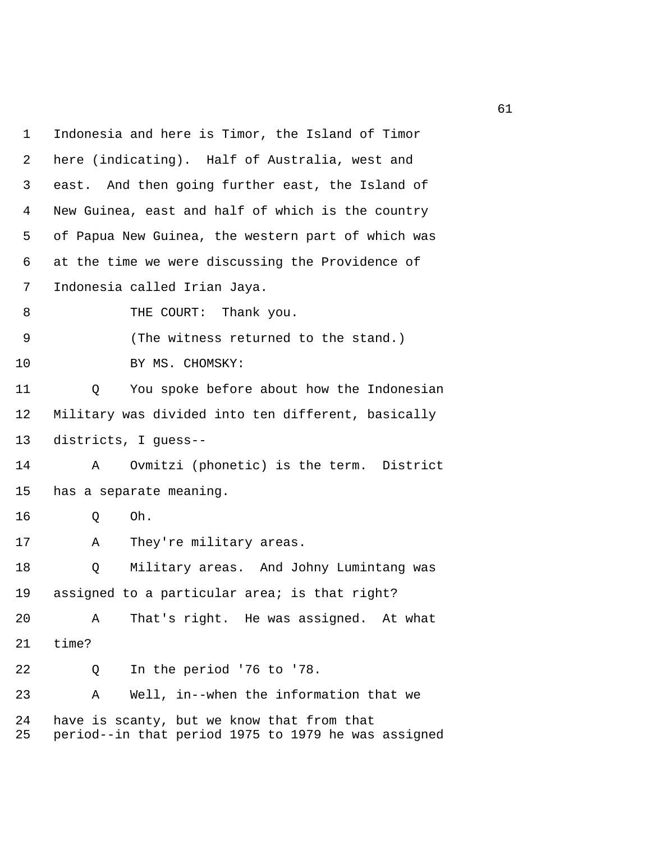| 1        | Indonesia and here is Timor, the Island of Timor                                                  |
|----------|---------------------------------------------------------------------------------------------------|
| 2        | here (indicating). Half of Australia, west and                                                    |
| 3        | east. And then going further east, the Island of                                                  |
| 4        | New Guinea, east and half of which is the country                                                 |
| 5        | of Papua New Guinea, the western part of which was                                                |
| 6        | at the time we were discussing the Providence of                                                  |
| 7        | Indonesia called Irian Jaya.                                                                      |
| 8        | Thank you.<br>THE COURT:                                                                          |
| 9        | (The witness returned to the stand.)                                                              |
| 10       | BY MS. CHOMSKY:                                                                                   |
| 11       | You spoke before about how the Indonesian<br>Q                                                    |
| 12       | Military was divided into ten different, basically                                                |
| 13       | districts, I guess--                                                                              |
| 14       | Ovmitzi (phonetic) is the term. District<br>Α                                                     |
| 15       | has a separate meaning.                                                                           |
| 16       | Oh.<br>Q                                                                                          |
| 17       | They're military areas.<br>Α                                                                      |
| 18       | Q<br>Military areas. And Johny Lumintang was                                                      |
| 19       | assigned to a particular area; is that right?                                                     |
| 20       | That's right. He was assigned. At what<br>A                                                       |
| 21       | time?                                                                                             |
| 22       | In the period '76 to '78.<br>Q                                                                    |
| 23       | Well, in--when the information that we<br>Α                                                       |
| 24<br>25 | have is scanty, but we know that from that<br>period--in that period 1975 to 1979 he was assigned |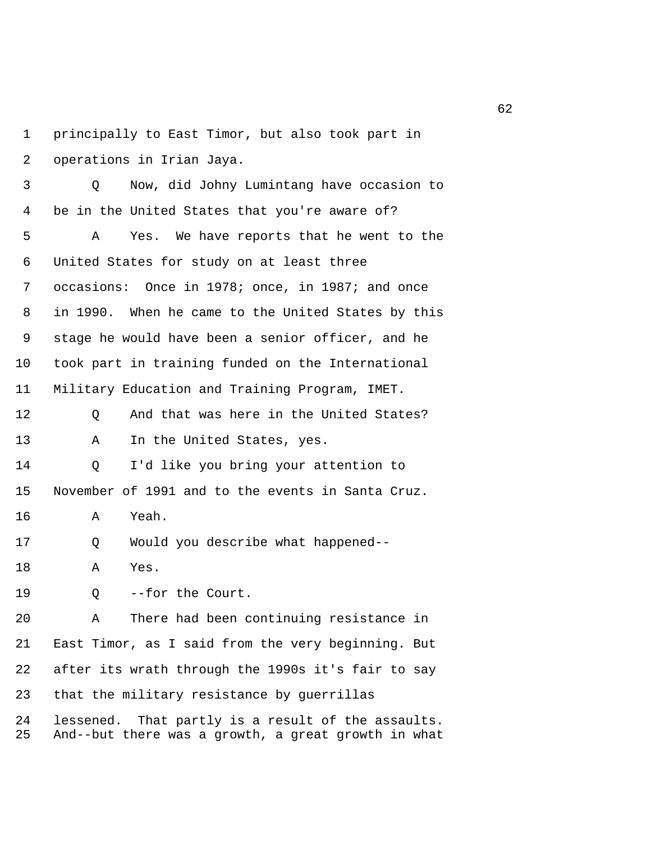1 principally to East Timor, but also took part in 2 operations in Irian Jaya.

 3 Q Now, did Johny Lumintang have occasion to 4 be in the United States that you're aware of?

 5 A Yes. We have reports that he went to the 6 United States for study on at least three 7 occasions: Once in 1978; once, in 1987; and once 8 in 1990. When he came to the United States by this 9 stage he would have been a senior officer, and he 10 took part in training funded on the International 11 Military Education and Training Program, IMET.

12 Q And that was here in the United States? 13 A In the United States, yes.

14 Q I'd like you bring your attention to 15 November of 1991 and to the events in Santa Cruz.

16 A Yeah.

17 Q Would you describe what happened--

18 A Yes.

19 Q --for the Court.

20 A There had been continuing resistance in 21 East Timor, as I said from the very beginning. But 22 after its wrath through the 1990s it's fair to say 23 that the military resistance by guerrillas

24 lessened. That partly is a result of the assaults. 25 And--but there was a growth, a great growth in what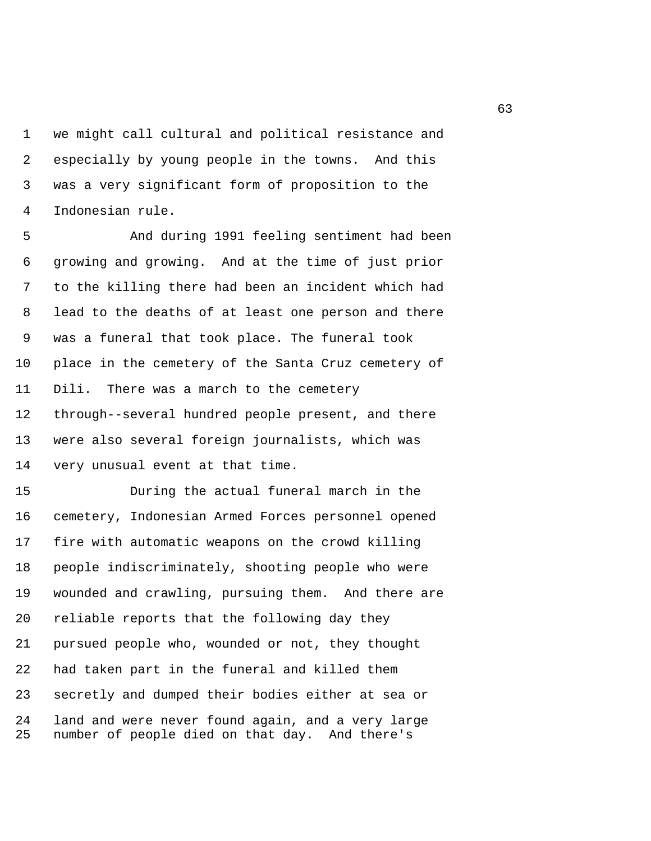1 we might call cultural and political resistance and 2 especially by young people in the towns. And this 3 was a very significant form of proposition to the 4 Indonesian rule.

 5 And during 1991 feeling sentiment had been 6 growing and growing. And at the time of just prior 7 to the killing there had been an incident which had 8 lead to the deaths of at least one person and there 9 was a funeral that took place. The funeral took 10 place in the cemetery of the Santa Cruz cemetery of 11 Dili. There was a march to the cemetery 12 through--several hundred people present, and there 13 were also several foreign journalists, which was 14 very unusual event at that time.

15 During the actual funeral march in the 16 cemetery, Indonesian Armed Forces personnel opened 17 fire with automatic weapons on the crowd killing 18 people indiscriminately, shooting people who were 19 wounded and crawling, pursuing them. And there are 20 reliable reports that the following day they 21 pursued people who, wounded or not, they thought 22 had taken part in the funeral and killed them 23 secretly and dumped their bodies either at sea or 24 land and were never found again, and a very large 25 number of people died on that day. And there's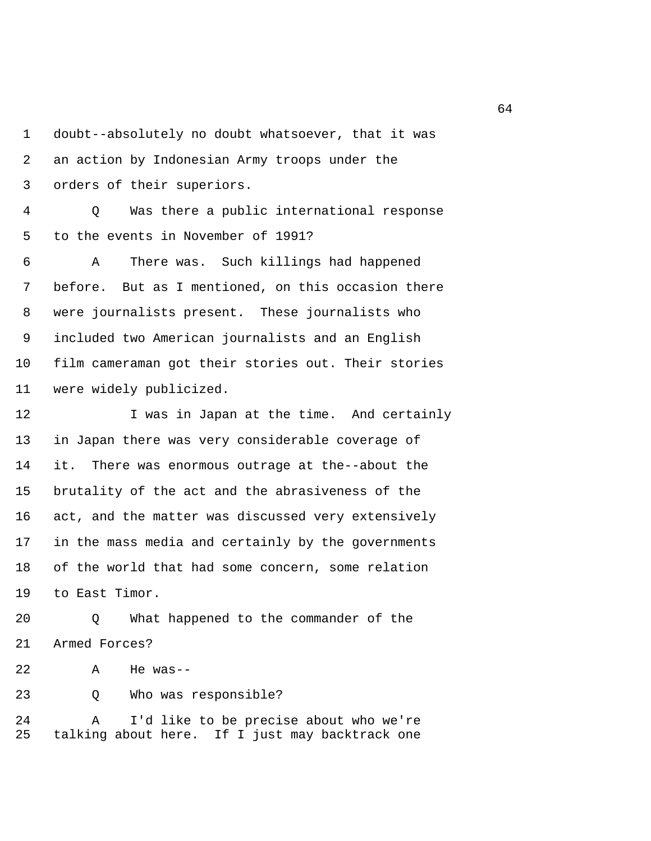1 doubt--absolutely no doubt whatsoever, that it was 2 an action by Indonesian Army troops under the 3 orders of their superiors.

 4 Q Was there a public international response 5 to the events in November of 1991?

 6 A There was. Such killings had happened 7 before. But as I mentioned, on this occasion there 8 were journalists present. These journalists who 9 included two American journalists and an English 10 film cameraman got their stories out. Their stories 11 were widely publicized.

12 I was in Japan at the time. And certainly 13 in Japan there was very considerable coverage of 14 it. There was enormous outrage at the--about the 15 brutality of the act and the abrasiveness of the 16 act, and the matter was discussed very extensively 17 in the mass media and certainly by the governments 18 of the world that had some concern, some relation 19 to East Timor.

20 Q What happened to the commander of the 21 Armed Forces?

22 A He was--

23 Q Who was responsible?

24 A I'd like to be precise about who we're 25 talking about here. If I just may backtrack one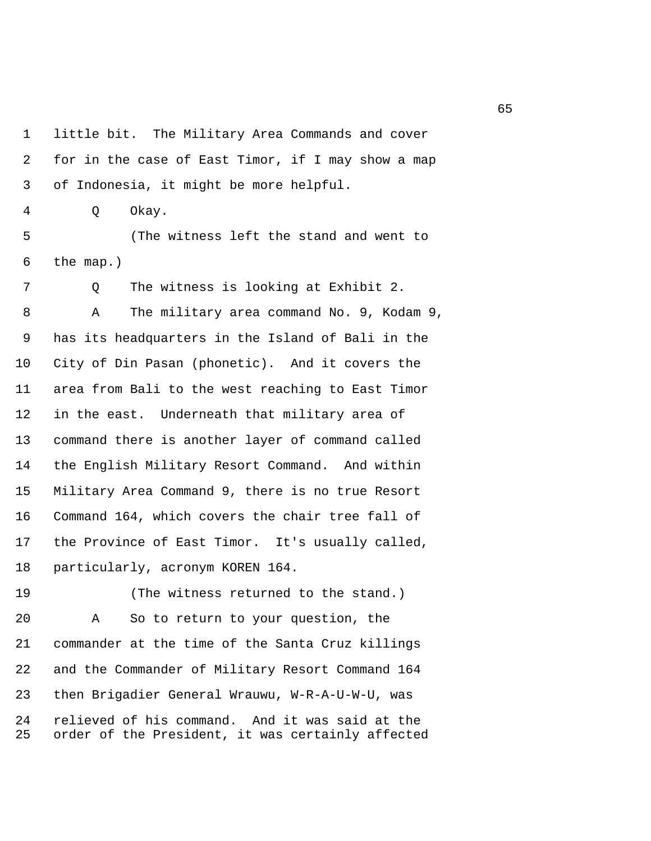1 little bit. The Military Area Commands and cover 2 for in the case of East Timor, if I may show a map 3 of Indonesia, it might be more helpful. 4 Q Okay. 5 (The witness left the stand and went to 6 the map.) 7 Q The witness is looking at Exhibit 2. 8 A The military area command No. 9, Kodam 9, 9 has its headquarters in the Island of Bali in the 10 City of Din Pasan (phonetic). And it covers the 11 area from Bali to the west reaching to East Timor 12 in the east. Underneath that military area of 13 command there is another layer of command called 14 the English Military Resort Command. And within 15 Military Area Command 9, there is no true Resort 16 Command 164, which covers the chair tree fall of

19 (The witness returned to the stand.) 20 A So to return to your question, the 21 commander at the time of the Santa Cruz killings 22 and the Commander of Military Resort Command 164 23 then Brigadier General Wrauwu, W-R-A-U-W-U, was 24 relieved of his command. And it was said at the 25 order of the President, it was certainly affected

17 the Province of East Timor. It's usually called,

18 particularly, acronym KOREN 164.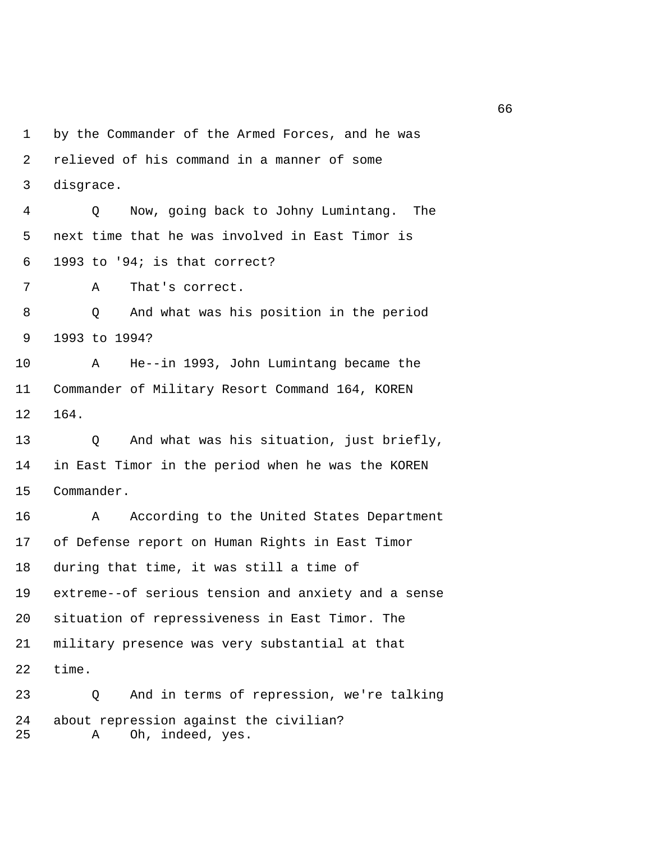1 by the Commander of the Armed Forces, and he was 2 relieved of his command in a manner of some 3 disgrace. 4 Q Now, going back to Johny Lumintang. The 5 next time that he was involved in East Timor is 6 1993 to '94; is that correct? 7 A That's correct. 8 Q And what was his position in the period 9 1993 to 1994? 10 A He--in 1993, John Lumintang became the 11 Commander of Military Resort Command 164, KOREN 12 164. 13 Q And what was his situation, just briefly, 14 in East Timor in the period when he was the KOREN 15 Commander. 16 A According to the United States Department 17 of Defense report on Human Rights in East Timor 18 during that time, it was still a time of 19 extreme--of serious tension and anxiety and a sense 20 situation of repressiveness in East Timor. The 21 military presence was very substantial at that 22 time. 23 Q And in terms of repression, we're talking 24 about repression against the civilian?

25 A Oh, indeed, yes.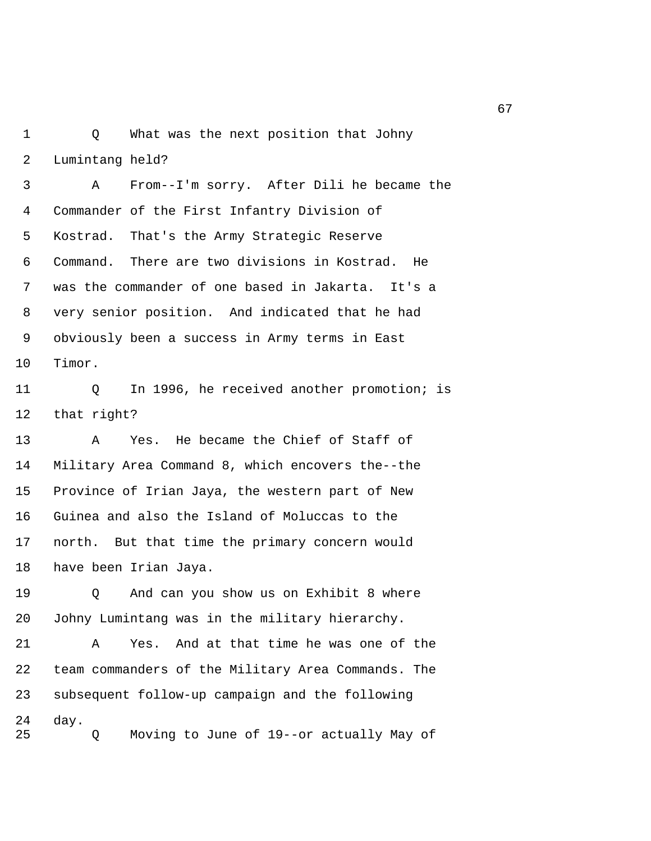1 Q What was the next position that Johny 2 Lumintang held?

 3 A From--I'm sorry. After Dili he became the 4 Commander of the First Infantry Division of 5 Kostrad. That's the Army Strategic Reserve 6 Command. There are two divisions in Kostrad. He 7 was the commander of one based in Jakarta. It's a 8 very senior position. And indicated that he had 9 obviously been a success in Army terms in East 10 Timor.

11 Q In 1996, he received another promotion; is 12 that right?

13 A Yes. He became the Chief of Staff of 14 Military Area Command 8, which encovers the--the 15 Province of Irian Jaya, the western part of New 16 Guinea and also the Island of Moluccas to the 17 north. But that time the primary concern would 18 have been Irian Jaya.

19 Q And can you show us on Exhibit 8 where 20 Johny Lumintang was in the military hierarchy.

21 A Yes. And at that time he was one of the 22 team commanders of the Military Area Commands. The 23 subsequent follow-up campaign and the following 24 day. 25 Q Moving to June of 19--or actually May of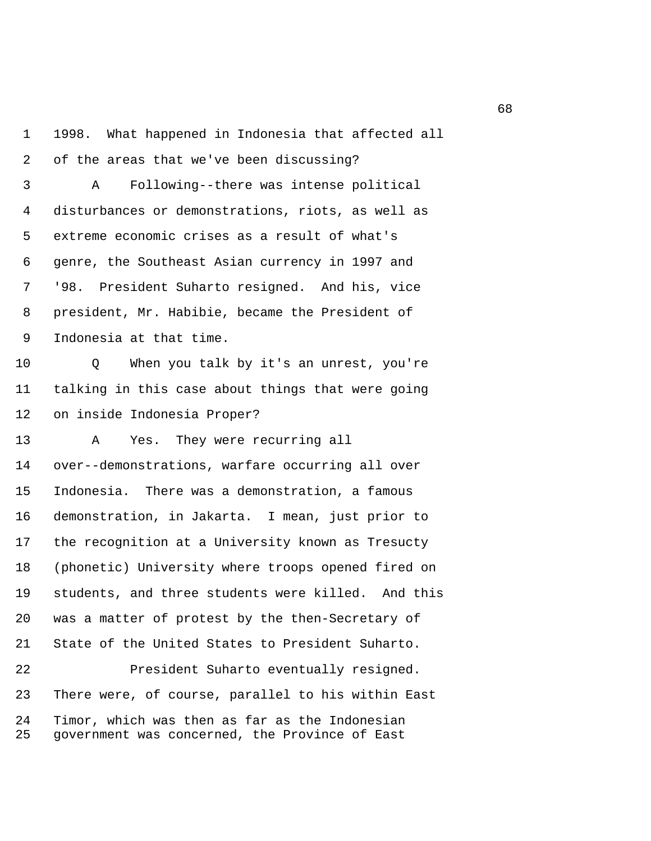1 1998. What happened in Indonesia that affected all 2 of the areas that we've been discussing? 3 A Following--there was intense political 4 disturbances or demonstrations, riots, as well as 5 extreme economic crises as a result of what's 6 genre, the Southeast Asian currency in 1997 and 7 '98. President Suharto resigned. And his, vice 8 president, Mr. Habibie, became the President of 9 Indonesia at that time. 10 Q When you talk by it's an unrest, you're 11 talking in this case about things that were going 12 on inside Indonesia Proper? 13 A Yes. They were recurring all 14 over--demonstrations, warfare occurring all over 15 Indonesia. There was a demonstration, a famous 16 demonstration, in Jakarta. I mean, just prior to 17 the recognition at a University known as Tresucty 18 (phonetic) University where troops opened fired on 19 students, and three students were killed. And this 20 was a matter of protest by the then-Secretary of 21 State of the United States to President Suharto. 22 President Suharto eventually resigned. 23 There were, of course, parallel to his within East 24 Timor, which was then as far as the Indonesian 25 government was concerned, the Province of East

 $\sim$  68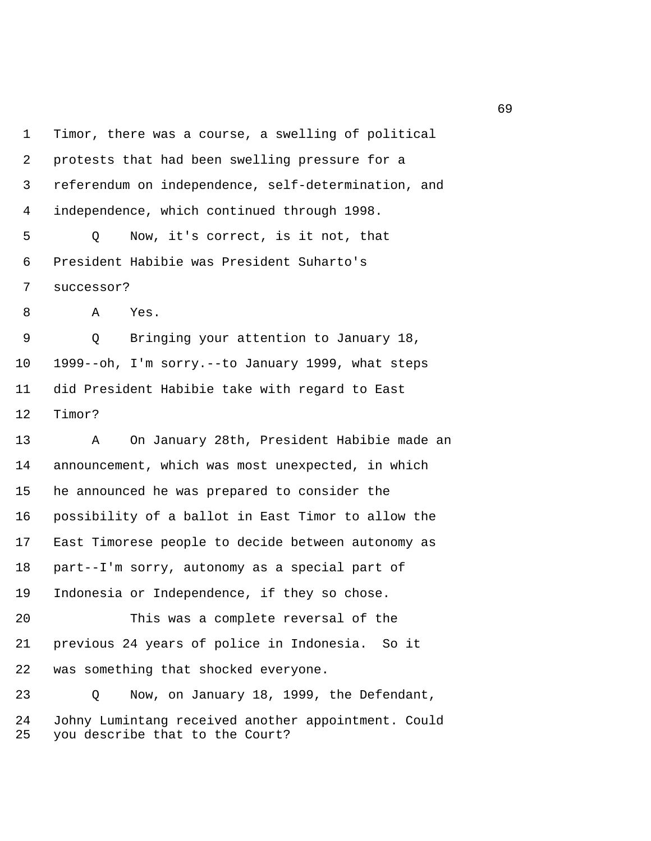1 Timor, there was a course, a swelling of political 2 protests that had been swelling pressure for a 3 referendum on independence, self-determination, and 4 independence, which continued through 1998. 5 Q Now, it's correct, is it not, that 6 President Habibie was President Suharto's 7 successor? 8 A Yes. 9 Q Bringing your attention to January 18, 10 1999--oh, I'm sorry.--to January 1999, what steps 11 did President Habibie take with regard to East 12 Timor? 13 A On January 28th, President Habibie made an 14 announcement, which was most unexpected, in which 15 he announced he was prepared to consider the 16 possibility of a ballot in East Timor to allow the 17 East Timorese people to decide between autonomy as 18 part--I'm sorry, autonomy as a special part of 19 Indonesia or Independence, if they so chose. 20 This was a complete reversal of the 21 previous 24 years of police in Indonesia. So it 22 was something that shocked everyone. 23 Q Now, on January 18, 1999, the Defendant, 24 Johny Lumintang received another appointment. Could 25 you describe that to the Court?

 $\sim$  69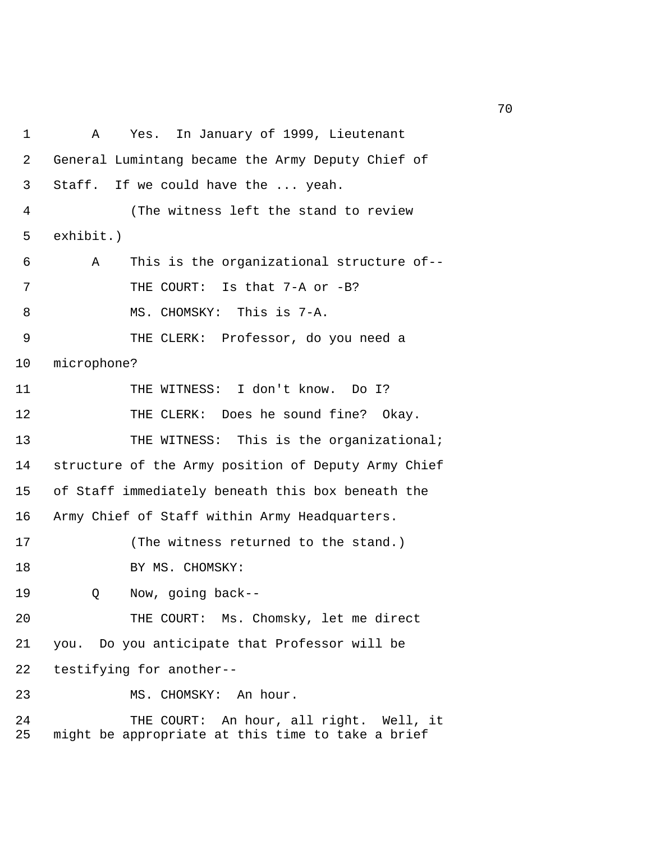1 A Yes. In January of 1999, Lieutenant 2 General Lumintang became the Army Deputy Chief of 3 Staff. If we could have the ... yeah. 4 (The witness left the stand to review 5 exhibit.) 6 A This is the organizational structure of-- 7 THE COURT: Is that 7-A or -B? 8 MS. CHOMSKY: This is 7-A. 9 THE CLERK: Professor, do you need a 10 microphone? 11 THE WITNESS: I don't know. Do I? 12 THE CLERK: Does he sound fine? Okay. 13 THE WITNESS: This is the organizational; 14 structure of the Army position of Deputy Army Chief 15 of Staff immediately beneath this box beneath the 16 Army Chief of Staff within Army Headquarters. 17 (The witness returned to the stand.) 18 BY MS. CHOMSKY: 19 Q Now, going back-- 20 THE COURT: Ms. Chomsky, let me direct 21 you. Do you anticipate that Professor will be 22 testifying for another-- 23 MS. CHOMSKY: An hour. 24 THE COURT: An hour, all right. Well, it 25 might be appropriate at this time to take a brief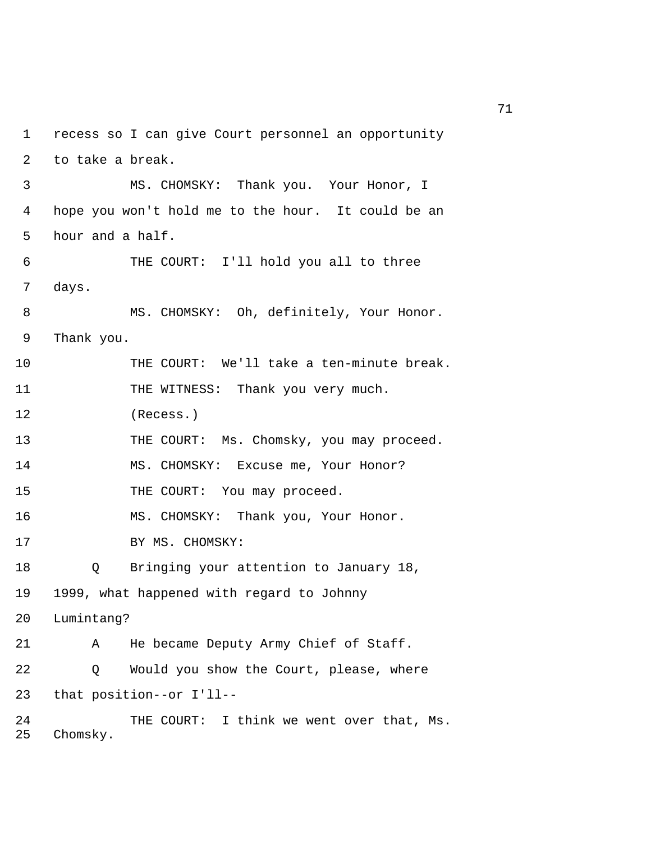1 recess so I can give Court personnel an opportunity 2 to take a break. 3 MS. CHOMSKY: Thank you. Your Honor, I 4 hope you won't hold me to the hour. It could be an 5 hour and a half. 6 THE COURT: I'll hold you all to three 7 days. 8 MS. CHOMSKY: Oh, definitely, Your Honor. 9 Thank you. 10 THE COURT: We'll take a ten-minute break. 11 THE WITNESS: Thank you very much. 12 (Recess.) 13 THE COURT: Ms. Chomsky, you may proceed. 14 MS. CHOMSKY: Excuse me, Your Honor? 15 THE COURT: You may proceed. 16 MS. CHOMSKY: Thank you, Your Honor. 17 BY MS. CHOMSKY: 18 Q Bringing your attention to January 18, 19 1999, what happened with regard to Johnny 20 Lumintang? 21 A He became Deputy Army Chief of Staff. 22 Q Would you show the Court, please, where 23 that position--or I'll-- 24 THE COURT: I think we went over that, Ms. 25 Chomsky.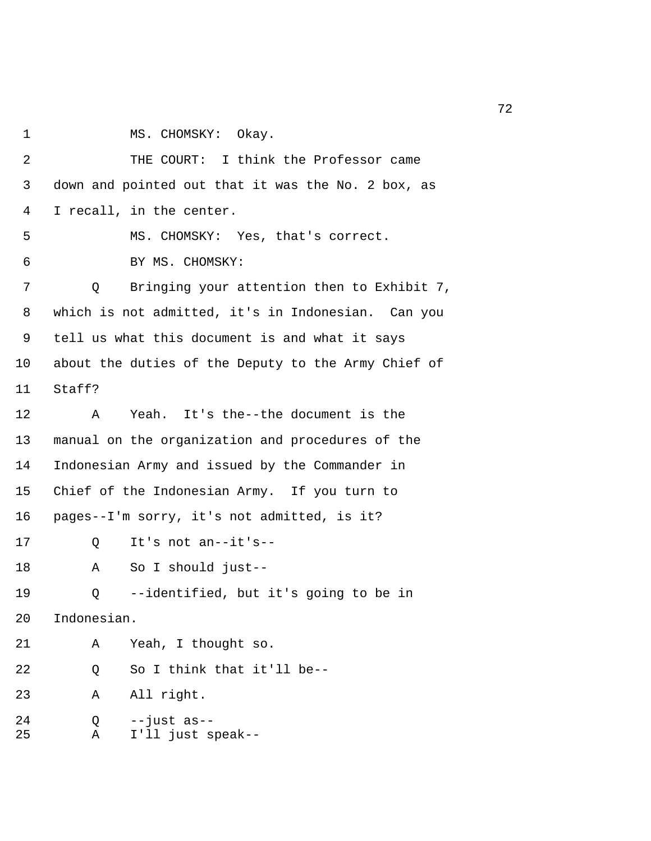- 
- 1 MS. CHOMSKY: Okay.

 2 THE COURT: I think the Professor came 3 down and pointed out that it was the No. 2 box, as 4 I recall, in the center. 5 MS. CHOMSKY: Yes, that's correct. 6 BY MS. CHOMSKY: 7 Q Bringing your attention then to Exhibit 7, 8 which is not admitted, it's in Indonesian. Can you 9 tell us what this document is and what it says 10 about the duties of the Deputy to the Army Chief of 11 Staff? 12 A Yeah. It's the--the document is the 13 manual on the organization and procedures of the 14 Indonesian Army and issued by the Commander in 15 Chief of the Indonesian Army. If you turn to 16 pages--I'm sorry, it's not admitted, is it? 17 Q It's not an--it's-- 18 A So I should just-- 19 Q --identified, but it's going to be in 20 Indonesian. 21 A Yeah, I thought so. 22 Q So I think that it'll be-- 23 A All right. 24 Q --just as-- 25 A I'll just speak--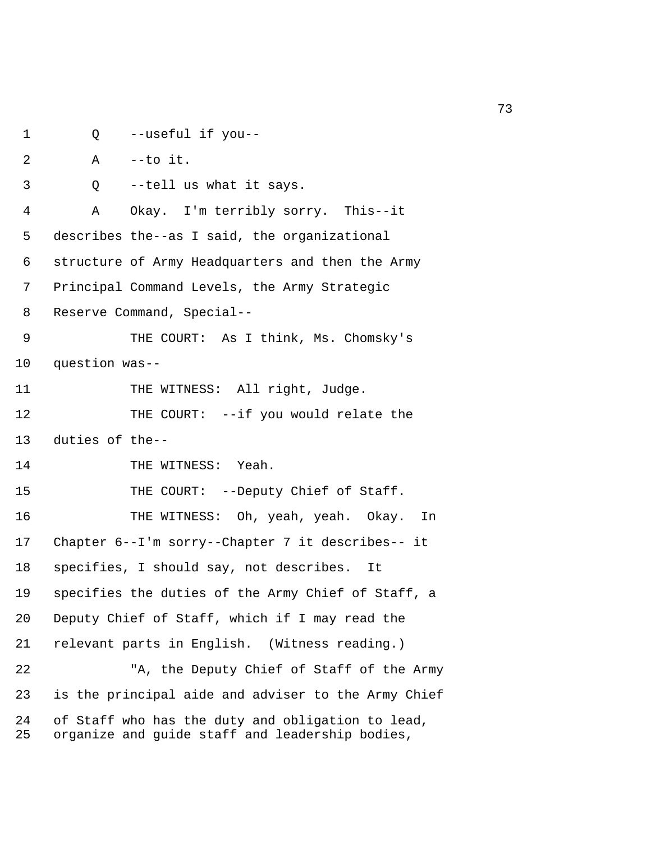```
1 Q --useful if you-- 
 2 A --to it. 
 3 Q --tell us what it says. 
 4 A Okay. I'm terribly sorry. This--it 
 5 describes the--as I said, the organizational 
 6 structure of Army Headquarters and then the Army 
 7 Principal Command Levels, the Army Strategic 
 8 Reserve Command, Special-- 
 9 THE COURT: As I think, Ms. Chomsky's 
10 question was-- 
11 THE WITNESS: All right, Judge.
12 THE COURT: --if you would relate the
13 duties of the-- 
14 THE WITNESS: Yeah.
15 THE COURT: --Deputy Chief of Staff.
16 THE WITNESS: Oh, yeah, yeah. Okay. In 
17 Chapter 6--I'm sorry--Chapter 7 it describes-- it 
18 specifies, I should say, not describes. It 
19 specifies the duties of the Army Chief of Staff, a 
20 Deputy Chief of Staff, which if I may read the 
21 relevant parts in English. (Witness reading.) 
22 "A, the Deputy Chief of Staff of the Army 
23 is the principal aide and adviser to the Army Chief 
24 of Staff who has the duty and obligation to lead, 
25 organize and guide staff and leadership bodies,
```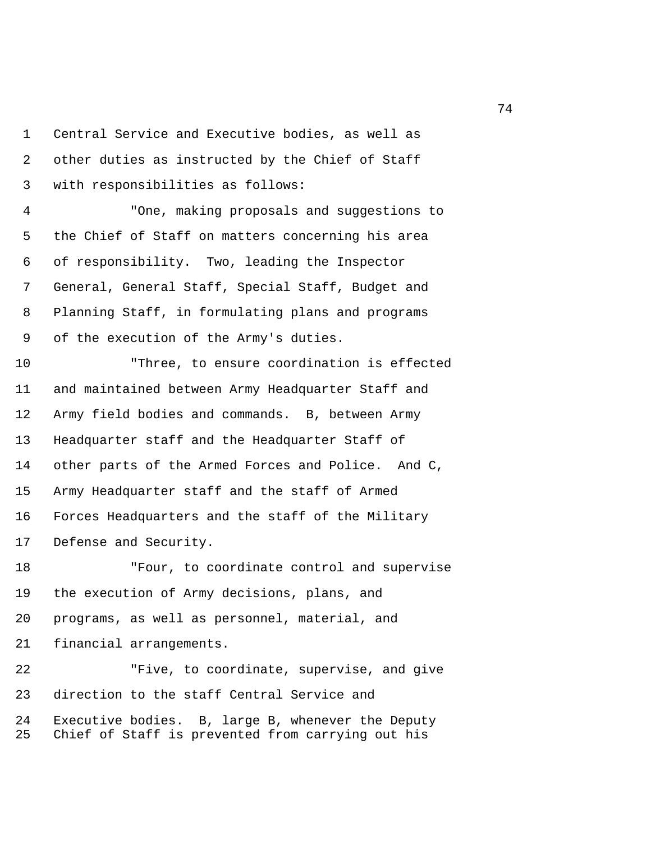1 Central Service and Executive bodies, as well as 2 other duties as instructed by the Chief of Staff 3 with responsibilities as follows:

 4 "One, making proposals and suggestions to 5 the Chief of Staff on matters concerning his area 6 of responsibility. Two, leading the Inspector 7 General, General Staff, Special Staff, Budget and 8 Planning Staff, in formulating plans and programs 9 of the execution of the Army's duties.

10 "Three, to ensure coordination is effected 11 and maintained between Army Headquarter Staff and 12 Army field bodies and commands. B, between Army 13 Headquarter staff and the Headquarter Staff of 14 other parts of the Armed Forces and Police. And C, 15 Army Headquarter staff and the staff of Armed 16 Forces Headquarters and the staff of the Military 17 Defense and Security.

18 "Four, to coordinate control and supervise 19 the execution of Army decisions, plans, and 20 programs, as well as personnel, material, and 21 financial arrangements.

22 "Five, to coordinate, supervise, and give 23 direction to the staff Central Service and 24 Executive bodies. B, large B, whenever the Deputy 25 Chief of Staff is prevented from carrying out his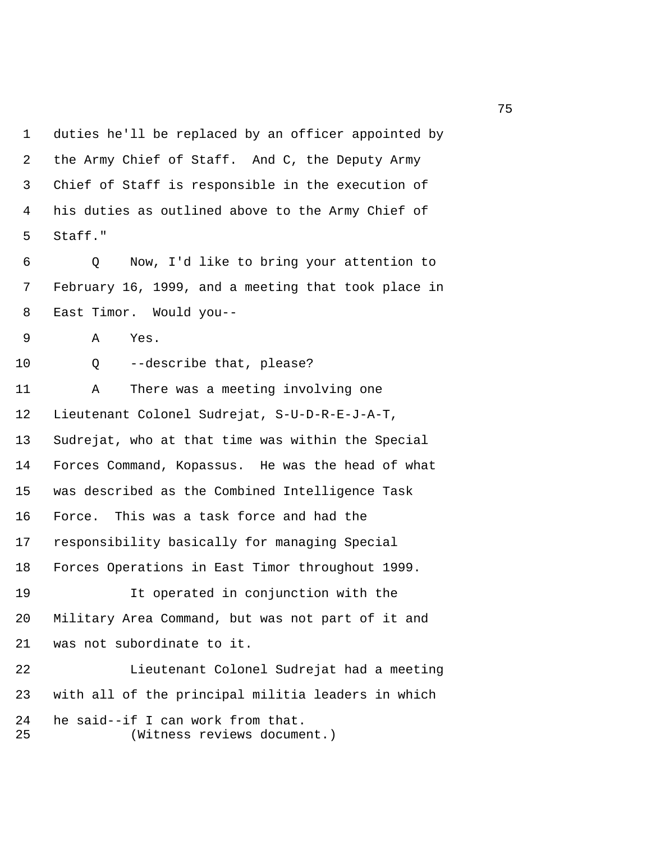1 duties he'll be replaced by an officer appointed by 2 the Army Chief of Staff. And C, the Deputy Army 3 Chief of Staff is responsible in the execution of 4 his duties as outlined above to the Army Chief of 5 Staff."

 6 Q Now, I'd like to bring your attention to 7 February 16, 1999, and a meeting that took place in 8 East Timor. Would you--

9 A Yes.

10 Q --describe that, please?

11 A There was a meeting involving one 12 Lieutenant Colonel Sudrejat, S-U-D-R-E-J-A-T, 13 Sudrejat, who at that time was within the Special 14 Forces Command, Kopassus. He was the head of what 15 was described as the Combined Intelligence Task 16 Force. This was a task force and had the 17 responsibility basically for managing Special 18 Forces Operations in East Timor throughout 1999. 19 It operated in conjunction with the 20 Military Area Command, but was not part of it and 21 was not subordinate to it.

22 Lieutenant Colonel Sudrejat had a meeting 23 with all of the principal militia leaders in which 24 he said--if I can work from that. 25 (Witness reviews document.)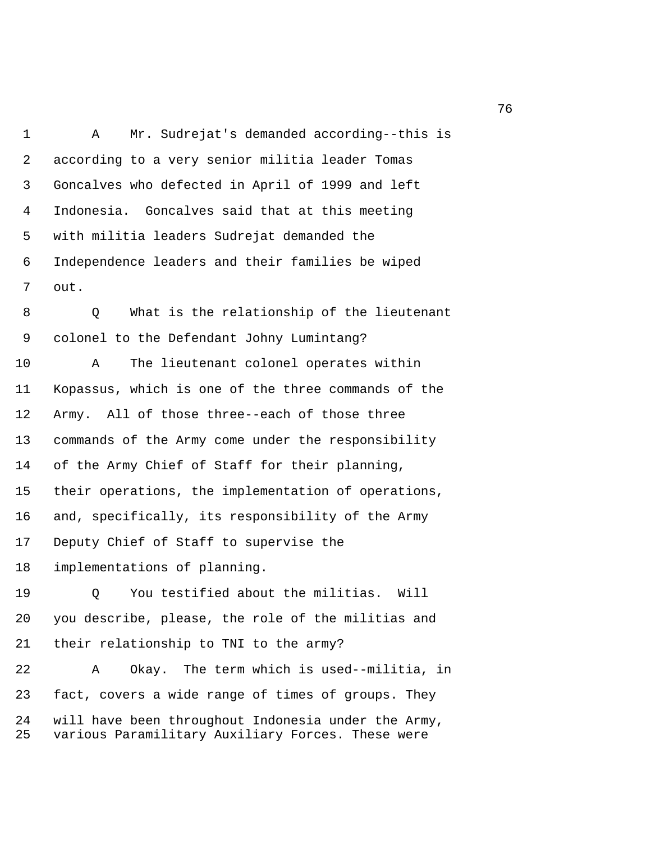1 A Mr. Sudrejat's demanded according--this is 2 according to a very senior militia leader Tomas 3 Goncalves who defected in April of 1999 and left 4 Indonesia. Goncalves said that at this meeting 5 with militia leaders Sudrejat demanded the 6 Independence leaders and their families be wiped 7 out.

 8 Q What is the relationship of the lieutenant 9 colonel to the Defendant Johny Lumintang?

10 A The lieutenant colonel operates within 11 Kopassus, which is one of the three commands of the 12 Army. All of those three--each of those three 13 commands of the Army come under the responsibility 14 of the Army Chief of Staff for their planning, 15 their operations, the implementation of operations, 16 and, specifically, its responsibility of the Army 17 Deputy Chief of Staff to supervise the 18 implementations of planning.

19 Q You testified about the militias. Will 20 you describe, please, the role of the militias and 21 their relationship to TNI to the army?

22 A Okay. The term which is used--militia, in 23 fact, covers a wide range of times of groups. They 24 will have been throughout Indonesia under the Army, 25 various Paramilitary Auxiliary Forces. These were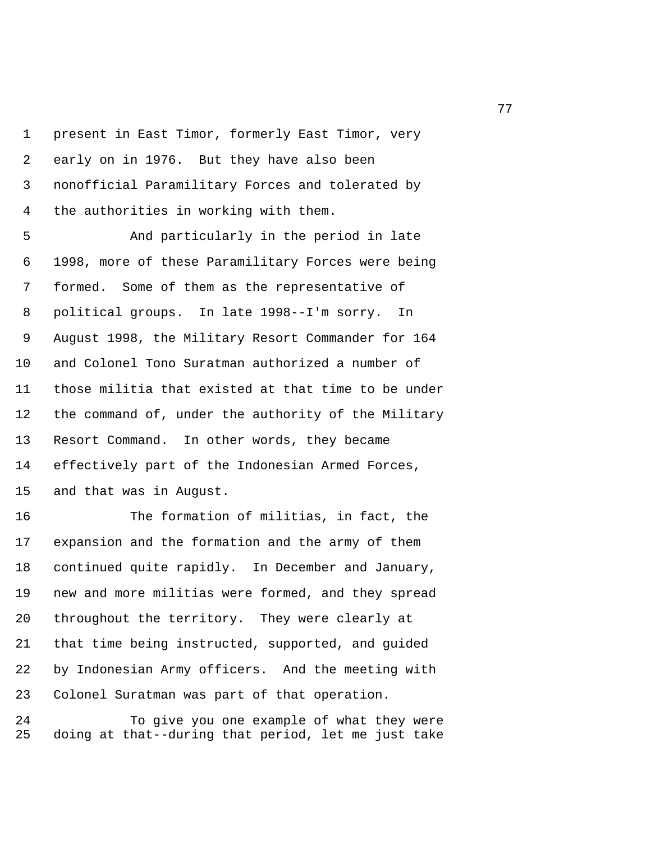1 present in East Timor, formerly East Timor, very 2 early on in 1976. But they have also been 3 nonofficial Paramilitary Forces and tolerated by 4 the authorities in working with them.

 5 And particularly in the period in late 6 1998, more of these Paramilitary Forces were being 7 formed. Some of them as the representative of 8 political groups. In late 1998--I'm sorry. In 9 August 1998, the Military Resort Commander for 164 10 and Colonel Tono Suratman authorized a number of 11 those militia that existed at that time to be under 12 the command of, under the authority of the Military 13 Resort Command. In other words, they became 14 effectively part of the Indonesian Armed Forces, 15 and that was in August.

16 The formation of militias, in fact, the 17 expansion and the formation and the army of them 18 continued quite rapidly. In December and January, 19 new and more militias were formed, and they spread 20 throughout the territory. They were clearly at 21 that time being instructed, supported, and guided 22 by Indonesian Army officers. And the meeting with 23 Colonel Suratman was part of that operation.

24 To give you one example of what they were 25 doing at that--during that period, let me just take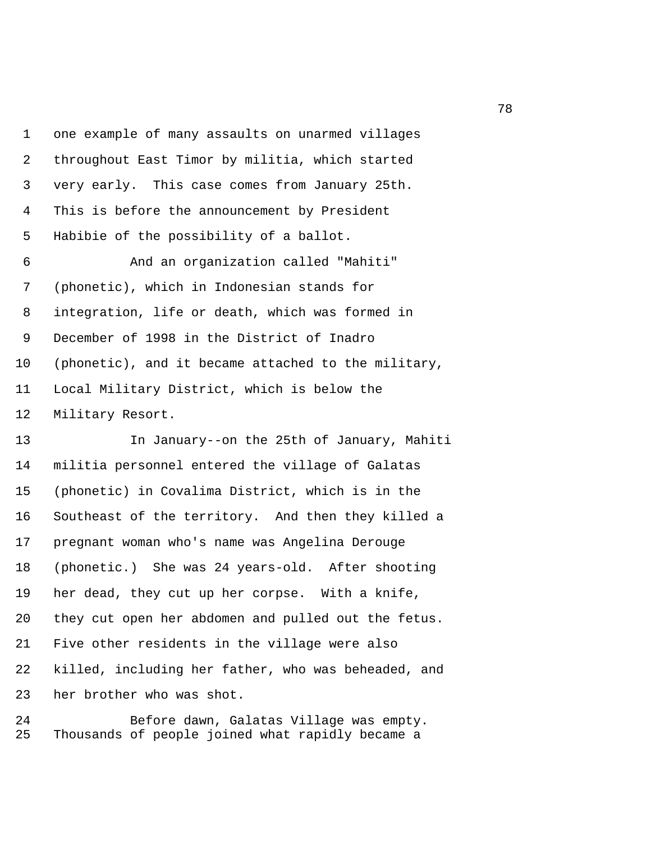1 one example of many assaults on unarmed villages 2 throughout East Timor by militia, which started 3 very early. This case comes from January 25th. 4 This is before the announcement by President 5 Habibie of the possibility of a ballot.

 6 And an organization called "Mahiti" 7 (phonetic), which in Indonesian stands for 8 integration, life or death, which was formed in 9 December of 1998 in the District of Inadro 10 (phonetic), and it became attached to the military, 11 Local Military District, which is below the 12 Military Resort.

13 In January--on the 25th of January, Mahiti 14 militia personnel entered the village of Galatas 15 (phonetic) in Covalima District, which is in the 16 Southeast of the territory. And then they killed a 17 pregnant woman who's name was Angelina Derouge 18 (phonetic.) She was 24 years-old. After shooting 19 her dead, they cut up her corpse. With a knife, 20 they cut open her abdomen and pulled out the fetus. 21 Five other residents in the village were also 22 killed, including her father, who was beheaded, and 23 her brother who was shot.

24 Before dawn, Galatas Village was empty. 25 Thousands of people joined what rapidly became a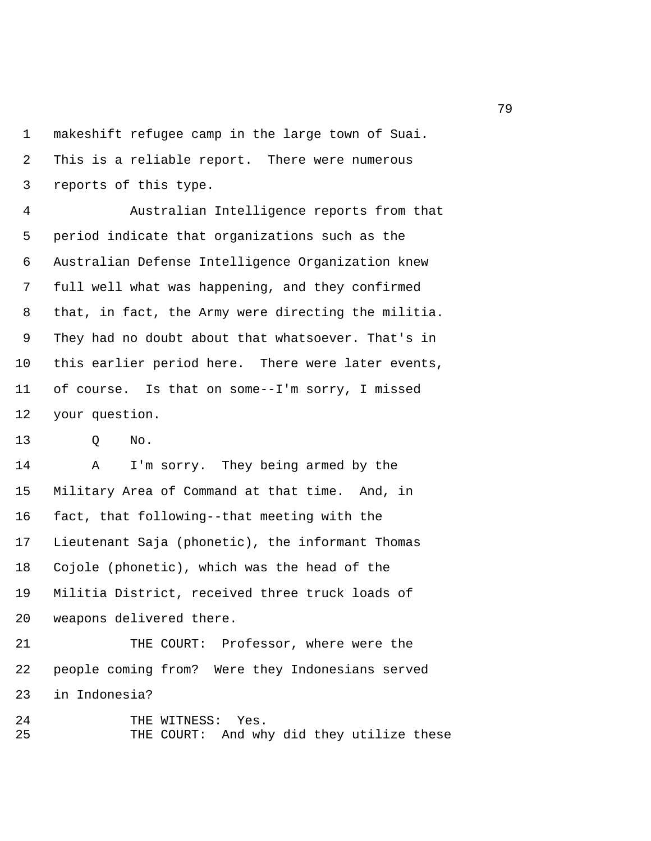1 makeshift refugee camp in the large town of Suai. 2 This is a reliable report. There were numerous 3 reports of this type.

 4 Australian Intelligence reports from that 5 period indicate that organizations such as the 6 Australian Defense Intelligence Organization knew 7 full well what was happening, and they confirmed 8 that, in fact, the Army were directing the militia. 9 They had no doubt about that whatsoever. That's in 10 this earlier period here. There were later events, 11 of course. Is that on some--I'm sorry, I missed 12 your question.

13 Q No.

14 A I'm sorry. They being armed by the 15 Military Area of Command at that time. And, in 16 fact, that following--that meeting with the 17 Lieutenant Saja (phonetic), the informant Thomas 18 Cojole (phonetic), which was the head of the 19 Militia District, received three truck loads of 20 weapons delivered there.

21 THE COURT: Professor, where were the 22 people coming from? Were they Indonesians served 23 in Indonesia?

24 THE WITNESS: Yes. 25 THE COURT: And why did they utilize these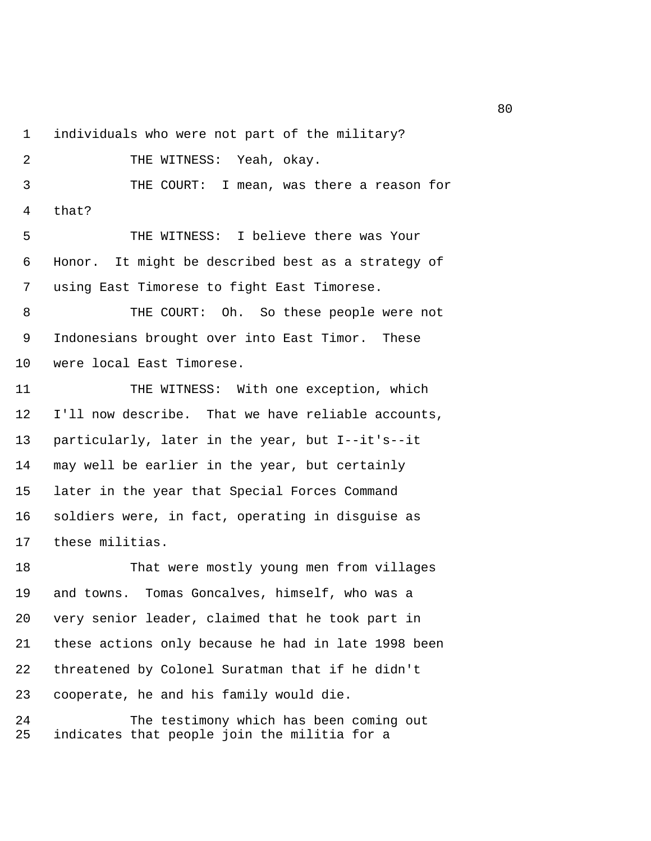1 individuals who were not part of the military? 2 THE WITNESS: Yeah, okay. 3 THE COURT: I mean, was there a reason for 4 that? 5 THE WITNESS: I believe there was Your 6 Honor. It might be described best as a strategy of 7 using East Timorese to fight East Timorese. 8 THE COURT: Oh. So these people were not 9 Indonesians brought over into East Timor. These 10 were local East Timorese. 11 THE WITNESS: With one exception, which 12 I'll now describe. That we have reliable accounts, 13 particularly, later in the year, but I--it's--it 14 may well be earlier in the year, but certainly 15 later in the year that Special Forces Command

17 these militias.

18 That were mostly young men from villages 19 and towns. Tomas Goncalves, himself, who was a 20 very senior leader, claimed that he took part in 21 these actions only because he had in late 1998 been 22 threatened by Colonel Suratman that if he didn't 23 cooperate, he and his family would die.

16 soldiers were, in fact, operating in disguise as

24 The testimony which has been coming out 25 indicates that people join the militia for a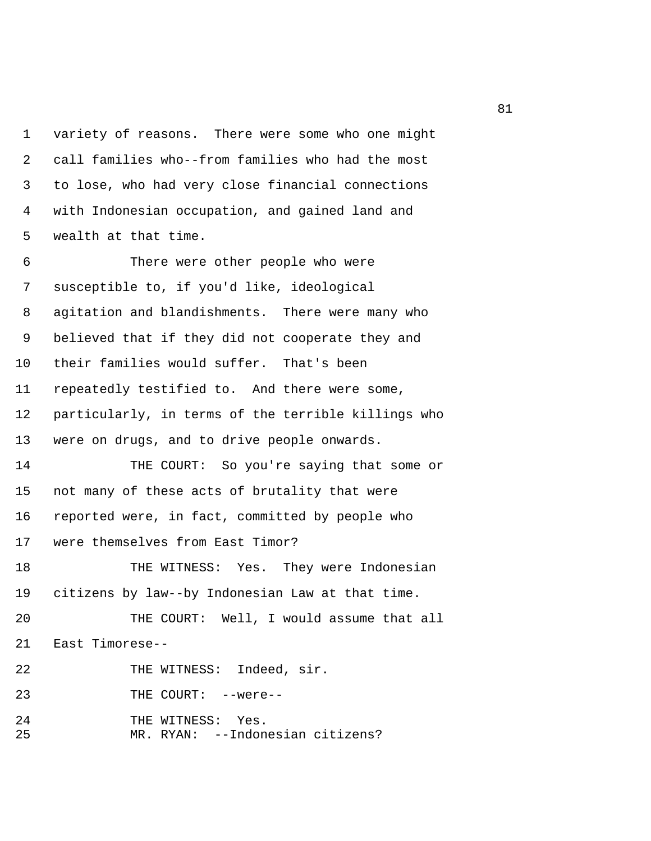1 variety of reasons. There were some who one might 2 call families who--from families who had the most 3 to lose, who had very close financial connections 4 with Indonesian occupation, and gained land and 5 wealth at that time.

 6 There were other people who were 7 susceptible to, if you'd like, ideological 8 agitation and blandishments. There were many who 9 believed that if they did not cooperate they and 10 their families would suffer. That's been 11 repeatedly testified to. And there were some, 12 particularly, in terms of the terrible killings who 13 were on drugs, and to drive people onwards. 14 THE COURT: So you're saying that some or 15 not many of these acts of brutality that were 16 reported were, in fact, committed by people who 17 were themselves from East Timor? 18 THE WITNESS: Yes. They were Indonesian 19 citizens by law--by Indonesian Law at that time. 20 THE COURT: Well, I would assume that all 21 East Timorese-- 22 THE WITNESS: Indeed, sir. 23 THE COURT: --were--

24 THE WITNESS: Yes. 25 MR. RYAN: --Indonesian citizens?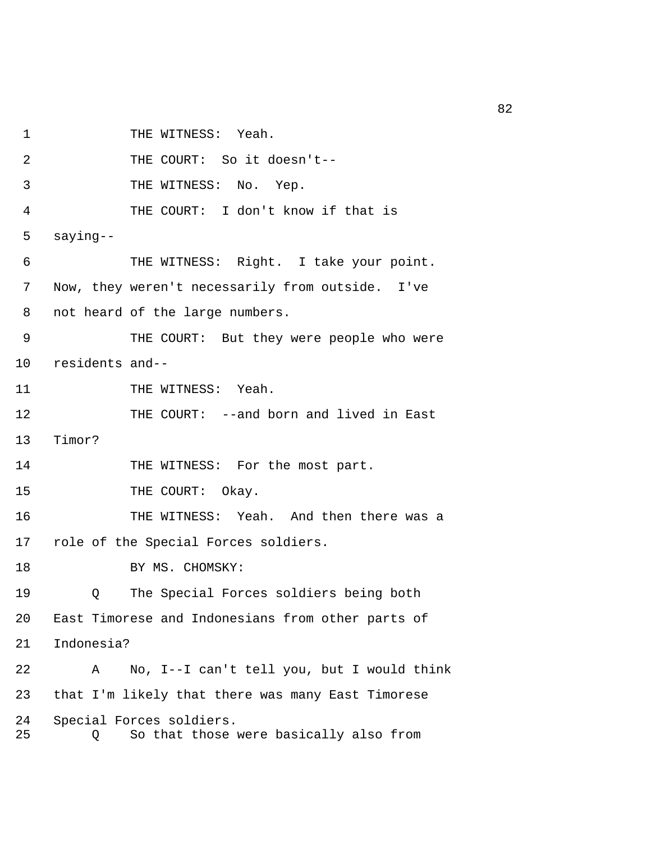1 THE WITNESS: Yeah. 2 THE COURT: So it doesn't--

3 THE WITNESS: No. Yep.

4 THE COURT: I don't know if that is

5 saying--

 6 THE WITNESS: Right. I take your point. 7 Now, they weren't necessarily from outside. I've 8 not heard of the large numbers. 9 THE COURT: But they were people who were 10 residents and--

11 THE WITNESS: Yeah.

12 THE COURT: --and born and lived in East

13 Timor?

14 THE WITNESS: For the most part.

15 THE COURT: Okay.

16 THE WITNESS: Yeah. And then there was a 17 role of the Special Forces soldiers.

18 BY MS. CHOMSKY:

19 Q The Special Forces soldiers being both 20 East Timorese and Indonesians from other parts of 21 Indonesia?

22 A No, I--I can't tell you, but I would think 23 that I'm likely that there was many East Timorese 24 Special Forces soldiers. 25 Q So that those were basically also from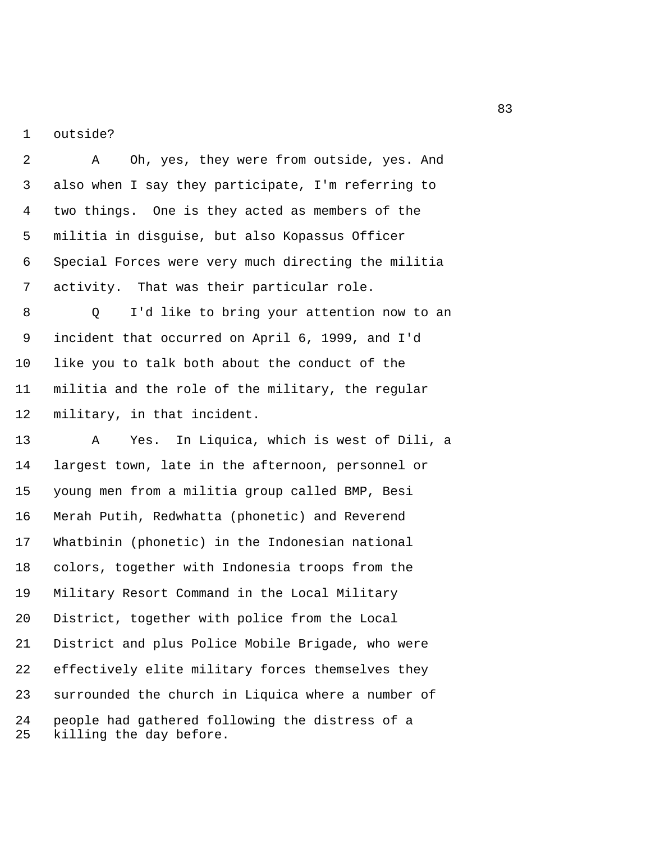1 outside?

 2 A Oh, yes, they were from outside, yes. And 3 also when I say they participate, I'm referring to 4 two things. One is they acted as members of the 5 militia in disguise, but also Kopassus Officer 6 Special Forces were very much directing the militia 7 activity. That was their particular role.

 8 Q I'd like to bring your attention now to an 9 incident that occurred on April 6, 1999, and I'd 10 like you to talk both about the conduct of the 11 militia and the role of the military, the regular 12 military, in that incident.

13 A Yes. In Liquica, which is west of Dili, a 14 largest town, late in the afternoon, personnel or 15 young men from a militia group called BMP, Besi 16 Merah Putih, Redwhatta (phonetic) and Reverend 17 Whatbinin (phonetic) in the Indonesian national 18 colors, together with Indonesia troops from the 19 Military Resort Command in the Local Military 20 District, together with police from the Local 21 District and plus Police Mobile Brigade, who were 22 effectively elite military forces themselves they 23 surrounded the church in Liquica where a number of 24 people had gathered following the distress of a 25 killing the day before.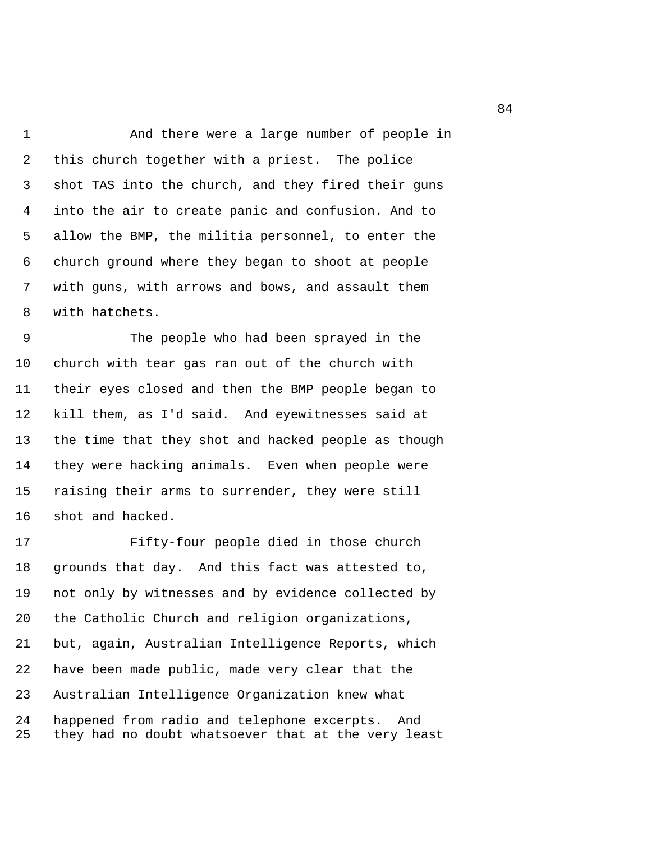1 And there were a large number of people in 2 this church together with a priest. The police 3 shot TAS into the church, and they fired their guns 4 into the air to create panic and confusion. And to 5 allow the BMP, the militia personnel, to enter the 6 church ground where they began to shoot at people 7 with guns, with arrows and bows, and assault them 8 with hatchets.

 9 The people who had been sprayed in the 10 church with tear gas ran out of the church with 11 their eyes closed and then the BMP people began to 12 kill them, as I'd said. And eyewitnesses said at 13 the time that they shot and hacked people as though 14 they were hacking animals. Even when people were 15 raising their arms to surrender, they were still 16 shot and hacked.

17 Fifty-four people died in those church 18 grounds that day. And this fact was attested to, 19 not only by witnesses and by evidence collected by 20 the Catholic Church and religion organizations, 21 but, again, Australian Intelligence Reports, which 22 have been made public, made very clear that the 23 Australian Intelligence Organization knew what 24 happened from radio and telephone excerpts. And 25 they had no doubt whatsoever that at the very least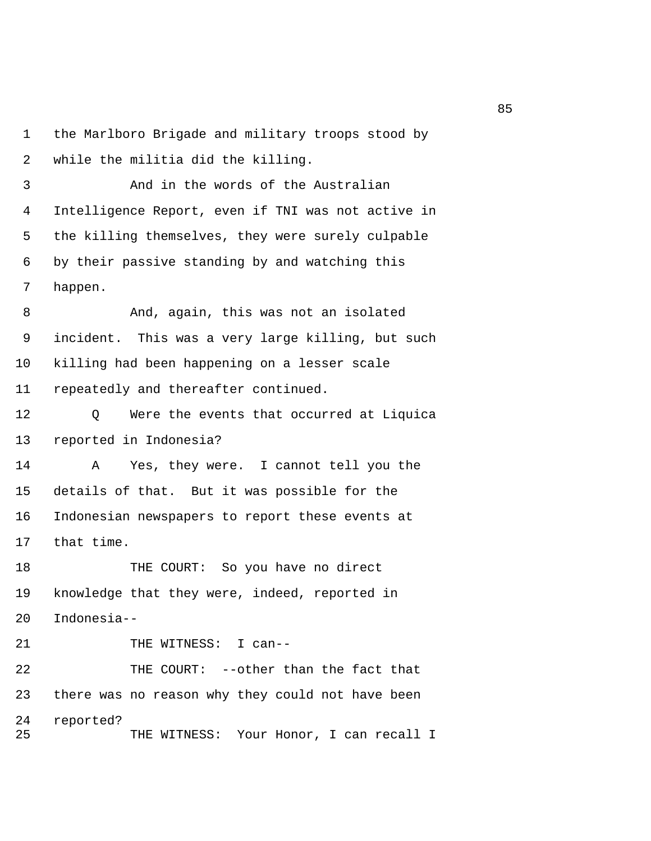```
1 the Marlboro Brigade and military troops stood by 
 2 while the militia did the killing.
```
 3 And in the words of the Australian 4 Intelligence Report, even if TNI was not active in 5 the killing themselves, they were surely culpable 6 by their passive standing by and watching this 7 happen.

 8 And, again, this was not an isolated 9 incident. This was a very large killing, but such 10 killing had been happening on a lesser scale 11 repeatedly and thereafter continued.

12 Q Were the events that occurred at Liquica 13 reported in Indonesia?

14 A Yes, they were. I cannot tell you the 15 details of that. But it was possible for the 16 Indonesian newspapers to report these events at 17 that time.

18 THE COURT: So you have no direct 19 knowledge that they were, indeed, reported in 20 Indonesia--

21 THE WITNESS: I can--22 THE COURT: --other than the fact that 23 there was no reason why they could not have been 24 reported? 25 THE WITNESS: Your Honor, I can recall I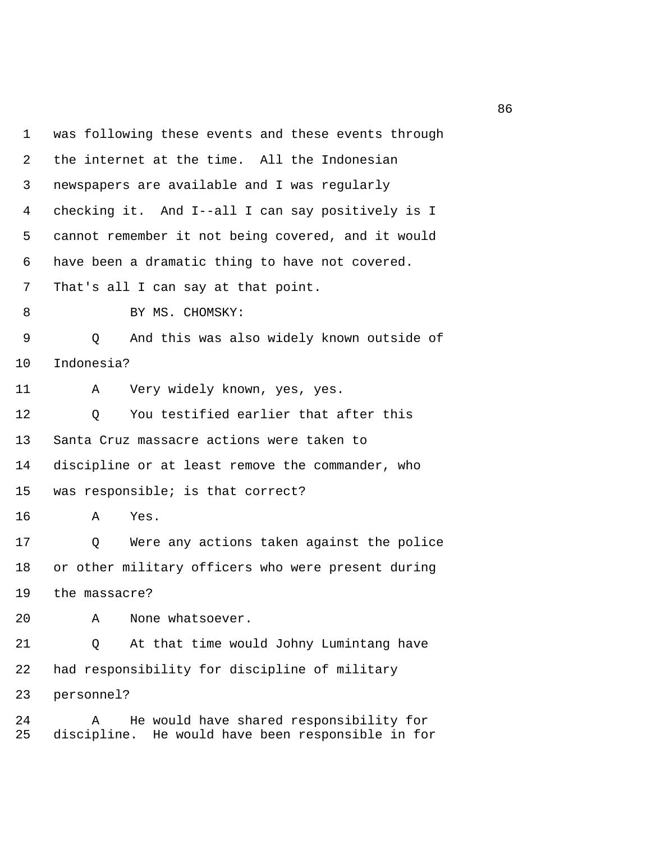1 was following these events and these events through 2 the internet at the time. All the Indonesian 3 newspapers are available and I was regularly 4 checking it. And I--all I can say positively is I 5 cannot remember it not being covered, and it would 6 have been a dramatic thing to have not covered. 7 That's all I can say at that point. 8 BY MS. CHOMSKY: 9 Q And this was also widely known outside of 10 Indonesia? 11 A Very widely known, yes, yes. 12 O You testified earlier that after this 13 Santa Cruz massacre actions were taken to 14 discipline or at least remove the commander, who 15 was responsible; is that correct? 16 A Yes. 17 Q Were any actions taken against the police 18 or other military officers who were present during 19 the massacre? 20 A None whatsoever. 21 Q At that time would Johny Lumintang have 22 had responsibility for discipline of military 23 personnel? 24 A He would have shared responsibility for 25 discipline. He would have been responsible in for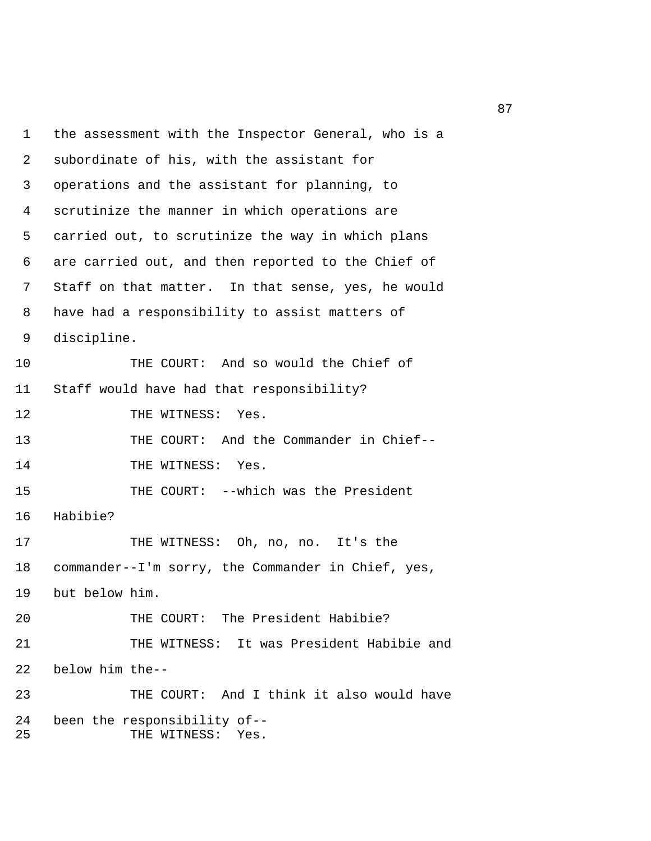1 the assessment with the Inspector General, who is a 2 subordinate of his, with the assistant for 3 operations and the assistant for planning, to 4 scrutinize the manner in which operations are 5 carried out, to scrutinize the way in which plans 6 are carried out, and then reported to the Chief of 7 Staff on that matter. In that sense, yes, he would 8 have had a responsibility to assist matters of 9 discipline. 10 THE COURT: And so would the Chief of 11 Staff would have had that responsibility? 12 THE WITNESS: Yes. 13 THE COURT: And the Commander in Chief-- 14 THE WITNESS: Yes. 15 THE COURT: --which was the President 16 Habibie? 17 THE WITNESS: Oh, no, no. It's the 18 commander--I'm sorry, the Commander in Chief, yes, 19 but below him. 20 THE COURT: The President Habibie? 21 THE WITNESS: It was President Habibie and 22 below him the-- 23 THE COURT: And I think it also would have 24 been the responsibility of-- 25 THE WITNESS: Yes.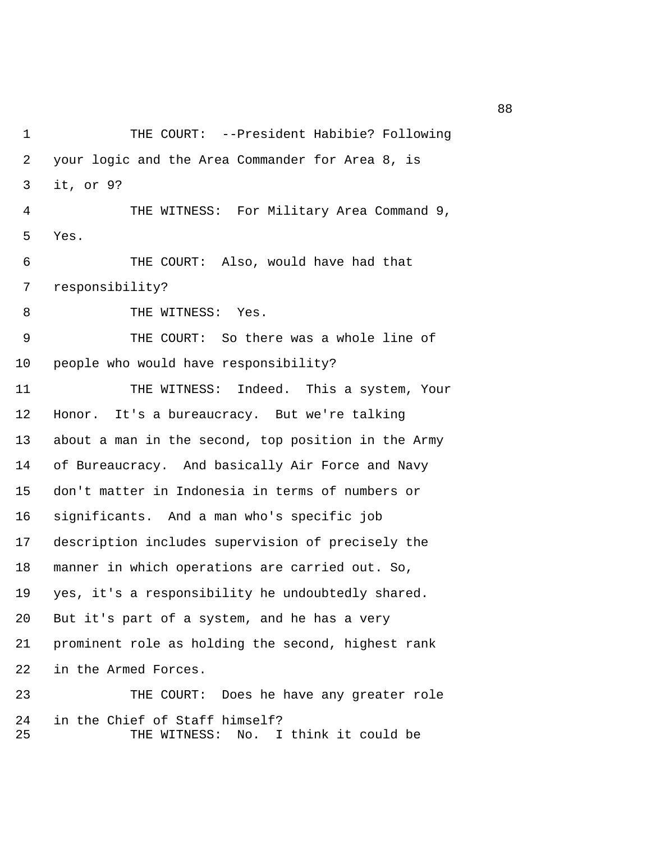1 THE COURT: --President Habibie? Following 2 your logic and the Area Commander for Area 8, is 3 it, or 9? 4 THE WITNESS: For Military Area Command 9, 5 Yes. 6 THE COURT: Also, would have had that 7 responsibility? 8 THE WITNESS: Yes. 9 THE COURT: So there was a whole line of 10 people who would have responsibility? 11 THE WITNESS: Indeed. This a system, Your 12 Honor. It's a bureaucracy. But we're talking 13 about a man in the second, top position in the Army 14 of Bureaucracy. And basically Air Force and Navy 15 don't matter in Indonesia in terms of numbers or 16 significants. And a man who's specific job 17 description includes supervision of precisely the 18 manner in which operations are carried out. So, 19 yes, it's a responsibility he undoubtedly shared. 20 But it's part of a system, and he has a very 21 prominent role as holding the second, highest rank 22 in the Armed Forces. 23 THE COURT: Does he have any greater role 24 in the Chief of Staff himself? 25 THE WITNESS: No. I think it could be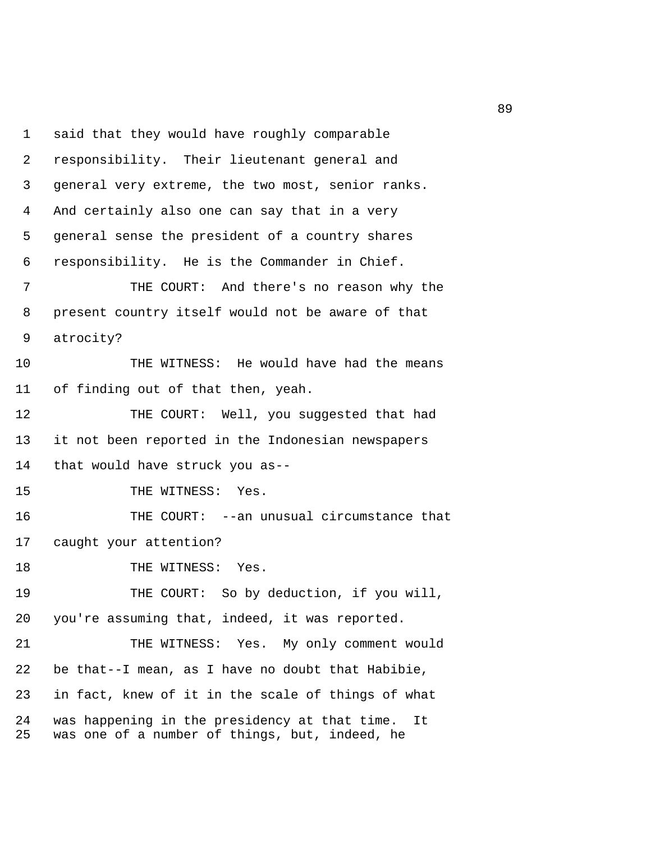1 said that they would have roughly comparable 2 responsibility. Their lieutenant general and 3 general very extreme, the two most, senior ranks. 4 And certainly also one can say that in a very 5 general sense the president of a country shares 6 responsibility. He is the Commander in Chief. 7 THE COURT: And there's no reason why the 8 present country itself would not be aware of that 9 atrocity? 10 THE WITNESS: He would have had the means 11 of finding out of that then, yeah. 12 THE COURT: Well, you suggested that had 13 it not been reported in the Indonesian newspapers 14 that would have struck you as-- 15 THE WITNESS: Yes. 16 THE COURT: --an unusual circumstance that 17 caught your attention? 18 THE WITNESS: Yes. 19 THE COURT: So by deduction, if you will, 20 you're assuming that, indeed, it was reported. 21 THE WITNESS: Yes. My only comment would 22 be that--I mean, as I have no doubt that Habibie, 23 in fact, knew of it in the scale of things of what 24 was happening in the presidency at that time. It 25 was one of a number of things, but, indeed, he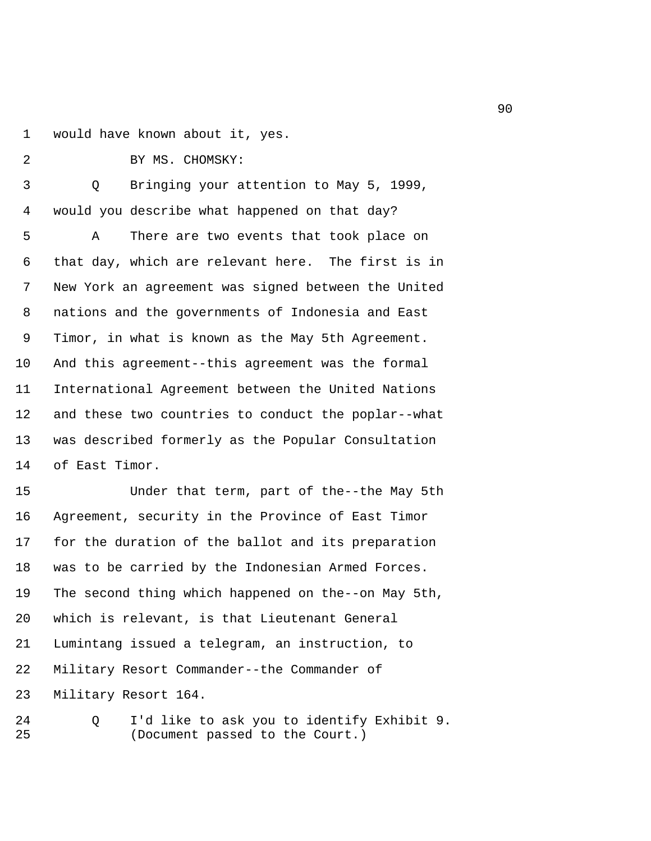1 would have known about it, yes.

2 BY MS. CHOMSKY:

| 2 |  |  |  |
|---|--|--|--|
|   |  |  |  |

 3 Q Bringing your attention to May 5, 1999, 4 would you describe what happened on that day?

 5 A There are two events that took place on 6 that day, which are relevant here. The first is in 7 New York an agreement was signed between the United 8 nations and the governments of Indonesia and East 9 Timor, in what is known as the May 5th Agreement. 10 And this agreement--this agreement was the formal 11 International Agreement between the United Nations 12 and these two countries to conduct the poplar--what 13 was described formerly as the Popular Consultation 14 of East Timor.

15 Under that term, part of the--the May 5th 16 Agreement, security in the Province of East Timor 17 for the duration of the ballot and its preparation 18 was to be carried by the Indonesian Armed Forces. 19 The second thing which happened on the--on May 5th, 20 which is relevant, is that Lieutenant General 21 Lumintang issued a telegram, an instruction, to 22 Military Resort Commander--the Commander of 23 Military Resort 164.

24 Q I'd like to ask you to identify Exhibit 9. 25 (Document passed to the Court.)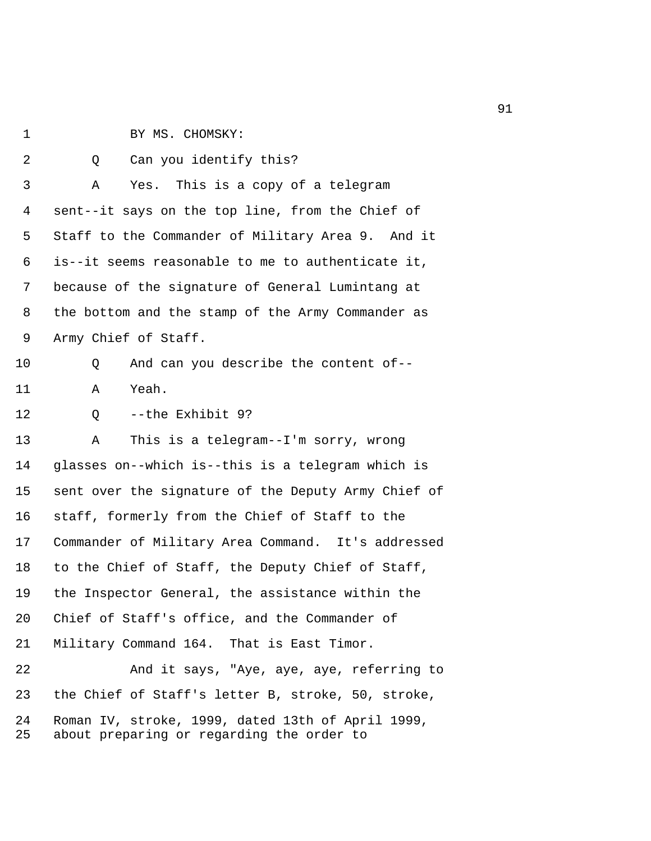- 1 BY MS. CHOMSKY:
- 2 0 Can you identify this? 3 A Yes. This is a copy of a telegram 4 sent--it says on the top line, from the Chief of 5 Staff to the Commander of Military Area 9. And it 6 is--it seems reasonable to me to authenticate it, 7 because of the signature of General Lumintang at 8 the bottom and the stamp of the Army Commander as 9 Army Chief of Staff. 10 Q And can you describe the content of-- 11 A Yeah. 12 Q --the Exhibit 9? 13 A This is a telegram--I'm sorry, wrong 14 glasses on--which is--this is a telegram which is 15 sent over the signature of the Deputy Army Chief of 16 staff, formerly from the Chief of Staff to the 17 Commander of Military Area Command. It's addressed 18 to the Chief of Staff, the Deputy Chief of Staff, 19 the Inspector General, the assistance within the 20 Chief of Staff's office, and the Commander of 21 Military Command 164. That is East Timor. 22 And it says, "Aye, aye, aye, referring to 23 the Chief of Staff's letter B, stroke, 50, stroke,
- 24 Roman IV, stroke, 1999, dated 13th of April 1999, 25 about preparing or regarding the order to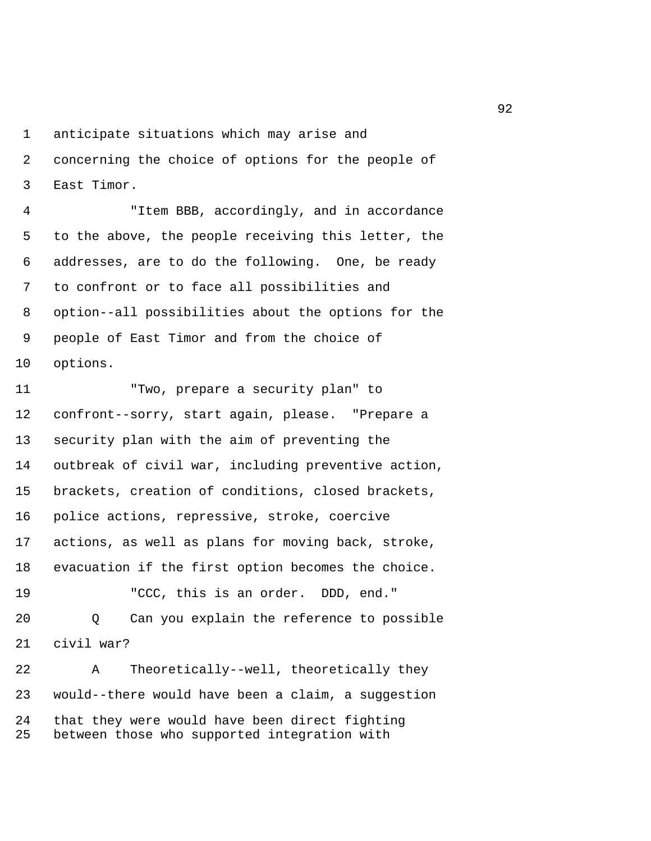1 anticipate situations which may arise and

 2 concerning the choice of options for the people of 3 East Timor.

 4 "Item BBB, accordingly, and in accordance 5 to the above, the people receiving this letter, the 6 addresses, are to do the following. One, be ready 7 to confront or to face all possibilities and 8 option--all possibilities about the options for the 9 people of East Timor and from the choice of 10 options.

11 "Two, prepare a security plan" to 12 confront--sorry, start again, please. "Prepare a 13 security plan with the aim of preventing the 14 outbreak of civil war, including preventive action, 15 brackets, creation of conditions, closed brackets, 16 police actions, repressive, stroke, coercive 17 actions, as well as plans for moving back, stroke, 18 evacuation if the first option becomes the choice. 19 "CCC, this is an order. DDD, end." 20 Q Can you explain the reference to possible 21 civil war? 22 A Theoretically--well, theoretically they 23 would--there would have been a claim, a suggestion

24 that they were would have been direct fighting 25 between those who supported integration with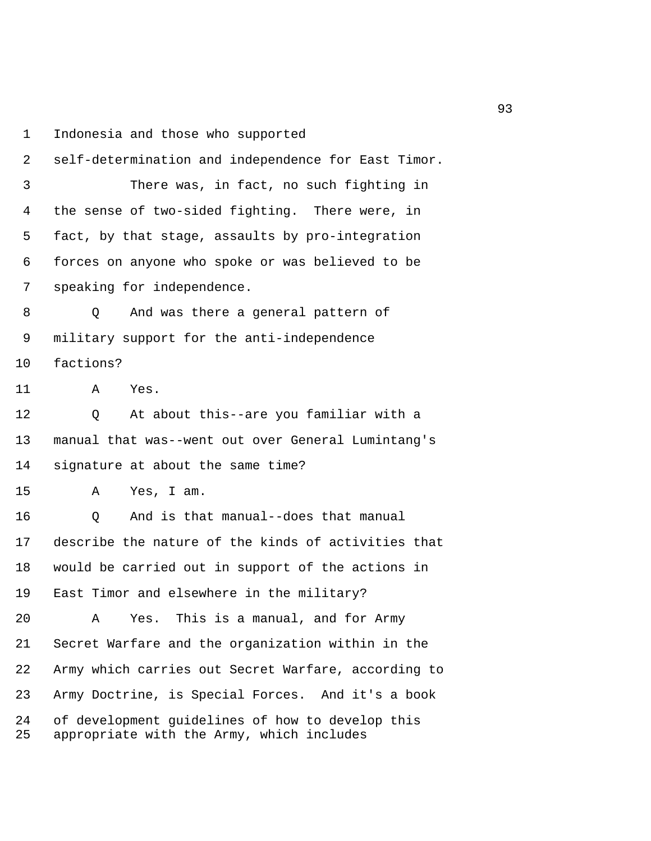1 Indonesia and those who supported

 2 self-determination and independence for East Timor. 3 There was, in fact, no such fighting in 4 the sense of two-sided fighting. There were, in 5 fact, by that stage, assaults by pro-integration 6 forces on anyone who spoke or was believed to be 7 speaking for independence. 8 O And was there a general pattern of 9 military support for the anti-independence 10 factions? 11 A Yes. 12 Q At about this--are you familiar with a 13 manual that was--went out over General Lumintang's 14 signature at about the same time? 15 A Yes, I am. 16 Q And is that manual--does that manual 17 describe the nature of the kinds of activities that 18 would be carried out in support of the actions in 19 East Timor and elsewhere in the military? 20 A Yes. This is a manual, and for Army 21 Secret Warfare and the organization within in the 22 Army which carries out Secret Warfare, according to 23 Army Doctrine, is Special Forces. And it's a book 24 of development guidelines of how to develop this 25 appropriate with the Army, which includes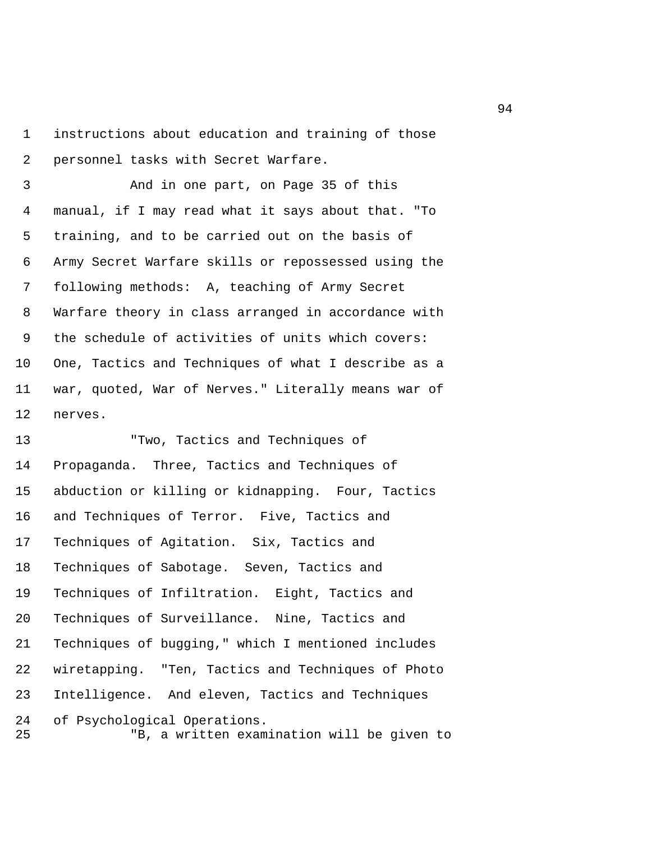1 instructions about education and training of those 2 personnel tasks with Secret Warfare.

 3 And in one part, on Page 35 of this 4 manual, if I may read what it says about that. "To 5 training, and to be carried out on the basis of 6 Army Secret Warfare skills or repossessed using the 7 following methods: A, teaching of Army Secret 8 Warfare theory in class arranged in accordance with 9 the schedule of activities of units which covers: 10 One, Tactics and Techniques of what I describe as a 11 war, quoted, War of Nerves." Literally means war of 12 nerves.

13 "Two, Tactics and Techniques of 14 Propaganda. Three, Tactics and Techniques of 15 abduction or killing or kidnapping. Four, Tactics 16 and Techniques of Terror. Five, Tactics and 17 Techniques of Agitation. Six, Tactics and 18 Techniques of Sabotage. Seven, Tactics and 19 Techniques of Infiltration. Eight, Tactics and 20 Techniques of Surveillance. Nine, Tactics and 21 Techniques of bugging," which I mentioned includes 22 wiretapping. "Ten, Tactics and Techniques of Photo 23 Intelligence. And eleven, Tactics and Techniques 24 of Psychological Operations. 25 "B, a written examination will be given to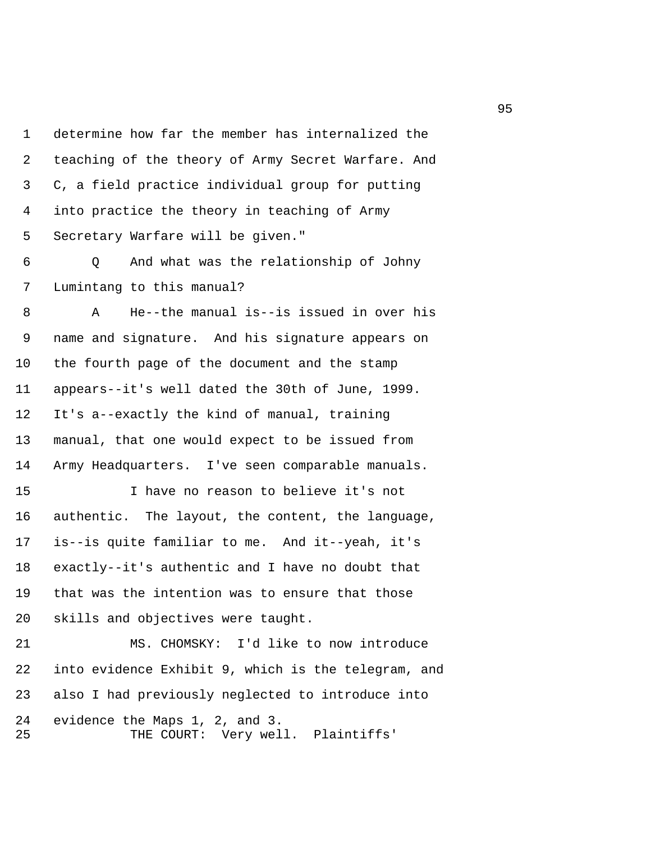1 determine how far the member has internalized the 2 teaching of the theory of Army Secret Warfare. And 3 C, a field practice individual group for putting 4 into practice the theory in teaching of Army 5 Secretary Warfare will be given."

 6 Q And what was the relationship of Johny 7 Lumintang to this manual?

 8 A He--the manual is--is issued in over his 9 name and signature. And his signature appears on 10 the fourth page of the document and the stamp 11 appears--it's well dated the 30th of June, 1999. 12 It's a--exactly the kind of manual, training 13 manual, that one would expect to be issued from 14 Army Headquarters. I've seen comparable manuals.

15 I have no reason to believe it's not 16 authentic. The layout, the content, the language, 17 is--is quite familiar to me. And it--yeah, it's 18 exactly--it's authentic and I have no doubt that 19 that was the intention was to ensure that those 20 skills and objectives were taught.

21 MS. CHOMSKY: I'd like to now introduce 22 into evidence Exhibit 9, which is the telegram, and 23 also I had previously neglected to introduce into 24 evidence the Maps 1, 2, and 3. 25 THE COURT: Very well. Plaintiffs'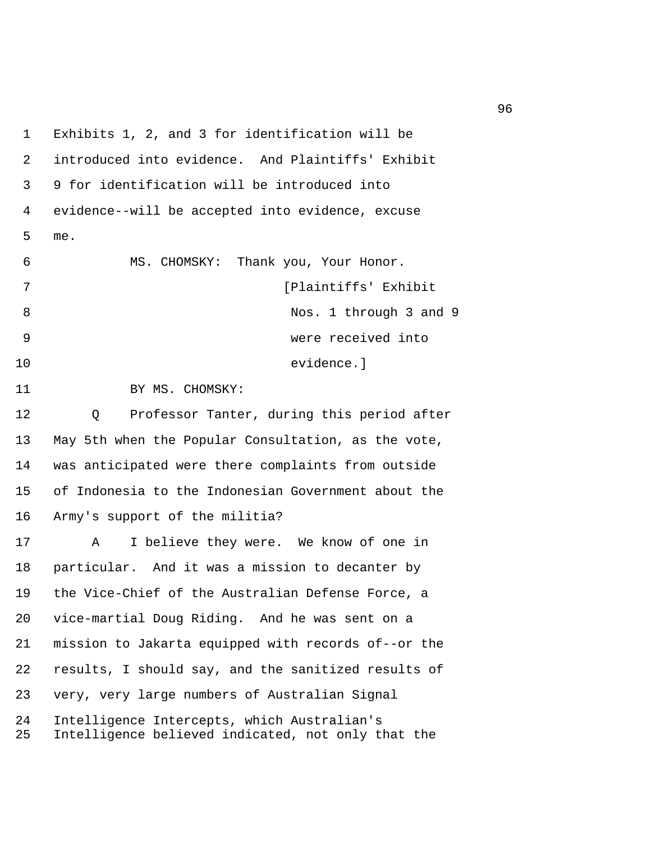1 Exhibits 1, 2, and 3 for identification will be 2 introduced into evidence. And Plaintiffs' Exhibit 3 9 for identification will be introduced into 4 evidence--will be accepted into evidence, excuse 5 me. 6 MS. CHOMSKY: Thank you, Your Honor. 7 **12 Islamin Exhibit Exhibit Plaintiffs' Exhibit** 8 Nos. 1 through 3 and 9 9 were received into 10 evidence.] 11 BY MS. CHOMSKY: 12 Q Professor Tanter, during this period after 13 May 5th when the Popular Consultation, as the vote, 14 was anticipated were there complaints from outside 15 of Indonesia to the Indonesian Government about the 16 Army's support of the militia? 17 A I believe they were. We know of one in 18 particular. And it was a mission to decanter by 19 the Vice-Chief of the Australian Defense Force, a 20 vice-martial Doug Riding. And he was sent on a 21 mission to Jakarta equipped with records of--or the 22 results, I should say, and the sanitized results of 23 very, very large numbers of Australian Signal 24 Intelligence Intercepts, which Australian's 25 Intelligence believed indicated, not only that the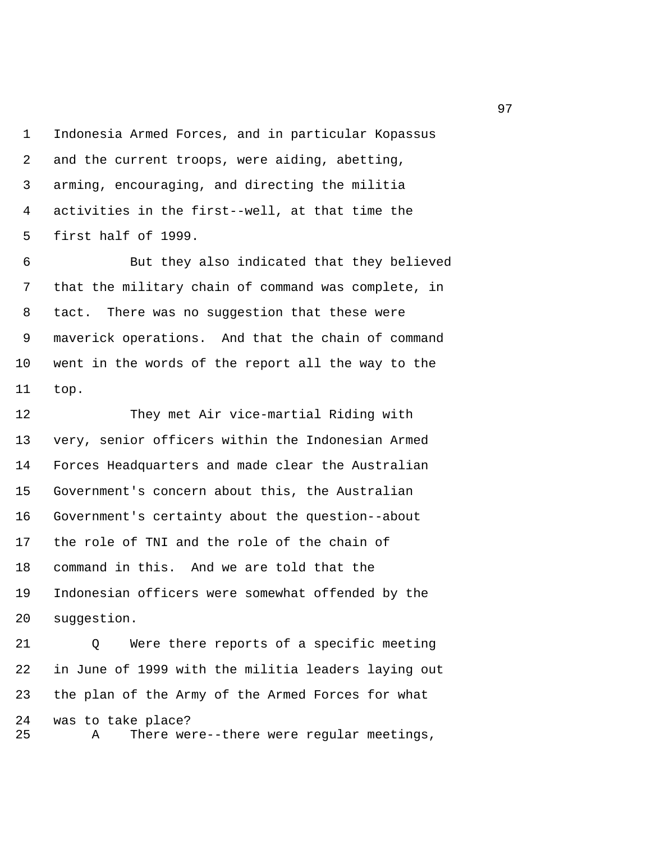1 Indonesia Armed Forces, and in particular Kopassus 2 and the current troops, were aiding, abetting, 3 arming, encouraging, and directing the militia 4 activities in the first--well, at that time the 5 first half of 1999.

 6 But they also indicated that they believed 7 that the military chain of command was complete, in 8 tact. There was no suggestion that these were 9 maverick operations. And that the chain of command 10 went in the words of the report all the way to the 11 top.

12 They met Air vice-martial Riding with 13 very, senior officers within the Indonesian Armed 14 Forces Headquarters and made clear the Australian 15 Government's concern about this, the Australian 16 Government's certainty about the question--about 17 the role of TNI and the role of the chain of 18 command in this. And we are told that the 19 Indonesian officers were somewhat offended by the 20 suggestion.

21 Q Were there reports of a specific meeting 22 in June of 1999 with the militia leaders laying out 23 the plan of the Army of the Armed Forces for what 24 was to take place? 25 A There were--there were regular meetings,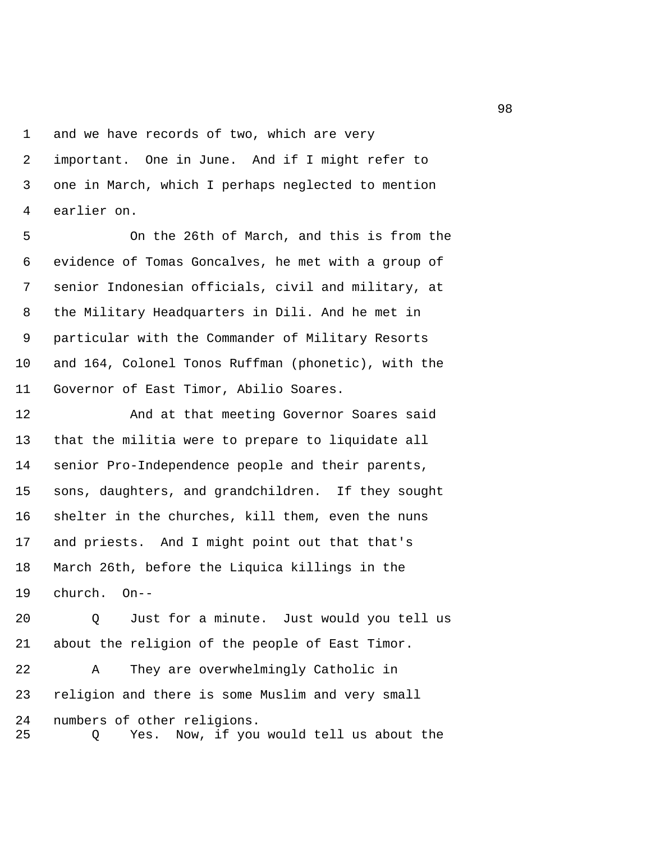1 and we have records of two, which are very 2 important. One in June. And if I might refer to 3 one in March, which I perhaps neglected to mention 4 earlier on.

 5 On the 26th of March, and this is from the 6 evidence of Tomas Goncalves, he met with a group of 7 senior Indonesian officials, civil and military, at 8 the Military Headquarters in Dili. And he met in 9 particular with the Commander of Military Resorts 10 and 164, Colonel Tonos Ruffman (phonetic), with the 11 Governor of East Timor, Abilio Soares.

12 And at that meeting Governor Soares said 13 that the militia were to prepare to liquidate all 14 senior Pro-Independence people and their parents, 15 sons, daughters, and grandchildren. If they sought 16 shelter in the churches, kill them, even the nuns 17 and priests. And I might point out that that's 18 March 26th, before the Liquica killings in the 19 church. On--

20 Q Just for a minute. Just would you tell us 21 about the religion of the people of East Timor. 22 A They are overwhelmingly Catholic in 23 religion and there is some Muslim and very small 24 numbers of other religions. 25 Q Yes. Now, if you would tell us about the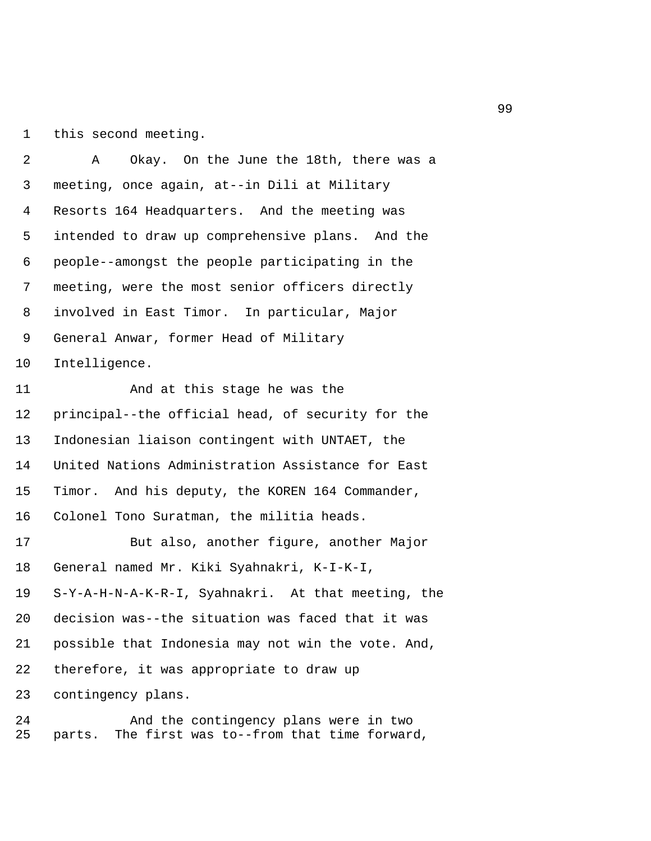1 this second meeting.

 2 A Okay. On the June the 18th, there was a 3 meeting, once again, at--in Dili at Military 4 Resorts 164 Headquarters. And the meeting was 5 intended to draw up comprehensive plans. And the 6 people--amongst the people participating in the 7 meeting, were the most senior officers directly 8 involved in East Timor. In particular, Major 9 General Anwar, former Head of Military 10 Intelligence.

11 And at this stage he was the 12 principal--the official head, of security for the 13 Indonesian liaison contingent with UNTAET, the 14 United Nations Administration Assistance for East 15 Timor. And his deputy, the KOREN 164 Commander, 16 Colonel Tono Suratman, the militia heads.

17 But also, another figure, another Major 18 General named Mr. Kiki Syahnakri, K-I-K-I, 19 S-Y-A-H-N-A-K-R-I, Syahnakri. At that meeting, the 20 decision was--the situation was faced that it was 21 possible that Indonesia may not win the vote. And, 22 therefore, it was appropriate to draw up 23 contingency plans.

24 And the contingency plans were in two 25 parts. The first was to--from that time forward,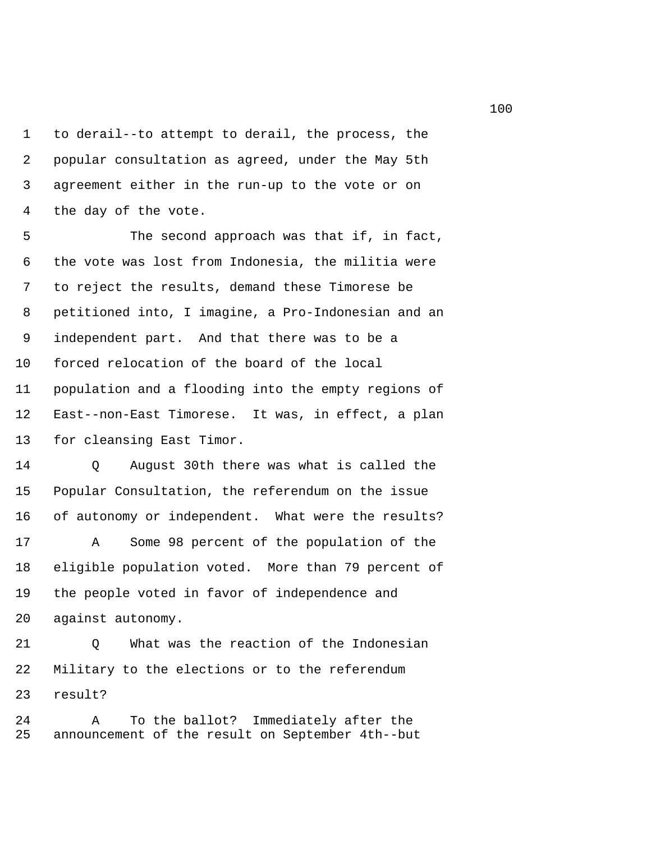1 to derail--to attempt to derail, the process, the 2 popular consultation as agreed, under the May 5th 3 agreement either in the run-up to the vote or on 4 the day of the vote.

5 The second approach was that if, in fact, 6 the vote was lost from Indonesia, the militia were 7 to reject the results, demand these Timorese be 8 petitioned into, I imagine, a Pro-Indonesian and an 9 independent part. And that there was to be a 10 forced relocation of the board of the local 11 population and a flooding into the empty regions of 12 East--non-East Timorese. It was, in effect, a plan 13 for cleansing East Timor.

14 Q August 30th there was what is called the 15 Popular Consultation, the referendum on the issue 16 of autonomy or independent. What were the results?

17 A Some 98 percent of the population of the 18 eligible population voted. More than 79 percent of 19 the people voted in favor of independence and 20 against autonomy.

21 Q What was the reaction of the Indonesian 22 Military to the elections or to the referendum 23 result?

24 A To the ballot? Immediately after the 25 announcement of the result on September 4th--but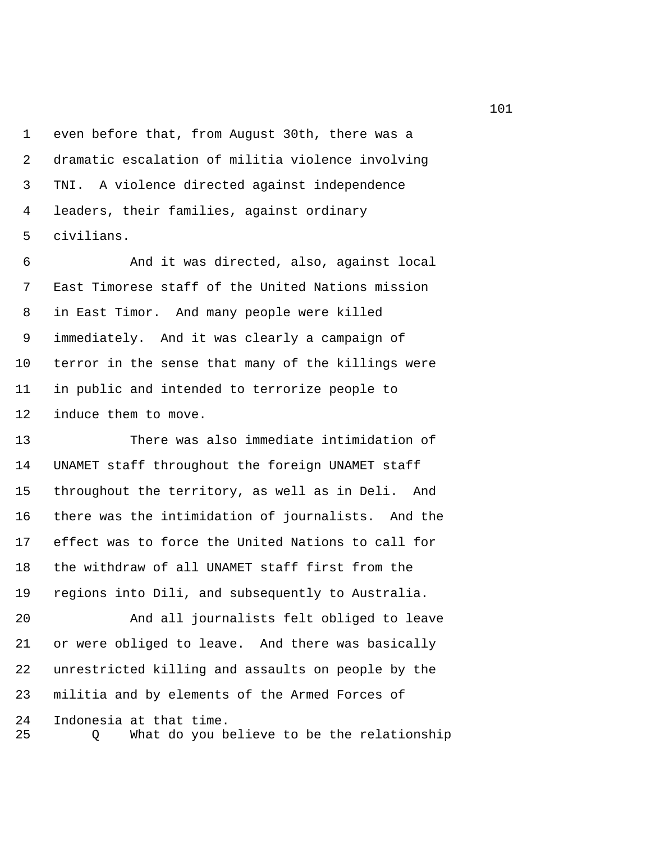1 even before that, from August 30th, there was a 2 dramatic escalation of militia violence involving 3 TNI. A violence directed against independence 4 leaders, their families, against ordinary 5 civilians.

 6 And it was directed, also, against local 7 East Timorese staff of the United Nations mission 8 in East Timor. And many people were killed 9 immediately. And it was clearly a campaign of 10 terror in the sense that many of the killings were 11 in public and intended to terrorize people to 12 induce them to move.

13 There was also immediate intimidation of 14 UNAMET staff throughout the foreign UNAMET staff 15 throughout the territory, as well as in Deli. And 16 there was the intimidation of journalists. And the 17 effect was to force the United Nations to call for 18 the withdraw of all UNAMET staff first from the 19 regions into Dili, and subsequently to Australia.

20 And all journalists felt obliged to leave 21 or were obliged to leave. And there was basically 22 unrestricted killing and assaults on people by the 23 militia and by elements of the Armed Forces of 24 Indonesia at that time. 25 Q What do you believe to be the relationship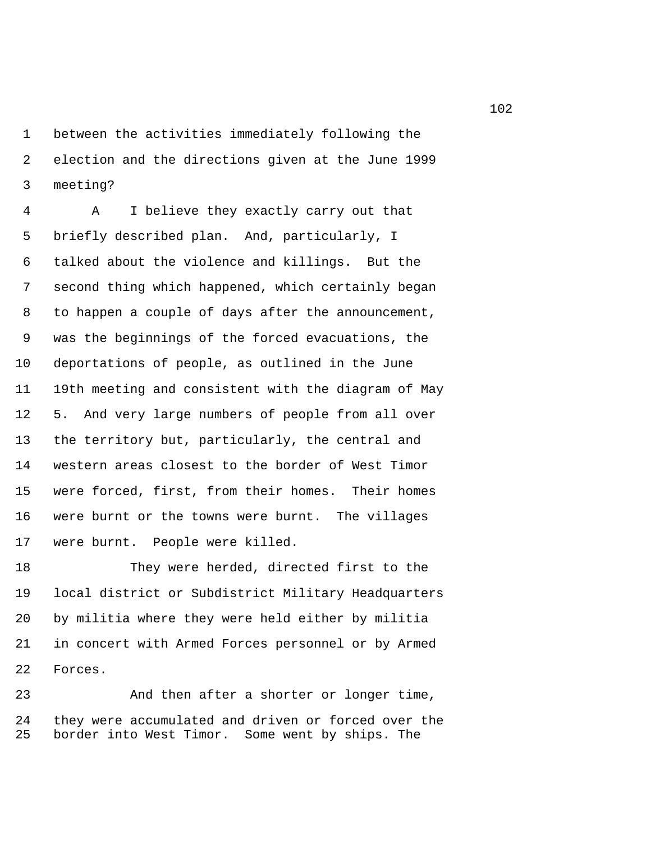1 between the activities immediately following the 2 election and the directions given at the June 1999 3 meeting?

 4 A I believe they exactly carry out that 5 briefly described plan. And, particularly, I 6 talked about the violence and killings. But the 7 second thing which happened, which certainly began 8 to happen a couple of days after the announcement, 9 was the beginnings of the forced evacuations, the 10 deportations of people, as outlined in the June 11 19th meeting and consistent with the diagram of May 12 5. And very large numbers of people from all over 13 the territory but, particularly, the central and 14 western areas closest to the border of West Timor 15 were forced, first, from their homes. Their homes 16 were burnt or the towns were burnt. The villages 17 were burnt. People were killed.

18 They were herded, directed first to the 19 local district or Subdistrict Military Headquarters 20 by militia where they were held either by militia 21 in concert with Armed Forces personnel or by Armed 22 Forces.

23 And then after a shorter or longer time, 24 they were accumulated and driven or forced over the 25 border into West Timor. Some went by ships. The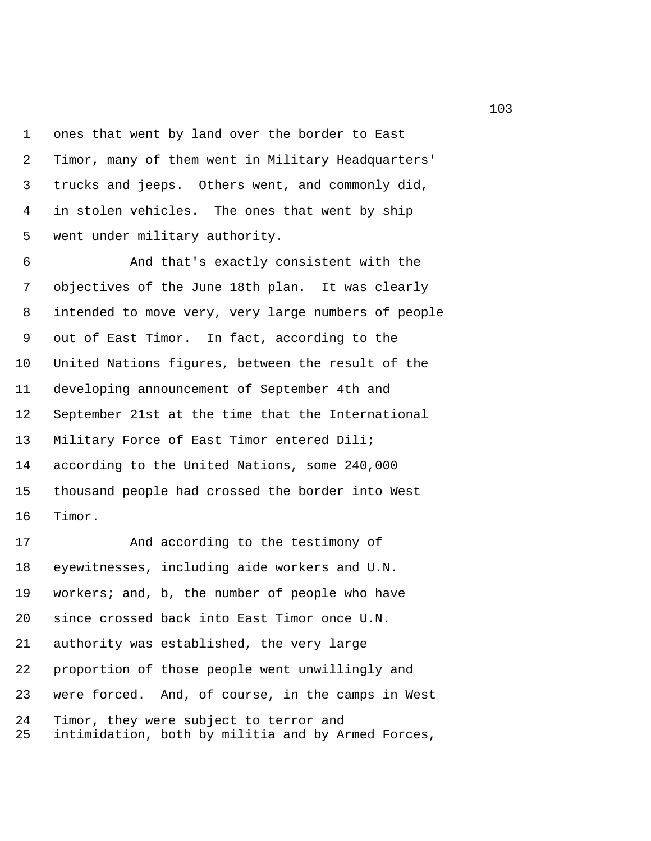1 ones that went by land over the border to East 2 Timor, many of them went in Military Headquarters' 3 trucks and jeeps. Others went, and commonly did, 4 in stolen vehicles. The ones that went by ship 5 went under military authority.

 6 And that's exactly consistent with the 7 objectives of the June 18th plan. It was clearly 8 intended to move very, very large numbers of people 9 out of East Timor. In fact, according to the 10 United Nations figures, between the result of the 11 developing announcement of September 4th and 12 September 21st at the time that the International 13 Military Force of East Timor entered Dili; 14 according to the United Nations, some 240,000 15 thousand people had crossed the border into West 16 Timor.

17 And according to the testimony of 18 eyewitnesses, including aide workers and U.N. 19 workers; and, b, the number of people who have 20 since crossed back into East Timor once U.N. 21 authority was established, the very large 22 proportion of those people went unwillingly and 23 were forced. And, of course, in the camps in West 24 Timor, they were subject to terror and 25 intimidation, both by militia and by Armed Forces,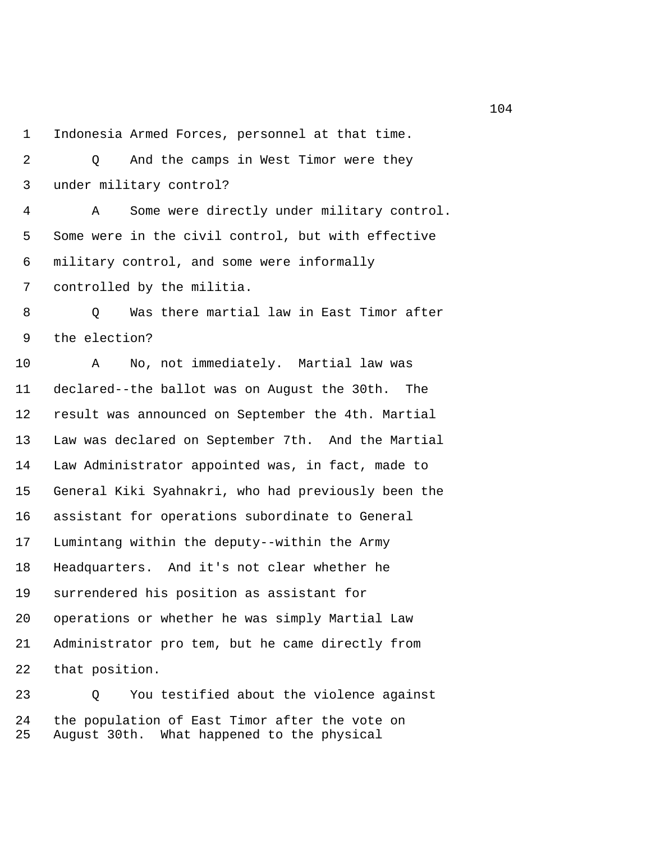1 Indonesia Armed Forces, personnel at that time.

 2 Q And the camps in West Timor were they 3 under military control?

 4 A Some were directly under military control. 5 Some were in the civil control, but with effective 6 military control, and some were informally 7 controlled by the militia.

 8 Q Was there martial law in East Timor after 9 the election?

10 A No, not immediately. Martial law was 11 declared--the ballot was on August the 30th. The 12 result was announced on September the 4th. Martial 13 Law was declared on September 7th. And the Martial 14 Law Administrator appointed was, in fact, made to 15 General Kiki Syahnakri, who had previously been the 16 assistant for operations subordinate to General 17 Lumintang within the deputy--within the Army 18 Headquarters. And it's not clear whether he 19 surrendered his position as assistant for 20 operations or whether he was simply Martial Law 21 Administrator pro tem, but he came directly from 22 that position.

23 Q You testified about the violence against 24 the population of East Timor after the vote on 25 August 30th. What happened to the physical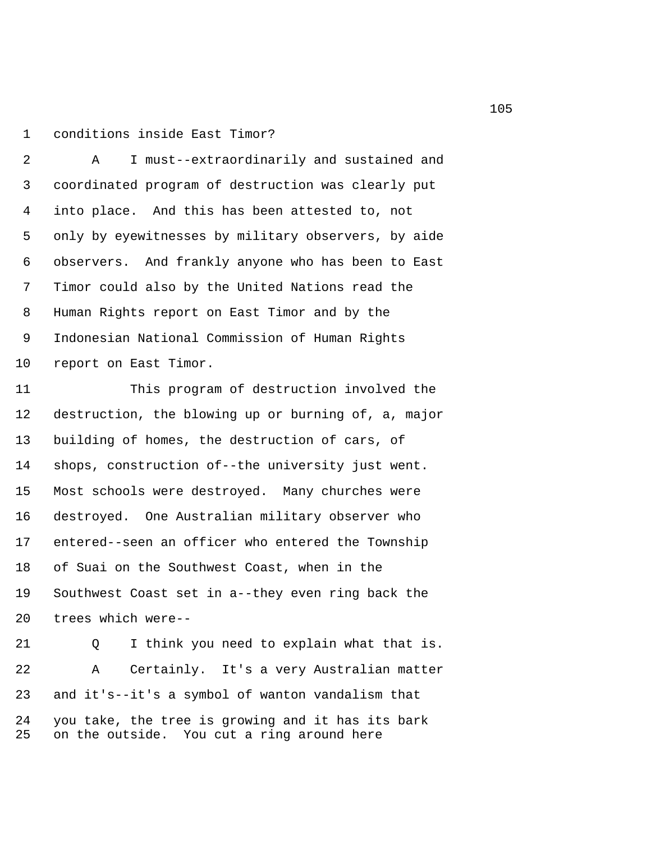1 conditions inside East Timor?

 2 A I must--extraordinarily and sustained and 3 coordinated program of destruction was clearly put 4 into place. And this has been attested to, not 5 only by eyewitnesses by military observers, by aide 6 observers. And frankly anyone who has been to East 7 Timor could also by the United Nations read the 8 Human Rights report on East Timor and by the 9 Indonesian National Commission of Human Rights 10 report on East Timor.

11 This program of destruction involved the 12 destruction, the blowing up or burning of, a, major 13 building of homes, the destruction of cars, of 14 shops, construction of--the university just went. 15 Most schools were destroyed. Many churches were 16 destroyed. One Australian military observer who 17 entered--seen an officer who entered the Township 18 of Suai on the Southwest Coast, when in the 19 Southwest Coast set in a--they even ring back the 20 trees which were--

21 Q I think you need to explain what that is. 22 A Certainly. It's a very Australian matter 23 and it's--it's a symbol of wanton vandalism that 24 you take, the tree is growing and it has its bark 25 on the outside. You cut a ring around here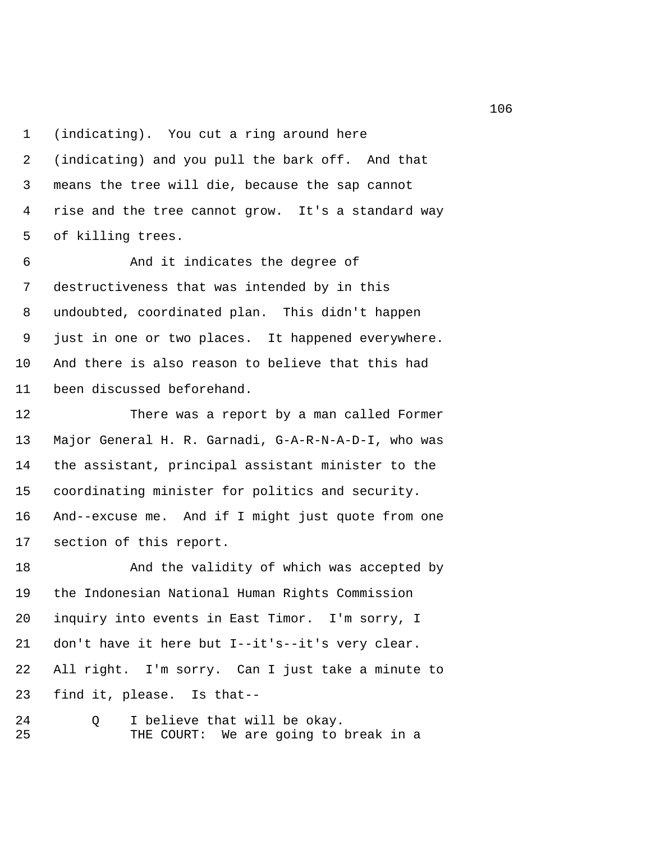1 (indicating). You cut a ring around here 2 (indicating) and you pull the bark off. And that 3 means the tree will die, because the sap cannot 4 rise and the tree cannot grow. It's a standard way 5 of killing trees.

 6 And it indicates the degree of 7 destructiveness that was intended by in this 8 undoubted, coordinated plan. This didn't happen 9 just in one or two places. It happened everywhere. 10 And there is also reason to believe that this had 11 been discussed beforehand.

12 There was a report by a man called Former 13 Major General H. R. Garnadi, G-A-R-N-A-D-I, who was 14 the assistant, principal assistant minister to the 15 coordinating minister for politics and security. 16 And--excuse me. And if I might just quote from one 17 section of this report.

18 And the validity of which was accepted by 19 the Indonesian National Human Rights Commission 20 inquiry into events in East Timor. I'm sorry, I 21 don't have it here but I--it's--it's very clear. 22 All right. I'm sorry. Can I just take a minute to 23 find it, please. Is that--

24 Q I believe that will be okay. 25 THE COURT: We are going to break in a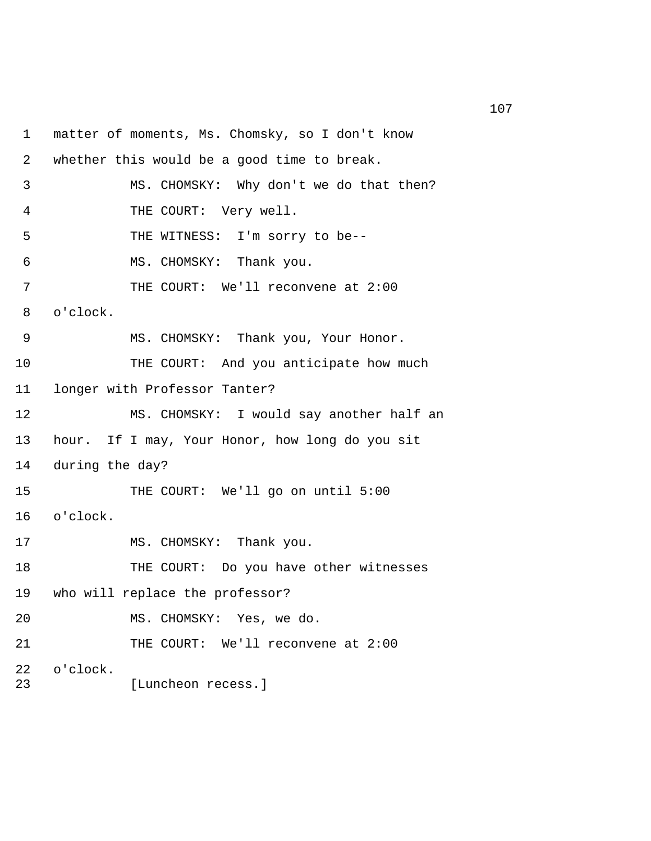1 matter of moments, Ms. Chomsky, so I don't know 2 whether this would be a good time to break. 3 MS. CHOMSKY: Why don't we do that then? 4 THE COURT: Very well. 5 THE WITNESS: I'm sorry to be-- 6 MS. CHOMSKY: Thank you. 7 THE COURT: We'll reconvene at 2:00 8 o'clock. 9 MS. CHOMSKY: Thank you, Your Honor. 10 THE COURT: And you anticipate how much 11 longer with Professor Tanter? 12 MS. CHOMSKY: I would say another half an 13 hour. If I may, Your Honor, how long do you sit 14 during the day? 15 THE COURT: We'll go on until 5:00 16 o'clock. 17 MS. CHOMSKY: Thank you. 18 THE COURT: Do you have other witnesses 19 who will replace the professor? 20 MS. CHOMSKY: Yes, we do. 21 THE COURT: We'll reconvene at 2:00 22 o'clock. 23 [Luncheon recess.]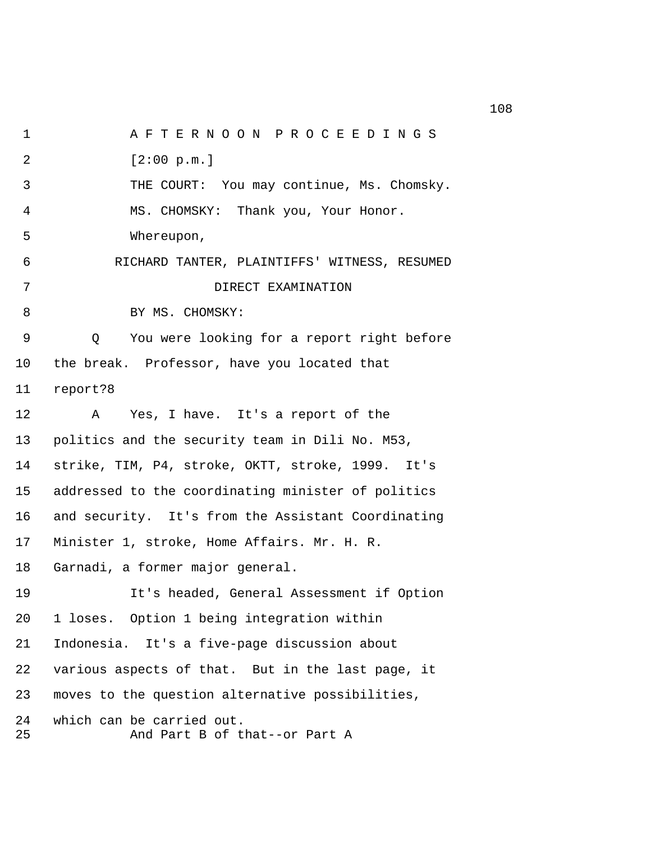1 A F T E R N O O N P R O C E E D I N G S 2 [2:00 p.m.] 3 THE COURT: You may continue, Ms. Chomsky. 4 MS. CHOMSKY: Thank you, Your Honor. 5 Whereupon, 6 RICHARD TANTER, PLAINTIFFS' WITNESS, RESUMED 7 DIRECT EXAMINATION 8 BY MS. CHOMSKY: 9 Q You were looking for a report right before 10 the break. Professor, have you located that 11 report?8 12 A Yes, I have. It's a report of the 13 politics and the security team in Dili No. M53, 14 strike, TIM, P4, stroke, OKTT, stroke, 1999. It's 15 addressed to the coordinating minister of politics 16 and security. It's from the Assistant Coordinating 17 Minister 1, stroke, Home Affairs. Mr. H. R. 18 Garnadi, a former major general. 19 It's headed, General Assessment if Option 20 1 loses. Option 1 being integration within 21 Indonesia. It's a five-page discussion about 22 various aspects of that. But in the last page, it 23 moves to the question alternative possibilities, 24 which can be carried out. 25 And Part B of that--or Part A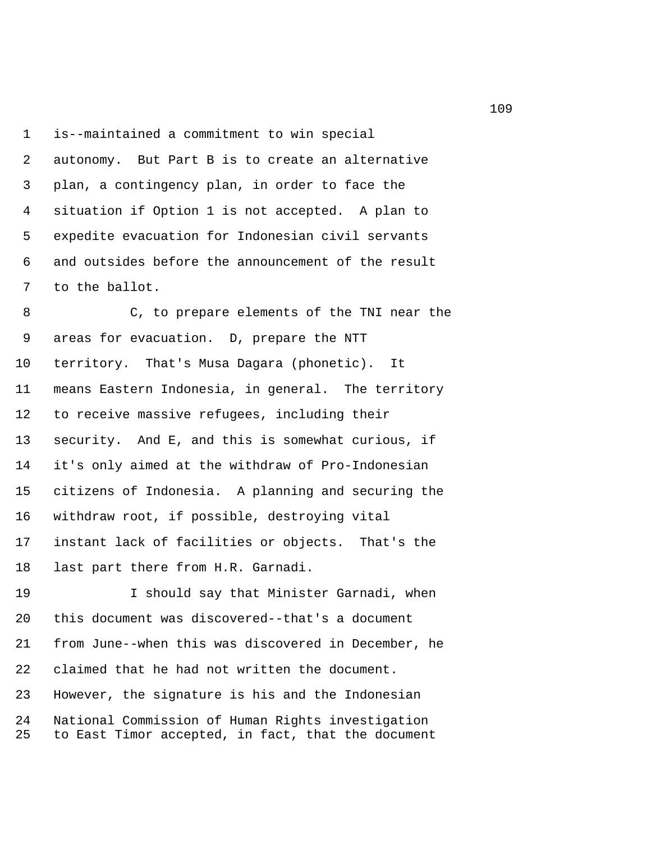1 is--maintained a commitment to win special 2 autonomy. But Part B is to create an alternative 3 plan, a contingency plan, in order to face the 4 situation if Option 1 is not accepted. A plan to 5 expedite evacuation for Indonesian civil servants 6 and outsides before the announcement of the result 7 to the ballot.

 8 C, to prepare elements of the TNI near the 9 areas for evacuation. D, prepare the NTT 10 territory. That's Musa Dagara (phonetic). It 11 means Eastern Indonesia, in general. The territory 12 to receive massive refugees, including their 13 security. And E, and this is somewhat curious, if 14 it's only aimed at the withdraw of Pro-Indonesian 15 citizens of Indonesia. A planning and securing the 16 withdraw root, if possible, destroying vital 17 instant lack of facilities or objects. That's the 18 last part there from H.R. Garnadi.

19 I should say that Minister Garnadi, when 20 this document was discovered--that's a document 21 from June--when this was discovered in December, he 22 claimed that he had not written the document. 23 However, the signature is his and the Indonesian 24 National Commission of Human Rights investigation 25 to East Timor accepted, in fact, that the document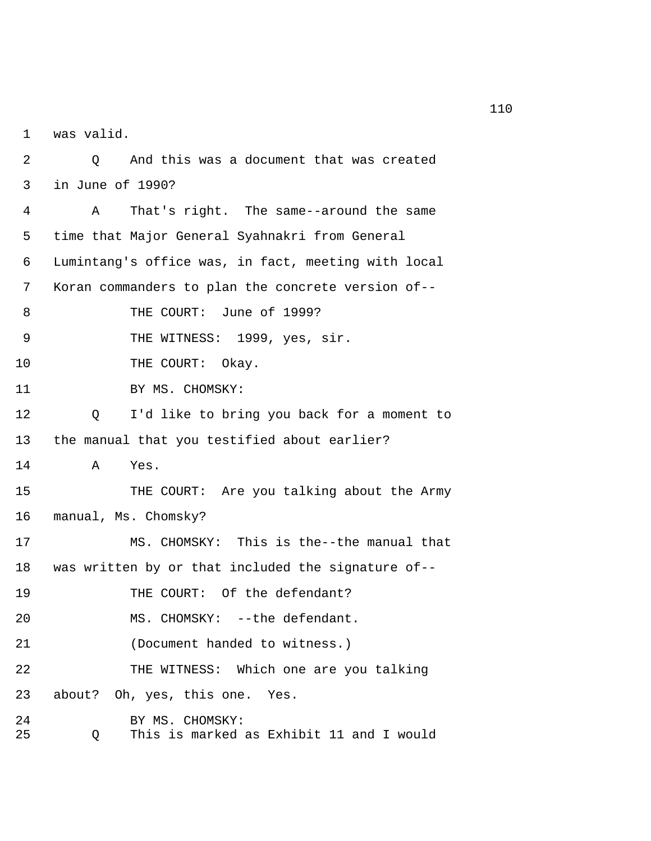1 was valid.

 2 Q And this was a document that was created 3 in June of 1990? 4 A That's right. The same--around the same 5 time that Major General Syahnakri from General 6 Lumintang's office was, in fact, meeting with local 7 Koran commanders to plan the concrete version of-- 8 THE COURT: June of 1999? 9 THE WITNESS: 1999, yes, sir. 10 THE COURT: Okay. 11 BY MS. CHOMSKY: 12 Q I'd like to bring you back for a moment to 13 the manual that you testified about earlier? 14 A Yes. 15 THE COURT: Are you talking about the Army 16 manual, Ms. Chomsky? 17 MS. CHOMSKY: This is the--the manual that 18 was written by or that included the signature of-- 19 THE COURT: Of the defendant? 20 MS. CHOMSKY: --the defendant. 21 (Document handed to witness.) 22 THE WITNESS: Which one are you talking 23 about? Oh, yes, this one. Yes. 24 BY MS. CHOMSKY: 25 Q This is marked as Exhibit 11 and I would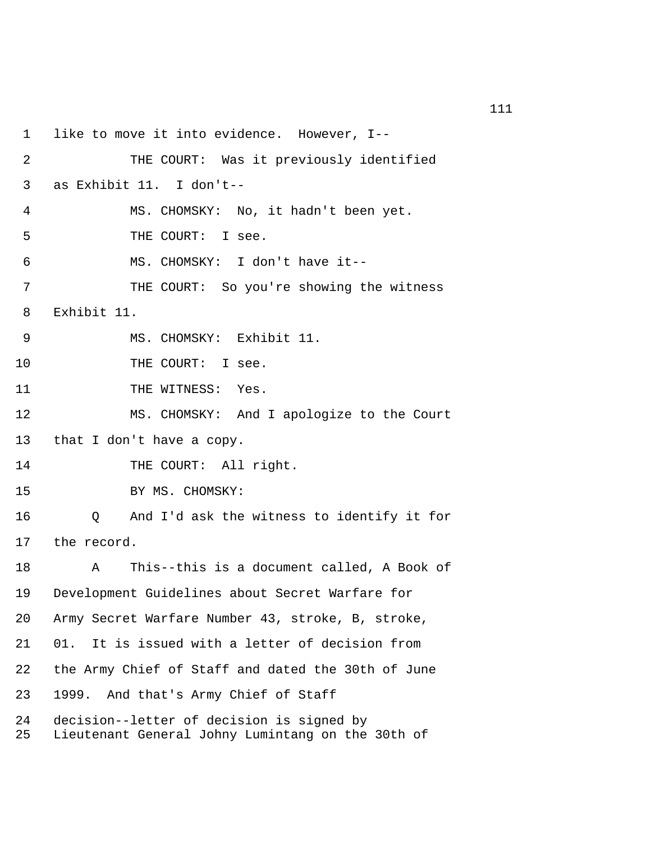1 like to move it into evidence. However, I-- 2 THE COURT: Was it previously identified 3 as Exhibit 11. I don't-- 4 MS. CHOMSKY: No, it hadn't been yet. 5 THE COURT: I see. 6 MS. CHOMSKY: I don't have it-- 7 THE COURT: So you're showing the witness 8 Exhibit 11. 9 MS. CHOMSKY: Exhibit 11. 10 THE COURT: I see. 11 THE WITNESS: Yes. 12 MS. CHOMSKY: And I apologize to the Court 13 that I don't have a copy. 14 THE COURT: All right. 15 BY MS. CHOMSKY: 16 Q And I'd ask the witness to identify it for 17 the record. 18 A This--this is a document called, A Book of 19 Development Guidelines about Secret Warfare for 20 Army Secret Warfare Number 43, stroke, B, stroke, 21 01. It is issued with a letter of decision from 22 the Army Chief of Staff and dated the 30th of June 23 1999. And that's Army Chief of Staff 24 decision--letter of decision is signed by 25 Lieutenant General Johny Lumintang on the 30th of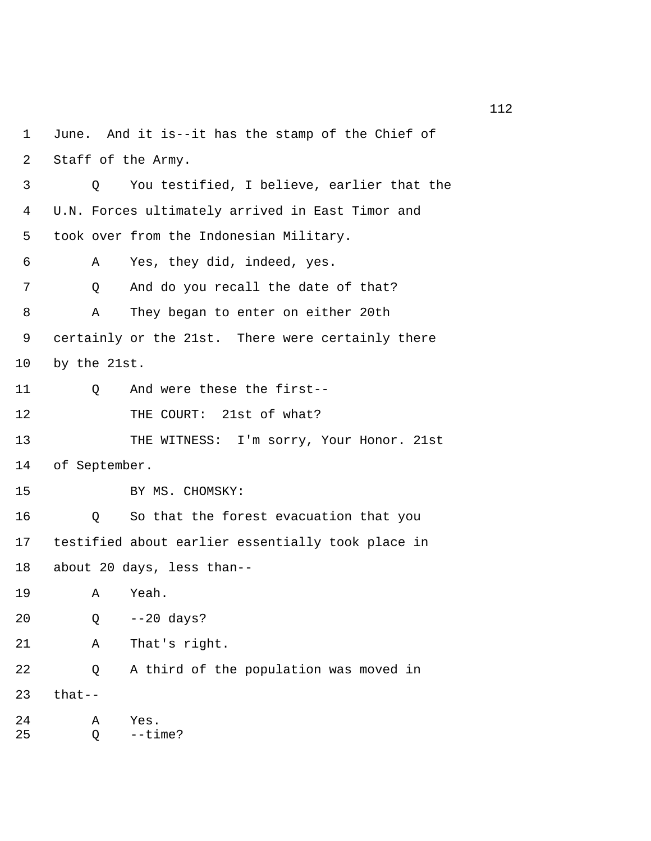1 June. And it is--it has the stamp of the Chief of 2 Staff of the Army. 3 Q You testified, I believe, earlier that the 4 U.N. Forces ultimately arrived in East Timor and 5 took over from the Indonesian Military. 6 A Yes, they did, indeed, yes. 7 Q And do you recall the date of that? 8 A They began to enter on either 20th 9 certainly or the 21st. There were certainly there 10 by the 21st. 11 0 And were these the first--12 THE COURT: 21st of what? 13 THE WITNESS: I'm sorry, Your Honor. 21st 14 of September. 15 BY MS. CHOMSKY: 16 Q So that the forest evacuation that you 17 testified about earlier essentially took place in 18 about 20 days, less than-- 19 A Yeah. 20 Q --20 days? 21 A That's right. 22 Q A third of the population was moved in 23 that-- 24 A Yes. 25 Q --time?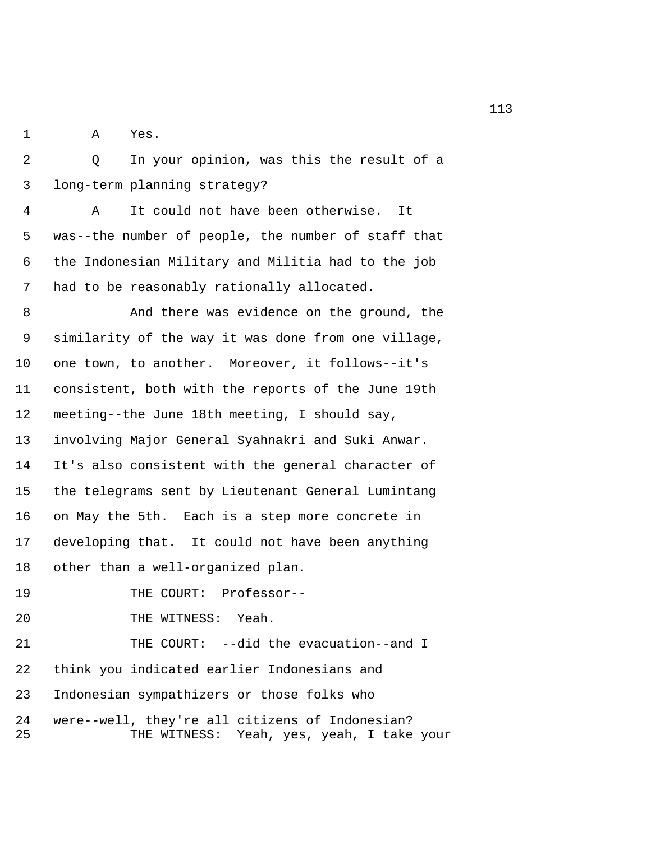1 A Yes.

 2 Q In your opinion, was this the result of a 3 long-term planning strategy?

 4 A It could not have been otherwise. It 5 was--the number of people, the number of staff that 6 the Indonesian Military and Militia had to the job 7 had to be reasonably rationally allocated.

 8 And there was evidence on the ground, the 9 similarity of the way it was done from one village, 10 one town, to another. Moreover, it follows--it's 11 consistent, both with the reports of the June 19th 12 meeting--the June 18th meeting, I should say, 13 involving Major General Syahnakri and Suki Anwar. 14 It's also consistent with the general character of 15 the telegrams sent by Lieutenant General Lumintang 16 on May the 5th. Each is a step more concrete in 17 developing that. It could not have been anything 18 other than a well-organized plan.

19 THE COURT: Professor--

20 THE WITNESS: Yeah.

21 THE COURT: --did the evacuation--and I 22 think you indicated earlier Indonesians and 23 Indonesian sympathizers or those folks who 24 were--well, they're all citizens of Indonesian? 25 THE WITNESS: Yeah, yes, yeah, I take your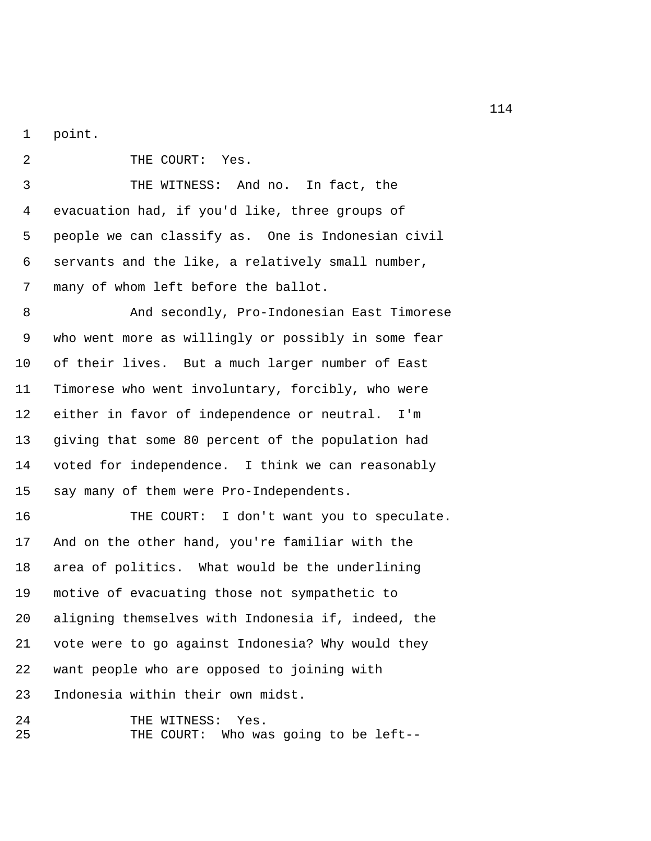1 point.

2 THE COURT: Yes. 3 THE WITNESS: And no. In fact, the 4 evacuation had, if you'd like, three groups of 5 people we can classify as. One is Indonesian civil 6 servants and the like, a relatively small number, 7 many of whom left before the ballot. 8 And secondly, Pro-Indonesian East Timorese

 9 who went more as willingly or possibly in some fear 10 of their lives. But a much larger number of East 11 Timorese who went involuntary, forcibly, who were 12 either in favor of independence or neutral. I'm 13 giving that some 80 percent of the population had 14 voted for independence. I think we can reasonably 15 say many of them were Pro-Independents.

16 THE COURT: I don't want you to speculate. 17 And on the other hand, you're familiar with the 18 area of politics. What would be the underlining 19 motive of evacuating those not sympathetic to 20 aligning themselves with Indonesia if, indeed, the 21 vote were to go against Indonesia? Why would they 22 want people who are opposed to joining with 23 Indonesia within their own midst.

24 THE WITNESS: Yes. 25 THE COURT: Who was going to be left--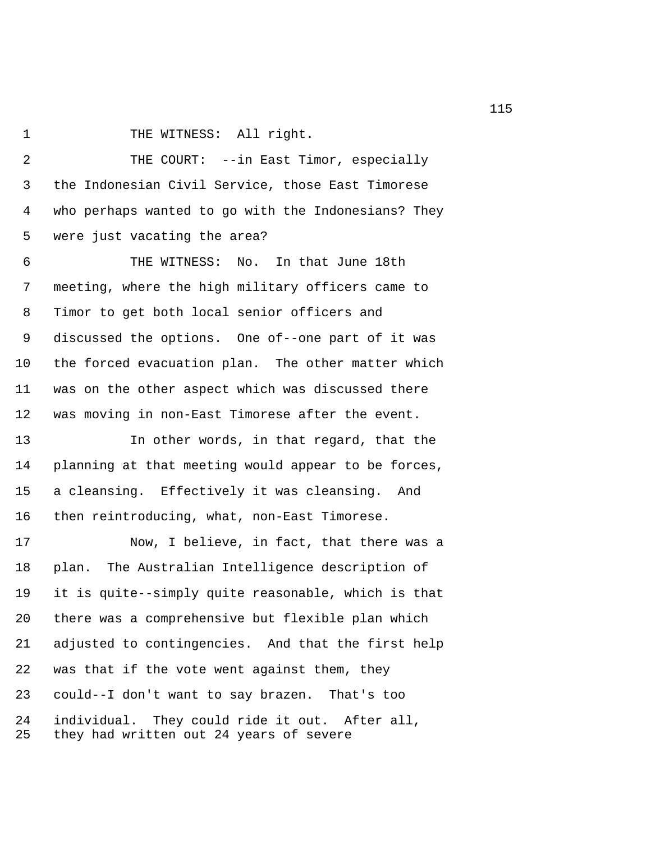1 THE WITNESS: All right.

 2 THE COURT: --in East Timor, especially 3 the Indonesian Civil Service, those East Timorese 4 who perhaps wanted to go with the Indonesians? They 5 were just vacating the area?

 6 THE WITNESS: No. In that June 18th 7 meeting, where the high military officers came to 8 Timor to get both local senior officers and 9 discussed the options. One of--one part of it was 10 the forced evacuation plan. The other matter which 11 was on the other aspect which was discussed there 12 was moving in non-East Timorese after the event.

13 In other words, in that regard, that the 14 planning at that meeting would appear to be forces, 15 a cleansing. Effectively it was cleansing. And 16 then reintroducing, what, non-East Timorese.

17 Now, I believe, in fact, that there was a 18 plan. The Australian Intelligence description of 19 it is quite--simply quite reasonable, which is that 20 there was a comprehensive but flexible plan which 21 adjusted to contingencies. And that the first help 22 was that if the vote went against them, they 23 could--I don't want to say brazen. That's too 24 individual. They could ride it out. After all, 25 they had written out 24 years of severe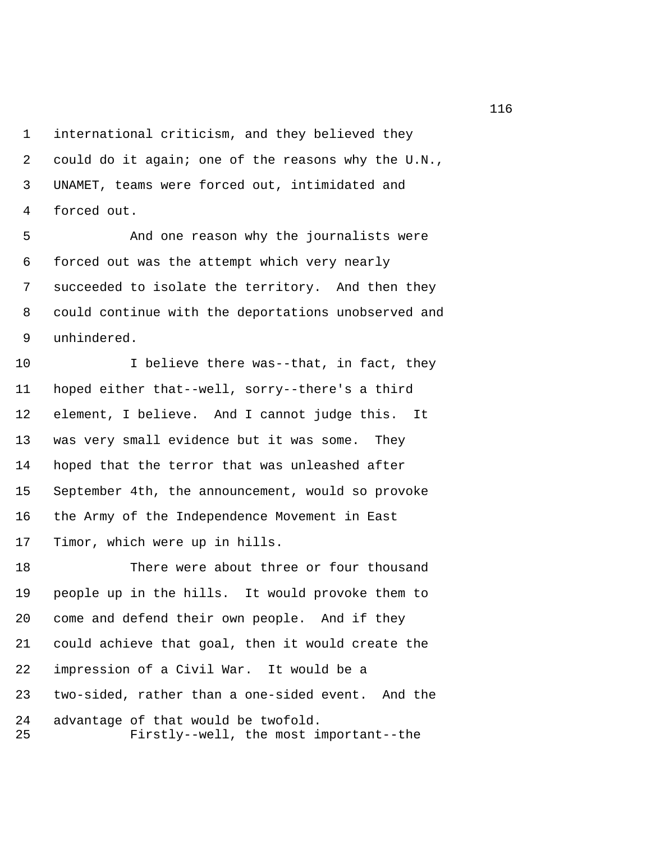1 international criticism, and they believed they 2 could do it again; one of the reasons why the U.N., 3 UNAMET, teams were forced out, intimidated and 4 forced out.

 5 And one reason why the journalists were 6 forced out was the attempt which very nearly 7 succeeded to isolate the territory. And then they 8 could continue with the deportations unobserved and 9 unhindered.

10 I believe there was--that, in fact, they 11 hoped either that--well, sorry--there's a third 12 element, I believe. And I cannot judge this. It 13 was very small evidence but it was some. They 14 hoped that the terror that was unleashed after 15 September 4th, the announcement, would so provoke 16 the Army of the Independence Movement in East 17 Timor, which were up in hills.

18 There were about three or four thousand 19 people up in the hills. It would provoke them to 20 come and defend their own people. And if they 21 could achieve that goal, then it would create the 22 impression of a Civil War. It would be a 23 two-sided, rather than a one-sided event. And the 24 advantage of that would be twofold. 25 Firstly--well, the most important--the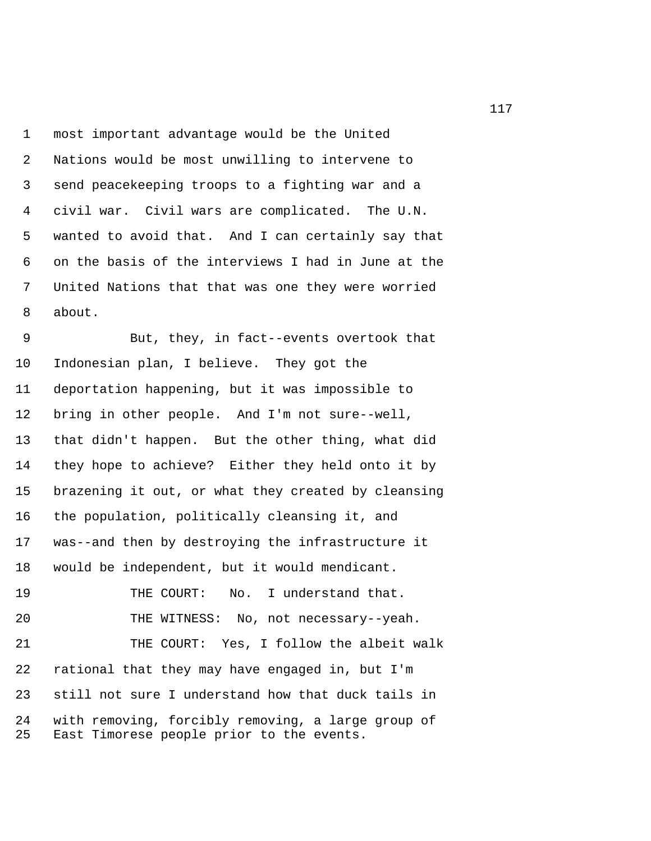1 most important advantage would be the United 2 Nations would be most unwilling to intervene to 3 send peacekeeping troops to a fighting war and a 4 civil war. Civil wars are complicated. The U.N. 5 wanted to avoid that. And I can certainly say that 6 on the basis of the interviews I had in June at the 7 United Nations that that was one they were worried 8 about.

 9 But, they, in fact--events overtook that 10 Indonesian plan, I believe. They got the 11 deportation happening, but it was impossible to 12 bring in other people. And I'm not sure--well, 13 that didn't happen. But the other thing, what did 14 they hope to achieve? Either they held onto it by 15 brazening it out, or what they created by cleansing 16 the population, politically cleansing it, and 17 was--and then by destroying the infrastructure it 18 would be independent, but it would mendicant. 19 THE COURT: No. I understand that. 20 THE WITNESS: No, not necessary--yeah. 21 THE COURT: Yes, I follow the albeit walk 22 rational that they may have engaged in, but I'm 23 still not sure I understand how that duck tails in

24 with removing, forcibly removing, a large group of 25 East Timorese people prior to the events.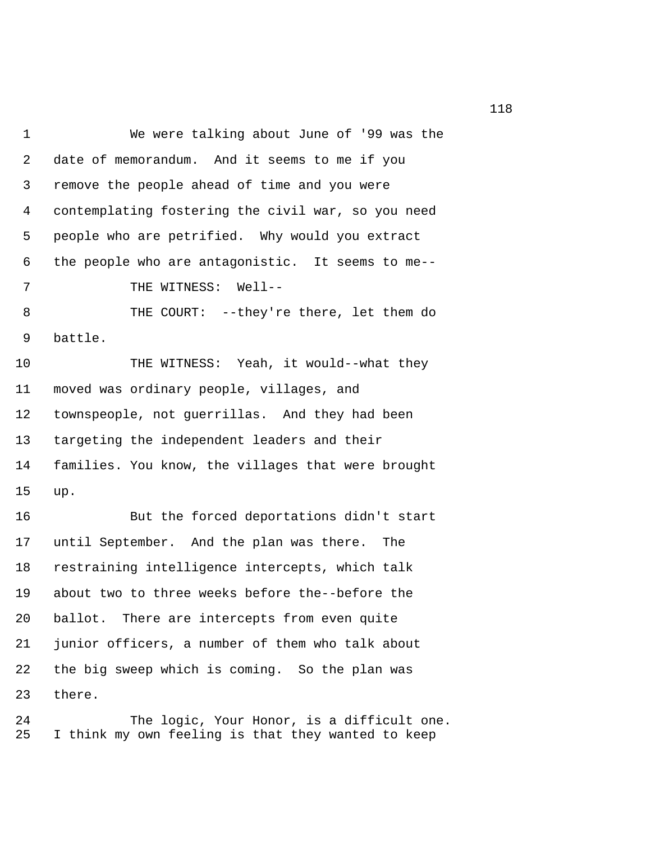1 We were talking about June of '99 was the 2 date of memorandum. And it seems to me if you 3 remove the people ahead of time and you were 4 contemplating fostering the civil war, so you need 5 people who are petrified. Why would you extract 6 the people who are antagonistic. It seems to me-- 7 THE WITNESS: Well-- 8 THE COURT: --they're there, let them do 9 battle. 10 THE WITNESS: Yeah, it would--what they 11 moved was ordinary people, villages, and 12 townspeople, not guerrillas. And they had been 13 targeting the independent leaders and their 14 families. You know, the villages that were brought 15 up. 16 But the forced deportations didn't start 17 until September. And the plan was there. The 18 restraining intelligence intercepts, which talk 19 about two to three weeks before the--before the 20 ballot. There are intercepts from even quite 21 junior officers, a number of them who talk about 22 the big sweep which is coming. So the plan was 23 there.

24 The logic, Your Honor, is a difficult one. 25 I think my own feeling is that they wanted to keep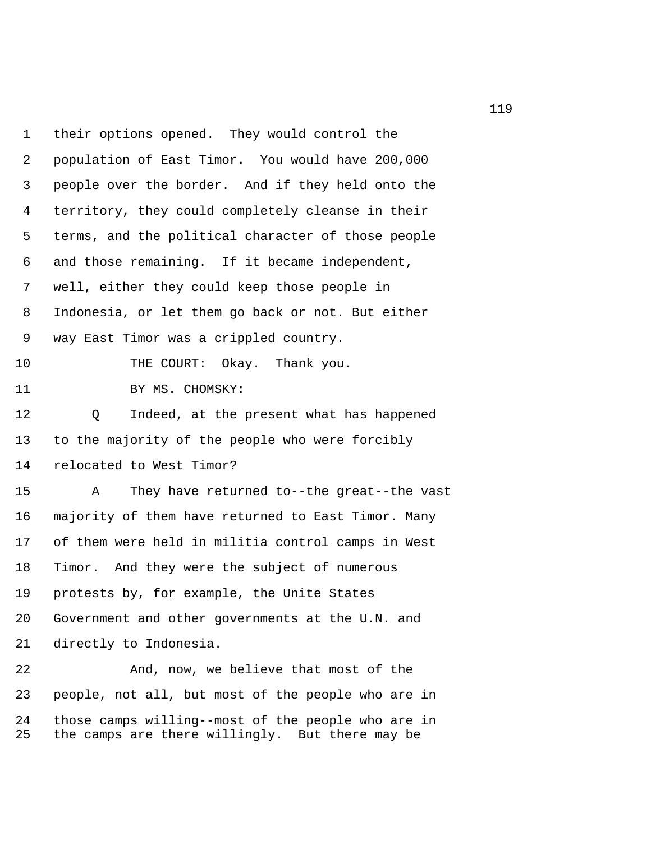1 their options opened. They would control the 2 population of East Timor. You would have 200,000 3 people over the border. And if they held onto the 4 territory, they could completely cleanse in their 5 terms, and the political character of those people 6 and those remaining. If it became independent, 7 well, either they could keep those people in 8 Indonesia, or let them go back or not. But either 9 way East Timor was a crippled country. 10 THE COURT: Okay. Thank you. 11 BY MS. CHOMSKY: 12 Q Indeed, at the present what has happened 13 to the majority of the people who were forcibly 14 relocated to West Timor? 15 A They have returned to--the great--the vast 16 majority of them have returned to East Timor. Many 17 of them were held in militia control camps in West 18 Timor. And they were the subject of numerous 19 protests by, for example, the Unite States 20 Government and other governments at the U.N. and 21 directly to Indonesia. 22 And, now, we believe that most of the 23 people, not all, but most of the people who are in 24 those camps willing--most of the people who are in

25 the camps are there willingly. But there may be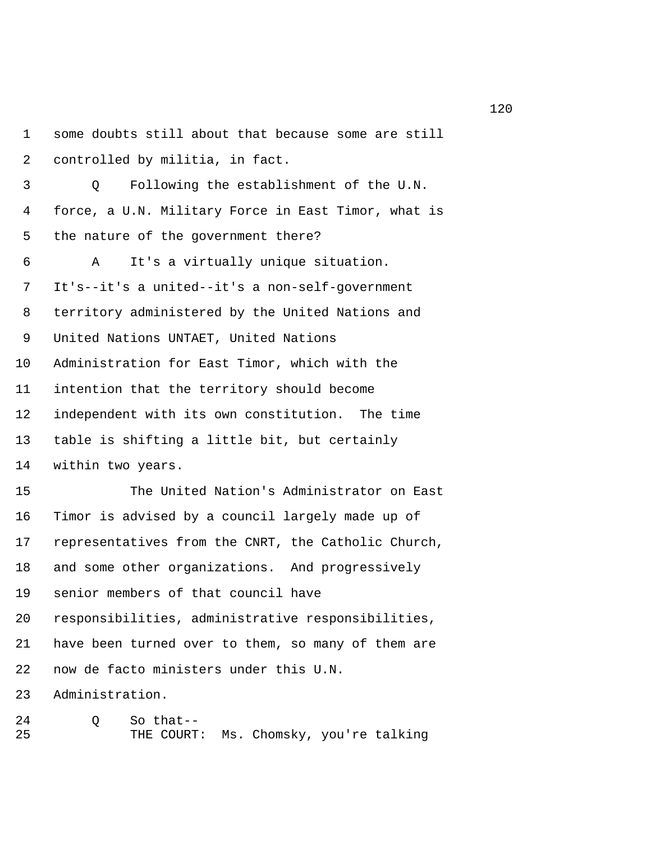1 some doubts still about that because some are still 2 controlled by militia, in fact. 3 Q Following the establishment of the U.N. 4 force, a U.N. Military Force in East Timor, what is 5 the nature of the government there? 6 A It's a virtually unique situation. 7 It's--it's a united--it's a non-self-government 8 territory administered by the United Nations and 9 United Nations UNTAET, United Nations 10 Administration for East Timor, which with the 11 intention that the territory should become 12 independent with its own constitution. The time 13 table is shifting a little bit, but certainly 14 within two years. 15 The United Nation's Administrator on East 16 Timor is advised by a council largely made up of 17 representatives from the CNRT, the Catholic Church, 18 and some other organizations. And progressively 19 senior members of that council have 20 responsibilities, administrative responsibilities, 21 have been turned over to them, so many of them are 22 now de facto ministers under this U.N. 23 Administration. 24 Q So that--

25 THE COURT: Ms. Chomsky, you're talking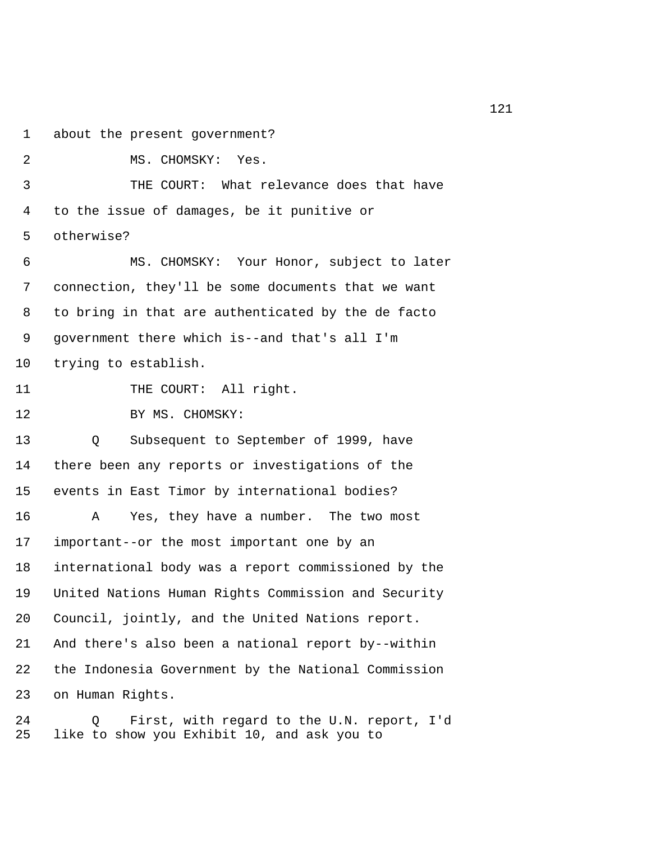1 about the present government?

2 MS. CHOMSKY: Yes. 3 THE COURT: What relevance does that have 4 to the issue of damages, be it punitive or 5 otherwise? 6 MS. CHOMSKY: Your Honor, subject to later 7 connection, they'll be some documents that we want 8 to bring in that are authenticated by the de facto 9 government there which is--and that's all I'm 10 trying to establish. 11 THE COURT: All right. 12 BY MS. CHOMSKY: 13 Q Subsequent to September of 1999, have 14 there been any reports or investigations of the 15 events in East Timor by international bodies? 16 A Yes, they have a number. The two most 17 important--or the most important one by an 18 international body was a report commissioned by the 19 United Nations Human Rights Commission and Security 20 Council, jointly, and the United Nations report. 21 And there's also been a national report by--within 22 the Indonesia Government by the National Commission 23 on Human Rights.

24 Q First, with regard to the U.N. report, I'd 25 like to show you Exhibit 10, and ask you to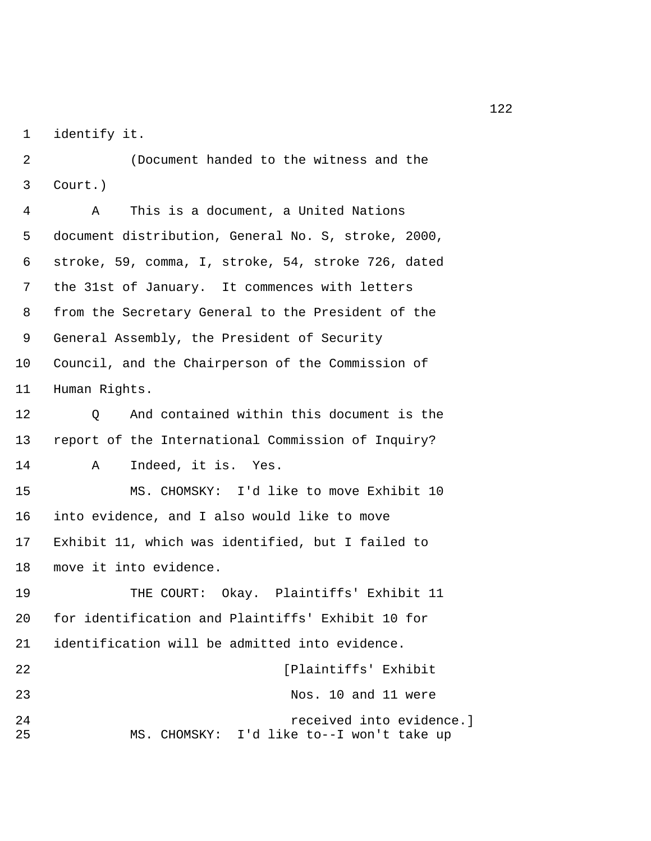1 identify it.

 2 (Document handed to the witness and the 3 Court.)

 4 A This is a document, a United Nations 5 document distribution, General No. S, stroke, 2000, 6 stroke, 59, comma, I, stroke, 54, stroke 726, dated 7 the 31st of January. It commences with letters 8 from the Secretary General to the President of the 9 General Assembly, the President of Security 10 Council, and the Chairperson of the Commission of 11 Human Rights.

12 Q And contained within this document is the 13 report of the International Commission of Inquiry? 14 A Indeed, it is. Yes. 15 MS. CHOMSKY: I'd like to move Exhibit 10 16 into evidence, and I also would like to move

17 Exhibit 11, which was identified, but I failed to 18 move it into evidence.

19 THE COURT: Okay. Plaintiffs' Exhibit 11 20 for identification and Plaintiffs' Exhibit 10 for 21 identification will be admitted into evidence. 22 [Plaintiffs' Exhibit

| 44        | IPIAIIILILIS EXIIIDIL                                                 |
|-----------|-----------------------------------------------------------------------|
| 23        | Nos. 10 and 11 were                                                   |
| 2.4<br>25 | received into evidence.]<br>MS. CHOMSKY: I'd like to--I won't take up |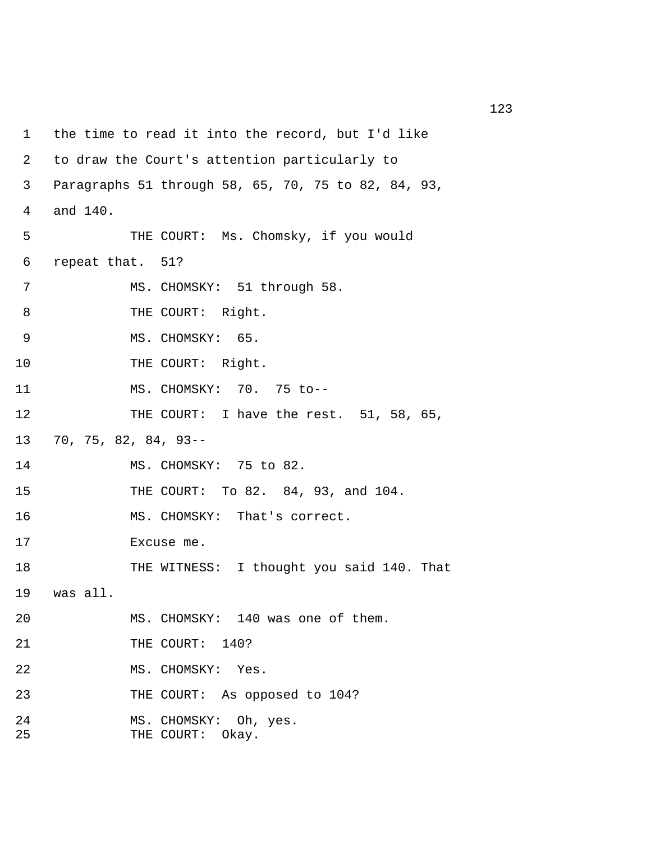```
1 the time to read it into the record, but I'd like 
 2 to draw the Court's attention particularly to 
 3 Paragraphs 51 through 58, 65, 70, 75 to 82, 84, 93, 
 4 and 140. 
 5 THE COURT: Ms. Chomsky, if you would 
 6 repeat that. 51? 
 7 MS. CHOMSKY: 51 through 58. 
8 THE COURT: Right.
9 MS. CHOMSKY: 65.
10 THE COURT: Right.
11 MS. CHOMSKY: 70. 75 to-- 
12 THE COURT: I have the rest. 51, 58, 65,
13 70, 75, 82, 84, 93-- 
14 MS. CHOMSKY: 75 to 82. 
15 THE COURT: To 82. 84, 93, and 104. 
16 MS. CHOMSKY: That's correct. 
17 Excuse me. 
18 THE WITNESS: I thought you said 140. That
19 was all. 
20 MS. CHOMSKY: 140 was one of them. 
21 THE COURT: 140?
22 MS. CHOMSKY: Yes. 
23 THE COURT: As opposed to 104? 
24 MS. CHOMSKY: Oh, yes. 
25 THE COURT: Okay.
```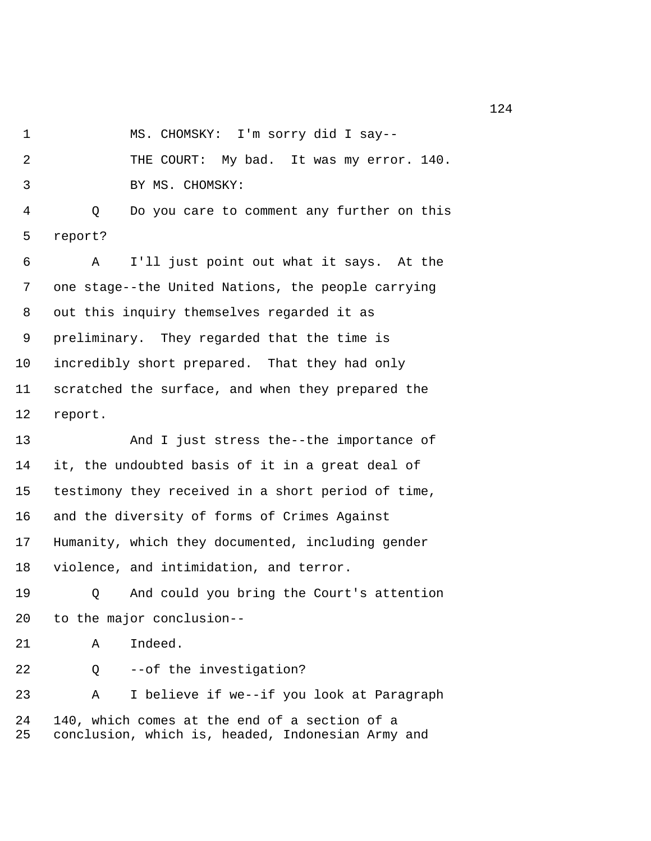1 MS. CHOMSKY: I'm sorry did I say--

 2 THE COURT: My bad. It was my error. 140. 3 BY MS. CHOMSKY:

 4 Q Do you care to comment any further on this 5 report?

 6 A I'll just point out what it says. At the 7 one stage--the United Nations, the people carrying 8 out this inquiry themselves regarded it as 9 preliminary. They regarded that the time is 10 incredibly short prepared. That they had only 11 scratched the surface, and when they prepared the 12 report.

13 And I just stress the--the importance of 14 it, the undoubted basis of it in a great deal of 15 testimony they received in a short period of time, 16 and the diversity of forms of Crimes Against 17 Humanity, which they documented, including gender 18 violence, and intimidation, and terror.

19 Q And could you bring the Court's attention 20 to the major conclusion--

21 A Indeed.

22 Q --of the investigation?

23 A I believe if we--if you look at Paragraph 24 140, which comes at the end of a section of a 25 conclusion, which is, headed, Indonesian Army and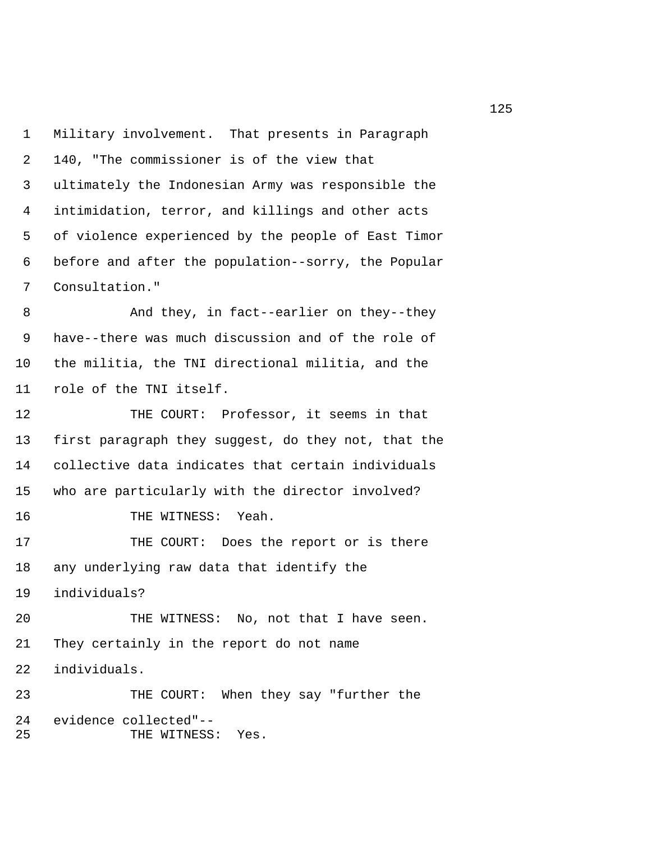1 Military involvement. That presents in Paragraph 2 140, "The commissioner is of the view that 3 ultimately the Indonesian Army was responsible the 4 intimidation, terror, and killings and other acts 5 of violence experienced by the people of East Timor 6 before and after the population--sorry, the Popular 7 Consultation."

 8 And they, in fact--earlier on they--they 9 have--there was much discussion and of the role of 10 the militia, the TNI directional militia, and the 11 role of the TNI itself.

12 THE COURT: Professor, it seems in that 13 first paragraph they suggest, do they not, that the 14 collective data indicates that certain individuals 15 who are particularly with the director involved? 16 THE WITNESS: Yeah. 17 THE COURT: Does the report or is there 18 any underlying raw data that identify the 19 individuals? 20 THE WITNESS: No, not that I have seen. 21 They certainly in the report do not name 22 individuals. 23 THE COURT: When they say "further the 24 evidence collected"-- 25 THE WITNESS: Yes.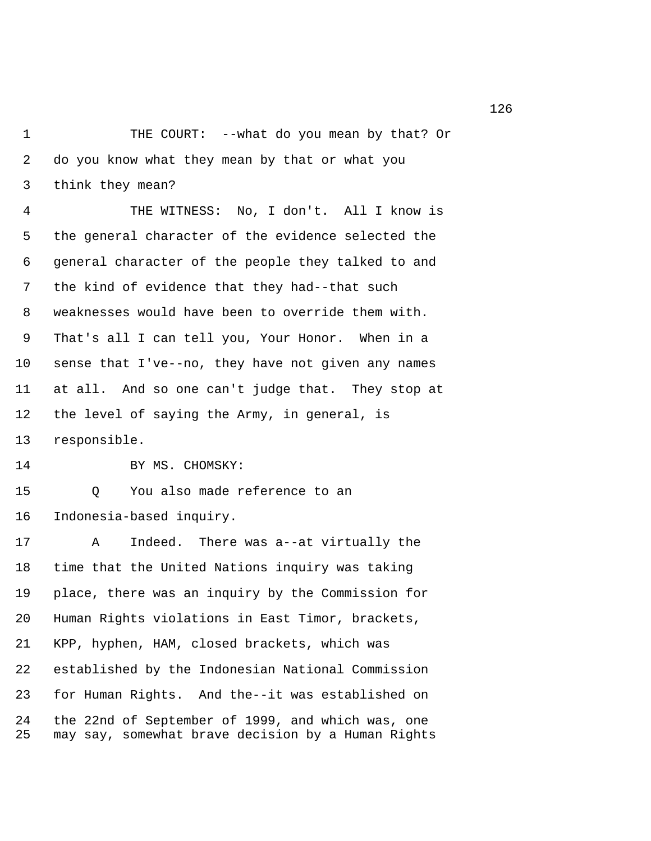1 THE COURT: --what do you mean by that? Or 2 do you know what they mean by that or what you 3 think they mean?

 4 THE WITNESS: No, I don't. All I know is 5 the general character of the evidence selected the 6 general character of the people they talked to and 7 the kind of evidence that they had--that such 8 weaknesses would have been to override them with. 9 That's all I can tell you, Your Honor. When in a 10 sense that I've--no, they have not given any names 11 at all. And so one can't judge that. They stop at 12 the level of saying the Army, in general, is 13 responsible.

14 BY MS. CHOMSKY:

15 Q You also made reference to an 16 Indonesia-based inquiry.

17 A Indeed. There was a--at virtually the 18 time that the United Nations inquiry was taking 19 place, there was an inquiry by the Commission for 20 Human Rights violations in East Timor, brackets, 21 KPP, hyphen, HAM, closed brackets, which was 22 established by the Indonesian National Commission 23 for Human Rights. And the--it was established on 24 the 22nd of September of 1999, and which was, one 25 may say, somewhat brave decision by a Human Rights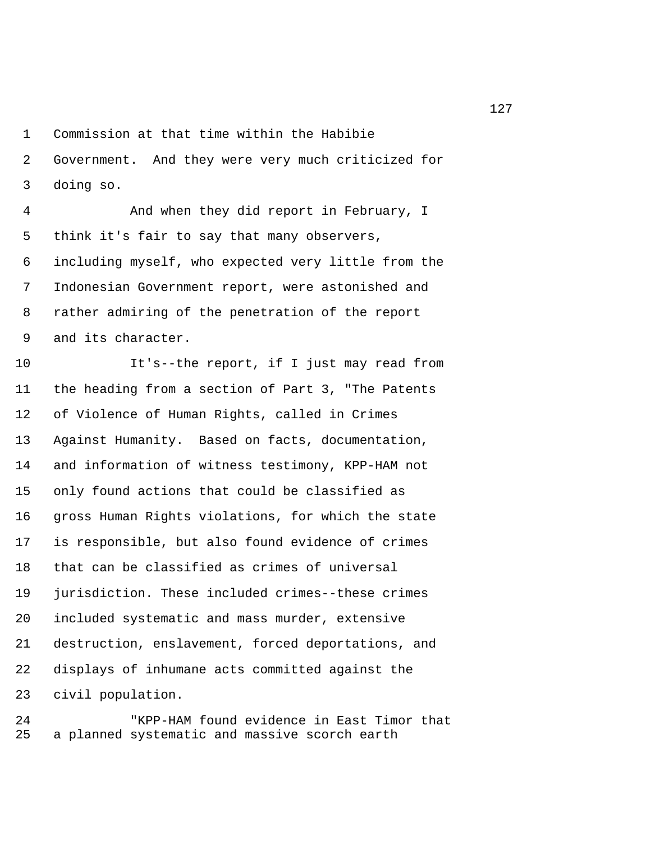1 Commission at that time within the Habibie

 2 Government. And they were very much criticized for 3 doing so.

 4 And when they did report in February, I 5 think it's fair to say that many observers, 6 including myself, who expected very little from the 7 Indonesian Government report, were astonished and 8 rather admiring of the penetration of the report 9 and its character.

10 It's--the report, if I just may read from 11 the heading from a section of Part 3, "The Patents 12 of Violence of Human Rights, called in Crimes 13 Against Humanity. Based on facts, documentation, 14 and information of witness testimony, KPP-HAM not 15 only found actions that could be classified as 16 gross Human Rights violations, for which the state 17 is responsible, but also found evidence of crimes 18 that can be classified as crimes of universal 19 jurisdiction. These included crimes--these crimes 20 included systematic and mass murder, extensive 21 destruction, enslavement, forced deportations, and 22 displays of inhumane acts committed against the 23 civil population.

24 "KPP-HAM found evidence in East Timor that 25 a planned systematic and massive scorch earth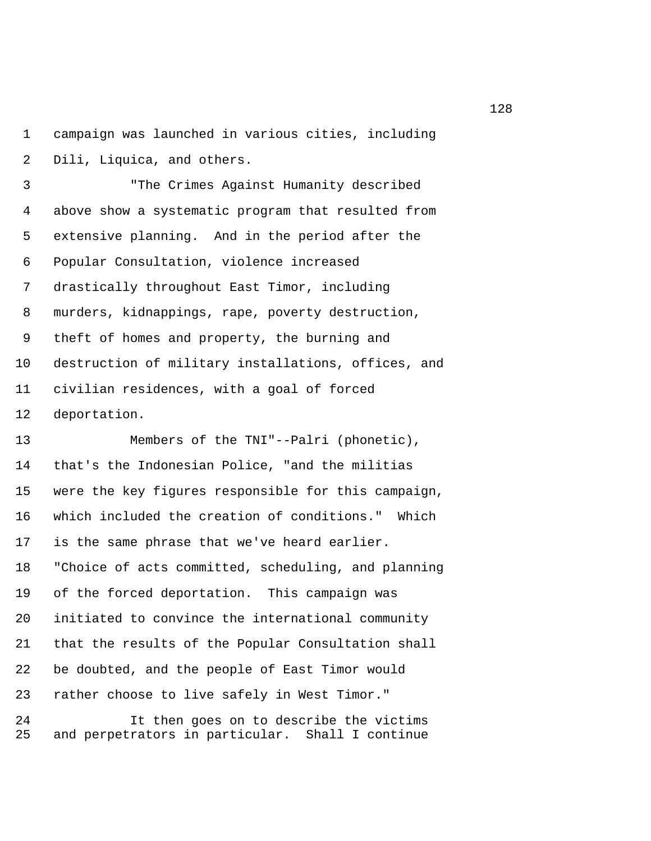1 campaign was launched in various cities, including 2 Dili, Liquica, and others.

 3 "The Crimes Against Humanity described 4 above show a systematic program that resulted from 5 extensive planning. And in the period after the 6 Popular Consultation, violence increased 7 drastically throughout East Timor, including 8 murders, kidnappings, rape, poverty destruction, 9 theft of homes and property, the burning and 10 destruction of military installations, offices, and 11 civilian residences, with a goal of forced 12 deportation.

13 Members of the TNI"--Palri (phonetic), 14 that's the Indonesian Police, "and the militias 15 were the key figures responsible for this campaign, 16 which included the creation of conditions." Which 17 is the same phrase that we've heard earlier. 18 "Choice of acts committed, scheduling, and planning 19 of the forced deportation. This campaign was 20 initiated to convince the international community 21 that the results of the Popular Consultation shall 22 be doubted, and the people of East Timor would 23 rather choose to live safely in West Timor."

24 It then goes on to describe the victims 25 and perpetrators in particular. Shall I continue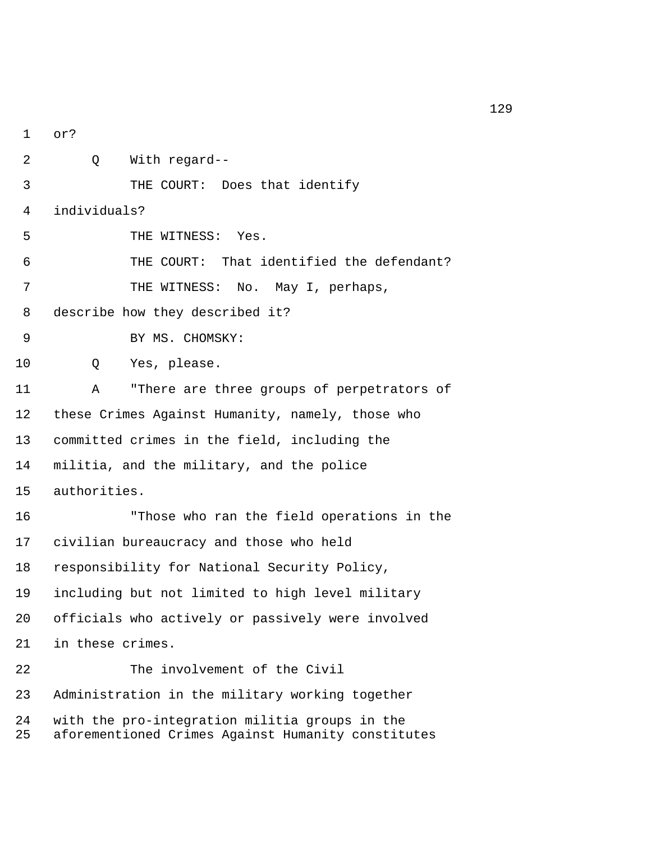1 or? 2 Q With regard-- 3 THE COURT: Does that identify 4 individuals? 5 THE WITNESS: Yes. 6 THE COURT: That identified the defendant? 7 THE WITNESS: No. May I, perhaps, 8 describe how they described it? 9 BY MS. CHOMSKY: 10 Q Yes, please. 11 A "There are three groups of perpetrators of 12 these Crimes Against Humanity, namely, those who 13 committed crimes in the field, including the 14 militia, and the military, and the police 15 authorities. 16 "Those who ran the field operations in the 17 civilian bureaucracy and those who held 18 responsibility for National Security Policy, 19 including but not limited to high level military 20 officials who actively or passively were involved 21 in these crimes. 22 The involvement of the Civil 23 Administration in the military working together 24 with the pro-integration militia groups in the 25 aforementioned Crimes Against Humanity constitutes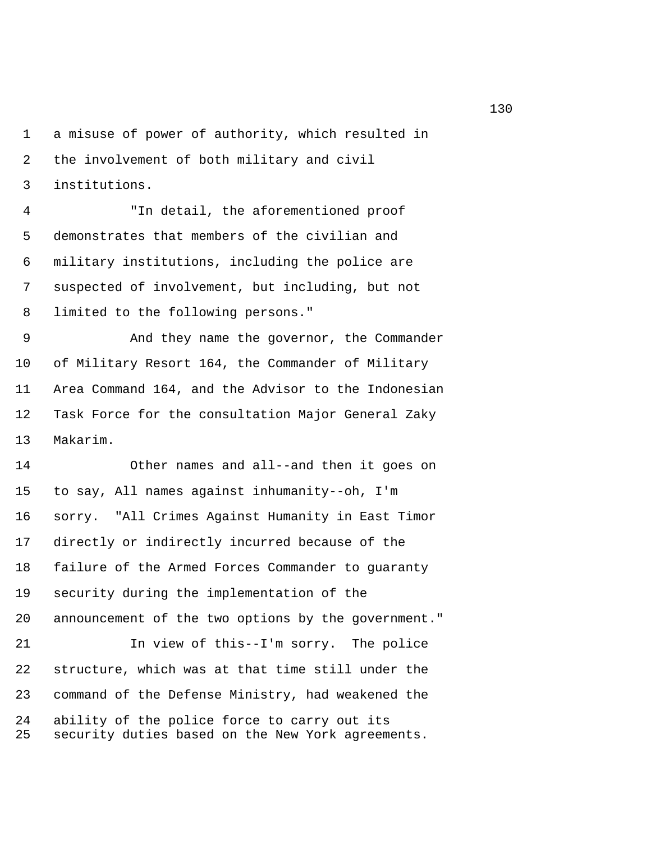1 a misuse of power of authority, which resulted in 2 the involvement of both military and civil 3 institutions.

 4 "In detail, the aforementioned proof 5 demonstrates that members of the civilian and 6 military institutions, including the police are 7 suspected of involvement, but including, but not 8 limited to the following persons."

 9 And they name the governor, the Commander 10 of Military Resort 164, the Commander of Military 11 Area Command 164, and the Advisor to the Indonesian 12 Task Force for the consultation Major General Zaky 13 Makarim.

14 Other names and all--and then it goes on 15 to say, All names against inhumanity--oh, I'm 16 sorry. "All Crimes Against Humanity in East Timor 17 directly or indirectly incurred because of the 18 failure of the Armed Forces Commander to guaranty 19 security during the implementation of the 20 announcement of the two options by the government." 21 In view of this--I'm sorry. The police 22 structure, which was at that time still under the 23 command of the Defense Ministry, had weakened the 24 ability of the police force to carry out its 25 security duties based on the New York agreements.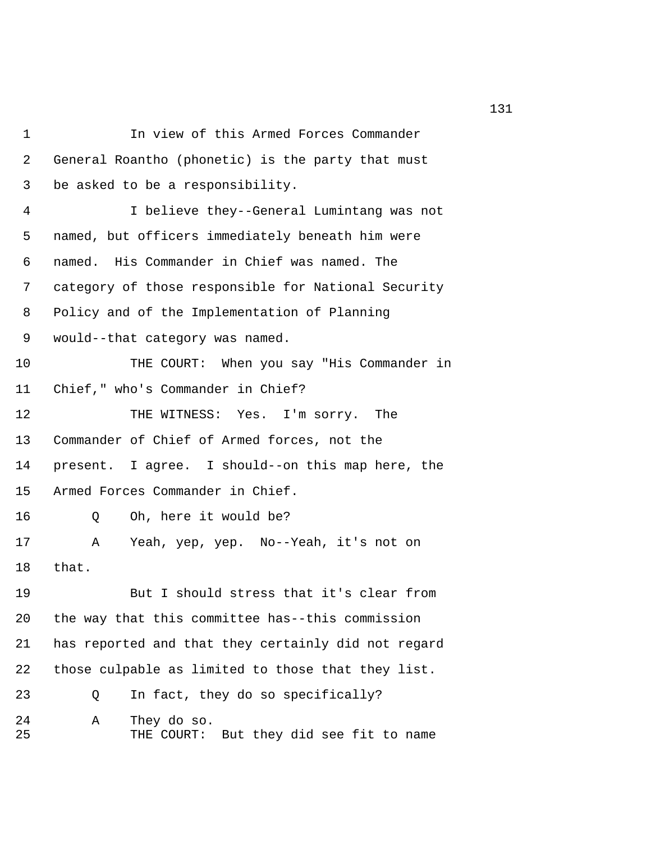| $\mathbf 1$    | In view of this Armed Forces Commander                         |
|----------------|----------------------------------------------------------------|
| $\overline{2}$ | General Roantho (phonetic) is the party that must              |
| 3              | be asked to be a responsibility.                               |
| 4              | I believe they--General Lumintang was not                      |
| 5              | named, but officers immediately beneath him were               |
| 6              | named. His Commander in Chief was named. The                   |
| 7              | category of those responsible for National Security            |
| 8              | Policy and of the Implementation of Planning                   |
| 9              | would--that category was named.                                |
| 10             | THE COURT: When you say "His Commander in                      |
| 11             | Chief," who's Commander in Chief?                              |
| 12             | THE WITNESS: Yes. I'm sorry. The                               |
| 13             | Commander of Chief of Armed forces, not the                    |
| 14             | present. I agree. I should--on this map here, the              |
| 15             | Armed Forces Commander in Chief.                               |
| 16             | Oh, here it would be?<br>Q                                     |
| 17             | Yeah, yep, yep. No--Yeah, it's not on<br>Α                     |
| 18             | that.                                                          |
| 19             | But I should stress that it's clear from                       |
| 20             | the way that this committee has--this commission               |
| 21             | has reported and that they certainly did not regard            |
| 22             | those culpable as limited to those that they list.             |
| 23             | In fact, they do so specifically?<br>Q                         |
| 24<br>25       | Α<br>They do so.<br>But they did see fit to name<br>THE COURT: |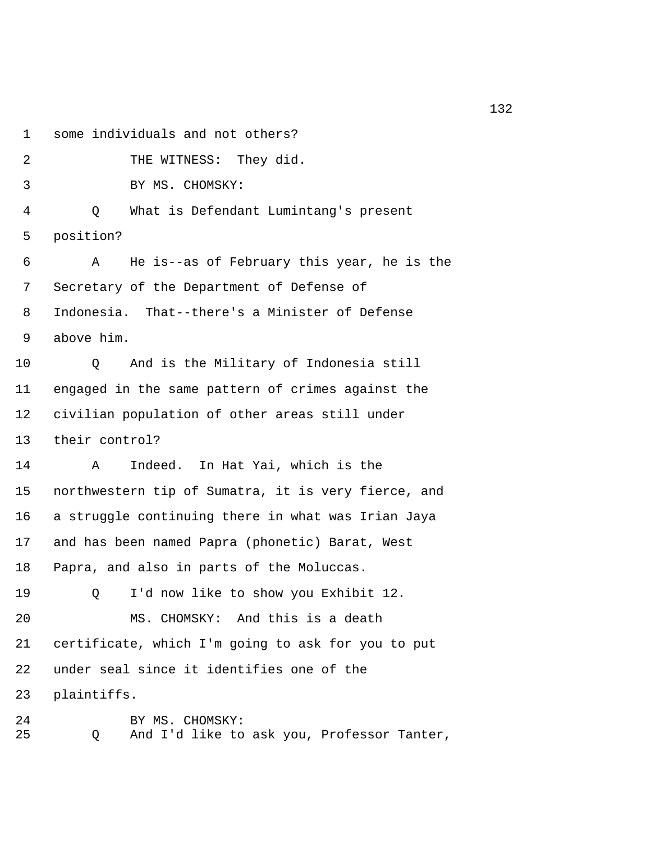1 some individuals and not others? 2 THE WITNESS: They did. 3 BY MS. CHOMSKY: 4 Q What is Defendant Lumintang's present 5 position? 6 A He is--as of February this year, he is the 7 Secretary of the Department of Defense of 8 Indonesia. That--there's a Minister of Defense 9 above him. 10 Q And is the Military of Indonesia still 11 engaged in the same pattern of crimes against the 12 civilian population of other areas still under 13 their control? 14 A Indeed. In Hat Yai, which is the 15 northwestern tip of Sumatra, it is very fierce, and 16 a struggle continuing there in what was Irian Jaya 17 and has been named Papra (phonetic) Barat, West 18 Papra, and also in parts of the Moluccas. 19 Q I'd now like to show you Exhibit 12. 20 MS. CHOMSKY: And this is a death 21 certificate, which I'm going to ask for you to put 22 under seal since it identifies one of the 23 plaintiffs. 24 BY MS. CHOMSKY:

25 Q And I'd like to ask you, Professor Tanter,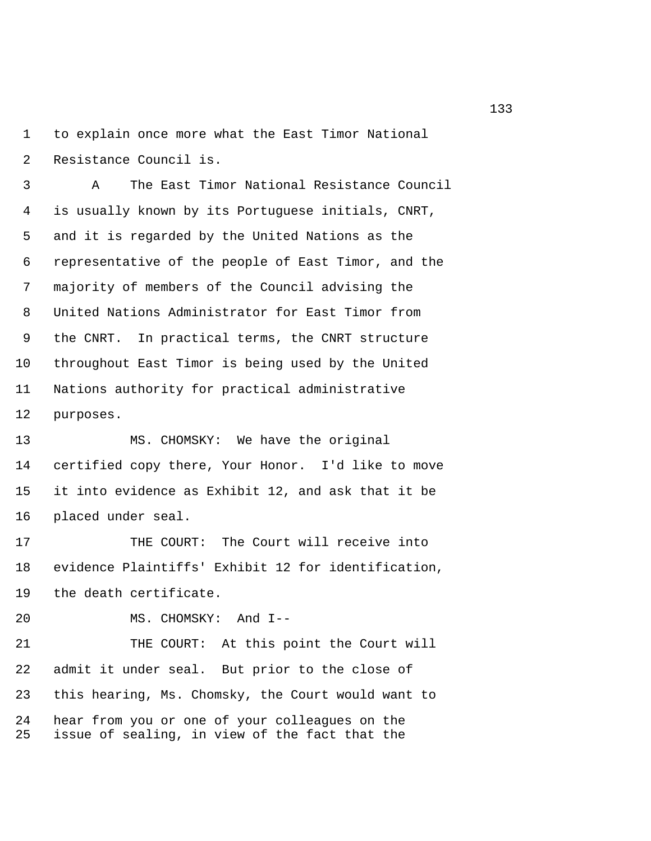1 to explain once more what the East Timor National 2 Resistance Council is.

 3 A The East Timor National Resistance Council 4 is usually known by its Portuguese initials, CNRT, 5 and it is regarded by the United Nations as the 6 representative of the people of East Timor, and the 7 majority of members of the Council advising the 8 United Nations Administrator for East Timor from 9 the CNRT. In practical terms, the CNRT structure 10 throughout East Timor is being used by the United 11 Nations authority for practical administrative 12 purposes.

13 MS. CHOMSKY: We have the original 14 certified copy there, Your Honor. I'd like to move 15 it into evidence as Exhibit 12, and ask that it be 16 placed under seal.

17 THE COURT: The Court will receive into 18 evidence Plaintiffs' Exhibit 12 for identification, 19 the death certificate.

20 MS. CHOMSKY: And I--

21 THE COURT: At this point the Court will 22 admit it under seal. But prior to the close of 23 this hearing, Ms. Chomsky, the Court would want to 24 hear from you or one of your colleagues on the 25 issue of sealing, in view of the fact that the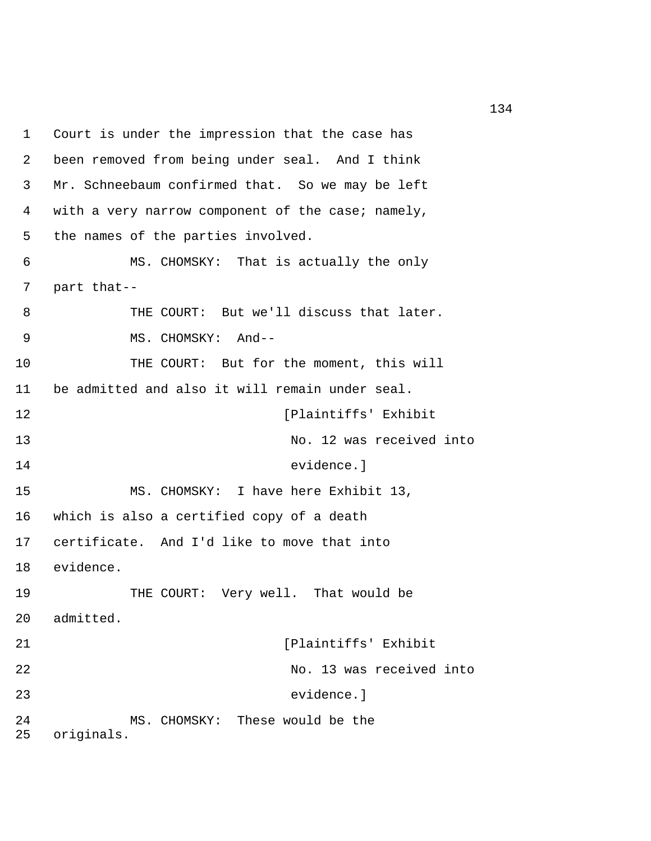1 Court is under the impression that the case has 2 been removed from being under seal. And I think 3 Mr. Schneebaum confirmed that. So we may be left 4 with a very narrow component of the case; namely, 5 the names of the parties involved. 6 MS. CHOMSKY: That is actually the only 7 part that-- 8 THE COURT: But we'll discuss that later. 9 MS. CHOMSKY: And-- 10 THE COURT: But for the moment, this will 11 be admitted and also it will remain under seal. 12 [Plaintiffs' Exhibit 13 No. 12 was received into 14 evidence.] 15 MS. CHOMSKY: I have here Exhibit 13, 16 which is also a certified copy of a death 17 certificate. And I'd like to move that into 18 evidence. 19 THE COURT: Very well. That would be 20 admitted. 21 [Plaintiffs' Exhibit 22 No. 13 was received into 23 evidence.] 24 MS. CHOMSKY: These would be the 25 originals.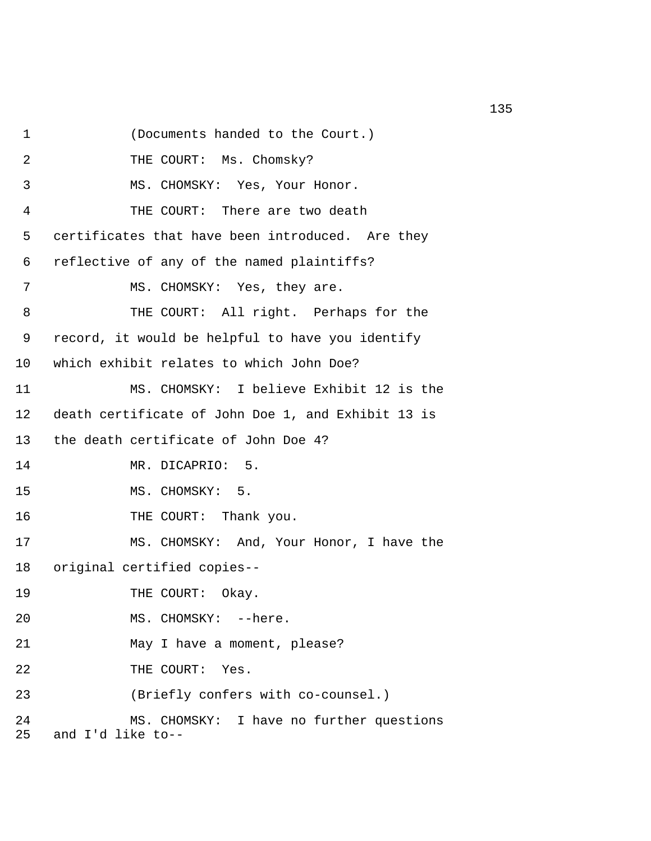1 (Documents handed to the Court.)

2 THE COURT: Ms. Chomsky?

3 MS. CHOMSKY: Yes, Your Honor.

4 THE COURT: There are two death

5 certificates that have been introduced. Are they

6 reflective of any of the named plaintiffs?

7 MS. CHOMSKY: Yes, they are.

 8 THE COURT: All right. Perhaps for the 9 record, it would be helpful to have you identify 10 which exhibit relates to which John Doe?

11 MS. CHOMSKY: I believe Exhibit 12 is the 12 death certificate of John Doe 1, and Exhibit 13 is 13 the death certificate of John Doe 4? 14 MR. DICAPRIO: 5.

15 MS. CHOMSKY: 5.

16 THE COURT: Thank you.

17 MS. CHOMSKY: And, Your Honor, I have the

18 original certified copies--

- 19 THE COURT: Okay.
- 20 MS. CHOMSKY: --here.
- 21 May I have a moment, please?

22 THE COURT: Yes.

23 (Briefly confers with co-counsel.)

24 MS. CHOMSKY: I have no further questions 25 and I'd like to--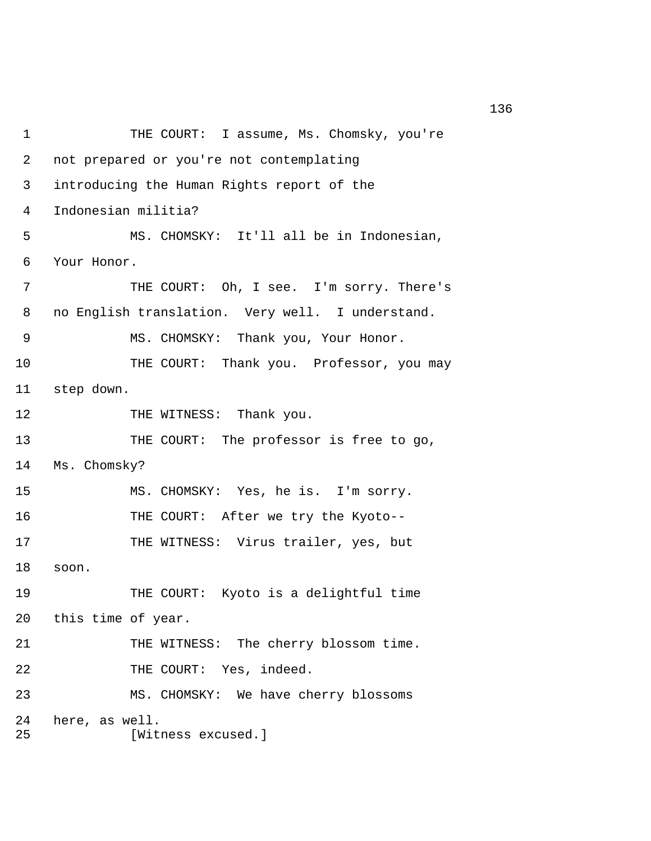```
1 THE COURT: I assume, Ms. Chomsky, you're
 2 not prepared or you're not contemplating 
 3 introducing the Human Rights report of the 
 4 Indonesian militia? 
 5 MS. CHOMSKY: It'll all be in Indonesian, 
 6 Your Honor. 
 7 THE COURT: Oh, I see. I'm sorry. There's 
 8 no English translation. Very well. I understand. 
 9 MS. CHOMSKY: Thank you, Your Honor. 
10 THE COURT: Thank you. Professor, you may
11 step down. 
12 THE WITNESS: Thank you.
13 THE COURT: The professor is free to go, 
14 Ms. Chomsky? 
15 MS. CHOMSKY: Yes, he is. I'm sorry. 
16 THE COURT: After we try the Kyoto-- 
17 THE WITNESS: Virus trailer, yes, but
18 soon. 
19 THE COURT: Kyoto is a delightful time 
20 this time of year. 
21 THE WITNESS: The cherry blossom time. 
22 THE COURT: Yes, indeed.
23 MS. CHOMSKY: We have cherry blossoms 
24 here, as well. 
25 [Witness excused.]
```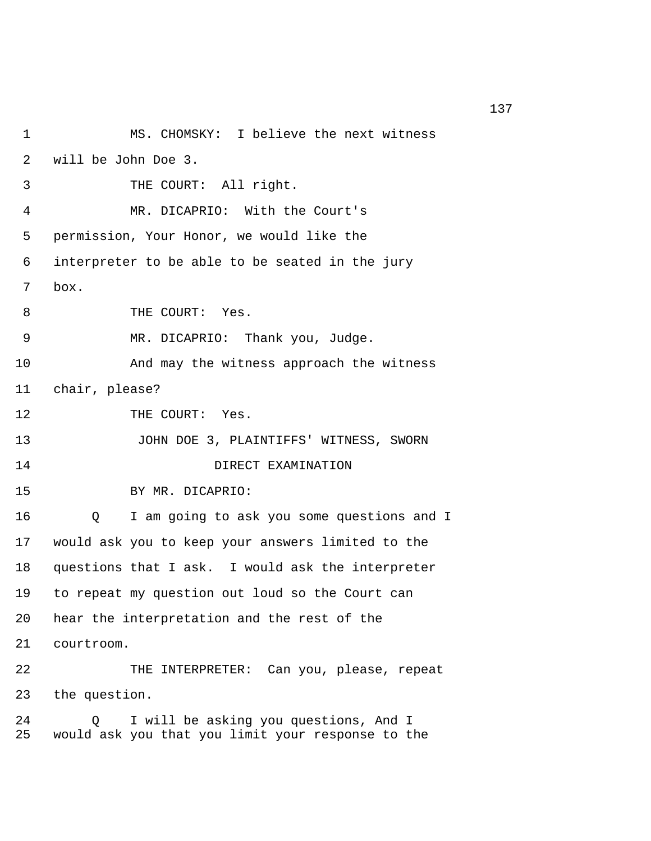| 1        | MS. CHOMSKY: I believe the next witness                                                         |  |  |
|----------|-------------------------------------------------------------------------------------------------|--|--|
| 2        | will be John Doe 3.                                                                             |  |  |
| 3        | THE COURT: All right.                                                                           |  |  |
| 4        | MR. DICAPRIO: With the Court's                                                                  |  |  |
| 5        | permission, Your Honor, we would like the                                                       |  |  |
| 6        | interpreter to be able to be seated in the jury                                                 |  |  |
| 7        | box.                                                                                            |  |  |
| 8        | THE COURT: Yes.                                                                                 |  |  |
| 9        | MR. DICAPRIO: Thank you, Judge.                                                                 |  |  |
| 10       | And may the witness approach the witness                                                        |  |  |
| 11       | chair, please?                                                                                  |  |  |
| 12       | THE COURT: Yes.                                                                                 |  |  |
| 13       | JOHN DOE 3, PLAINTIFFS' WITNESS, SWORN                                                          |  |  |
| 14       | DIRECT EXAMINATION                                                                              |  |  |
| 15       | BY MR. DICAPRIO:                                                                                |  |  |
| 16       | I am going to ask you some questions and I<br>Q                                                 |  |  |
| 17       | would ask you to keep your answers limited to the                                               |  |  |
| 18       | questions that I ask. I would ask the interpreter                                               |  |  |
| 19       | to repeat my question out loud so the Court can                                                 |  |  |
| 20       | hear the interpretation and the rest of the                                                     |  |  |
| 21       | courtroom.                                                                                      |  |  |
| 22       | THE INTERPRETER: Can you, please, repeat                                                        |  |  |
| 23       | the question.                                                                                   |  |  |
| 24<br>25 | I will be asking you questions, And I<br>O<br>would ask you that you limit your response to the |  |  |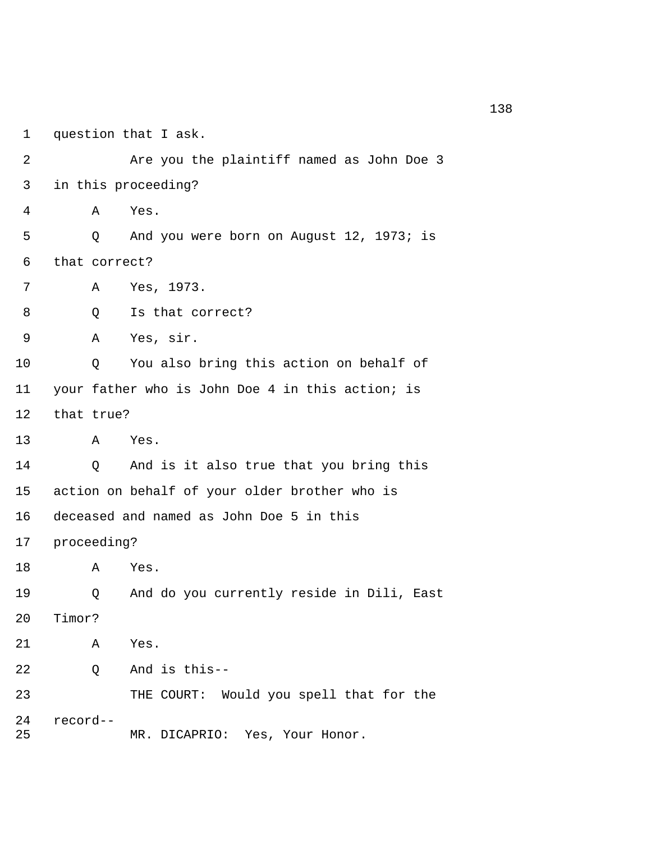1 question that I ask. 2 **Are you the plaintiff named as John Doe 3**  3 in this proceeding? 4 A Yes. 5 Q And you were born on August 12, 1973; is 6 that correct? 7 A Yes, 1973. 8 0 Is that correct? 9 A Yes, sir. 10 Q You also bring this action on behalf of 11 your father who is John Doe 4 in this action; is 12 that true? 13 A Yes. 14 Q And is it also true that you bring this 15 action on behalf of your older brother who is 16 deceased and named as John Doe 5 in this 17 proceeding? 18 A Yes. 19 Q And do you currently reside in Dili, East 20 Timor? 21 A Yes. 22 Q And is this-- 23 THE COURT: Would you spell that for the 24 record-- 25 MR. DICAPRIO: Yes, Your Honor.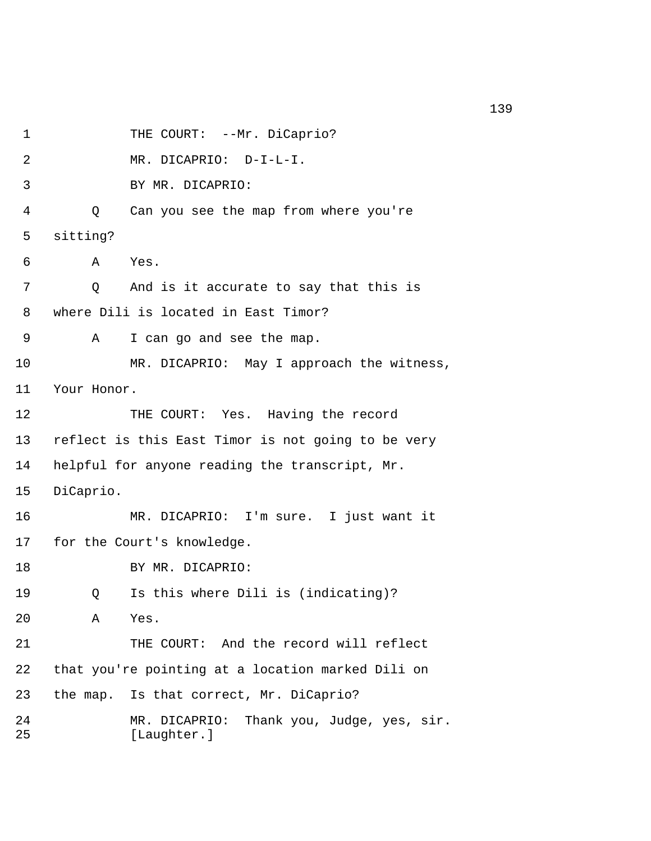1 THE COURT: --Mr. DiCaprio? 2 MR. DICAPRIO: D-I-L-I. 3 BY MR. DICAPRIO: 4 Q Can you see the map from where you're 5 sitting? 6 A Yes. 7 Q And is it accurate to say that this is 8 where Dili is located in East Timor? 9 A I can go and see the map. 10 MR. DICAPRIO: May I approach the witness, 11 Your Honor. 12 THE COURT: Yes. Having the record 13 reflect is this East Timor is not going to be very 14 helpful for anyone reading the transcript, Mr. 15 DiCaprio. 16 MR. DICAPRIO: I'm sure. I just want it 17 for the Court's knowledge. 18 BY MR. DICAPRIO: 19 Q Is this where Dili is (indicating)? 20 A Yes. 21 THE COURT: And the record will reflect 22 that you're pointing at a location marked Dili on 23 the map. Is that correct, Mr. DiCaprio? 24 MR. DICAPRIO: Thank you, Judge, yes, sir. 25 [Laughter.]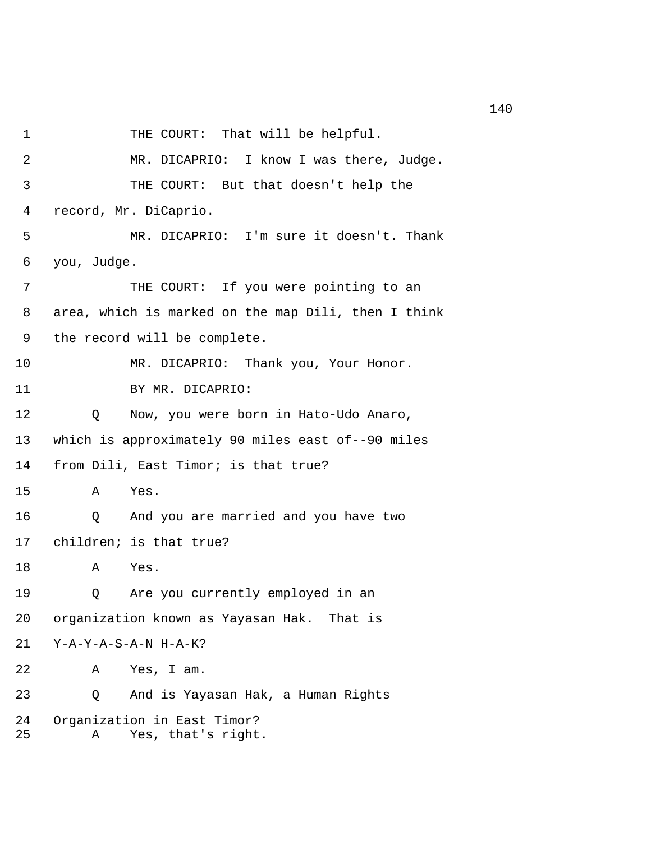2 MR. DICAPRIO: I know I was there, Judge. 3 THE COURT: But that doesn't help the 4 record, Mr. DiCaprio. 5 MR. DICAPRIO: I'm sure it doesn't. Thank 6 you, Judge. 7 THE COURT: If you were pointing to an 8 area, which is marked on the map Dili, then I think 9 the record will be complete. 10 MR. DICAPRIO: Thank you, Your Honor. 11 BY MR. DICAPRIO: 12 Q Now, you were born in Hato-Udo Anaro, 13 which is approximately 90 miles east of--90 miles 14 from Dili, East Timor; is that true? 15 A Yes. 16 Q And you are married and you have two 17 children; is that true? 18 A Yes. 19 Q Are you currently employed in an 20 organization known as Yayasan Hak. That is 21 Y-A-Y-A-S-A-N H-A-K? 22 A Yes, I am. 23 Q And is Yayasan Hak, a Human Rights 24 Organization in East Timor? 25 A Yes, that's right.

1 THE COURT: That will be helpful.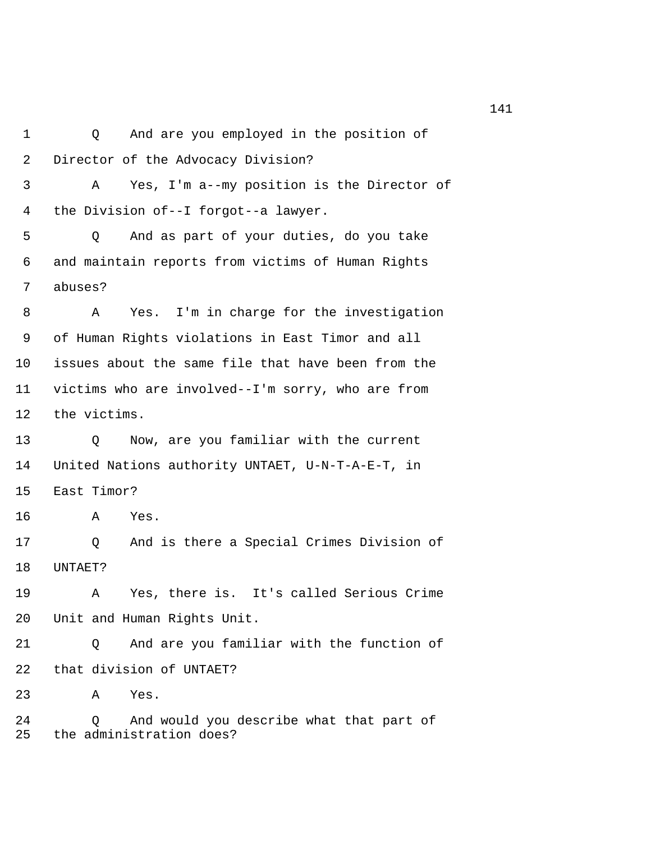1 Q And are you employed in the position of 2 Director of the Advocacy Division? 3 A Yes, I'm a--my position is the Director of 4 the Division of--I forgot--a lawyer. 5 Q And as part of your duties, do you take 6 and maintain reports from victims of Human Rights 7 abuses? 8 A Yes. I'm in charge for the investigation 9 of Human Rights violations in East Timor and all 10 issues about the same file that have been from the 11 victims who are involved--I'm sorry, who are from 12 the victims. 13 Q Now, are you familiar with the current 14 United Nations authority UNTAET, U-N-T-A-E-T, in 15 East Timor? 16 A Yes. 17 Q And is there a Special Crimes Division of 18 UNTAET? 19 A Yes, there is. It's called Serious Crime 20 Unit and Human Rights Unit. 21 Q And are you familiar with the function of 22 that division of UNTAET? 23 A Yes. 24 Q And would you describe what that part of 25 the administration does?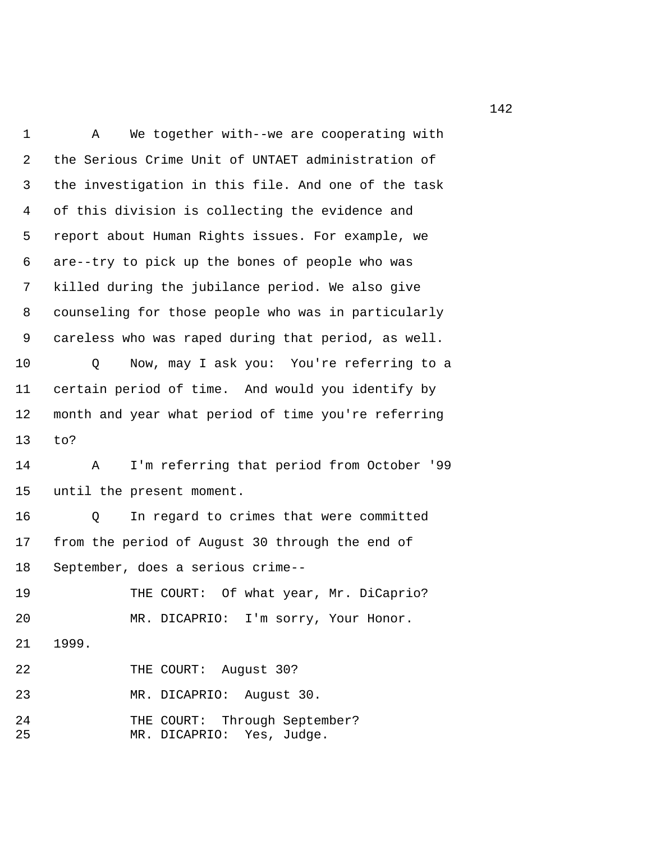1 A We together with--we are cooperating with 2 the Serious Crime Unit of UNTAET administration of 3 the investigation in this file. And one of the task 4 of this division is collecting the evidence and 5 report about Human Rights issues. For example, we 6 are--try to pick up the bones of people who was 7 killed during the jubilance period. We also give 8 counseling for those people who was in particularly 9 careless who was raped during that period, as well. 10 Q Now, may I ask you: You're referring to a 11 certain period of time. And would you identify by 12 month and year what period of time you're referring 13 to? 14 A I'm referring that period from October '99 15 until the present moment. 16 Q In regard to crimes that were committed 17 from the period of August 30 through the end of 18 September, does a serious crime-- 19 THE COURT: Of what year, Mr. DiCaprio? 20 MR. DICAPRIO: I'm sorry, Your Honor. 21 1999. 22 THE COURT: August 30? 23 MR. DICAPRIO: August 30. 24 THE COURT: Through September? 25 MR. DICAPRIO: Yes, Judge.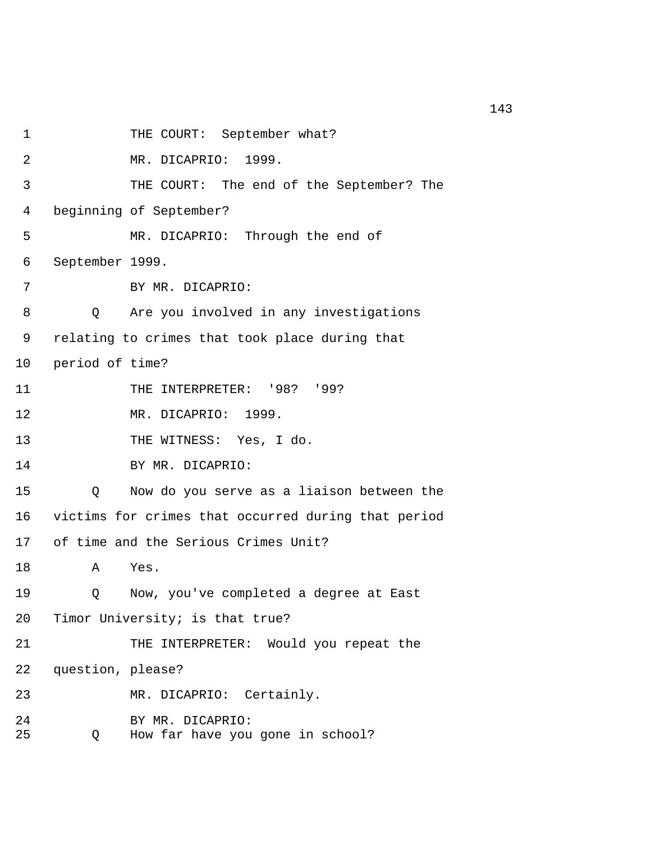1 THE COURT: September what? 2 MR. DICAPRIO: 1999. 3 THE COURT: The end of the September? The 4 beginning of September? 5 MR. DICAPRIO: Through the end of 6 September 1999. 7 BY MR. DICAPRIO: 8 Q Are you involved in any investigations 9 relating to crimes that took place during that 10 period of time? 11 THE INTERPRETER: '98? '99? 12 MR. DICAPRIO: 1999. 13 THE WITNESS: Yes, I do. 14 BY MR. DICAPRIO: 15 Q Now do you serve as a liaison between the 16 victims for crimes that occurred during that period 17 of time and the Serious Crimes Unit? 18 A Yes. 19 Q Now, you've completed a degree at East 20 Timor University; is that true? 21 THE INTERPRETER: Would you repeat the 22 question, please? 23 MR. DICAPRIO: Certainly. 24 BY MR. DICAPRIO: 25 Q How far have you gone in school?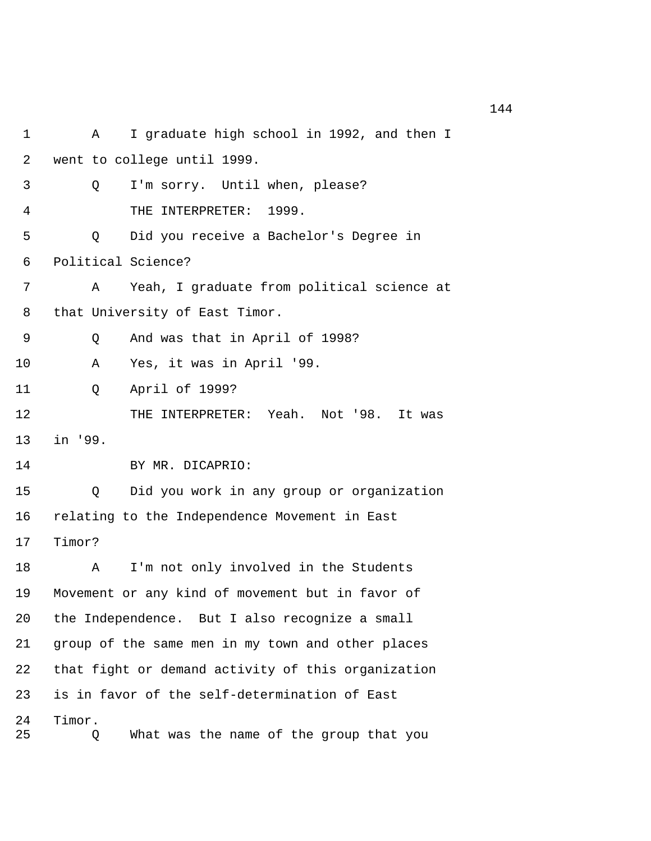1 A I graduate high school in 1992, and then I 2 went to college until 1999. 3 Q I'm sorry. Until when, please? 4 THE INTERPRETER: 1999. 5 Q Did you receive a Bachelor's Degree in 6 Political Science? 7 A Yeah, I graduate from political science at 8 that University of East Timor. 9 Q And was that in April of 1998? 10 A Yes, it was in April '99. 11 Q April of 1999? 12 THE INTERPRETER: Yeah. Not '98. It was 13 in '99. 14 BY MR. DICAPRIO: 15 Q Did you work in any group or organization 16 relating to the Independence Movement in East 17 Timor? 18 A I'm not only involved in the Students 19 Movement or any kind of movement but in favor of 20 the Independence. But I also recognize a small 21 group of the same men in my town and other places 22 that fight or demand activity of this organization 23 is in favor of the self-determination of East 24 Timor. 25 Q What was the name of the group that you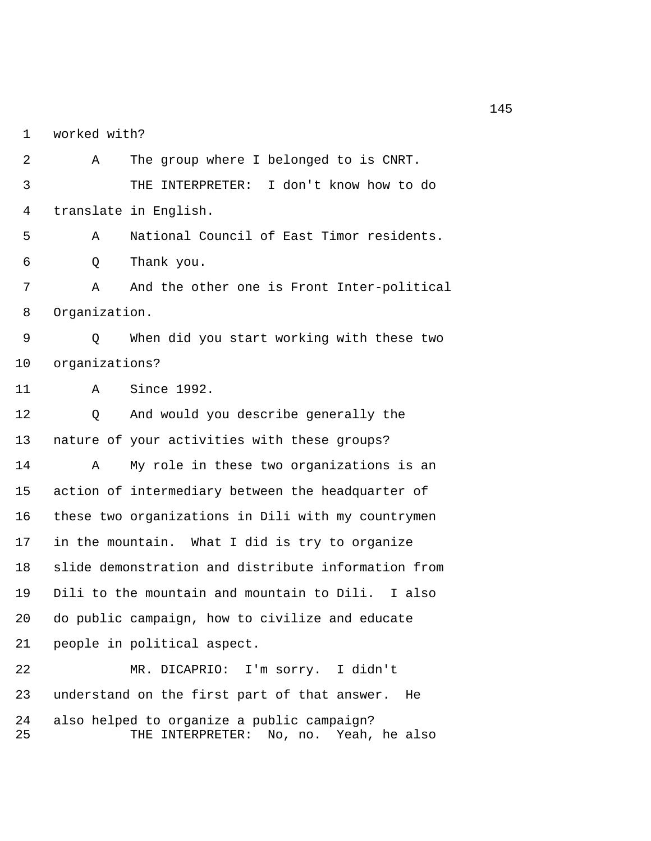1 worked with?

 2 A The group where I belonged to is CNRT. 3 THE INTERPRETER: I don't know how to do 4 translate in English. 5 A National Council of East Timor residents. 6 Q Thank you. 7 A And the other one is Front Inter-political 8 Organization. 9 Q When did you start working with these two 10 organizations? 11 A Since 1992. 12 Q And would you describe generally the 13 nature of your activities with these groups? 14 A My role in these two organizations is an 15 action of intermediary between the headquarter of 16 these two organizations in Dili with my countrymen 17 in the mountain. What I did is try to organize 18 slide demonstration and distribute information from 19 Dili to the mountain and mountain to Dili. I also 20 do public campaign, how to civilize and educate 21 people in political aspect. 22 MR. DICAPRIO: I'm sorry. I didn't 23 understand on the first part of that answer. He

24 also helped to organize a public campaign? 25 THE INTERPRETER: No, no. Yeah, he also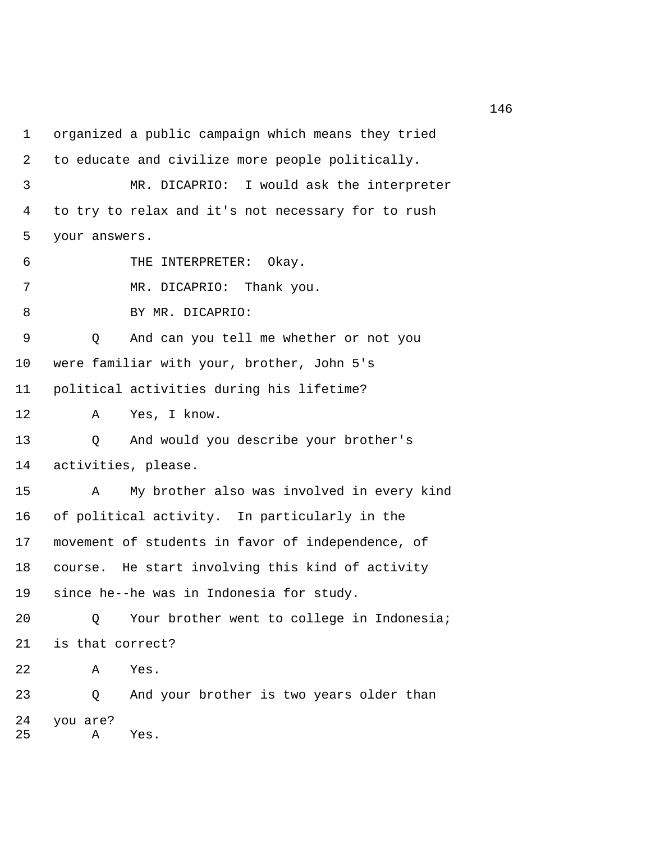1 organized a public campaign which means they tried 2 to educate and civilize more people politically. 3 MR. DICAPRIO: I would ask the interpreter 4 to try to relax and it's not necessary for to rush 5 your answers. 6 THE INTERPRETER: Okay. 7 MR. DICAPRIO: Thank you. 8 BY MR. DICAPRIO: 9 Q And can you tell me whether or not you 10 were familiar with your, brother, John 5's 11 political activities during his lifetime? 12 A Yes, I know. 13 Q And would you describe your brother's 14 activities, please. 15 A My brother also was involved in every kind 16 of political activity. In particularly in the 17 movement of students in favor of independence, of 18 course. He start involving this kind of activity 19 since he--he was in Indonesia for study. 20 Q Your brother went to college in Indonesia; 21 is that correct? 22 A Yes. 23 Q And your brother is two years older than 24 you are? 25 A Yes.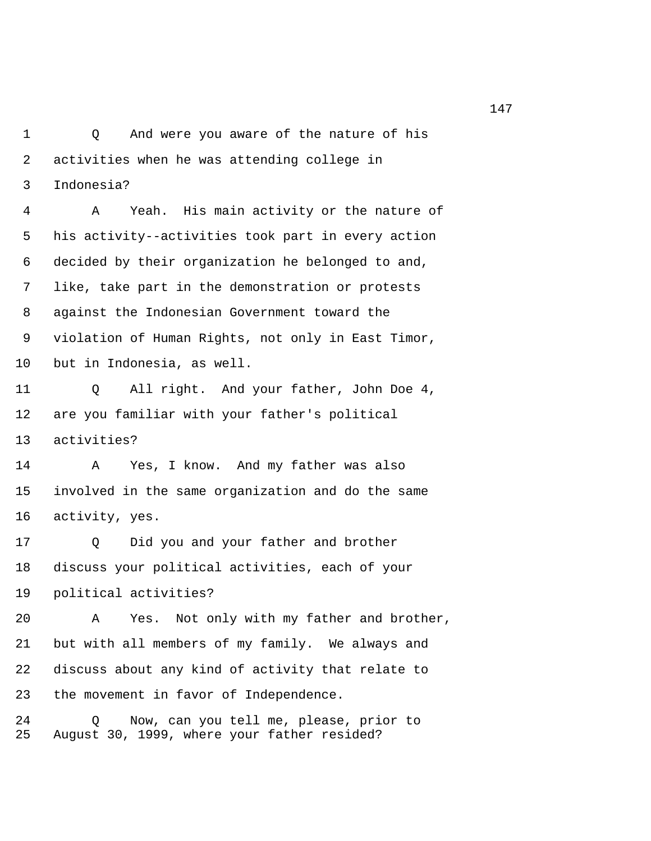1 Q And were you aware of the nature of his 2 activities when he was attending college in 3 Indonesia?

 4 A Yeah. His main activity or the nature of 5 his activity--activities took part in every action 6 decided by their organization he belonged to and, 7 like, take part in the demonstration or protests 8 against the Indonesian Government toward the 9 violation of Human Rights, not only in East Timor, 10 but in Indonesia, as well.

11 Q All right. And your father, John Doe 4, 12 are you familiar with your father's political 13 activities?

14 A Yes, I know. And my father was also 15 involved in the same organization and do the same 16 activity, yes.

17 Q Did you and your father and brother 18 discuss your political activities, each of your 19 political activities?

20 A Yes. Not only with my father and brother, 21 but with all members of my family. We always and 22 discuss about any kind of activity that relate to 23 the movement in favor of Independence.

24 Q Now, can you tell me, please, prior to 25 August 30, 1999, where your father resided?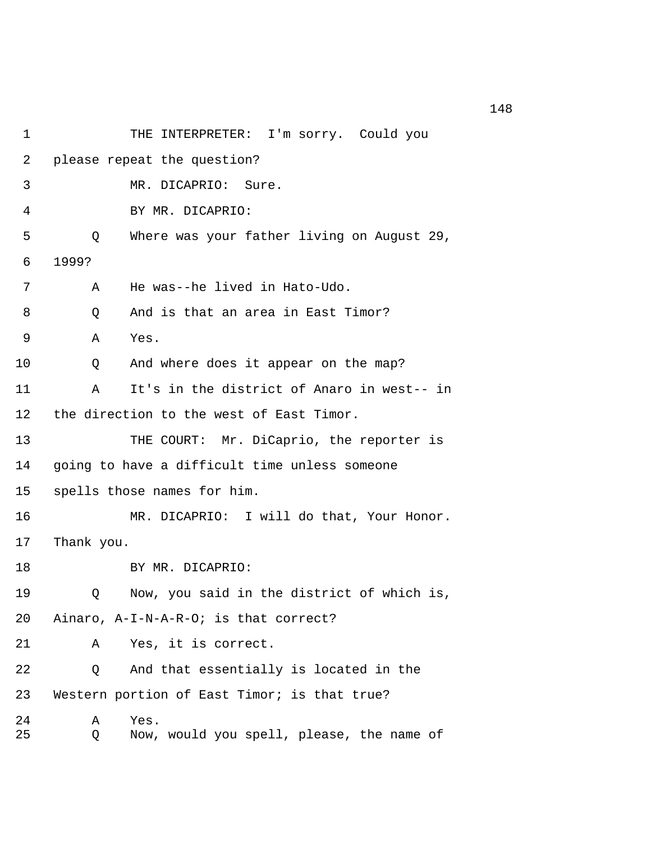| 1              |            | THE INTERPRETER: I'm sorry. Could you             |
|----------------|------------|---------------------------------------------------|
| $\overline{2}$ |            | please repeat the question?                       |
| 3              |            | MR. DICAPRIO:<br>Sure.                            |
| 4              |            | BY MR. DICAPRIO:                                  |
| 5              | Q          | Where was your father living on August 29,        |
| 6              | 1999?      |                                                   |
| 7              | Α          | He was--he lived in Hato-Udo.                     |
| 8              | Q          | And is that an area in East Timor?                |
| 9              | Α          | Yes.                                              |
| 10             | Q          | And where does it appear on the map?              |
| 11             | Α          | It's in the district of Anaro in west-- in        |
| 12             |            | the direction to the west of East Timor.          |
| 13             |            | THE COURT: Mr. DiCaprio, the reporter is          |
| 14             |            | going to have a difficult time unless someone     |
| 15             |            | spells those names for him.                       |
| 16             |            | MR. DICAPRIO: I will do that, Your Honor.         |
| 17             | Thank you. |                                                   |
| 18             |            | BY MR. DICAPRIO:                                  |
| 19             | Q          | Now, you said in the district of which is,        |
| 20             |            | Ainaro, A-I-N-A-R-O; is that correct?             |
| 21             | Α          | Yes, it is correct.                               |
| 22             | Q          | And that essentially is located in the            |
| 23             |            | Western portion of East Timor; is that true?      |
| 24<br>25       | Α<br>Q     | Yes.<br>Now, would you spell, please, the name of |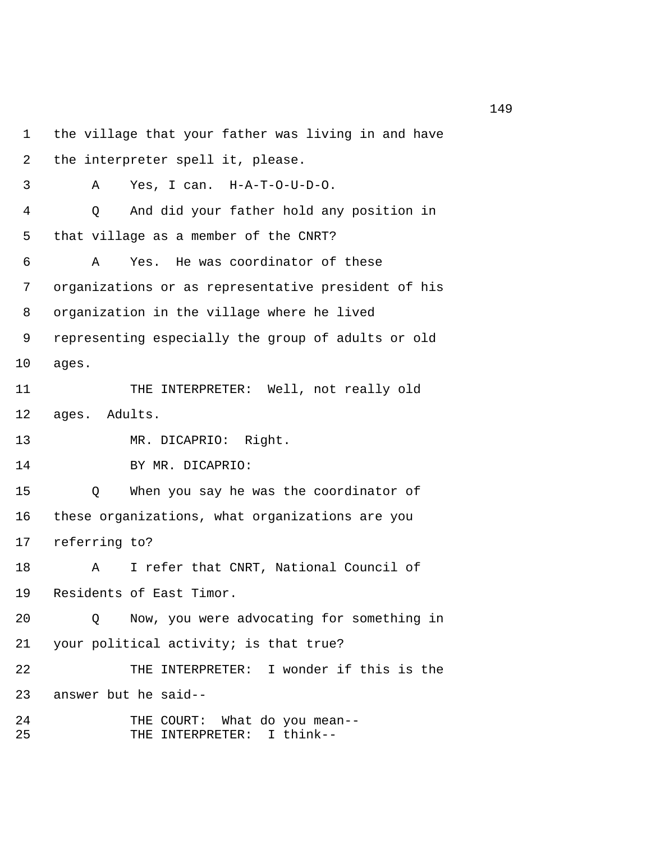1 the village that your father was living in and have 2 the interpreter spell it, please. 3 A Yes, I can. H-A-T-O-U-D-O. 4 Q And did your father hold any position in 5 that village as a member of the CNRT? 6 A Yes. He was coordinator of these 7 organizations or as representative president of his 8 organization in the village where he lived 9 representing especially the group of adults or old 10 ages. 11 THE INTERPRETER: Well, not really old 12 ages. Adults. 13 MR. DICAPRIO: Right. 14 BY MR. DICAPRIO: 15 Q When you say he was the coordinator of 16 these organizations, what organizations are you 17 referring to? 18 A I refer that CNRT, National Council of 19 Residents of East Timor. 20 Q Now, you were advocating for something in 21 your political activity; is that true? 22 THE INTERPRETER: I wonder if this is the 23 answer but he said-- 24 THE COURT: What do you mean-- 25 THE INTERPRETER: I think--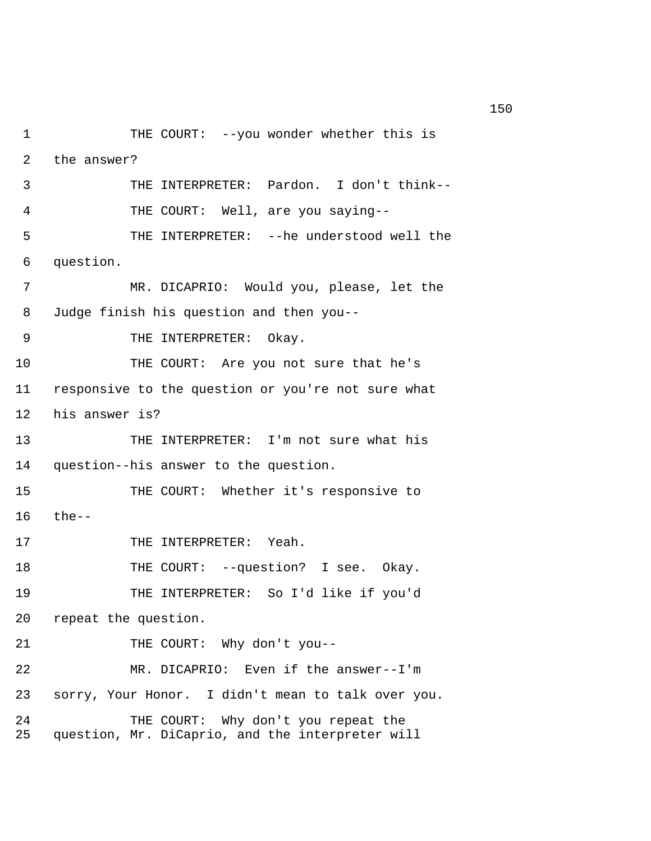1 THE COURT: --you wonder whether this is 2 the answer? 3 THE INTERPRETER: Pardon. I don't think-- 4 THE COURT: Well, are you saying-- 5 THE INTERPRETER: --he understood well the 6 question. 7 MR. DICAPRIO: Would you, please, let the 8 Judge finish his question and then you-- 9 THE INTERPRETER: Okay. 10 THE COURT: Are you not sure that he's 11 responsive to the question or you're not sure what 12 his answer is? 13 THE INTERPRETER: I'm not sure what his 14 question--his answer to the question. 15 THE COURT: Whether it's responsive to 16 the-- 17 THE INTERPRETER: Yeah. 18 THE COURT: --question? I see. Okay. 19 THE INTERPRETER: So I'd like if you'd 20 repeat the question. 21 THE COURT: Why don't you-- 22 MR. DICAPRIO: Even if the answer--I'm 23 sorry, Your Honor. I didn't mean to talk over you. 24 THE COURT: Why don't you repeat the 25 question, Mr. DiCaprio, and the interpreter will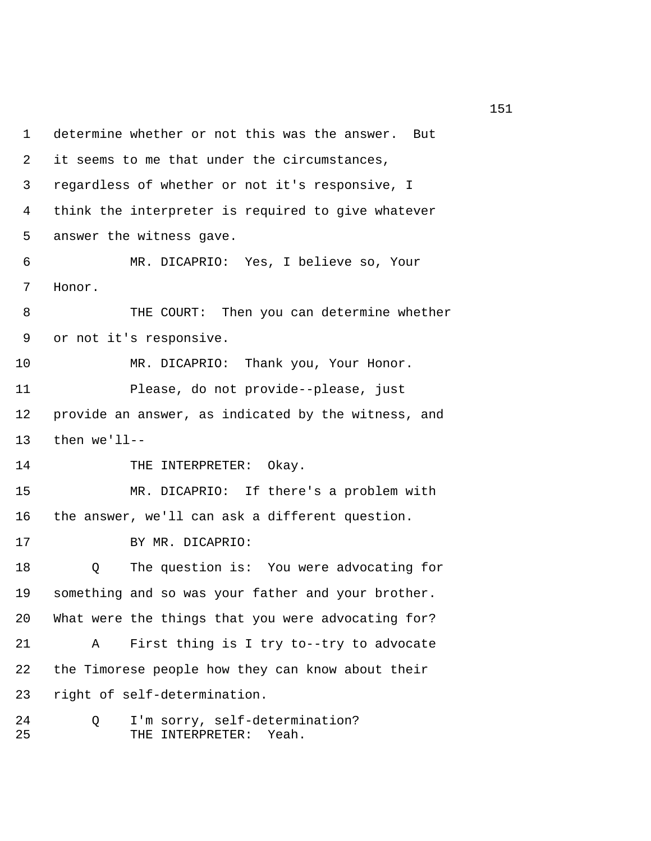1 determine whether or not this was the answer. But 2 it seems to me that under the circumstances, 3 regardless of whether or not it's responsive, I 4 think the interpreter is required to give whatever 5 answer the witness gave. 6 MR. DICAPRIO: Yes, I believe so, Your 7 Honor. 8 THE COURT: Then you can determine whether 9 or not it's responsive. 10 MR. DICAPRIO: Thank you, Your Honor. 11 Please, do not provide--please, just 12 provide an answer, as indicated by the witness, and 13 then we'll-- 14 THE INTERPRETER: Okay. 15 MR. DICAPRIO: If there's a problem with 16 the answer, we'll can ask a different question. 17 BY MR. DICAPRIO: 18 Q The question is: You were advocating for 19 something and so was your father and your brother. 20 What were the things that you were advocating for? 21 A First thing is I try to--try to advocate 22 the Timorese people how they can know about their 23 right of self-determination. 24 Q I'm sorry, self-determination? 25 THE INTERPRETER: Yeah.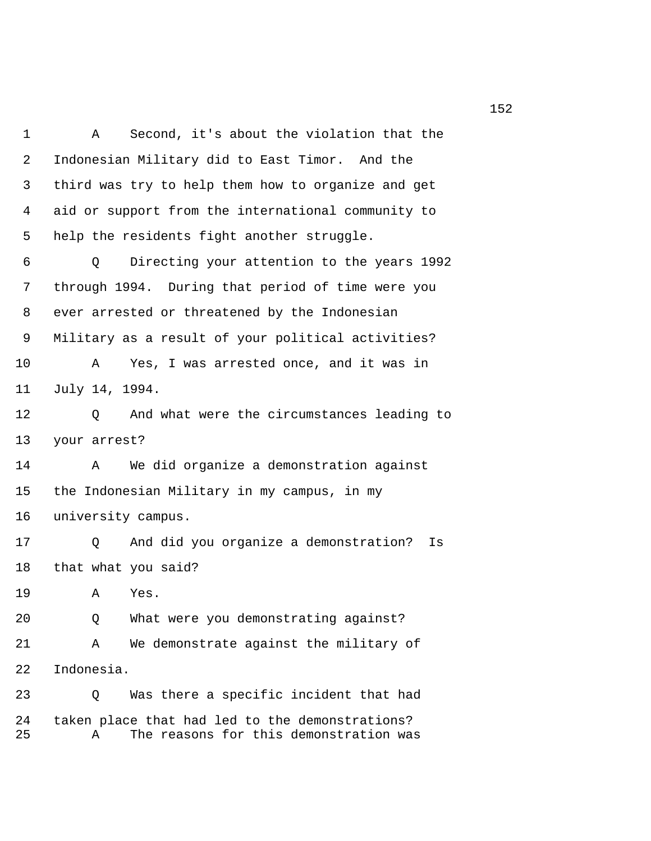1 A Second, it's about the violation that the 2 Indonesian Military did to East Timor. And the 3 third was try to help them how to organize and get 4 aid or support from the international community to 5 help the residents fight another struggle. 6 Q Directing your attention to the years 1992 7 through 1994. During that period of time were you 8 ever arrested or threatened by the Indonesian 9 Military as a result of your political activities? 10 A Yes, I was arrested once, and it was in 11 July 14, 1994. 12 Q And what were the circumstances leading to 13 your arrest? 14 A We did organize a demonstration against 15 the Indonesian Military in my campus, in my 16 university campus. 17 Q And did you organize a demonstration? Is 18 that what you said? 19 A Yes. 20 Q What were you demonstrating against? 21 A We demonstrate against the military of 22 Indonesia. 23 Q Was there a specific incident that had 24 taken place that had led to the demonstrations? 25 A The reasons for this demonstration was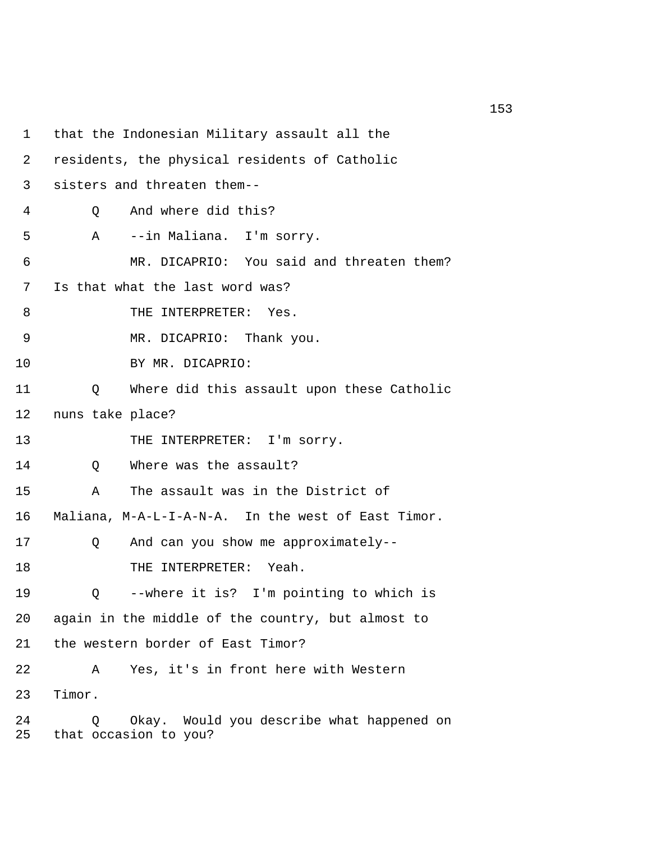1 that the Indonesian Military assault all the 2 residents, the physical residents of Catholic 3 sisters and threaten them-- 4 Q And where did this? 5 A --in Maliana. I'm sorry. 6 MR. DICAPRIO: You said and threaten them? 7 Is that what the last word was? 8 THE INTERPRETER: Yes. 9 MR. DICAPRIO: Thank you. 10 BY MR. DICAPRIO: 11 Q Where did this assault upon these Catholic 12 nuns take place? 13 THE INTERPRETER: I'm sorry. 14 O Where was the assault? 15 A The assault was in the District of 16 Maliana, M-A-L-I-A-N-A. In the west of East Timor. 17 Q And can you show me approximately-- 18 THE INTERPRETER: Yeah. 19 Q --where it is? I'm pointing to which is 20 again in the middle of the country, but almost to 21 the western border of East Timor? 22 A Yes, it's in front here with Western 23 Timor. 24 Q Okay. Would you describe what happened on 25 that occasion to you?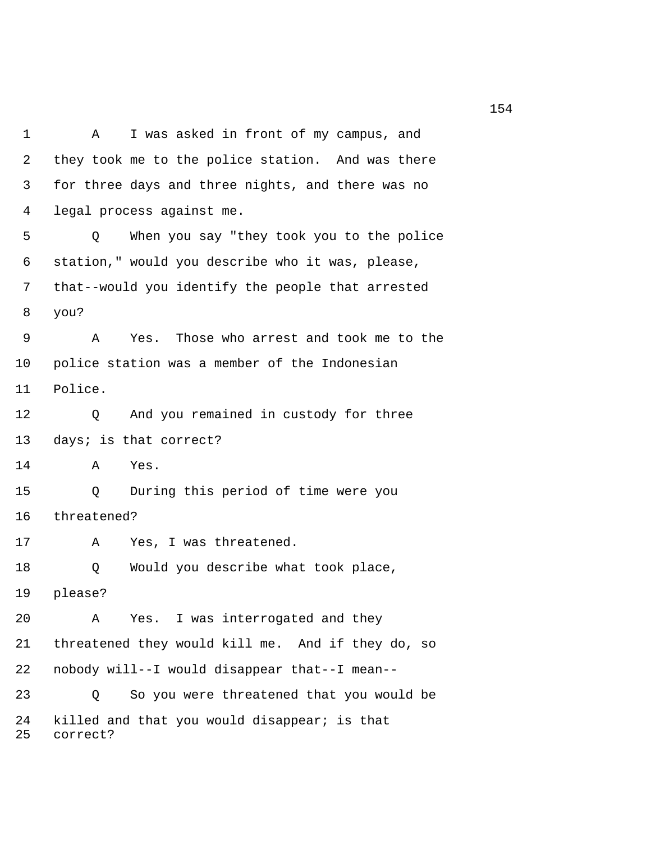1 A I was asked in front of my campus, and 2 they took me to the police station. And was there 3 for three days and three nights, and there was no 4 legal process against me. 5 Q When you say "they took you to the police 6 station," would you describe who it was, please, 7 that--would you identify the people that arrested 8 you? 9 A Yes. Those who arrest and took me to the 10 police station was a member of the Indonesian 11 Police. 12 Q And you remained in custody for three 13 days; is that correct? 14 A Yes. 15 Q During this period of time were you 16 threatened? 17 A Yes, I was threatened. 18 Q Would you describe what took place, 19 please? 20 A Yes. I was interrogated and they 21 threatened they would kill me. And if they do, so 22 nobody will--I would disappear that--I mean-- 23 Q So you were threatened that you would be 24 killed and that you would disappear; is that 25 correct?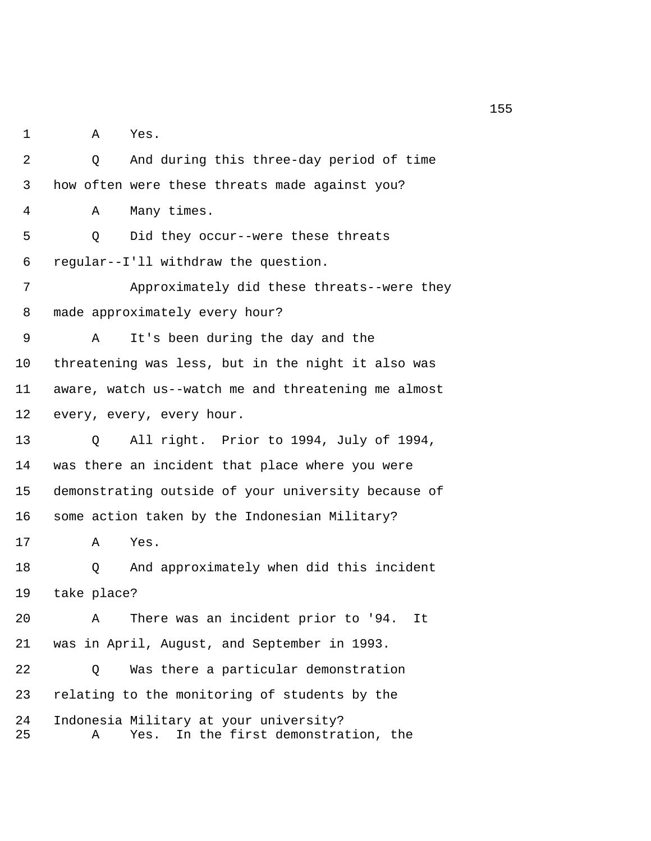1 A Yes.

 2 Q And during this three-day period of time 3 how often were these threats made against you? 4 A Many times. 5 Q Did they occur--were these threats 6 regular--I'll withdraw the question. 7 Approximately did these threats--were they 8 made approximately every hour? 9 A It's been during the day and the 10 threatening was less, but in the night it also was 11 aware, watch us--watch me and threatening me almost 12 every, every, every hour. 13 Q All right. Prior to 1994, July of 1994, 14 was there an incident that place where you were 15 demonstrating outside of your university because of 16 some action taken by the Indonesian Military? 17 A Yes. 18 Q And approximately when did this incident 19 take place? 20 A There was an incident prior to '94. It 21 was in April, August, and September in 1993. 22 Q Was there a particular demonstration 23 relating to the monitoring of students by the 24 Indonesia Military at your university? 25 A Yes. In the first demonstration, the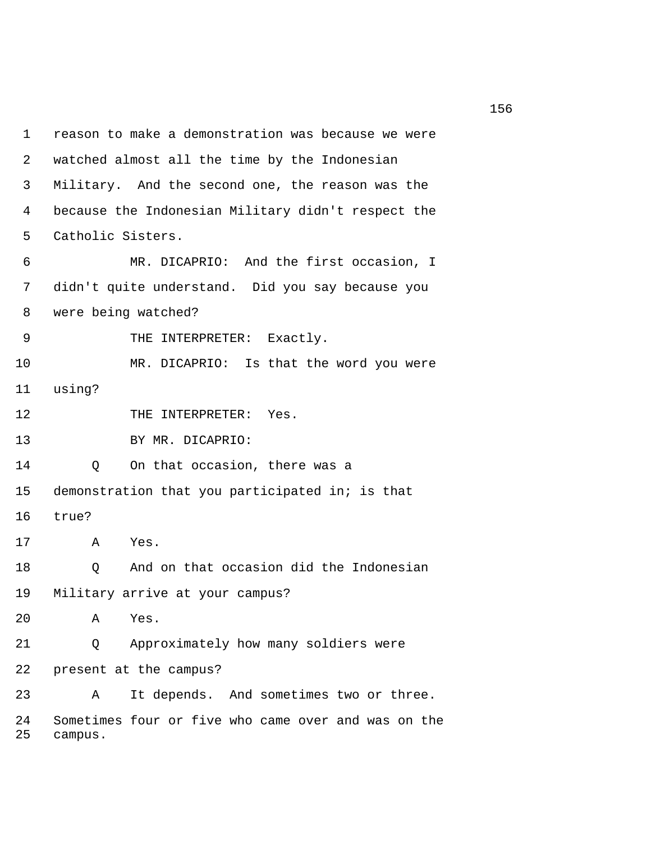1 reason to make a demonstration was because we were 2 watched almost all the time by the Indonesian 3 Military. And the second one, the reason was the 4 because the Indonesian Military didn't respect the 5 Catholic Sisters. 6 MR. DICAPRIO: And the first occasion, I 7 didn't quite understand. Did you say because you 8 were being watched? 9 THE INTERPRETER: Exactly. 10 MR. DICAPRIO: Is that the word you were 11 using? 12 THE INTERPRETER: Yes. 13 BY MR. DICAPRIO: 14 Q On that occasion, there was a 15 demonstration that you participated in; is that 16 true? 17 A Yes. 18 Q And on that occasion did the Indonesian 19 Military arrive at your campus? 20 A Yes. 21 Q Approximately how many soldiers were 22 present at the campus? 23 A It depends. And sometimes two or three. 24 Sometimes four or five who came over and was on the 25 campus.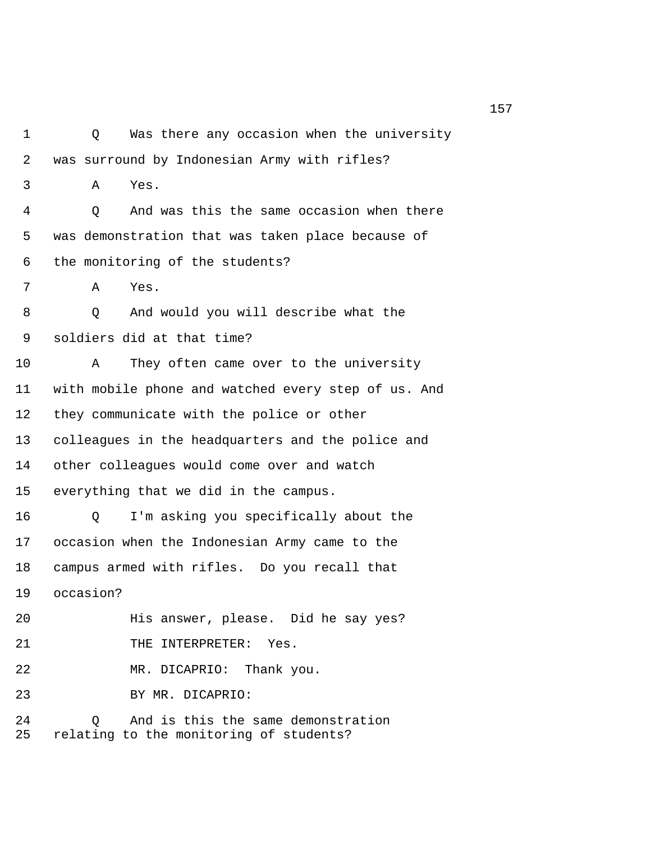1 Q Was there any occasion when the university 2 was surround by Indonesian Army with rifles? 3 A Yes. 4 Q And was this the same occasion when there 5 was demonstration that was taken place because of 6 the monitoring of the students? 7 A Yes. 8 Q And would you will describe what the 9 soldiers did at that time? 10 A They often came over to the university 11 with mobile phone and watched every step of us. And 12 they communicate with the police or other 13 colleagues in the headquarters and the police and 14 other colleagues would come over and watch 15 everything that we did in the campus. 16 Q I'm asking you specifically about the 17 occasion when the Indonesian Army came to the 18 campus armed with rifles. Do you recall that 19 occasion? 20 His answer, please. Did he say yes? 21 THE INTERPRETER: Yes. 22 MR. DICAPRIO: Thank you. 23 BY MR. DICAPRIO: 24 Q And is this the same demonstration 25 relating to the monitoring of students?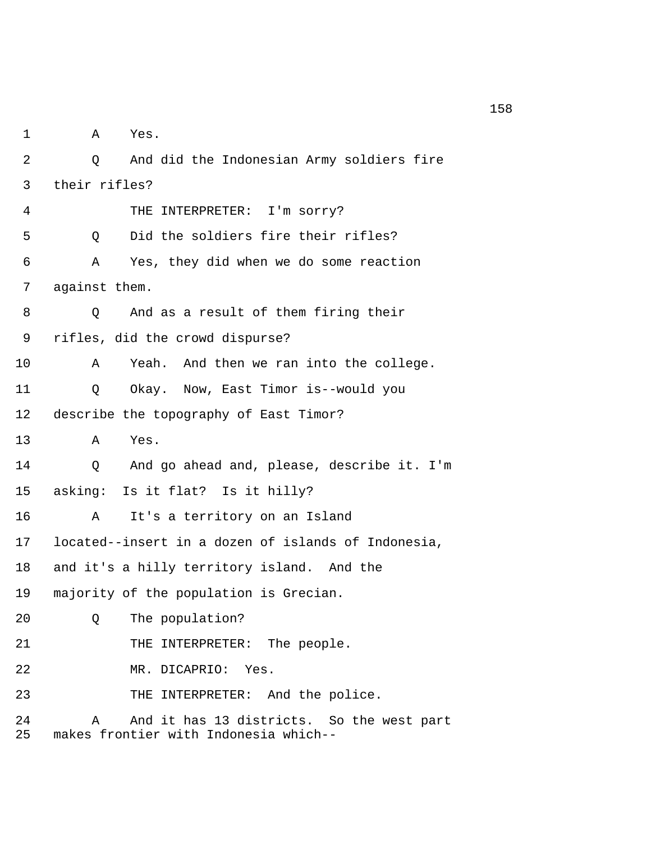1 A Yes. 2 Q And did the Indonesian Army soldiers fire 3 their rifles? 4 THE INTERPRETER: I'm sorry? 5 Q Did the soldiers fire their rifles? 6 A Yes, they did when we do some reaction 7 against them. 8 Q And as a result of them firing their 9 rifles, did the crowd dispurse? 10 A Yeah. And then we ran into the college. 11 Q Okay. Now, East Timor is--would you 12 describe the topography of East Timor? 13 A Yes. 14 Q And go ahead and, please, describe it. I'm 15 asking: Is it flat? Is it hilly? 16 A It's a territory on an Island 17 located--insert in a dozen of islands of Indonesia, 18 and it's a hilly territory island. And the 19 majority of the population is Grecian. 20 Q The population? 21 THE INTERPRETER: The people. 22 MR. DICAPRIO: Yes. 23 THE INTERPRETER: And the police. 24 A And it has 13 districts. So the west part 25 makes frontier with Indonesia which--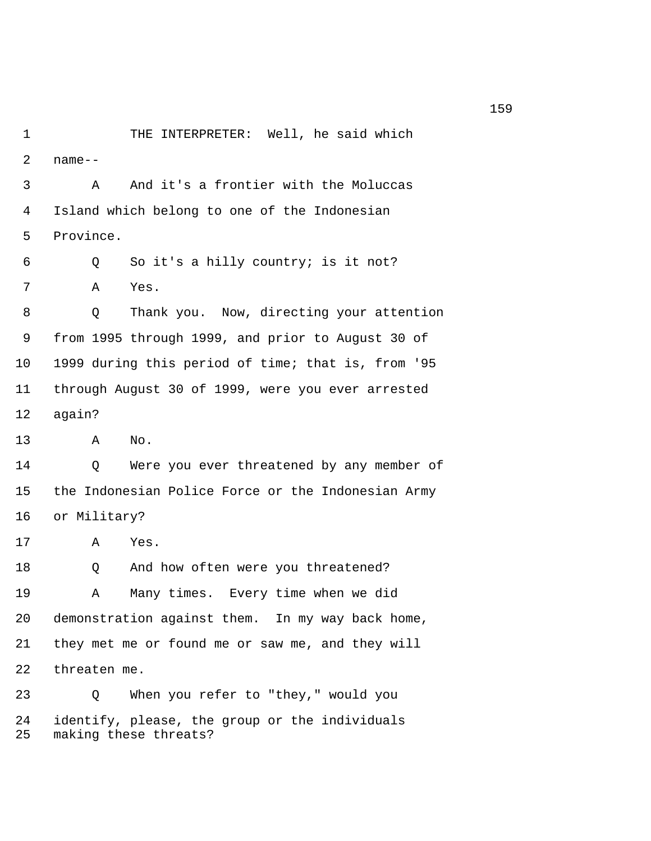1 THE INTERPRETER: Well, he said which  $2$  name-- 3 A And it's a frontier with the Moluccas 4 Island which belong to one of the Indonesian 5 Province. 6 Q So it's a hilly country; is it not? 7 A Yes. 8 Q Thank you. Now, directing your attention 9 from 1995 through 1999, and prior to August 30 of 10 1999 during this period of time; that is, from '95 11 through August 30 of 1999, were you ever arrested 12 again? 13 A No. 14 Q Were you ever threatened by any member of 15 the Indonesian Police Force or the Indonesian Army 16 or Military? 17 A Yes. 18 O And how often were you threatened? 19 A Many times. Every time when we did 20 demonstration against them. In my way back home, 21 they met me or found me or saw me, and they will 22 threaten me. 23 Q When you refer to "they," would you 24 identify, please, the group or the individuals 25 making these threats?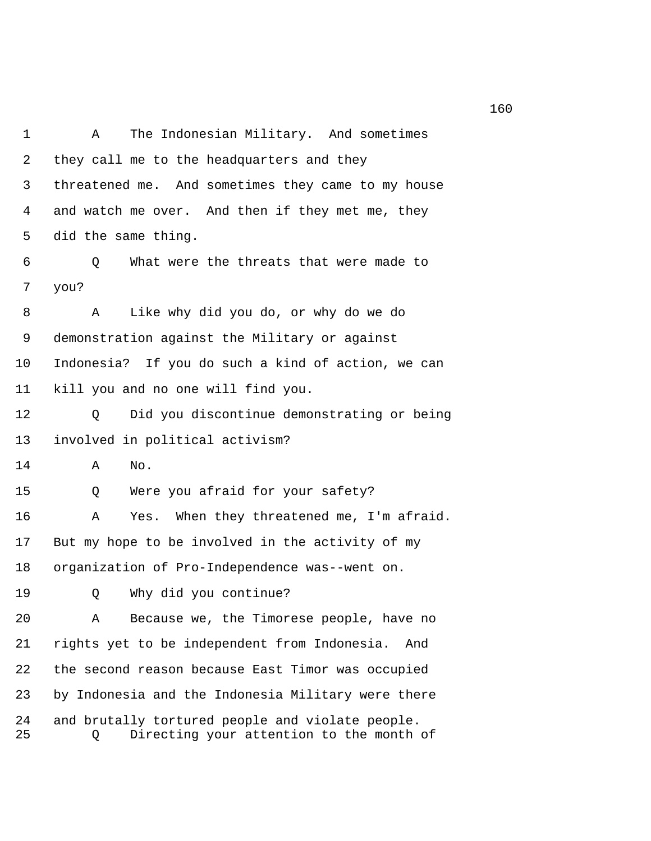1 A The Indonesian Military. And sometimes 2 they call me to the headquarters and they 3 threatened me. And sometimes they came to my house 4 and watch me over. And then if they met me, they 5 did the same thing. 6 Q What were the threats that were made to 7 you? 8 A Like why did you do, or why do we do 9 demonstration against the Military or against 10 Indonesia? If you do such a kind of action, we can 11 kill you and no one will find you. 12 Q Did you discontinue demonstrating or being 13 involved in political activism? 14 A No. 15 Q Were you afraid for your safety? 16 A Yes. When they threatened me, I'm afraid. 17 But my hope to be involved in the activity of my 18 organization of Pro-Independence was--went on. 19 Q Why did you continue? 20 A Because we, the Timorese people, have no 21 rights yet to be independent from Indonesia. And 22 the second reason because East Timor was occupied 23 by Indonesia and the Indonesia Military were there 24 and brutally tortured people and violate people. 25 Q Directing your attention to the month of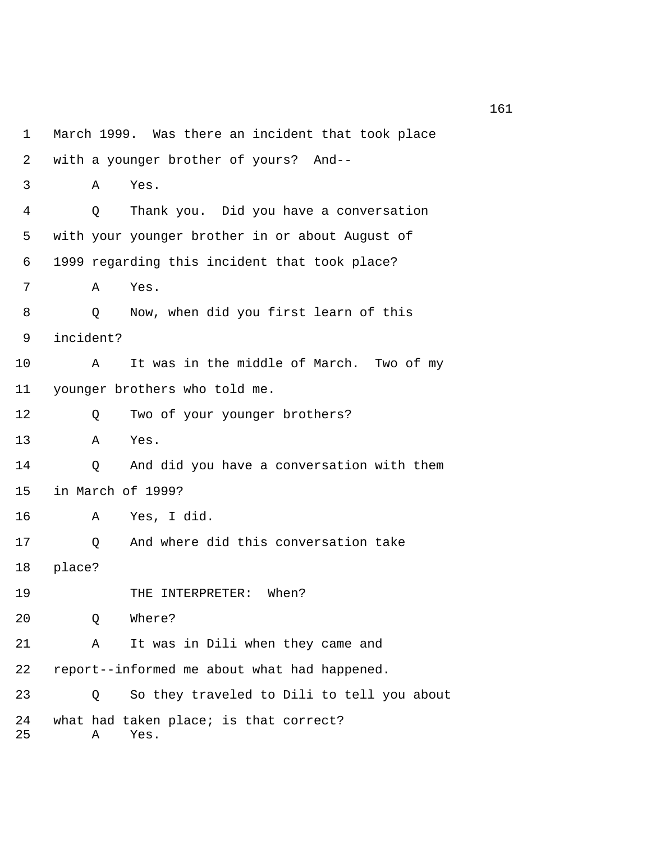1 March 1999. Was there an incident that took place 2 with a younger brother of yours? And-- 3 A Yes. 4 Q Thank you. Did you have a conversation 5 with your younger brother in or about August of 6 1999 regarding this incident that took place? 7 A Yes. 8 Q Now, when did you first learn of this 9 incident? 10 A It was in the middle of March. Two of my 11 younger brothers who told me. 12 Q Two of your younger brothers? 13 A Yes. 14 Q And did you have a conversation with them 15 in March of 1999? 16 A Yes, I did. 17 Q And where did this conversation take 18 place? 19 THE INTERPRETER: When? 20 Q Where? 21 A It was in Dili when they came and 22 report--informed me about what had happened. 23 Q So they traveled to Dili to tell you about 24 what had taken place; is that correct? 25 A Yes.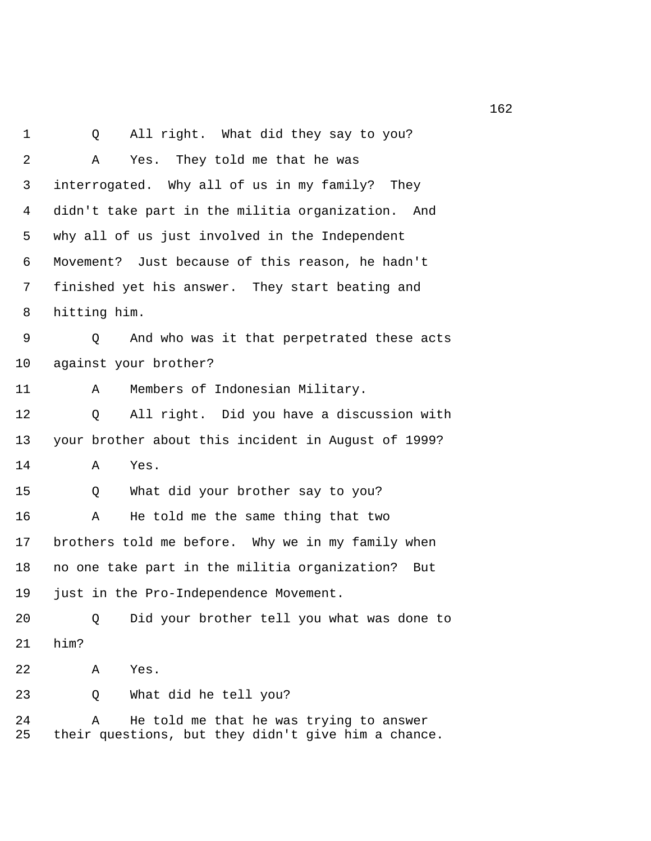1 Q All right. What did they say to you? 2 A Yes. They told me that he was 3 interrogated. Why all of us in my family? They 4 didn't take part in the militia organization. And 5 why all of us just involved in the Independent 6 Movement? Just because of this reason, he hadn't 7 finished yet his answer. They start beating and 8 hitting him. 9 Q And who was it that perpetrated these acts 10 against your brother? 11 A Members of Indonesian Military. 12 Q All right. Did you have a discussion with 13 your brother about this incident in August of 1999? 14 A Yes. 15 Q What did your brother say to you? 16 A He told me the same thing that two 17 brothers told me before. Why we in my family when 18 no one take part in the militia organization? But 19 just in the Pro-Independence Movement. 20 Q Did your brother tell you what was done to 21 him? 22 A Yes. 23 Q What did he tell you? 24 A He told me that he was trying to answer 25 their questions, but they didn't give him a chance.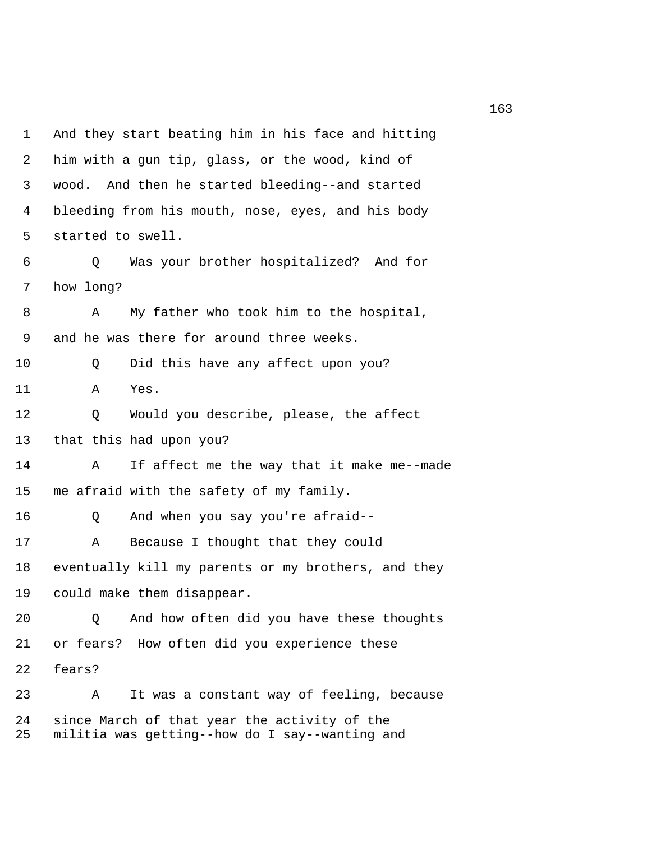1 And they start beating him in his face and hitting 2 him with a gun tip, glass, or the wood, kind of 3 wood. And then he started bleeding--and started 4 bleeding from his mouth, nose, eyes, and his body 5 started to swell. 6 Q Was your brother hospitalized? And for 7 how long? 8 A My father who took him to the hospital, 9 and he was there for around three weeks. 10 Q Did this have any affect upon you? 11 A Yes. 12 Q Would you describe, please, the affect 13 that this had upon you? 14 A If affect me the way that it make me--made 15 me afraid with the safety of my family. 16 Q And when you say you're afraid-- 17 A Because I thought that they could 18 eventually kill my parents or my brothers, and they 19 could make them disappear. 20 Q And how often did you have these thoughts 21 or fears? How often did you experience these 22 fears? 23 A It was a constant way of feeling, because 24 since March of that year the activity of the 25 militia was getting--how do I say--wanting and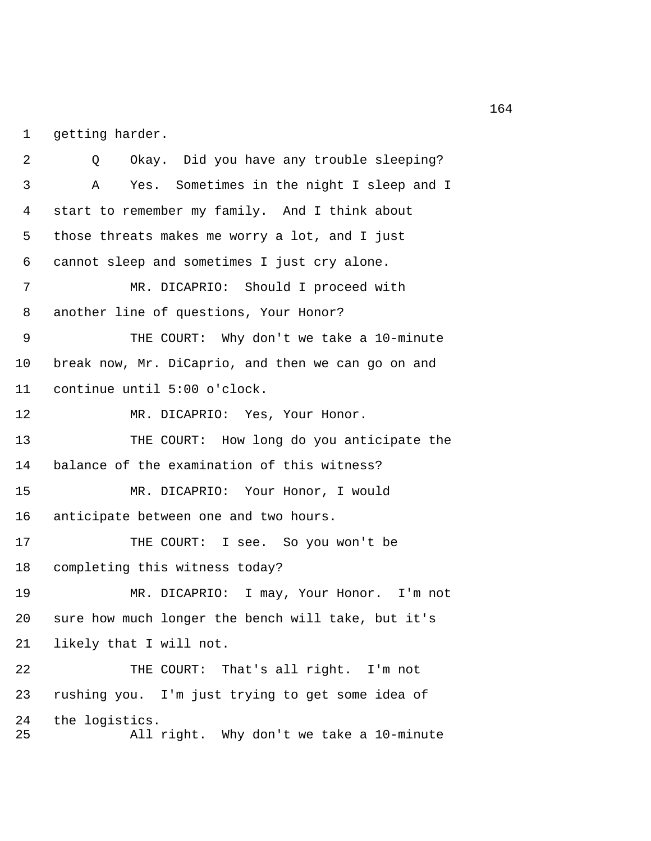1 getting harder.

 2 Q Okay. Did you have any trouble sleeping? 3 A Yes. Sometimes in the night I sleep and I 4 start to remember my family. And I think about 5 those threats makes me worry a lot, and I just 6 cannot sleep and sometimes I just cry alone. 7 MR. DICAPRIO: Should I proceed with 8 another line of questions, Your Honor? 9 THE COURT: Why don't we take a 10-minute 10 break now, Mr. DiCaprio, and then we can go on and 11 continue until 5:00 o'clock. 12 MR. DICAPRIO: Yes, Your Honor. 13 THE COURT: How long do you anticipate the 14 balance of the examination of this witness? 15 MR. DICAPRIO: Your Honor, I would 16 anticipate between one and two hours. 17 THE COURT: I see. So you won't be 18 completing this witness today? 19 MR. DICAPRIO: I may, Your Honor. I'm not 20 sure how much longer the bench will take, but it's 21 likely that I will not. 22 THE COURT: That's all right. I'm not 23 rushing you. I'm just trying to get some idea of 24 the logistics. 25 All right. Why don't we take a 10-minute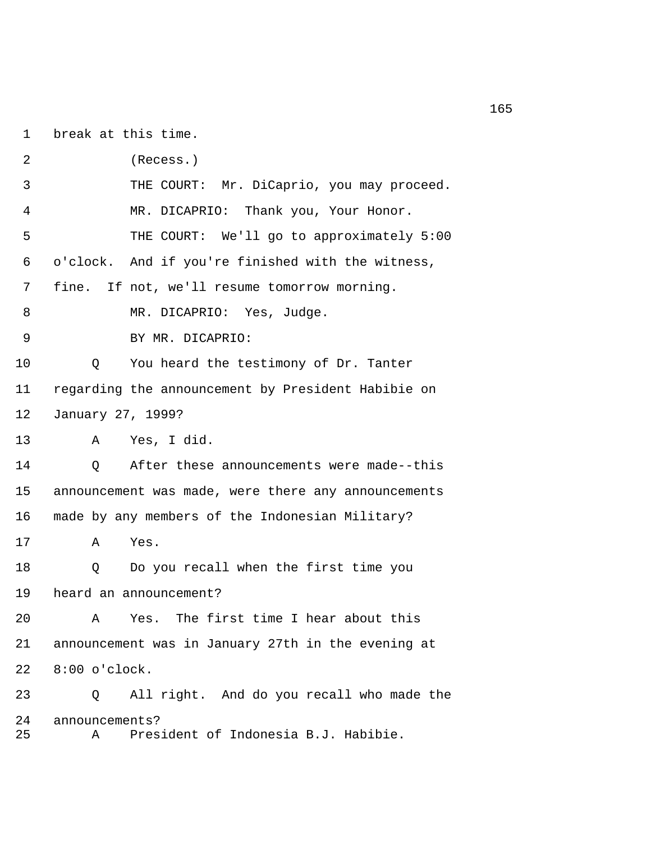1 break at this time.

 2 (Recess.) 3 THE COURT: Mr. DiCaprio, you may proceed. 4 MR. DICAPRIO: Thank you, Your Honor. 5 THE COURT: We'll go to approximately 5:00 6 o'clock. And if you're finished with the witness, 7 fine. If not, we'll resume tomorrow morning. 8 MR. DICAPRIO: Yes, Judge. 9 BY MR. DICAPRIO: 10 Q You heard the testimony of Dr. Tanter 11 regarding the announcement by President Habibie on 12 January 27, 1999? 13 A Yes, I did. 14 Q After these announcements were made--this 15 announcement was made, were there any announcements 16 made by any members of the Indonesian Military? 17 A Yes. 18 Q Do you recall when the first time you 19 heard an announcement? 20 A Yes. The first time I hear about this 21 announcement was in January 27th in the evening at 22 8:00 o'clock. 23 Q All right. And do you recall who made the 24 announcements? 25 A President of Indonesia B.J. Habibie.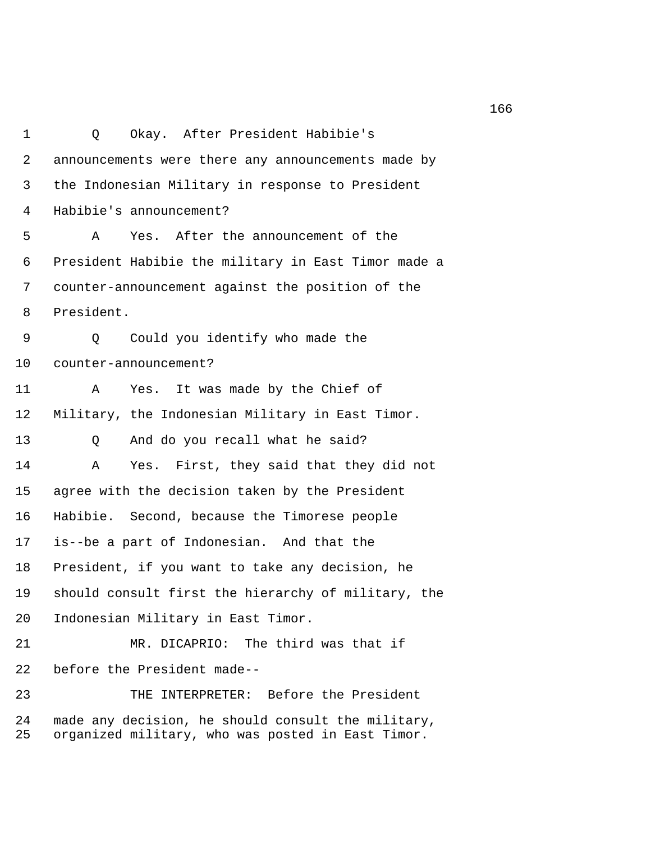1 Q Okay. After President Habibie's 2 announcements were there any announcements made by 3 the Indonesian Military in response to President 4 Habibie's announcement? 5 A Yes. After the announcement of the 6 President Habibie the military in East Timor made a 7 counter-announcement against the position of the 8 President. 9 Q Could you identify who made the 10 counter-announcement? 11 A Yes. It was made by the Chief of 12 Military, the Indonesian Military in East Timor. 13 O And do you recall what he said? 14 A Yes. First, they said that they did not 15 agree with the decision taken by the President 16 Habibie. Second, because the Timorese people 17 is--be a part of Indonesian. And that the 18 President, if you want to take any decision, he 19 should consult first the hierarchy of military, the 20 Indonesian Military in East Timor. 21 MR. DICAPRIO: The third was that if 22 before the President made-- 23 THE INTERPRETER: Before the President 24 made any decision, he should consult the military, 25 organized military, who was posted in East Timor.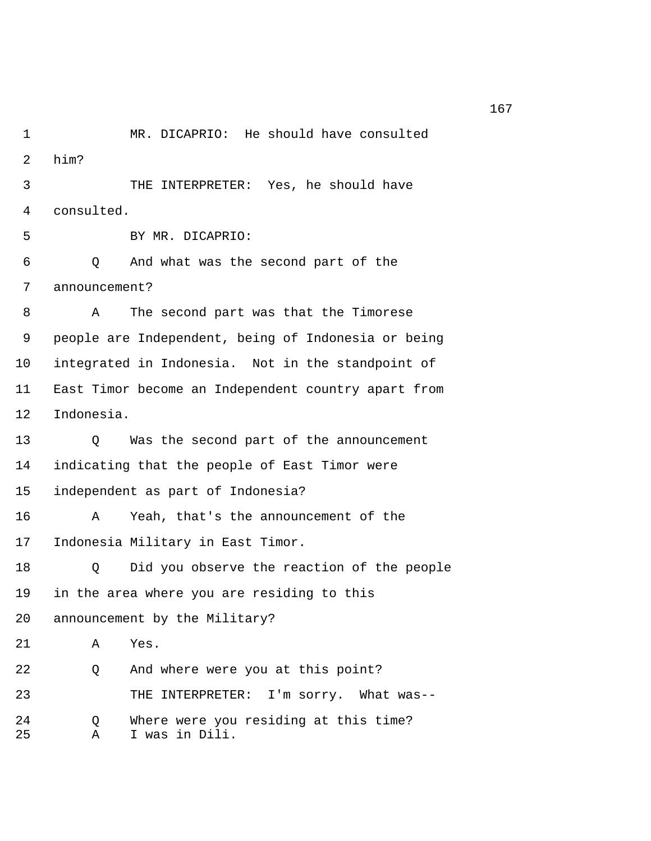1 MR. DICAPRIO: He should have consulted 2 him? 3 THE INTERPRETER: Yes, he should have 4 consulted. 5 BY MR. DICAPRIO: 6 Q And what was the second part of the 7 announcement? 8 A The second part was that the Timorese 9 people are Independent, being of Indonesia or being 10 integrated in Indonesia. Not in the standpoint of 11 East Timor become an Independent country apart from 12 Indonesia. 13 Q Was the second part of the announcement 14 indicating that the people of East Timor were 15 independent as part of Indonesia? 16 A Yeah, that's the announcement of the 17 Indonesia Military in East Timor. 18 Q Did you observe the reaction of the people 19 in the area where you are residing to this 20 announcement by the Military? 21 A Yes. 22 Q And where were you at this point? 23 THE INTERPRETER: I'm sorry. What was-- 24 Q Where were you residing at this time? 25 A I was in Dili.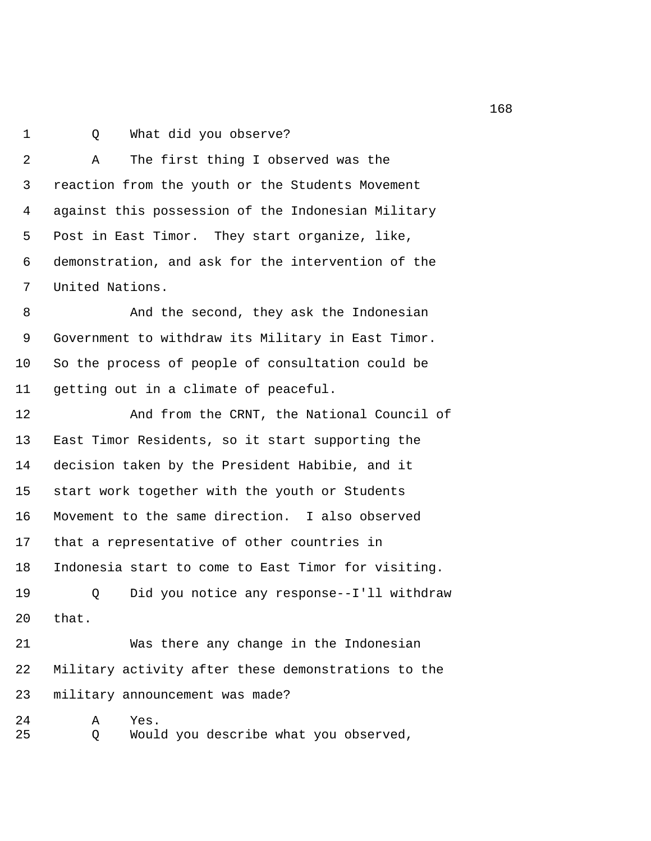1 0 What did you observe?

 2 A The first thing I observed was the 3 reaction from the youth or the Students Movement 4 against this possession of the Indonesian Military 5 Post in East Timor. They start organize, like, 6 demonstration, and ask for the intervention of the 7 United Nations.

 8 And the second, they ask the Indonesian 9 Government to withdraw its Military in East Timor. 10 So the process of people of consultation could be 11 getting out in a climate of peaceful.

12 And from the CRNT, the National Council of 13 East Timor Residents, so it start supporting the 14 decision taken by the President Habibie, and it 15 start work together with the youth or Students 16 Movement to the same direction. I also observed 17 that a representative of other countries in 18 Indonesia start to come to East Timor for visiting. 19 Q Did you notice any response--I'll withdraw 20 that.

21 Was there any change in the Indonesian 22 Military activity after these demonstrations to the 23 military announcement was made?

24 A Yes. 25 Q Would you describe what you observed,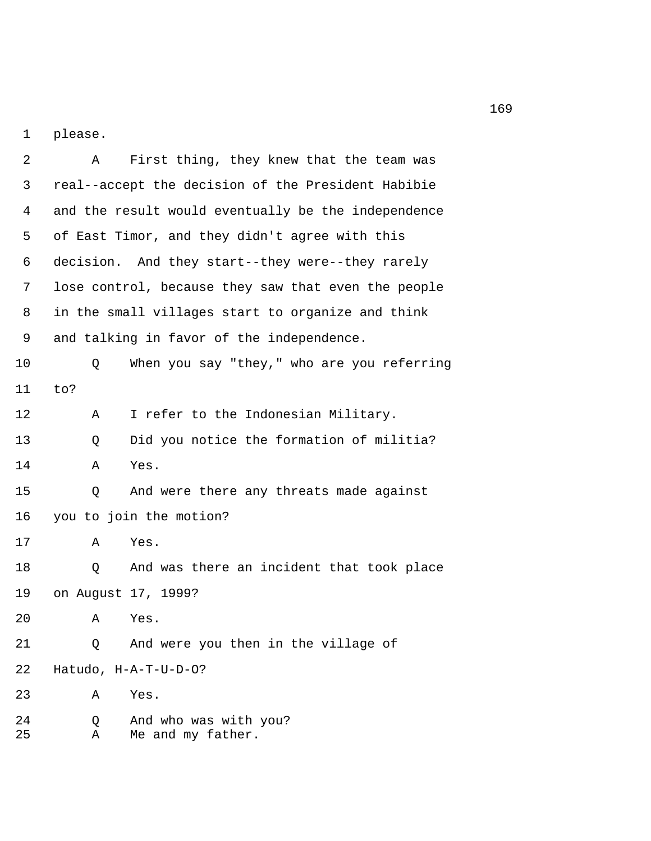1 please.

 2 A First thing, they knew that the team was 3 real--accept the decision of the President Habibie 4 and the result would eventually be the independence 5 of East Timor, and they didn't agree with this 6 decision. And they start--they were--they rarely 7 lose control, because they saw that even the people 8 in the small villages start to organize and think 9 and talking in favor of the independence. 10 Q When you say "they," who are you referring 11 to? 12 A I refer to the Indonesian Military. 13 Q Did you notice the formation of militia? 14 A Yes. 15 Q And were there any threats made against 16 you to join the motion? 17 A Yes. 18 Q And was there an incident that took place 19 on August 17, 1999? 20 A Yes. 21 Q And were you then in the village of 22 Hatudo, H-A-T-U-D-O? 23 A Yes. 24 Q And who was with you? 25 A Me and my father.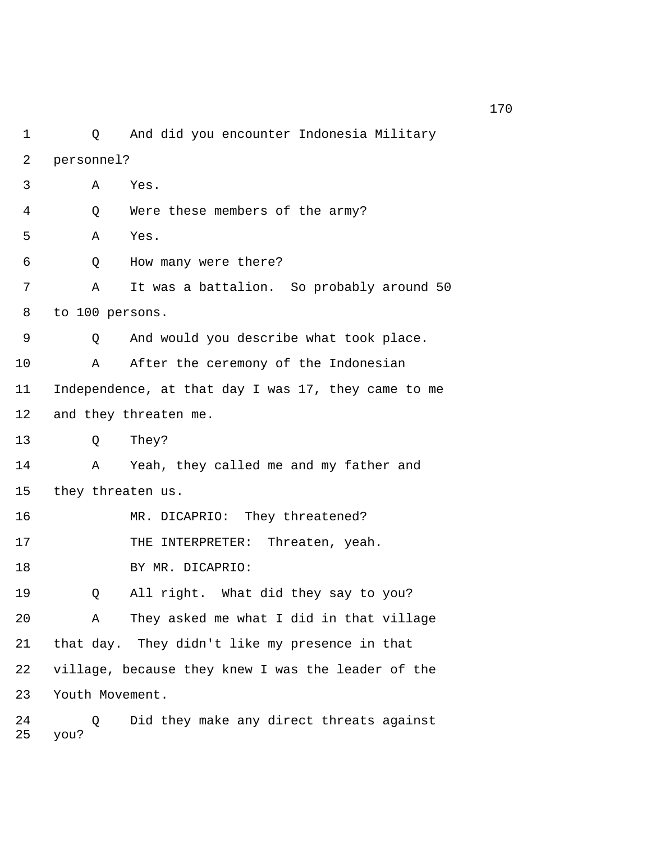1 Q And did you encounter Indonesia Military 2 personnel? 3 A Yes. 4 Q Were these members of the army? 5 A Yes. 6 Q How many were there? 7 A It was a battalion. So probably around 50 8 to 100 persons. 9 Q And would you describe what took place. 10 A After the ceremony of the Indonesian 11 Independence, at that day I was 17, they came to me 12 and they threaten me. 13 Q They? 14 A Yeah, they called me and my father and 15 they threaten us. 16 MR. DICAPRIO: They threatened? 17 THE INTERPRETER: Threaten, yeah. 18 BY MR. DICAPRIO: 19 Q All right. What did they say to you? 20 A They asked me what I did in that village 21 that day. They didn't like my presence in that 22 village, because they knew I was the leader of the 23 Youth Movement. 24 Q Did they make any direct threats against

25 you?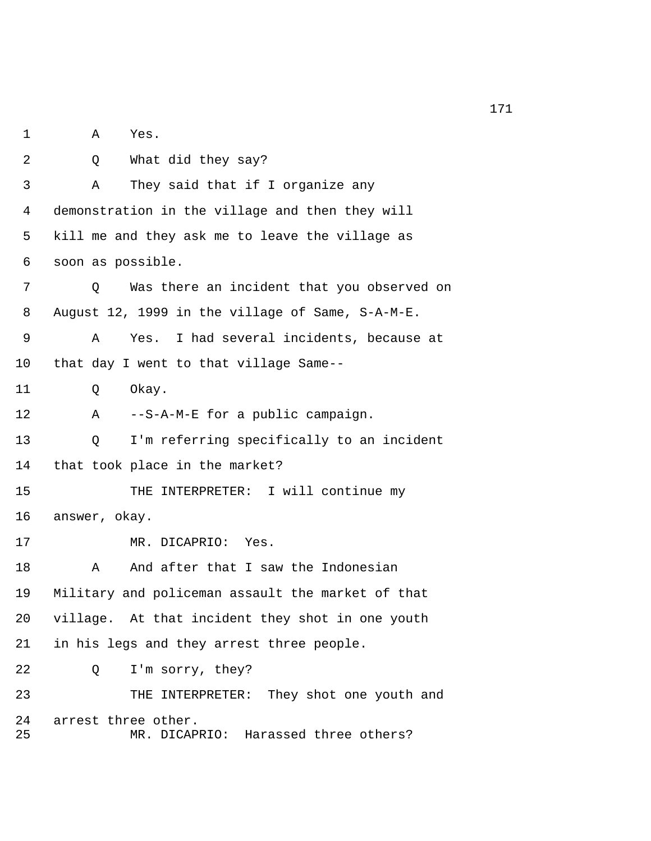1 A Yes. 2 Q What did they say? 3 A They said that if I organize any 4 demonstration in the village and then they will 5 kill me and they ask me to leave the village as 6 soon as possible. 7 Q Was there an incident that you observed on 8 August 12, 1999 in the village of Same, S-A-M-E. 9 A Yes. I had several incidents, because at 10 that day I went to that village Same-- 11 Q Okay. 12 A --S-A-M-E for a public campaign. 13 Q I'm referring specifically to an incident 14 that took place in the market? 15 THE INTERPRETER: I will continue my 16 answer, okay. 17 MR. DICAPRIO: Yes. 18 A And after that I saw the Indonesian 19 Military and policeman assault the market of that 20 village. At that incident they shot in one youth 21 in his legs and they arrest three people. 22 Q I'm sorry, they? 23 THE INTERPRETER: They shot one youth and 24 arrest three other. 25 MR. DICAPRIO: Harassed three others?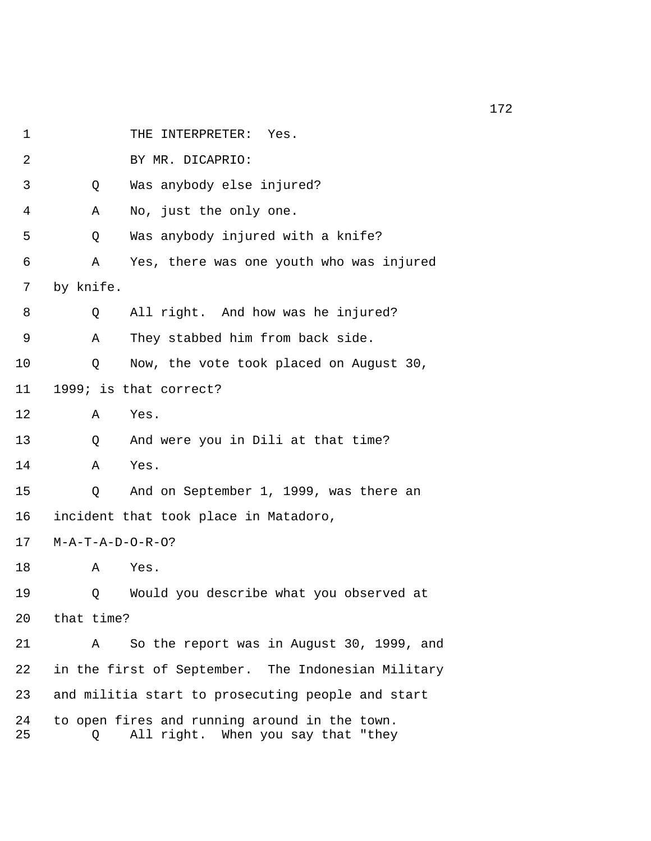| 1        |                                                    | INTERPRETER:<br>Yes.<br>THE                                                         |  |
|----------|----------------------------------------------------|-------------------------------------------------------------------------------------|--|
| 2        |                                                    | BY MR. DICAPRIO:                                                                    |  |
| 3        | Q                                                  | Was anybody else injured?                                                           |  |
| 4        | Α                                                  | No, just the only one.                                                              |  |
| 5        | Q                                                  | Was anybody injured with a knife?                                                   |  |
| 6        | Α                                                  | Yes, there was one youth who was injured                                            |  |
| 7        | by knife.                                          |                                                                                     |  |
| 8        | Q                                                  | All right. And how was he injured?                                                  |  |
| 9        | Α                                                  | They stabbed him from back side.                                                    |  |
| 10       | Q                                                  | Now, the vote took placed on August 30,                                             |  |
| 11       | 1999; is that correct?                             |                                                                                     |  |
| 12       | Α                                                  | Yes.                                                                                |  |
| 13       | Q                                                  | And were you in Dili at that time?                                                  |  |
| 14       | A                                                  | Yes.                                                                                |  |
| 15       | Q                                                  | And on September 1, 1999, was there an                                              |  |
| 16       | incident that took place in Matadoro,              |                                                                                     |  |
| 17       | $M - A - T - A - D - O - R - O$ ?                  |                                                                                     |  |
| 18       | Α                                                  | Yes.                                                                                |  |
| 19       | Q                                                  | Would you describe what you observed at                                             |  |
| 20       | that time?                                         |                                                                                     |  |
| 21       | A                                                  | So the report was in August 30, 1999, and                                           |  |
| 22       | in the first of September. The Indonesian Military |                                                                                     |  |
| 23       | and militia start to prosecuting people and start  |                                                                                     |  |
| 24<br>25 | Q                                                  | to open fires and running around in the town.<br>All right. When you say that "they |  |
|          |                                                    |                                                                                     |  |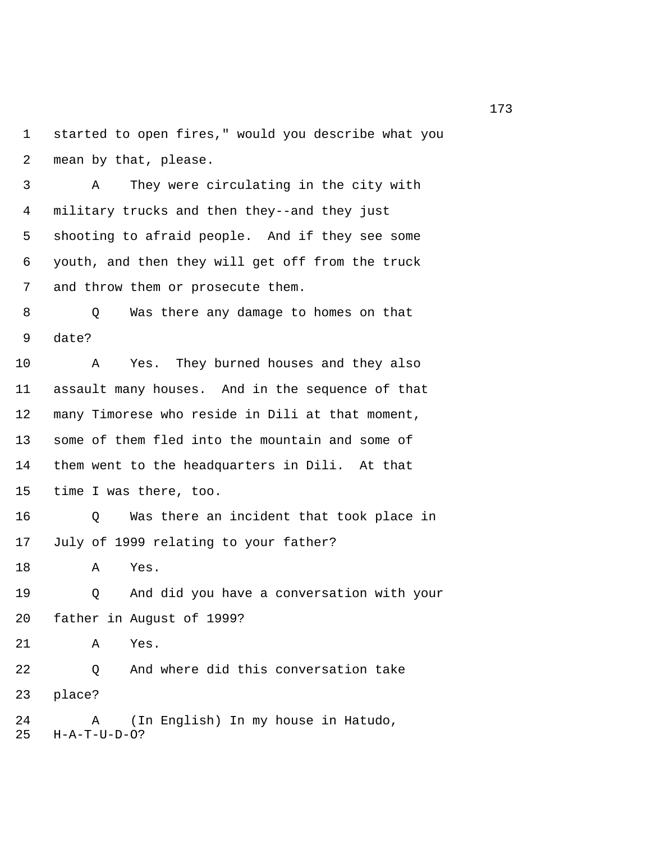1 started to open fires," would you describe what you 2 mean by that, please.

 3 A They were circulating in the city with 4 military trucks and then they--and they just 5 shooting to afraid people. And if they see some 6 youth, and then they will get off from the truck 7 and throw them or prosecute them.

 8 Q Was there any damage to homes on that 9 date?

10 A Yes. They burned houses and they also 11 assault many houses. And in the sequence of that 12 many Timorese who reside in Dili at that moment, 13 some of them fled into the mountain and some of 14 them went to the headquarters in Dili. At that 15 time I was there, too.

16 Q Was there an incident that took place in 17 July of 1999 relating to your father?

18 A Yes.

19 Q And did you have a conversation with your 20 father in August of 1999?

21 A Yes.

22 Q And where did this conversation take 23 place?

24 A (In English) In my house in Hatudo, 25 H-A-T-U-D-O?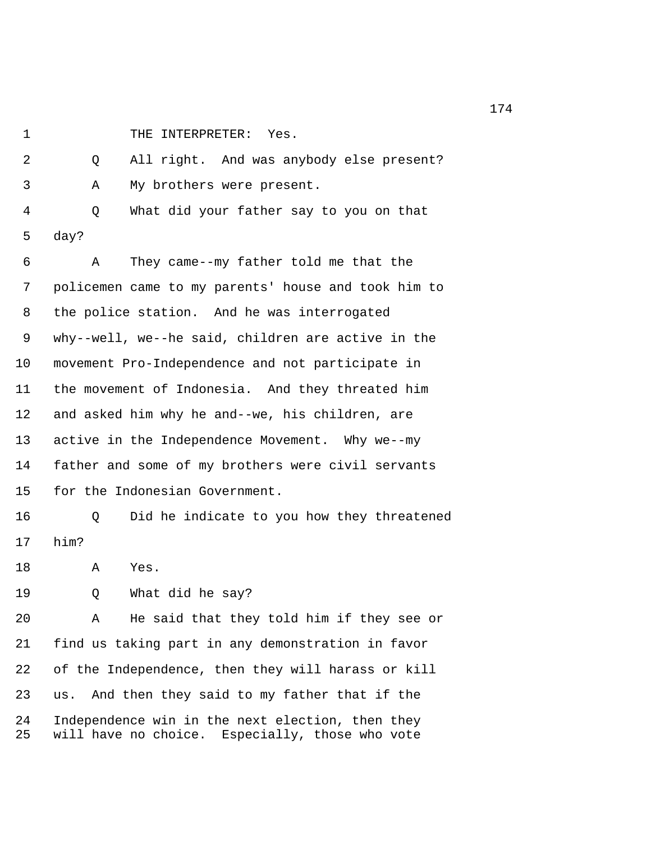1 THE INTERPRETER: Yes.

 2 Q All right. And was anybody else present? 3 A My brothers were present. 4 Q What did your father say to you on that 5 day? 6 A They came--my father told me that the 7 policemen came to my parents' house and took him to 8 the police station. And he was interrogated 9 why--well, we--he said, children are active in the 10 movement Pro-Independence and not participate in 11 the movement of Indonesia. And they threated him 12 and asked him why he and--we, his children, are 13 active in the Independence Movement. Why we--my 14 father and some of my brothers were civil servants 15 for the Indonesian Government. 16 Q Did he indicate to you how they threatened 17 him? 18 A Yes. 19 Q What did he say? 20 A He said that they told him if they see or 21 find us taking part in any demonstration in favor 22 of the Independence, then they will harass or kill 23 us. And then they said to my father that if the 24 Independence win in the next election, then they 25 will have no choice. Especially, those who vote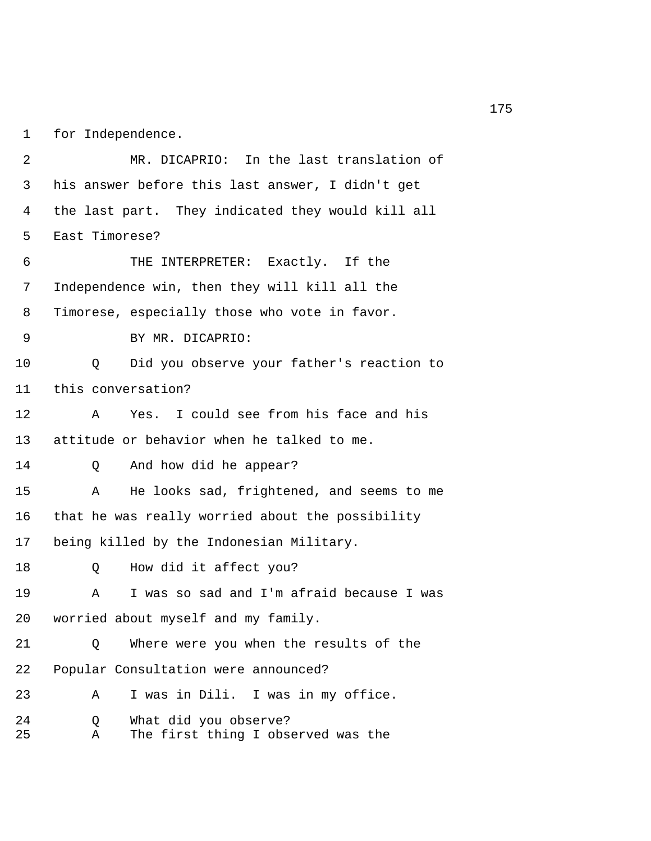1 for Independence.

 2 MR. DICAPRIO: In the last translation of 3 his answer before this last answer, I didn't get 4 the last part. They indicated they would kill all 5 East Timorese? 6 THE INTERPRETER: Exactly. If the 7 Independence win, then they will kill all the 8 Timorese, especially those who vote in favor. 9 BY MR. DICAPRIO: 10 Q Did you observe your father's reaction to 11 this conversation? 12 A Yes. I could see from his face and his 13 attitude or behavior when he talked to me. 14 Q And how did he appear? 15 A He looks sad, frightened, and seems to me 16 that he was really worried about the possibility 17 being killed by the Indonesian Military. 18 0 How did it affect you? 19 A I was so sad and I'm afraid because I was 20 worried about myself and my family. 21 Q Where were you when the results of the 22 Popular Consultation were announced? 23 A I was in Dili. I was in my office. 24 Q What did you observe? 25 A The first thing I observed was the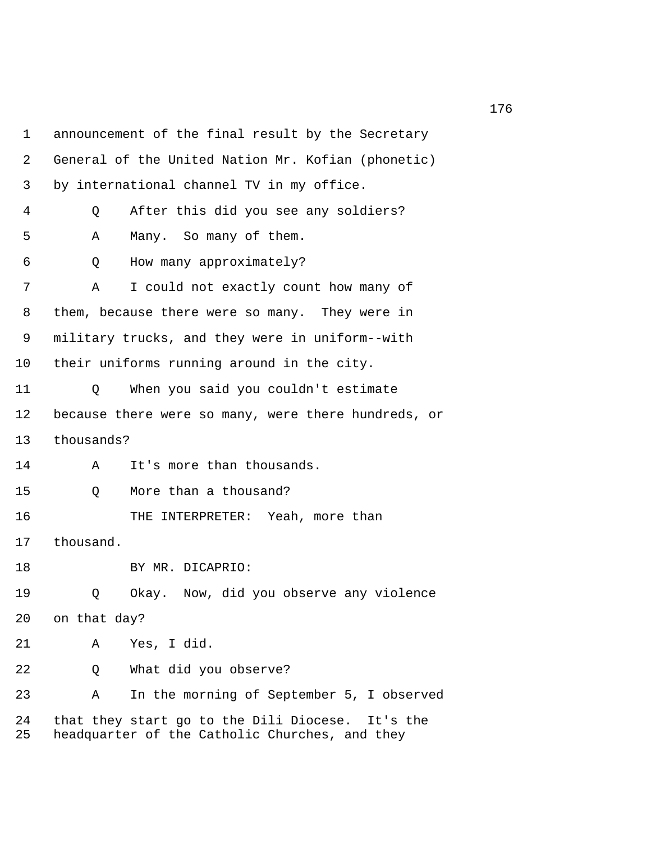1 announcement of the final result by the Secretary 2 General of the United Nation Mr. Kofian (phonetic) 3 by international channel TV in my office. 4 Q After this did you see any soldiers? 5 A Many. So many of them. 6 Q How many approximately? 7 A I could not exactly count how many of 8 them, because there were so many. They were in 9 military trucks, and they were in uniform--with 10 their uniforms running around in the city. 11 Q When you said you couldn't estimate 12 because there were so many, were there hundreds, or 13 thousands? 14 A It's more than thousands. 15 Q More than a thousand? 16 THE INTERPRETER: Yeah, more than 17 thousand. 18 BY MR. DICAPRIO: 19 Q Okay. Now, did you observe any violence 20 on that day? 21 A Yes, I did. 22 Q What did you observe? 23 A In the morning of September 5, I observed 24 that they start go to the Dili Diocese. It's the 25 headquarter of the Catholic Churches, and they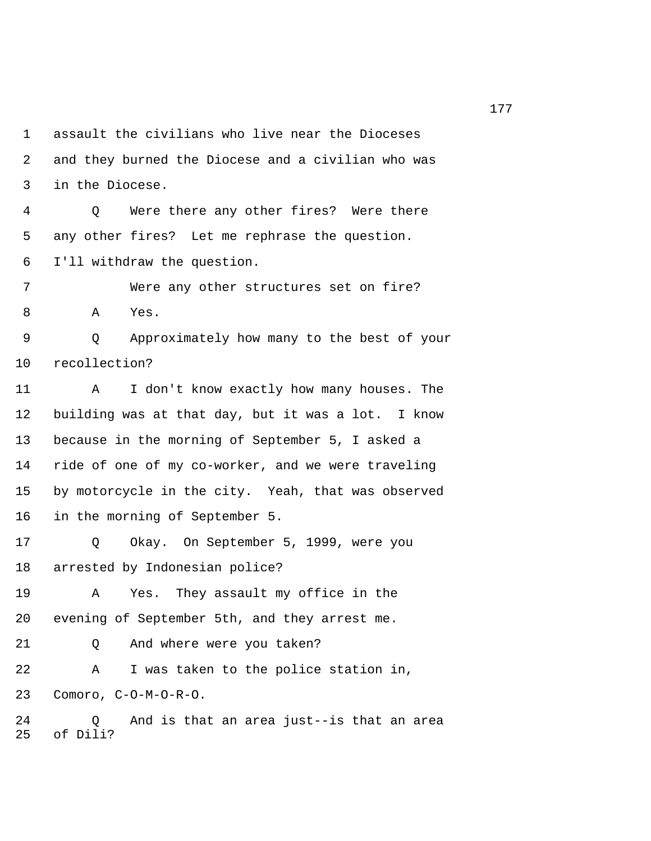1 assault the civilians who live near the Dioceses 2 and they burned the Diocese and a civilian who was 3 in the Diocese.

 4 Q Were there any other fires? Were there 5 any other fires? Let me rephrase the question. 6 I'll withdraw the question.

 7 Were any other structures set on fire? 8 A Yes.

 9 Q Approximately how many to the best of your 10 recollection?

11 A I don't know exactly how many houses. The 12 building was at that day, but it was a lot. I know 13 because in the morning of September 5, I asked a 14 ride of one of my co-worker, and we were traveling 15 by motorcycle in the city. Yeah, that was observed 16 in the morning of September 5.

17 Q Okay. On September 5, 1999, were you 18 arrested by Indonesian police?

19 A Yes. They assault my office in the 20 evening of September 5th, and they arrest me.

21 Q And where were you taken?

22 A I was taken to the police station in, 23 Comoro, C-O-M-O-R-O.

24 Q And is that an area just--is that an area 25 of Dili?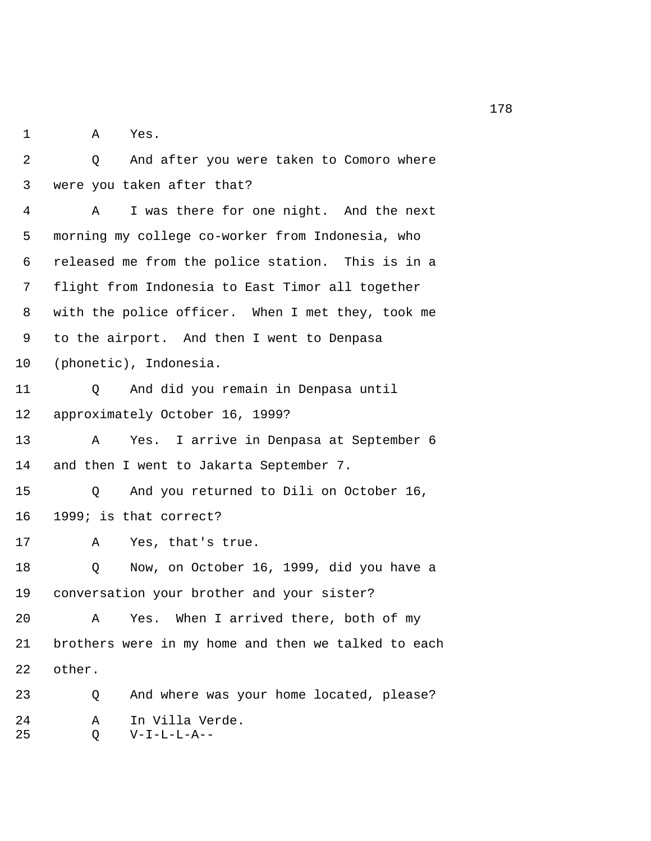1 A Yes.

 2 Q And after you were taken to Comoro where 3 were you taken after that? 4 A I was there for one night. And the next

 5 morning my college co-worker from Indonesia, who 6 released me from the police station. This is in a 7 flight from Indonesia to East Timor all together 8 with the police officer. When I met they, took me 9 to the airport. And then I went to Denpasa 10 (phonetic), Indonesia.

11 Q And did you remain in Denpasa until 12 approximately October 16, 1999?

13 A Yes. I arrive in Denpasa at September 6 14 and then I went to Jakarta September 7.

15 Q And you returned to Dili on October 16, 16 1999; is that correct?

17 A Yes, that's true.

18 Q Now, on October 16, 1999, did you have a 19 conversation your brother and your sister?

20 A Yes. When I arrived there, both of my 21 brothers were in my home and then we talked to each 22 other.

23 Q And where was your home located, please? 24 A In Villa Verde. 25 Q V-I-L-L-A--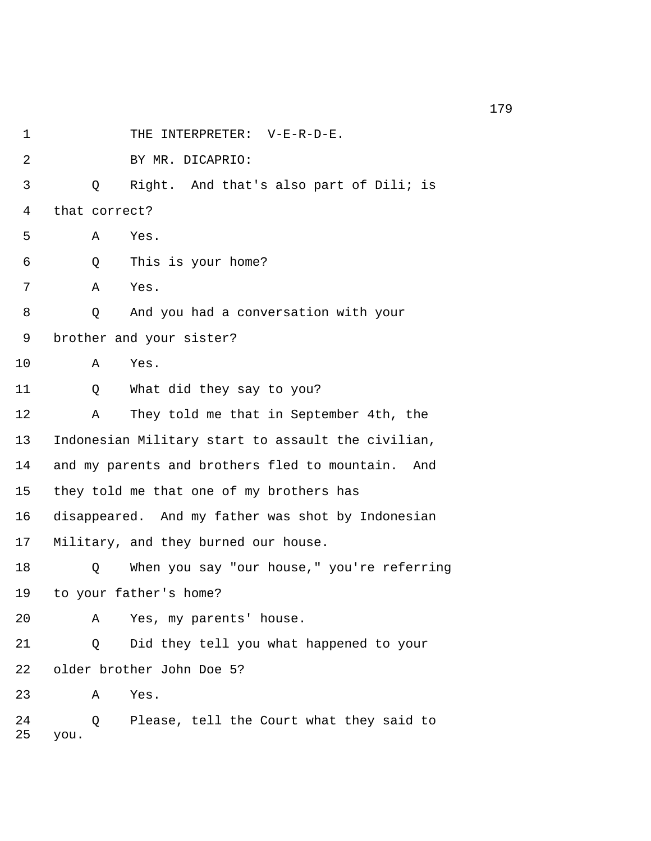1 THE INTERPRETER: V-E-R-D-E. 2 BY MR. DICAPRIO: 3 Q Right. And that's also part of Dili; is 4 that correct? 5 A Yes. 6 Q This is your home? 7 A Yes. 8 Q And you had a conversation with your 9 brother and your sister? 10 A Yes. 11 Q What did they say to you? 12 A They told me that in September 4th, the 13 Indonesian Military start to assault the civilian, 14 and my parents and brothers fled to mountain. And 15 they told me that one of my brothers has 16 disappeared. And my father was shot by Indonesian 17 Military, and they burned our house. 18 Q When you say "our house," you're referring 19 to your father's home? 20 A Yes, my parents' house. 21 Q Did they tell you what happened to your 22 older brother John Doe 5? 23 A Yes. 24 Q Please, tell the Court what they said to 25 you.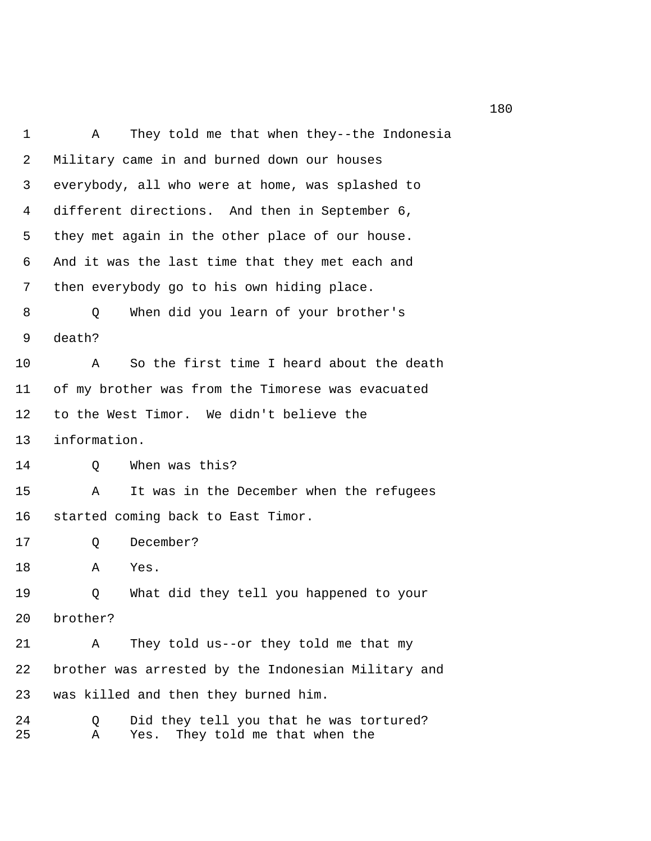1 A They told me that when they--the Indonesia 2 Military came in and burned down our houses 3 everybody, all who were at home, was splashed to 4 different directions. And then in September 6, 5 they met again in the other place of our house. 6 And it was the last time that they met each and 7 then everybody go to his own hiding place. 8 Q When did you learn of your brother's 9 death? 10 A So the first time I heard about the death 11 of my brother was from the Timorese was evacuated 12 to the West Timor. We didn't believe the 13 information. 14 Q When was this? 15 A It was in the December when the refugees 16 started coming back to East Timor. 17 Q December? 18 A Yes. 19 Q What did they tell you happened to your 20 brother? 21 A They told us--or they told me that my 22 brother was arrested by the Indonesian Military and 23 was killed and then they burned him. 24 Q Did they tell you that he was tortured? 25 A Yes. They told me that when the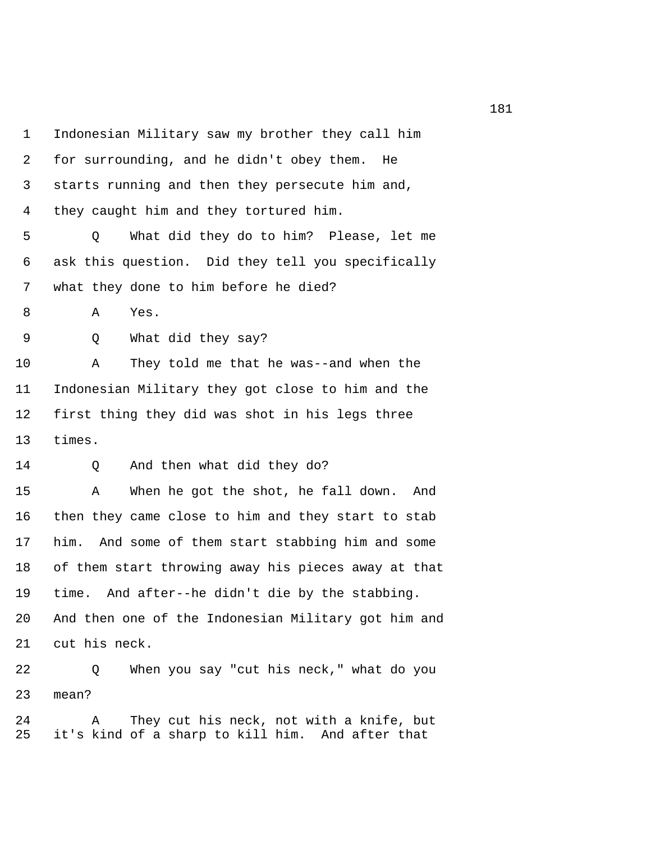1 Indonesian Military saw my brother they call him 2 for surrounding, and he didn't obey them. He 3 starts running and then they persecute him and, 4 they caught him and they tortured him. 5 Q What did they do to him? Please, let me 6 ask this question. Did they tell you specifically 7 what they done to him before he died? 8 A Yes. 9 Q What did they say? 10 A They told me that he was--and when the 11 Indonesian Military they got close to him and the 12 first thing they did was shot in his legs three 13 times. 14 Q And then what did they do? 15 A When he got the shot, he fall down. And 16 then they came close to him and they start to stab 17 him. And some of them start stabbing him and some 18 of them start throwing away his pieces away at that 19 time. And after--he didn't die by the stabbing. 20 And then one of the Indonesian Military got him and 21 cut his neck. 22 Q When you say "cut his neck," what do you 23 mean?

24 A They cut his neck, not with a knife, but 25 it's kind of a sharp to kill him. And after that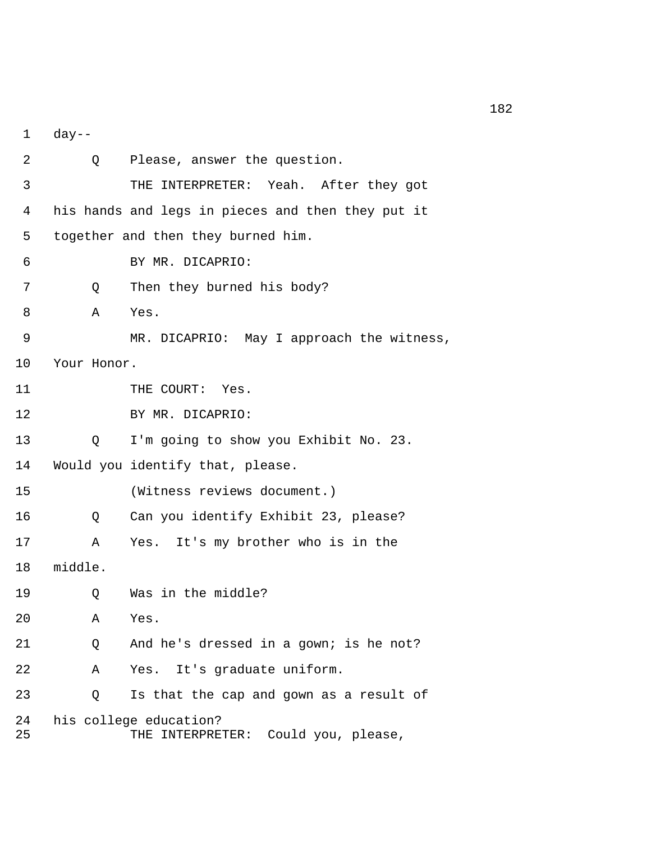1 day--

| 2        | $Q \qquad \qquad$ | Please, answer the question.                                        |
|----------|-------------------|---------------------------------------------------------------------|
| 3        |                   | THE INTERPRETER: Yeah. After they got                               |
| 4        |                   | his hands and legs in pieces and then they put it                   |
| 5        |                   | together and then they burned him.                                  |
| 6        |                   | BY MR. DICAPRIO:                                                    |
| 7        | Q                 | Then they burned his body?                                          |
| 8        | A                 | Yes.                                                                |
| 9        |                   | MR. DICAPRIO: May I approach the witness,                           |
| 10       | Your Honor.       |                                                                     |
| 11       |                   | THE COURT: Yes.                                                     |
| 12       |                   | BY MR. DICAPRIO:                                                    |
| 13       | Q                 | I'm going to show you Exhibit No. 23.                               |
| 14       |                   | Would you identify that, please.                                    |
| 15       |                   | (Witness reviews document.)                                         |
| 16       | Q                 | Can you identify Exhibit 23, please?                                |
| 17       | Α                 | Yes. It's my brother who is in the                                  |
| 18       | middle.           |                                                                     |
| 19       | Q                 | Was in the middle?                                                  |
| 20       | A                 | Yes.                                                                |
| 21       | Q                 | And he's dressed in a gown; is he not?                              |
| 22       | Α                 | It's graduate uniform.<br>Yes.                                      |
| 23       | Q                 | Is that the cap and gown as a result of                             |
| 24<br>25 |                   | his college education?<br>Could you, please,<br>INTERPRETER:<br>THE |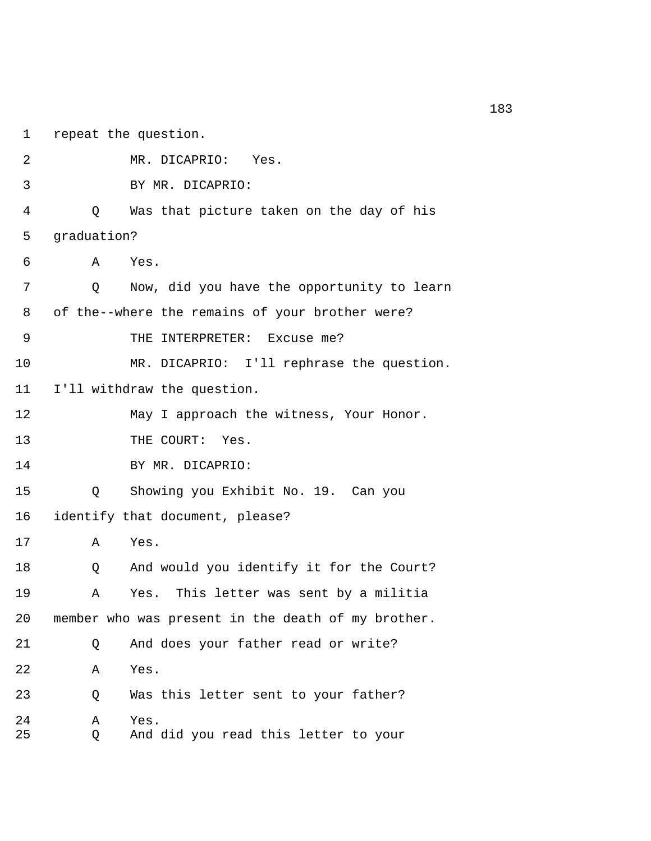1 repeat the question. 2 MR. DICAPRIO: Yes. 3 BY MR. DICAPRIO: 4 Q Was that picture taken on the day of his 5 graduation? 6 A Yes. 7 Q Now, did you have the opportunity to learn 8 of the--where the remains of your brother were? 9 THE INTERPRETER: Excuse me? 10 MR. DICAPRIO: I'll rephrase the question. 11 I'll withdraw the question. 12 May I approach the witness, Your Honor. 13 THE COURT: Yes. 14 BY MR. DICAPRIO: 15 Q Showing you Exhibit No. 19. Can you 16 identify that document, please? 17 A Yes. 18 Q And would you identify it for the Court? 19 A Yes. This letter was sent by a militia 20 member who was present in the death of my brother. 21 Q And does your father read or write? 22 A Yes. 23 Q Was this letter sent to your father? 24 A Yes. 25 Q And did you read this letter to your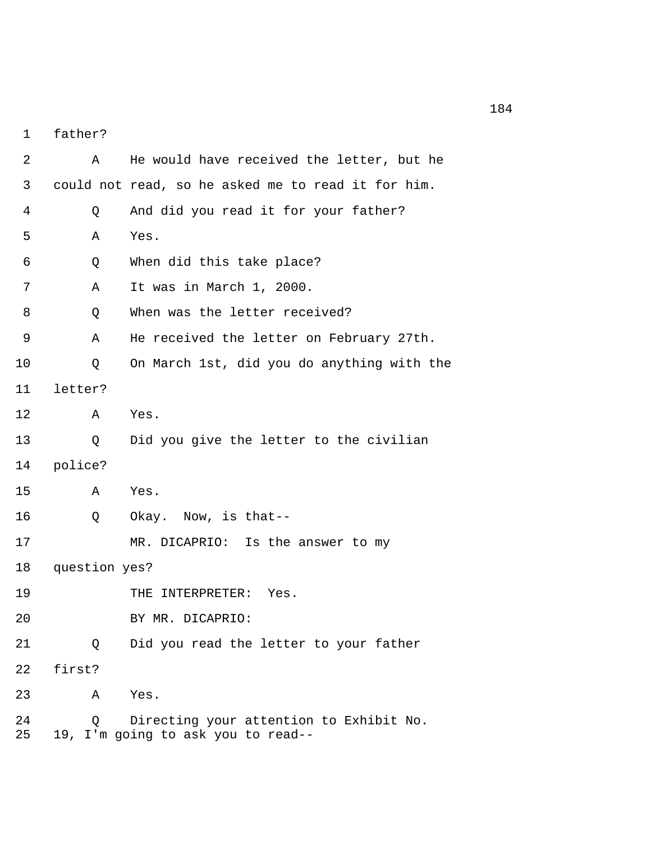1 father?

 2 A He would have received the letter, but he 3 could not read, so he asked me to read it for him. 4 Q And did you read it for your father? 5 A Yes. 6 Q When did this take place? 7 A It was in March 1, 2000. 8 0 When was the letter received? 9 A He received the letter on February 27th. 10 Q On March 1st, did you do anything with the 11 letter? 12 A Yes. 13 Q Did you give the letter to the civilian 14 police? 15 A Yes. 16 Q Okay. Now, is that-- 17 MR. DICAPRIO: Is the answer to my 18 question yes? 19 THE INTERPRETER: Yes. 20 BY MR. DICAPRIO: 21 Q Did you read the letter to your father 22 first? 23 A Yes. 24 Q Directing your attention to Exhibit No. 25 19, I'm going to ask you to read--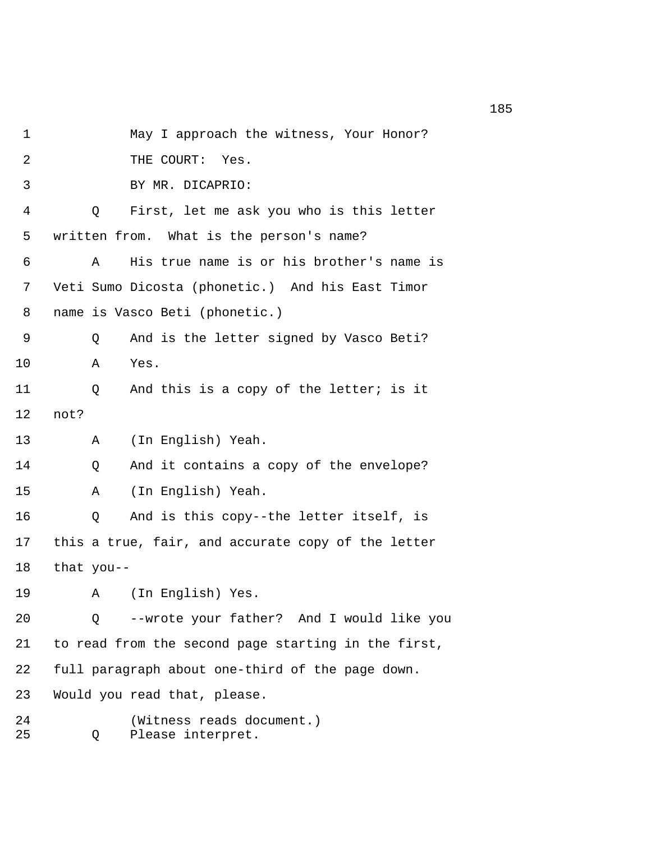1 May I approach the witness, Your Honor? 2 THE COURT: Yes. 3 BY MR. DICAPRIO: 4 Q First, let me ask you who is this letter 5 written from. What is the person's name? 6 A His true name is or his brother's name is 7 Veti Sumo Dicosta (phonetic.) And his East Timor 8 name is Vasco Beti (phonetic.) 9 Q And is the letter signed by Vasco Beti? 10 A Yes. 11 Q And this is a copy of the letter; is it 12 not? 13 A (In English) Yeah. 14 Q And it contains a copy of the envelope? 15 A (In English) Yeah. 16 Q And is this copy--the letter itself, is 17 this a true, fair, and accurate copy of the letter 18 that you-- 19 A (In English) Yes. 20 Q --wrote your father? And I would like you 21 to read from the second page starting in the first, 22 full paragraph about one-third of the page down. 23 Would you read that, please. 24 (Witness reads document.) 25 Q Please interpret.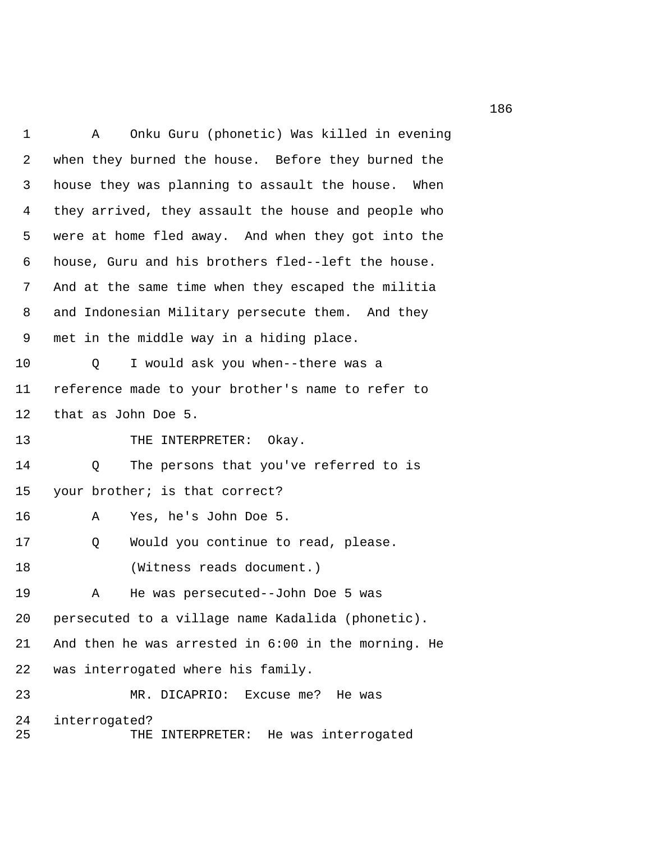1 A Onku Guru (phonetic) Was killed in evening 2 when they burned the house. Before they burned the 3 house they was planning to assault the house. When 4 they arrived, they assault the house and people who 5 were at home fled away. And when they got into the 6 house, Guru and his brothers fled--left the house. 7 And at the same time when they escaped the militia 8 and Indonesian Military persecute them. And they 9 met in the middle way in a hiding place. 10 Q I would ask you when--there was a 11 reference made to your brother's name to refer to 12 that as John Doe 5. 13 THE INTERPRETER: Okay. 14 Q The persons that you've referred to is 15 your brother; is that correct? 16 A Yes, he's John Doe 5. 17 Q Would you continue to read, please. 18 (Witness reads document.) 19 A He was persecuted--John Doe 5 was 20 persecuted to a village name Kadalida (phonetic). 21 And then he was arrested in 6:00 in the morning. He 22 was interrogated where his family. 23 MR. DICAPRIO: Excuse me? He was 24 interrogated? 25 THE INTERPRETER: He was interrogated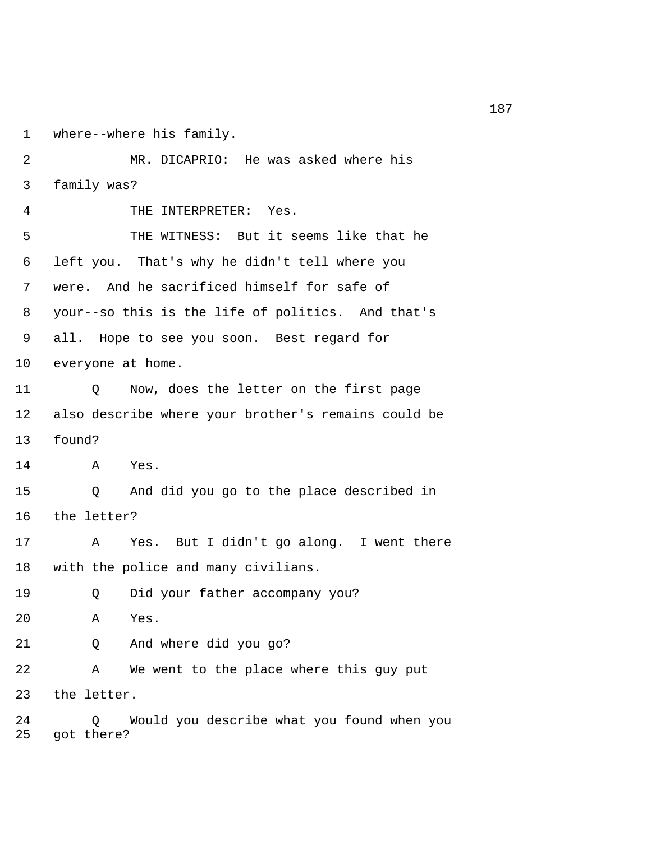1 where--where his family.

 2 MR. DICAPRIO: He was asked where his 3 family was? 4 THE INTERPRETER: Yes. 5 THE WITNESS: But it seems like that he 6 left you. That's why he didn't tell where you 7 were. And he sacrificed himself for safe of 8 your--so this is the life of politics. And that's 9 all. Hope to see you soon. Best regard for 10 everyone at home. 11 Q Now, does the letter on the first page 12 also describe where your brother's remains could be 13 found? 14 A Yes. 15 Q And did you go to the place described in 16 the letter? 17 A Yes. But I didn't go along. I went there 18 with the police and many civilians. 19 Q Did your father accompany you? 20 A Yes. 21 Q And where did you go? 22 A We went to the place where this guy put 23 the letter. 24 Q Would you describe what you found when you 25 got there?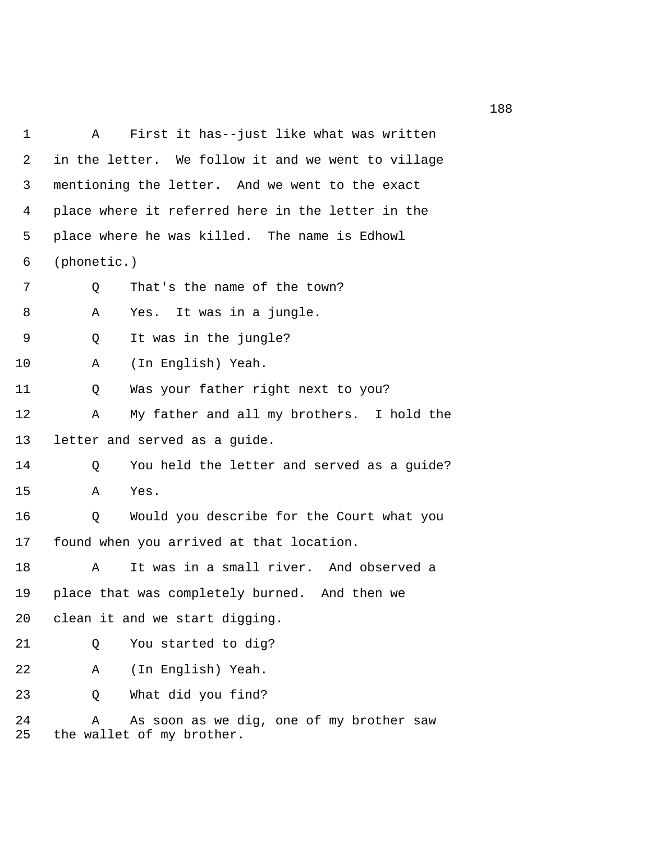| 1        | First it has--just like what was written<br>Α                              |  |  |
|----------|----------------------------------------------------------------------------|--|--|
| 2        | in the letter. We follow it and we went to village                         |  |  |
| 3        | mentioning the letter. And we went to the exact                            |  |  |
| 4        | place where it referred here in the letter in the                          |  |  |
| 5        | place where he was killed. The name is Edhowl                              |  |  |
| 6        | (phonetic.)                                                                |  |  |
| 7        | That's the name of the town?<br>Q                                          |  |  |
| 8        | It was in a jungle.<br>Α<br>Yes.                                           |  |  |
| 9        | It was in the jungle?<br>Q                                                 |  |  |
| 10       | (In English) Yeah.<br>Α                                                    |  |  |
| 11       | Was your father right next to you?<br>Q                                    |  |  |
| 12       | My father and all my brothers. I hold the<br>Α                             |  |  |
| 13       | letter and served as a guide.                                              |  |  |
| 14       | You held the letter and served as a guide?<br>Q                            |  |  |
| 15       | Yes.<br>Α                                                                  |  |  |
| 16       | Q<br>Would you describe for the Court what you                             |  |  |
| 17       | found when you arrived at that location.                                   |  |  |
| 18       | It was in a small river. And observed a<br>Α                               |  |  |
| 19       | place that was completely burned. And then we                              |  |  |
| 20       | clean it and we start digging.                                             |  |  |
| 21       | You started to dig?<br>Q                                                   |  |  |
| 22       | (In English) Yeah.<br>Α                                                    |  |  |
| 23       | What did you find?<br>Q                                                    |  |  |
| 24<br>25 | As soon as we dig, one of my brother saw<br>Α<br>the wallet of my brother. |  |  |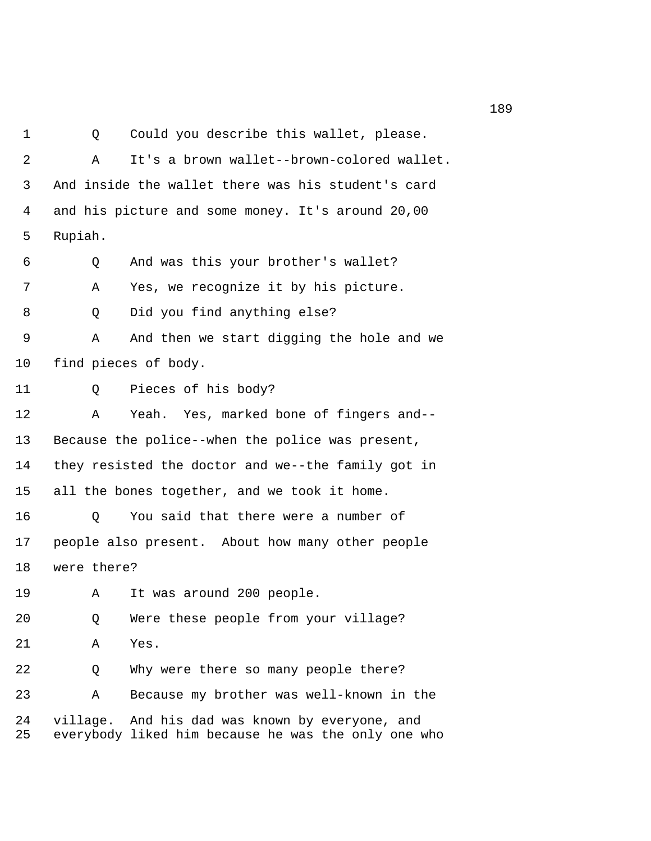1 Q Could you describe this wallet, please. 2 A It's a brown wallet--brown-colored wallet. 3 And inside the wallet there was his student's card 4 and his picture and some money. It's around 20,00 5 Rupiah. 6 Q And was this your brother's wallet? 7 A Yes, we recognize it by his picture. 8 Q Did you find anything else? 9 A And then we start digging the hole and we 10 find pieces of body. 11 Q Pieces of his body? 12 A Yeah. Yes, marked bone of fingers and-- 13 Because the police--when the police was present, 14 they resisted the doctor and we--the family got in 15 all the bones together, and we took it home. 16 Q You said that there were a number of 17 people also present. About how many other people 18 were there? 19 A It was around 200 people. 20 Q Were these people from your village? 21 A Yes. 22 Q Why were there so many people there? 23 A Because my brother was well-known in the 24 village. And his dad was known by everyone, and 25 everybody liked him because he was the only one who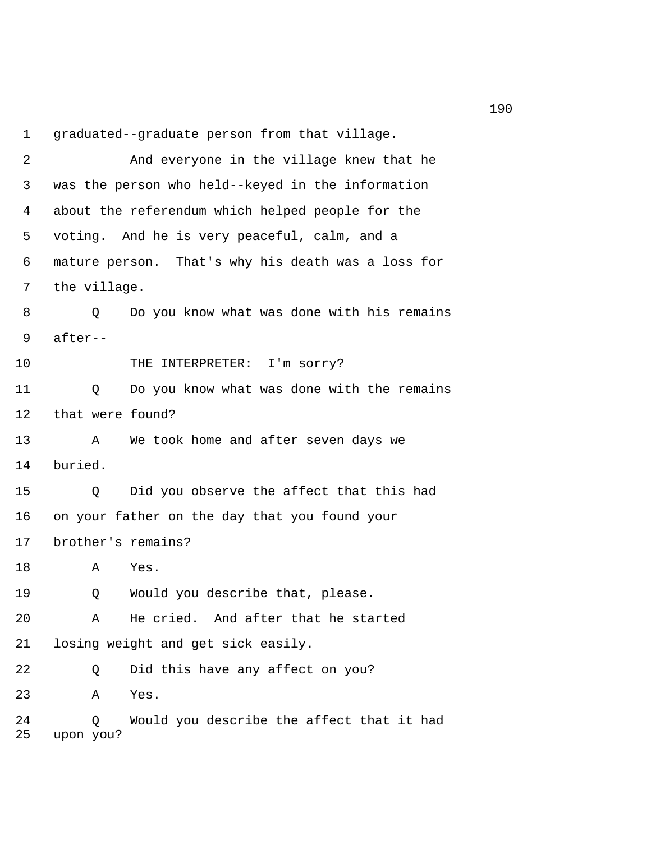1 graduated--graduate person from that village.

 2 And everyone in the village knew that he 3 was the person who held--keyed in the information 4 about the referendum which helped people for the 5 voting. And he is very peaceful, calm, and a 6 mature person. That's why his death was a loss for 7 the village. 8 Q Do you know what was done with his remains 9 after-- 10 THE INTERPRETER: I'm sorry? 11 Q Do you know what was done with the remains 12 that were found? 13 A We took home and after seven days we 14 buried. 15 Q Did you observe the affect that this had 16 on your father on the day that you found your 17 brother's remains? 18 A Yes. 19 Q Would you describe that, please. 20 A He cried. And after that he started 21 losing weight and get sick easily. 22 Q Did this have any affect on you? 23 A Yes. 24 Q Would you describe the affect that it had 25 upon you?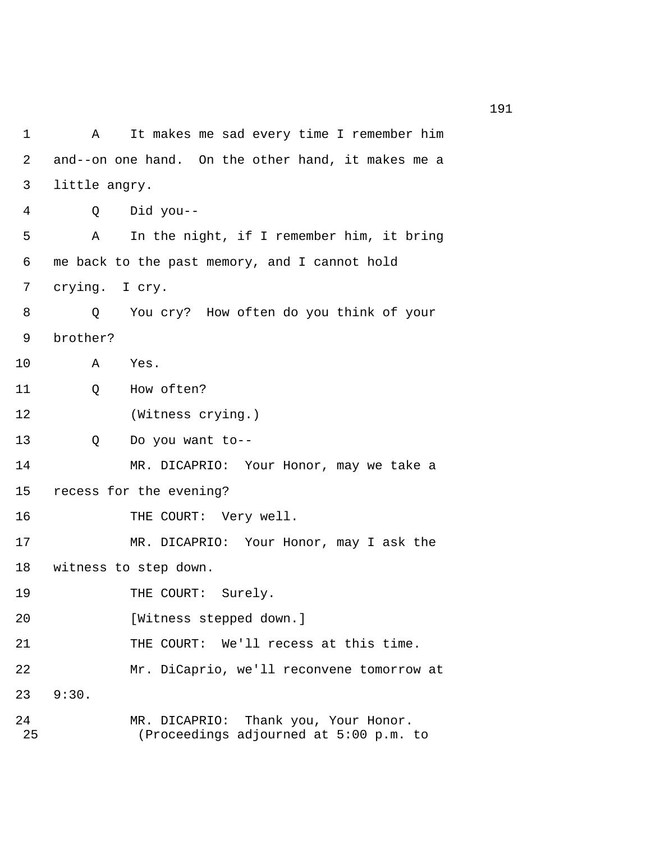1 A It makes me sad every time I remember him 2 and--on one hand. On the other hand, it makes me a 3 little angry. 4 Q Did you-- 5 A In the night, if I remember him, it bring 6 me back to the past memory, and I cannot hold 7 crying. I cry. 8 Q You cry? How often do you think of your 9 brother? 10 A Yes. 11 O How often? 12 (Witness crying.) 13 Q Do you want to-- 14 MR. DICAPRIO: Your Honor, may we take a 15 recess for the evening? 16 THE COURT: Very well. 17 MR. DICAPRIO: Your Honor, may I ask the 18 witness to step down. 19 THE COURT: Surely. 20 [Witness stepped down.] 21 THE COURT: We'll recess at this time. 22 Mr. DiCaprio, we'll reconvene tomorrow at 23 9:30. 24 MR. DICAPRIO: Thank you, Your Honor. 25 (Proceedings adjourned at 5:00 p.m. to